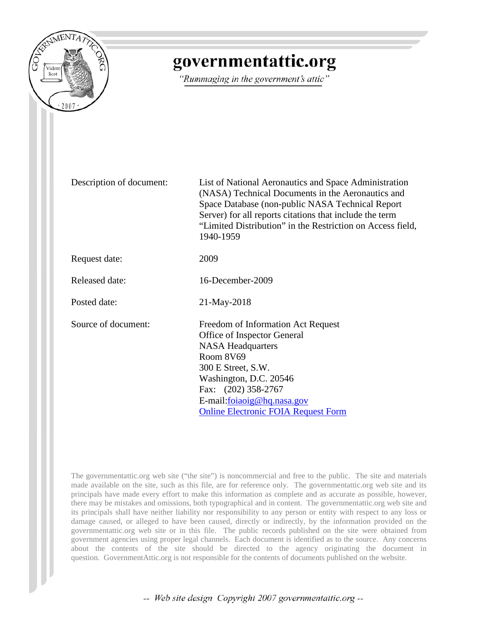

## governmentattic.org

"Rummaging in the government's attic"

Description of document: List of National Aeronautics and Space Administration (NASA) Technical Documents in the Aeronautics and Space Database (non-public NASA Technical Report Server) for all reports citations that include the term "Limited Distribution" in the Restriction on Access field, 1940-1959

Request date: 2009

Released date: 16-December-2009

Posted date: 21-May-2018

Source of document: Freedom of Information Act Request Office of Inspector General NASA Headquarters Room 8V69 300 E Street, S.W. Washington, D.C. 20546 Fax: (202) 358-2767 E-mail[:foiaoig@hq.nasa.gov](mailto:foiaoig@hq.nasa.gov?subject=FOIA%20Request%20-%20OIG%20web%20site) [Online Electronic FOIA Request Form](http://oig.nasa.gov/FOIA_request_electronic.html)

The governmentattic.org web site ("the site") is noncommercial and free to the public. The site and materials made available on the site, such as this file, are for reference only. The governmentattic.org web site and its principals have made every effort to make this information as complete and as accurate as possible, however, there may be mistakes and omissions, both typographical and in content. The governmentattic.org web site and its principals shall have neither liability nor responsibility to any person or entity with respect to any loss or damage caused, or alleged to have been caused, directly or indirectly, by the information provided on the governmentattic.org web site or in this file. The public records published on the site were obtained from government agencies using proper legal channels. Each document is identified as to the source. Any concerns about the contents of the site should be directed to the agency originating the document in question. GovernmentAttic.org is not responsible for the contents of documents published on the website.

-- Web site design Copyright 2007 governmentattic.org --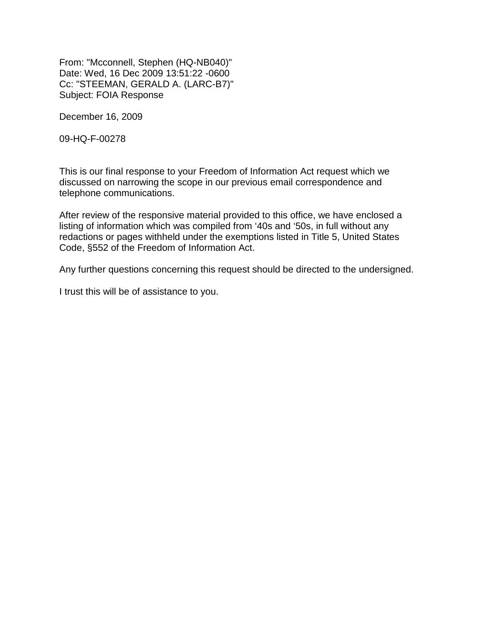From: "Mcconnell, Stephen (HQ-NB040)" Date: Wed, 16 Dec 2009 13:51:22 -0600 Cc: "STEEMAN, GERALD A. (LARC-B7)" Subject: FOIA Response

December 16, 2009

09-HQ-F-00278

This is our final response to your Freedom of Information Act request which we discussed on narrowing the scope in our previous email correspondence and telephone communications.

After review of the responsive material provided to this office, we have enclosed a listing of information which was compiled from '40s and '50s, in full without any redactions or pages withheld under the exemptions listed in Title 5, United States Code, §552 of the Freedom of Information Act.

Any further questions concerning this request should be directed to the undersigned.

I trust this will be of assistance to you.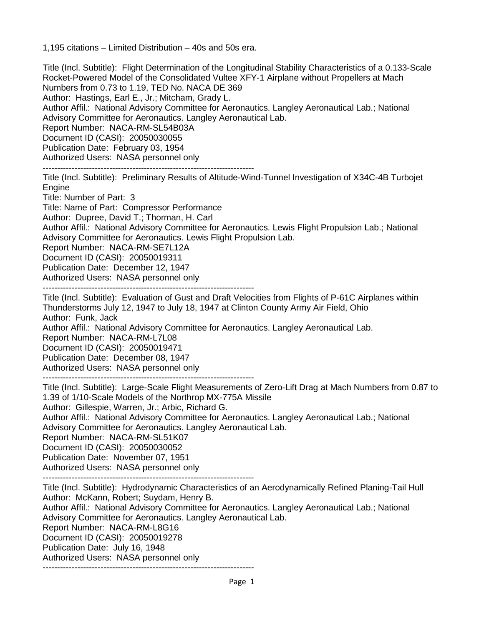1,195 citations – Limited Distribution – 40s and 50s era.

Title (Incl. Subtitle): Flight Determination of the Longitudinal Stability Characteristics of a 0.133-Scale Rocket-Powered Model of the Consolidated Vultee XFY-1 Airplane without Propellers at Mach Numbers from 0.73 to 1.19, TED No. NACA DE 369 Author: Hastings, Earl E., Jr.; Mitcham, Grady L. Author Affil.: National Advisory Committee for Aeronautics. Langley Aeronautical Lab.; National Advisory Committee for Aeronautics. Langley Aeronautical Lab. Report Number: NACA-RM-SL54B03A Document ID (CASI): 20050030055 Publication Date: February 03, 1954 Authorized Users: NASA personnel only -------------------------------------------------------------------------

Title (Incl. Subtitle): Preliminary Results of Altitude-Wind-Tunnel Investigation of X34C-4B Turbojet Engine

Title: Number of Part: 3

Title: Name of Part: Compressor Performance

Author: Dupree, David T.; Thorman, H. Carl

Author Affil.: National Advisory Committee for Aeronautics. Lewis Flight Propulsion Lab.; National Advisory Committee for Aeronautics. Lewis Flight Propulsion Lab.

Report Number: NACA-RM-SE7L12A

Document ID (CASI): 20050019311

Publication Date: December 12, 1947

Authorized Users: NASA personnel only -------------------------------------------------------------------------

Title (Incl. Subtitle): Evaluation of Gust and Draft Velocities from Flights of P-61C Airplanes within Thunderstorms July 12, 1947 to July 18, 1947 at Clinton County Army Air Field, Ohio Author: Funk, Jack Author Affil.: National Advisory Committee for Aeronautics. Langley Aeronautical Lab. Report Number: NACA-RM-L7L08 Document ID (CASI): 20050019471 Publication Date: December 08, 1947 Authorized Users: NASA personnel only

-------------------------------------------------------------------------

Title (Incl. Subtitle): Large-Scale Flight Measurements of Zero-Lift Drag at Mach Numbers from 0.87 to 1.39 of 1/10-Scale Models of the Northrop MX-775A Missile Author: Gillespie, Warren, Jr.; Arbic, Richard G. Author Affil.: National Advisory Committee for Aeronautics. Langley Aeronautical Lab.; National Advisory Committee for Aeronautics. Langley Aeronautical Lab. Report Number: NACA-RM-SL51K07 Document ID (CASI): 20050030052 Publication Date: November 07, 1951 Authorized Users: NASA personnel only

-------------------------------------------------------------------------

Title (Incl. Subtitle): Hydrodynamic Characteristics of an Aerodynamically Refined Planing-Tail Hull Author: McKann, Robert; Suydam, Henry B. Author Affil.: National Advisory Committee for Aeronautics. Langley Aeronautical Lab.; National Advisory Committee for Aeronautics. Langley Aeronautical Lab. Report Number: NACA-RM-L8G16 Document ID (CASI): 20050019278 Publication Date: July 16, 1948 Authorized Users: NASA personnel only -------------------------------------------------------------------------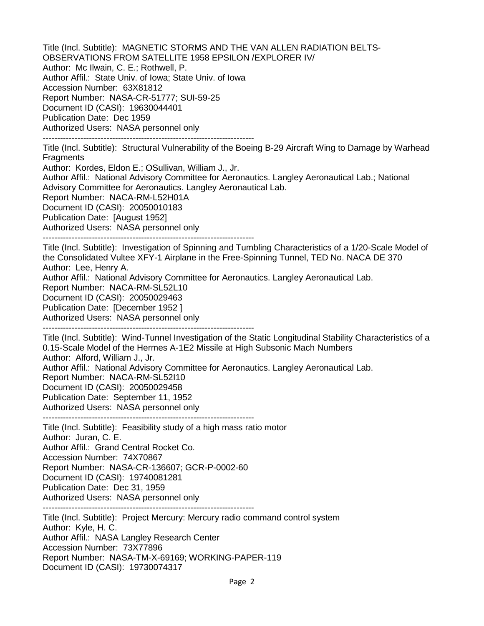Title (Incl. Subtitle): MAGNETIC STORMS AND THE VAN ALLEN RADIATION BELTS-OBSERVATIONS FROM SATELLITE 1958 EPSILON /EXPLORER IV/ Author: Mc Ilwain, C. E.; Rothwell, P. Author Affil.: State Univ. of Iowa; State Univ. of Iowa Accession Number: 63X81812 Report Number: NASA-CR-51777; SUI-59-25 Document ID (CASI): 19630044401 Publication Date: Dec 1959 Authorized Users: NASA personnel only -------------------------------------------------------------------------

Title (Incl. Subtitle): Structural Vulnerability of the Boeing B-29 Aircraft Wing to Damage by Warhead **Fragments** 

Author: Kordes, Eldon E.; OSullivan, William J., Jr.

Author Affil.: National Advisory Committee for Aeronautics. Langley Aeronautical Lab.; National Advisory Committee for Aeronautics. Langley Aeronautical Lab.

Report Number: NACA-RM-L52H01A

Document ID (CASI): 20050010183

Publication Date: [August 1952]

Authorized Users: NASA personnel only

-------------------------------------------------------------------------

Title (Incl. Subtitle): Investigation of Spinning and Tumbling Characteristics of a 1/20-Scale Model of the Consolidated Vultee XFY-1 Airplane in the Free-Spinning Tunnel, TED No. NACA DE 370 Author: Lee, Henry A.

Author Affil.: National Advisory Committee for Aeronautics. Langley Aeronautical Lab.

Report Number: NACA-RM-SL52L10

Document ID (CASI): 20050029463

Publication Date: [December 1952 ]

Authorized Users: NASA personnel only

-------------------------------------------------------------------------

Title (Incl. Subtitle): Wind-Tunnel Investigation of the Static Longitudinal Stability Characteristics of a 0.15-Scale Model of the Hermes A-1E2 Missile at High Subsonic Mach Numbers Author: Alford, William J., Jr. Author Affil.: National Advisory Committee for Aeronautics. Langley Aeronautical Lab. Report Number: NACA-RM-SL52I10 Document ID (CASI): 20050029458 Publication Date: September 11, 1952

Authorized Users: NASA personnel only

-------------------------------------------------------------------------

Title (Incl. Subtitle): Feasibility study of a high mass ratio motor Author: Juran, C. E. Author Affil.: Grand Central Rocket Co. Accession Number: 74X70867 Report Number: NASA-CR-136607; GCR-P-0002-60 Document ID (CASI): 19740081281 Publication Date: Dec 31, 1959 Authorized Users: NASA personnel only -------------------------------------------------------------------------

Title (Incl. Subtitle): Project Mercury: Mercury radio command control system Author: Kyle, H. C. Author Affil.: NASA Langley Research Center Accession Number: 73X77896 Report Number: NASA-TM-X-69169; WORKING-PAPER-119 Document ID (CASI): 19730074317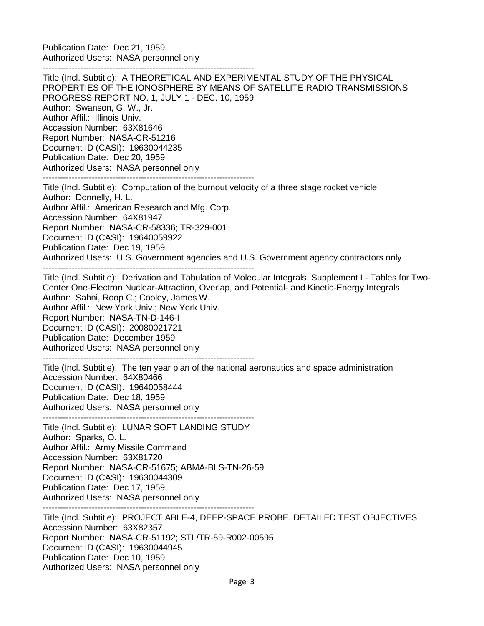Publication Date: Dec 21, 1959 Authorized Users: NASA personnel only

-------------------------------------------------------------------------

Title (Incl. Subtitle): A THEORETICAL AND EXPERIMENTAL STUDY OF THE PHYSICAL PROPERTIES OF THE IONOSPHERE BY MEANS OF SATELLITE RADIO TRANSMISSIONS PROGRESS REPORT NO. 1, JULY 1 - DEC. 10, 1959 Author: Swanson, G. W., Jr. Author Affil.: Illinois Univ. Accession Number: 63X81646 Report Number: NASA-CR-51216 Document ID (CASI): 19630044235 Publication Date: Dec 20, 1959 Authorized Users: NASA personnel only -------------------------------------------------------------------------

Title (Incl. Subtitle): Computation of the burnout velocity of a three stage rocket vehicle Author: Donnelly, H. L. Author Affil.: American Research and Mfg. Corp. Accession Number: 64X81947 Report Number: NASA-CR-58336; TR-329-001 Document ID (CASI): 19640059922 Publication Date: Dec 19, 1959 Authorized Users: U.S. Government agencies and U.S. Government agency contractors only

-------------------------------------------------------------------------

Title (Incl. Subtitle): Derivation and Tabulation of Molecular Integrals. Supplement I - Tables for Two-Center One-Electron Nuclear-Attraction, Overlap, and Potential- and Kinetic-Energy Integrals Author: Sahni, Roop C.; Cooley, James W. Author Affil.: New York Univ.; New York Univ. Report Number: NASA-TN-D-146-I Document ID (CASI): 20080021721 Publication Date: December 1959 Authorized Users: NASA personnel only

-------------------------------------------------------------------------

-------------------------------------------------------------------------

Title (Incl. Subtitle): The ten year plan of the national aeronautics and space administration Accession Number: 64X80466 Document ID (CASI): 19640058444 Publication Date: Dec 18, 1959 Authorized Users: NASA personnel only

Title (Incl. Subtitle): LUNAR SOFT LANDING STUDY Author: Sparks, O. L. Author Affil.: Army Missile Command Accession Number: 63X81720 Report Number: NASA-CR-51675; ABMA-BLS-TN-26-59 Document ID (CASI): 19630044309 Publication Date: Dec 17, 1959 Authorized Users: NASA personnel only -------------------------------------------------------------------------

Title (Incl. Subtitle): PROJECT ABLE-4, DEEP-SPACE PROBE. DETAILED TEST OBJECTIVES Accession Number: 63X82357 Report Number: NASA-CR-51192; STL/TR-59-R002-00595 Document ID (CASI): 19630044945 Publication Date: Dec 10, 1959 Authorized Users: NASA personnel only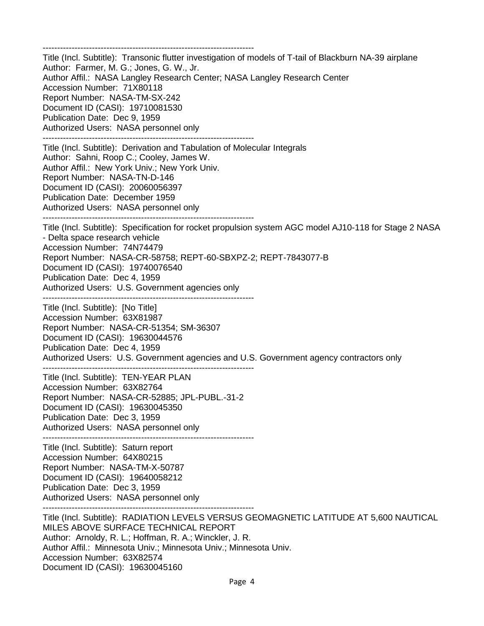------------------------------------------------------------------------- Title (Incl. Subtitle): Transonic flutter investigation of models of T-tail of Blackburn NA-39 airplane Author: Farmer, M. G.; Jones, G. W., Jr. Author Affil.: NASA Langley Research Center; NASA Langley Research Center Accession Number: 71X80118 Report Number: NASA-TM-SX-242 Document ID (CASI): 19710081530 Publication Date: Dec 9, 1959 Authorized Users: NASA personnel only ------------------------------------------------------------------------- Title (Incl. Subtitle): Derivation and Tabulation of Molecular Integrals Author: Sahni, Roop C.; Cooley, James W. Author Affil.: New York Univ.; New York Univ. Report Number: NASA-TN-D-146 Document ID (CASI): 20060056397 Publication Date: December 1959 Authorized Users: NASA personnel only ------------------------------------------------------------------------- Title (Incl. Subtitle): Specification for rocket propulsion system AGC model AJ10-118 for Stage 2 NASA - Delta space research vehicle Accession Number: 74N74479 Report Number: NASA-CR-58758; REPT-60-SBXPZ-2; REPT-7843077-B Document ID (CASI): 19740076540 Publication Date: Dec 4, 1959 Authorized Users: U.S. Government agencies only ------------------------------------------------------------------------- Title (Incl. Subtitle): [No Title] Accession Number: 63X81987 Report Number: NASA-CR-51354; SM-36307 Document ID (CASI): 19630044576 Publication Date: Dec 4, 1959 Authorized Users: U.S. Government agencies and U.S. Government agency contractors only ------------------------------------------------------------------------- Title (Incl. Subtitle): TEN-YEAR PLAN Accession Number: 63X82764 Report Number: NASA-CR-52885; JPL-PUBL.-31-2 Document ID (CASI): 19630045350 Publication Date: Dec 3, 1959 Authorized Users: NASA personnel only ------------------------------------------------------------------------- Title (Incl. Subtitle): Saturn report Accession Number: 64X80215 Report Number: NASA-TM-X-50787 Document ID (CASI): 19640058212 Publication Date: Dec 3, 1959 Authorized Users: NASA personnel only ------------------------------------------------------------------------- Title (Incl. Subtitle): RADIATION LEVELS VERSUS GEOMAGNETIC LATITUDE AT 5,600 NAUTICAL MILES ABOVE SURFACE TECHNICAL REPORT Author: Arnoldy, R. L.; Hoffman, R. A.; Winckler, J. R. Author Affil.: Minnesota Univ.; Minnesota Univ.; Minnesota Univ. Accession Number: 63X82574 Document ID (CASI): 19630045160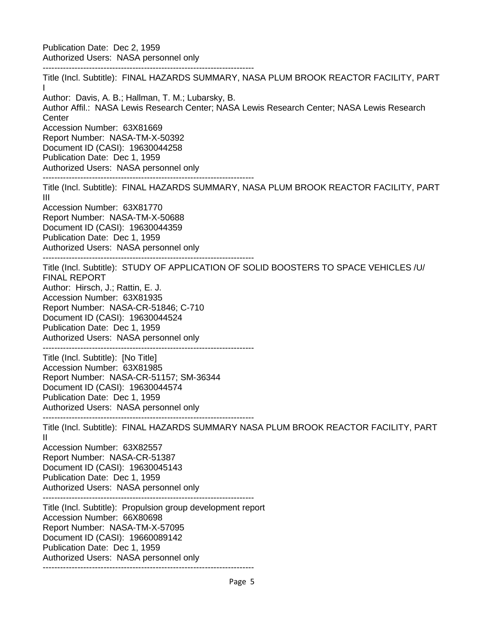Publication Date: Dec 2, 1959 Authorized Users: NASA personnel only -------------------------------------------------------------------------

Title (Incl. Subtitle): FINAL HAZARDS SUMMARY, NASA PLUM BROOK REACTOR FACILITY, PART I Author: Davis, A. B.; Hallman, T. M.; Lubarsky, B. Author Affil.: NASA Lewis Research Center; NASA Lewis Research Center; NASA Lewis Research **Center** Accession Number: 63X81669 Report Number: NASA-TM-X-50392 Document ID (CASI): 19630044258 Publication Date: Dec 1, 1959 Authorized Users: NASA personnel only ------------------------------------------------------------------------- Title (Incl. Subtitle): FINAL HAZARDS SUMMARY, NASA PLUM BROOK REACTOR FACILITY, PART III Accession Number: 63X81770 Report Number: NASA-TM-X-50688 Document ID (CASI): 19630044359 Publication Date: Dec 1, 1959 Authorized Users: NASA personnel only ------------------------------------------------------------------------- Title (Incl. Subtitle): STUDY OF APPLICATION OF SOLID BOOSTERS TO SPACE VEHICLES /U/ FINAL REPORT Author: Hirsch, J.; Rattin, E. J. Accession Number: 63X81935 Report Number: NASA-CR-51846; C-710 Document ID (CASI): 19630044524 Publication Date: Dec 1, 1959 Authorized Users: NASA personnel only ------------------------------------------------------------------------- Title (Incl. Subtitle): [No Title] Accession Number: 63X81985 Report Number: NASA-CR-51157; SM-36344 Document ID (CASI): 19630044574 Publication Date: Dec 1, 1959 Authorized Users: NASA personnel only ------------------------------------------------------------------------- Title (Incl. Subtitle): FINAL HAZARDS SUMMARY NASA PLUM BROOK REACTOR FACILITY, PART II Accession Number: 63X82557 Report Number: NASA-CR-51387 Document ID (CASI): 19630045143 Publication Date: Dec 1, 1959 Authorized Users: NASA personnel only ------------------------------------------------------------------------- Title (Incl. Subtitle): Propulsion group development report Accession Number: 66X80698 Report Number: NASA-TM-X-57095 Document ID (CASI): 19660089142 Publication Date: Dec 1, 1959 Authorized Users: NASA personnel only -------------------------------------------------------------------------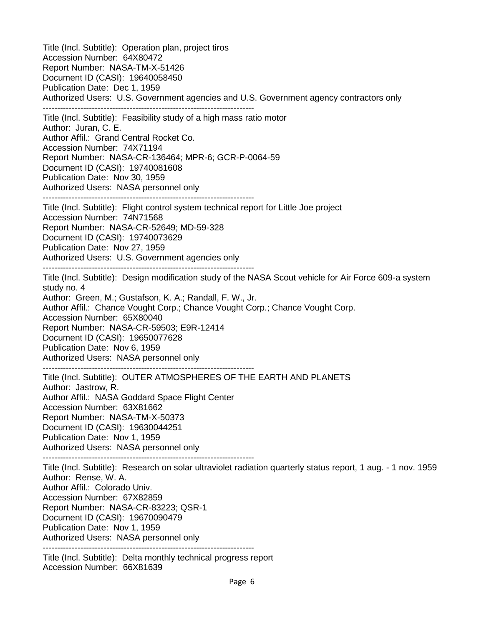Title (Incl. Subtitle): Operation plan, project tiros Accession Number: 64X80472 Report Number: NASA-TM-X-51426 Document ID (CASI): 19640058450 Publication Date: Dec 1, 1959 Authorized Users: U.S. Government agencies and U.S. Government agency contractors only ------------------------------------------------------------------------- Title (Incl. Subtitle): Feasibility study of a high mass ratio motor Author: Juran, C. E. Author Affil.: Grand Central Rocket Co. Accession Number: 74X71194 Report Number: NASA-CR-136464; MPR-6; GCR-P-0064-59 Document ID (CASI): 19740081608 Publication Date: Nov 30, 1959 Authorized Users: NASA personnel only ------------------------------------------------------------------------- Title (Incl. Subtitle): Flight control system technical report for Little Joe project Accession Number: 74N71568 Report Number: NASA-CR-52649; MD-59-328 Document ID (CASI): 19740073629 Publication Date: Nov 27, 1959 Authorized Users: U.S. Government agencies only ------------------------------------------------------------------------- Title (Incl. Subtitle): Design modification study of the NASA Scout vehicle for Air Force 609-a system study no. 4 Author: Green, M.; Gustafson, K. A.; Randall, F. W., Jr. Author Affil.: Chance Vought Corp.; Chance Vought Corp.; Chance Vought Corp. Accession Number: 65X80040 Report Number: NASA-CR-59503; E9R-12414 Document ID (CASI): 19650077628 Publication Date: Nov 6, 1959 Authorized Users: NASA personnel only ------------------------------------------------------------------------- Title (Incl. Subtitle): OUTER ATMOSPHERES OF THE EARTH AND PLANETS Author: Jastrow, R. Author Affil.: NASA Goddard Space Flight Center Accession Number: 63X81662 Report Number: NASA-TM-X-50373 Document ID (CASI): 19630044251 Publication Date: Nov 1, 1959 Authorized Users: NASA personnel only ------------------------------------------------------------------------- Title (Incl. Subtitle): Research on solar ultraviolet radiation quarterly status report, 1 aug. - 1 nov. 1959 Author: Rense, W. A. Author Affil.: Colorado Univ. Accession Number: 67X82859 Report Number: NASA-CR-83223; QSR-1 Document ID (CASI): 19670090479 Publication Date: Nov 1, 1959 Authorized Users: NASA personnel only ------------------------------------------------------------------------- Title (Incl. Subtitle): Delta monthly technical progress report

Accession Number: 66X81639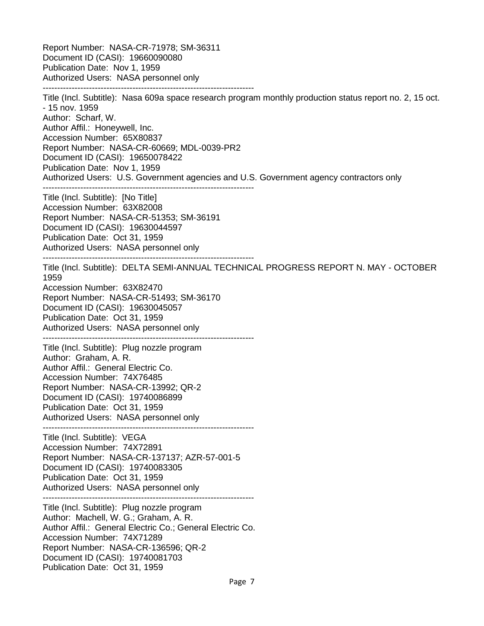Report Number: NASA-CR-71978; SM-36311 Document ID (CASI): 19660090080 Publication Date: Nov 1, 1959 Authorized Users: NASA personnel only -------------------------------------------------------------------------

Title (Incl. Subtitle): Nasa 609a space research program monthly production status report no. 2, 15 oct. - 15 nov. 1959 Author: Scharf, W. Author Affil.: Honeywell, Inc. Accession Number: 65X80837 Report Number: NASA-CR-60669; MDL-0039-PR2 Document ID (CASI): 19650078422 Publication Date: Nov 1, 1959 Authorized Users: U.S. Government agencies and U.S. Government agency contractors only ------------------------------------------------------------------------- Title (Incl. Subtitle): [No Title] Accession Number: 63X82008 Report Number: NASA-CR-51353; SM-36191 Document ID (CASI): 19630044597 Publication Date: Oct 31, 1959 Authorized Users: NASA personnel only ------------------------------------------------------------------------- Title (Incl. Subtitle): DELTA SEMI-ANNUAL TECHNICAL PROGRESS REPORT N. MAY - OCTOBER 1959 Accession Number: 63X82470 Report Number: NASA-CR-51493; SM-36170 Document ID (CASI): 19630045057 Publication Date: Oct 31, 1959 Authorized Users: NASA personnel only ------------------------------------------------------------------------- Title (Incl. Subtitle): Plug nozzle program Author: Graham, A. R. Author Affil.: General Electric Co. Accession Number: 74X76485 Report Number: NASA-CR-13992; QR-2 Document ID (CASI): 19740086899 Publication Date: Oct 31, 1959 Authorized Users: NASA personnel only ------------------------------------------------------------------------- Title (Incl. Subtitle): VEGA Accession Number: 74X72891 Report Number: NASA-CR-137137; AZR-57-001-5 Document ID (CASI): 19740083305 Publication Date: Oct 31, 1959 Authorized Users: NASA personnel only ------------------------------------------------------------------------- Title (Incl. Subtitle): Plug nozzle program Author: Machell, W. G.; Graham, A. R. Author Affil.: General Electric Co.; General Electric Co. Accession Number: 74X71289 Report Number: NASA-CR-136596; QR-2 Document ID (CASI): 19740081703 Publication Date: Oct 31, 1959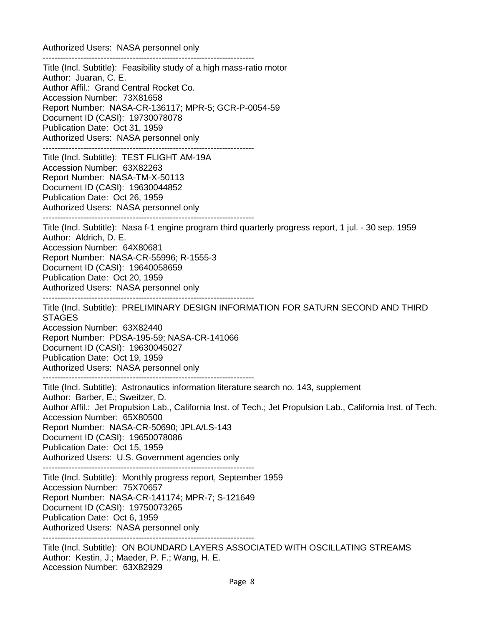Authorized Users: NASA personnel only

------------------------------------------------------------------------- Title (Incl. Subtitle): Feasibility study of a high mass-ratio motor Author: Juaran, C. E. Author Affil.: Grand Central Rocket Co. Accession Number: 73X81658 Report Number: NASA-CR-136117; MPR-5; GCR-P-0054-59 Document ID (CASI): 19730078078 Publication Date: Oct 31, 1959 Authorized Users: NASA personnel only ------------------------------------------------------------------------- Title (Incl. Subtitle): TEST FLIGHT AM-19A Accession Number: 63X82263 Report Number: NASA-TM-X-50113 Document ID (CASI): 19630044852 Publication Date: Oct 26, 1959 Authorized Users: NASA personnel only ------------------------------------------------------------------------- Title (Incl. Subtitle): Nasa f-1 engine program third quarterly progress report, 1 jul. - 30 sep. 1959 Author: Aldrich, D. E. Accession Number: 64X80681 Report Number: NASA-CR-55996; R-1555-3 Document ID (CASI): 19640058659 Publication Date: Oct 20, 1959 Authorized Users: NASA personnel only ------------------------------------------------------------------------- Title (Incl. Subtitle): PRELIMINARY DESIGN INFORMATION FOR SATURN SECOND AND THIRD STAGES Accession Number: 63X82440 Report Number: PDSA-195-59; NASA-CR-141066 Document ID (CASI): 19630045027 Publication Date: Oct 19, 1959 Authorized Users: NASA personnel only ------------------------------------------------------------------------- Title (Incl. Subtitle): Astronautics information literature search no. 143, supplement Author: Barber, E.; Sweitzer, D. Author Affil.: Jet Propulsion Lab., California Inst. of Tech.; Jet Propulsion Lab., California Inst. of Tech. Accession Number: 65X80500 Report Number: NASA-CR-50690; JPLA/LS-143 Document ID (CASI): 19650078086 Publication Date: Oct 15, 1959 Authorized Users: U.S. Government agencies only ------------------------------------------------------------------------- Title (Incl. Subtitle): Monthly progress report, September 1959 Accession Number: 75X70657 Report Number: NASA-CR-141174; MPR-7; S-121649 Document ID (CASI): 19750073265 Publication Date: Oct 6, 1959 Authorized Users: NASA personnel only ------------------------------------------------------------------------- Title (Incl. Subtitle): ON BOUNDARD LAYERS ASSOCIATED WITH OSCILLATING STREAMS Author: Kestin, J.; Maeder, P. F.; Wang, H. E.

Accession Number: 63X82929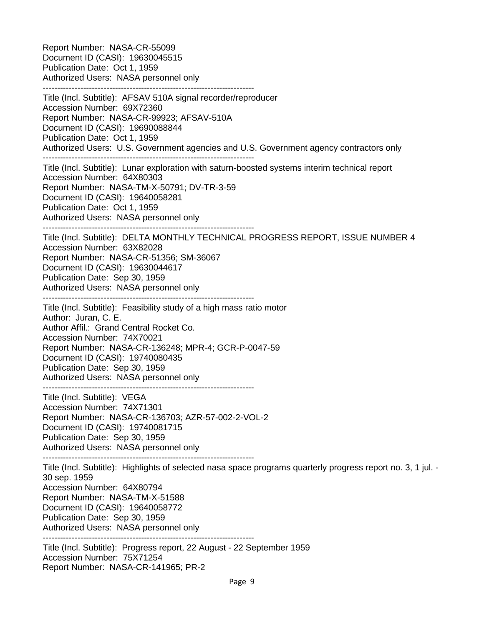Report Number: NASA-CR-55099 Document ID (CASI): 19630045515 Publication Date: Oct 1, 1959 Authorized Users: NASA personnel only ------------------------------------------------------------------------- Title (Incl. Subtitle): AFSAV 510A signal recorder/reproducer Accession Number: 69X72360 Report Number: NASA-CR-99923; AFSAV-510A Document ID (CASI): 19690088844 Publication Date: Oct 1, 1959 Authorized Users: U.S. Government agencies and U.S. Government agency contractors only ------------------------------------------------------------------------- Title (Incl. Subtitle): Lunar exploration with saturn-boosted systems interim technical report Accession Number: 64X80303 Report Number: NASA-TM-X-50791; DV-TR-3-59 Document ID (CASI): 19640058281 Publication Date: Oct 1, 1959 Authorized Users: NASA personnel only ------------------------------------------------------------------------- Title (Incl. Subtitle): DELTA MONTHLY TECHNICAL PROGRESS REPORT, ISSUE NUMBER 4 Accession Number: 63X82028 Report Number: NASA-CR-51356; SM-36067 Document ID (CASI): 19630044617 Publication Date: Sep 30, 1959 Authorized Users: NASA personnel only ------------------------------------------------------------------------- Title (Incl. Subtitle): Feasibility study of a high mass ratio motor Author: Juran, C. E. Author Affil.: Grand Central Rocket Co. Accession Number: 74X70021 Report Number: NASA-CR-136248; MPR-4; GCR-P-0047-59 Document ID (CASI): 19740080435 Publication Date: Sep 30, 1959 Authorized Users: NASA personnel only ------------------------------------------------------------------------- Title (Incl. Subtitle): VEGA Accession Number: 74X71301 Report Number: NASA-CR-136703; AZR-57-002-2-VOL-2 Document ID (CASI): 19740081715 Publication Date: Sep 30, 1959 Authorized Users: NASA personnel only ------------------------------------------------------------------------- Title (Incl. Subtitle): Highlights of selected nasa space programs quarterly progress report no. 3, 1 jul. - 30 sep. 1959 Accession Number: 64X80794 Report Number: NASA-TM-X-51588 Document ID (CASI): 19640058772 Publication Date: Sep 30, 1959 Authorized Users: NASA personnel only ------------------------------------------------------------------------- Title (Incl. Subtitle): Progress report, 22 August - 22 September 1959 Accession Number: 75X71254 Report Number: NASA-CR-141965; PR-2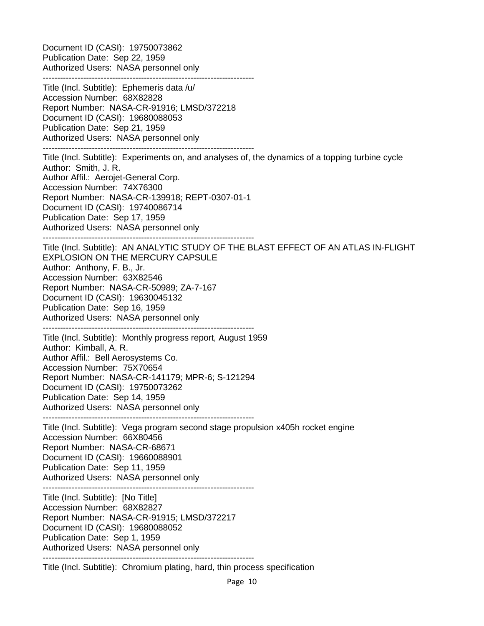Document ID (CASI): 19750073862 Publication Date: Sep 22, 1959 Authorized Users: NASA personnel only ------------------------------------------------------------------------- Title (Incl. Subtitle): Ephemeris data /u/ Accession Number: 68X82828 Report Number: NASA-CR-91916; LMSD/372218 Document ID (CASI): 19680088053 Publication Date: Sep 21, 1959 Authorized Users: NASA personnel only ------------------------------------------------------------------------- Title (Incl. Subtitle): Experiments on, and analyses of, the dynamics of a topping turbine cycle Author: Smith, J. R. Author Affil.: Aerojet-General Corp. Accession Number: 74X76300 Report Number: NASA-CR-139918; REPT-0307-01-1 Document ID (CASI): 19740086714 Publication Date: Sep 17, 1959 Authorized Users: NASA personnel only ------------------------------------------------------------------------- Title (Incl. Subtitle): AN ANALYTIC STUDY OF THE BLAST EFFECT OF AN ATLAS IN-FLIGHT EXPLOSION ON THE MERCURY CAPSULE Author: Anthony, F. B., Jr. Accession Number: 63X82546 Report Number: NASA-CR-50989; ZA-7-167 Document ID (CASI): 19630045132 Publication Date: Sep 16, 1959 Authorized Users: NASA personnel only ------------------------------------------------------------------------- Title (Incl. Subtitle): Monthly progress report, August 1959 Author: Kimball, A. R. Author Affil.: Bell Aerosystems Co. Accession Number: 75X70654 Report Number: NASA-CR-141179; MPR-6; S-121294 Document ID (CASI): 19750073262 Publication Date: Sep 14, 1959 Authorized Users: NASA personnel only ------------------------------------------------------------------------- Title (Incl. Subtitle): Vega program second stage propulsion x405h rocket engine Accession Number: 66X80456 Report Number: NASA-CR-68671 Document ID (CASI): 19660088901 Publication Date: Sep 11, 1959 Authorized Users: NASA personnel only ------------------------------------------------------------------------- Title (Incl. Subtitle): [No Title] Accession Number: 68X82827 Report Number: NASA-CR-91915; LMSD/372217 Document ID (CASI): 19680088052 Publication Date: Sep 1, 1959 Authorized Users: NASA personnel only ------------------------------------------------------------------------- Title (Incl. Subtitle): Chromium plating, hard, thin process specification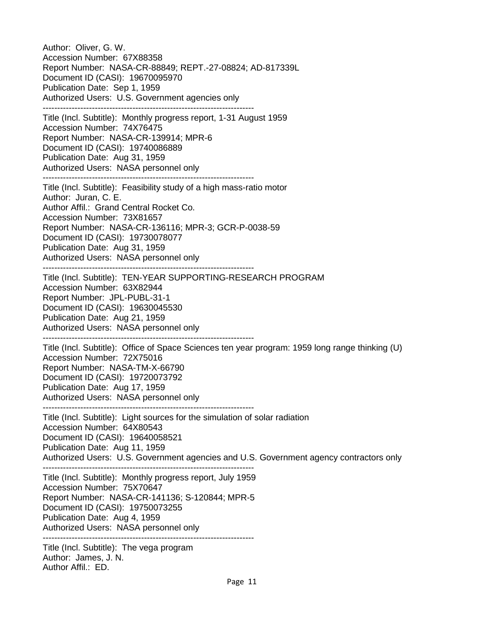Author: Oliver, G. W. Accession Number: 67X88358 Report Number: NASA-CR-88849; REPT.-27-08824; AD-817339L Document ID (CASI): 19670095970 Publication Date: Sep 1, 1959 Authorized Users: U.S. Government agencies only ------------------------------------------------------------------------- Title (Incl. Subtitle): Monthly progress report, 1-31 August 1959 Accession Number: 74X76475 Report Number: NASA-CR-139914; MPR-6 Document ID (CASI): 19740086889 Publication Date: Aug 31, 1959 Authorized Users: NASA personnel only ------------------------------------------------------------------------- Title (Incl. Subtitle): Feasibility study of a high mass-ratio motor Author: Juran, C. E. Author Affil.: Grand Central Rocket Co. Accession Number: 73X81657 Report Number: NASA-CR-136116; MPR-3; GCR-P-0038-59 Document ID (CASI): 19730078077 Publication Date: Aug 31, 1959 Authorized Users: NASA personnel only ------------------------------------------------------------------------- Title (Incl. Subtitle): TEN-YEAR SUPPORTING-RESEARCH PROGRAM Accession Number: 63X82944 Report Number: JPL-PUBL-31-1 Document ID (CASI): 19630045530 Publication Date: Aug 21, 1959 Authorized Users: NASA personnel only ------------------------------------------------------------------------- Title (Incl. Subtitle): Office of Space Sciences ten year program: 1959 long range thinking (U) Accession Number: 72X75016 Report Number: NASA-TM-X-66790 Document ID (CASI): 19720073792 Publication Date: Aug 17, 1959 Authorized Users: NASA personnel only ------------------------------------------------------------------------- Title (Incl. Subtitle): Light sources for the simulation of solar radiation Accession Number: 64X80543 Document ID (CASI): 19640058521 Publication Date: Aug 11, 1959 Authorized Users: U.S. Government agencies and U.S. Government agency contractors only ------------------------------------------------------------------------- Title (Incl. Subtitle): Monthly progress report, July 1959 Accession Number: 75X70647 Report Number: NASA-CR-141136; S-120844; MPR-5 Document ID (CASI): 19750073255 Publication Date: Aug 4, 1959 Authorized Users: NASA personnel only ------------------------------------------------------------------------- Title (Incl. Subtitle): The vega program Author: James, J. N. Author Affil.: FD.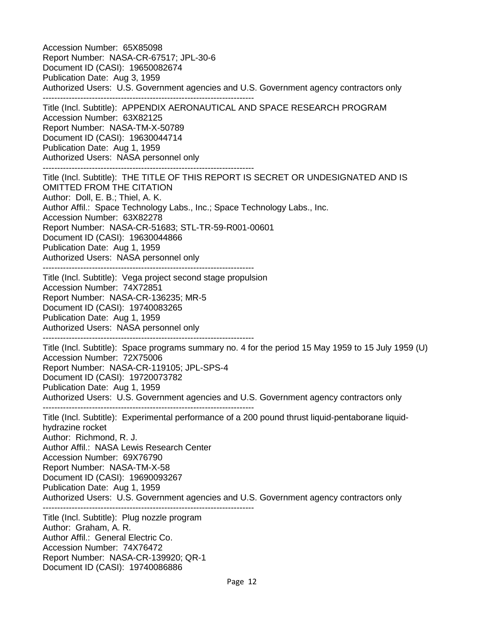Accession Number: 65X85098 Report Number: NASA-CR-67517; JPL-30-6 Document ID (CASI): 19650082674 Publication Date: Aug 3, 1959 Authorized Users: U.S. Government agencies and U.S. Government agency contractors only ------------------------------------------------------------------------- Title (Incl. Subtitle): APPENDIX AERONAUTICAL AND SPACE RESEARCH PROGRAM Accession Number: 63X82125 Report Number: NASA-TM-X-50789 Document ID (CASI): 19630044714 Publication Date: Aug 1, 1959 Authorized Users: NASA personnel only ------------------------------------------------------------------------- Title (Incl. Subtitle): THE TITLE OF THIS REPORT IS SECRET OR UNDESIGNATED AND IS OMITTED FROM THE CITATION Author: Doll, E. B.; Thiel, A. K. Author Affil.: Space Technology Labs., Inc.; Space Technology Labs., Inc. Accession Number: 63X82278 Report Number: NASA-CR-51683; STL-TR-59-R001-00601 Document ID (CASI): 19630044866 Publication Date: Aug 1, 1959 Authorized Users: NASA personnel only ------------------------------------------------------------------------- Title (Incl. Subtitle): Vega project second stage propulsion Accession Number: 74X72851 Report Number: NASA-CR-136235; MR-5 Document ID (CASI): 19740083265 Publication Date: Aug 1, 1959 Authorized Users: NASA personnel only ------------------------------------------------------------------------- Title (Incl. Subtitle): Space programs summary no. 4 for the period 15 May 1959 to 15 July 1959 (U) Accession Number: 72X75006 Report Number: NASA-CR-119105; JPL-SPS-4 Document ID (CASI): 19720073782 Publication Date: Aug 1, 1959 Authorized Users: U.S. Government agencies and U.S. Government agency contractors only ------------------------------------------------------------------------- Title (Incl. Subtitle): Experimental performance of a 200 pound thrust liquid-pentaborane liquidhydrazine rocket Author: Richmond, R. J. Author Affil.: NASA Lewis Research Center Accession Number: 69X76790 Report Number: NASA-TM-X-58 Document ID (CASI): 19690093267 Publication Date: Aug 1, 1959 Authorized Users: U.S. Government agencies and U.S. Government agency contractors only ------------------------------------------------------------------------- Title (Incl. Subtitle): Plug nozzle program Author: Graham, A. R. Author Affil.: General Electric Co. Accession Number: 74X76472 Report Number: NASA-CR-139920; QR-1 Document ID (CASI): 19740086886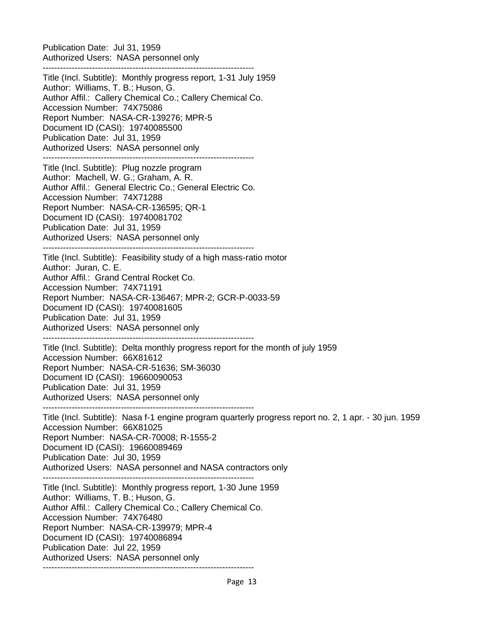Publication Date: Jul 31, 1959 Authorized Users: NASA personnel only -------------------------------------------------------------------------

Title (Incl. Subtitle): Monthly progress report, 1-31 July 1959 Author: Williams, T. B.; Huson, G. Author Affil.: Callery Chemical Co.; Callery Chemical Co. Accession Number: 74X75086 Report Number: NASA-CR-139276; MPR-5 Document ID (CASI): 19740085500 Publication Date: Jul 31, 1959 Authorized Users: NASA personnel only -------------------------------------------------------------------------

Title (Incl. Subtitle): Plug nozzle program Author: Machell, W. G.; Graham, A. R. Author Affil.: General Electric Co.; General Electric Co. Accession Number: 74X71288 Report Number: NASA-CR-136595; QR-1 Document ID (CASI): 19740081702 Publication Date: Jul 31, 1959 Authorized Users: NASA personnel only

------------------------------------------------------------------------- Title (Incl. Subtitle): Feasibility study of a high mass-ratio motor Author: Juran, C. E. Author Affil.: Grand Central Rocket Co. Accession Number: 74X71191 Report Number: NASA-CR-136467; MPR-2; GCR-P-0033-59 Document ID (CASI): 19740081605 Publication Date: Jul 31, 1959 Authorized Users: NASA personnel only -------------------------------------------------------------------------

Title (Incl. Subtitle): Delta monthly progress report for the month of july 1959 Accession Number: 66X81612 Report Number: NASA-CR-51636; SM-36030 Document ID (CASI): 19660090053 Publication Date: Jul 31, 1959 Authorized Users: NASA personnel only

-------------------------------------------------------------------------

Title (Incl. Subtitle): Nasa f-1 engine program quarterly progress report no. 2, 1 apr. - 30 jun. 1959 Accession Number: 66X81025 Report Number: NASA-CR-70008; R-1555-2 Document ID (CASI): 19660089469 Publication Date: Jul 30, 1959 Authorized Users: NASA personnel and NASA contractors only -------------------------------------------------------------------------

Title (Incl. Subtitle): Monthly progress report, 1-30 June 1959 Author: Williams, T. B.; Huson, G. Author Affil.: Callery Chemical Co.; Callery Chemical Co. Accession Number: 74X76480 Report Number: NASA-CR-139979; MPR-4 Document ID (CASI): 19740086894 Publication Date: Jul 22, 1959 Authorized Users: NASA personnel only -------------------------------------------------------------------------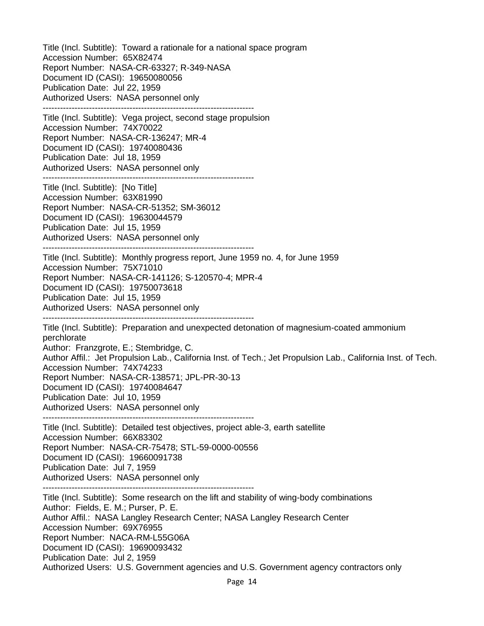Title (Incl. Subtitle): Toward a rationale for a national space program Accession Number: 65X82474 Report Number: NASA-CR-63327; R-349-NASA Document ID (CASI): 19650080056 Publication Date: Jul 22, 1959 Authorized Users: NASA personnel only ------------------------------------------------------------------------- Title (Incl. Subtitle): Vega project, second stage propulsion Accession Number: 74X70022 Report Number: NASA-CR-136247; MR-4 Document ID (CASI): 19740080436 Publication Date: Jul 18, 1959 Authorized Users: NASA personnel only ------------------------------------------------------------------------- Title (Incl. Subtitle): [No Title] Accession Number: 63X81990 Report Number: NASA-CR-51352; SM-36012 Document ID (CASI): 19630044579 Publication Date: Jul 15, 1959 Authorized Users: NASA personnel only ------------------------------------------------------------------------- Title (Incl. Subtitle): Monthly progress report, June 1959 no. 4, for June 1959 Accession Number: 75X71010 Report Number: NASA-CR-141126; S-120570-4; MPR-4 Document ID (CASI): 19750073618 Publication Date: Jul 15, 1959 Authorized Users: NASA personnel only ------------------------------------------------------------------------- Title (Incl. Subtitle): Preparation and unexpected detonation of magnesium-coated ammonium perchlorate Author: Franzgrote, E.; Stembridge, C. Author Affil.: Jet Propulsion Lab., California Inst. of Tech.; Jet Propulsion Lab., California Inst. of Tech. Accession Number: 74X74233 Report Number: NASA-CR-138571; JPL-PR-30-13 Document ID (CASI): 19740084647 Publication Date: Jul 10, 1959 Authorized Users: NASA personnel only ------------------------------------------------------------------------- Title (Incl. Subtitle): Detailed test objectives, project able-3, earth satellite Accession Number: 66X83302 Report Number: NASA-CR-75478; STL-59-0000-00556 Document ID (CASI): 19660091738 Publication Date: Jul 7, 1959 Authorized Users: NASA personnel only ------------------------------------------------------------------------- Title (Incl. Subtitle): Some research on the lift and stability of wing-body combinations Author: Fields, E. M.; Purser, P. E. Author Affil.: NASA Langley Research Center; NASA Langley Research Center Accession Number: 69X76955 Report Number: NACA-RM-L55G06A Document ID (CASI): 19690093432 Publication Date: Jul 2, 1959 Authorized Users: U.S. Government agencies and U.S. Government agency contractors only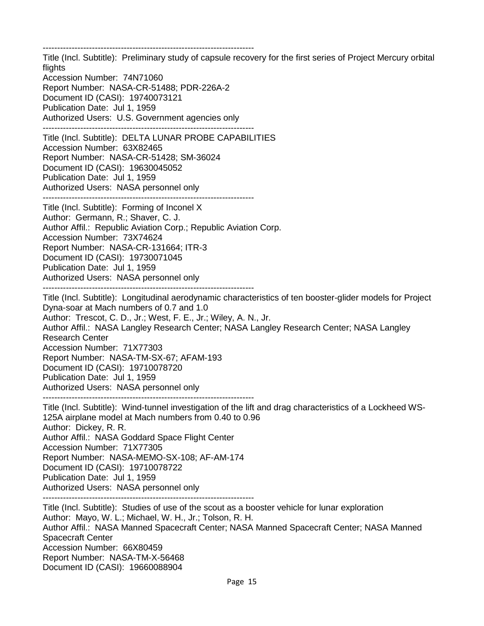------------------------------------------------------------------------- Title (Incl. Subtitle): Preliminary study of capsule recovery for the first series of Project Mercury orbital flights Accession Number: 74N71060 Report Number: NASA-CR-51488; PDR-226A-2 Document ID (CASI): 19740073121 Publication Date: Jul 1, 1959 Authorized Users: U.S. Government agencies only ------------------------------------------------------------------------- Title (Incl. Subtitle): DELTA LUNAR PROBE CAPABILITIES Accession Number: 63X82465 Report Number: NASA-CR-51428; SM-36024 Document ID (CASI): 19630045052 Publication Date: Jul 1, 1959 Authorized Users: NASA personnel only ------------------------------------------------------------------------- Title (Incl. Subtitle): Forming of Inconel X Author: Germann, R.; Shaver, C. J. Author Affil.: Republic Aviation Corp.; Republic Aviation Corp. Accession Number: 73X74624 Report Number: NASA-CR-131664; ITR-3 Document ID (CASI): 19730071045 Publication Date: Jul 1, 1959 Authorized Users: NASA personnel only ------------------------------------------------------------------------- Title (Incl. Subtitle): Longitudinal aerodynamic characteristics of ten booster-glider models for Project Dyna-soar at Mach numbers of 0.7 and 1.0 Author: Trescot, C. D., Jr.; West, F. E., Jr.; Wiley, A. N., Jr. Author Affil.: NASA Langley Research Center; NASA Langley Research Center; NASA Langley Research Center Accession Number: 71X77303 Report Number: NASA-TM-SX-67; AFAM-193 Document ID (CASI): 19710078720 Publication Date: Jul 1, 1959 Authorized Users: NASA personnel only ------------------------------------------------------------------------- Title (Incl. Subtitle): Wind-tunnel investigation of the lift and drag characteristics of a Lockheed WS-125A airplane model at Mach numbers from 0.40 to 0.96 Author: Dickey, R. R. Author Affil.: NASA Goddard Space Flight Center Accession Number: 71X77305 Report Number: NASA-MEMO-SX-108; AF-AM-174 Document ID (CASI): 19710078722 Publication Date: Jul 1, 1959 Authorized Users: NASA personnel only ------------------------------------------------------------------------- Title (Incl. Subtitle): Studies of use of the scout as a booster vehicle for lunar exploration Author: Mayo, W. L.; Michael, W. H., Jr.; Tolson, R. H. Author Affil.: NASA Manned Spacecraft Center; NASA Manned Spacecraft Center; NASA Manned Spacecraft Center Accession Number: 66X80459 Report Number: NASA-TM-X-56468 Document ID (CASI): 19660088904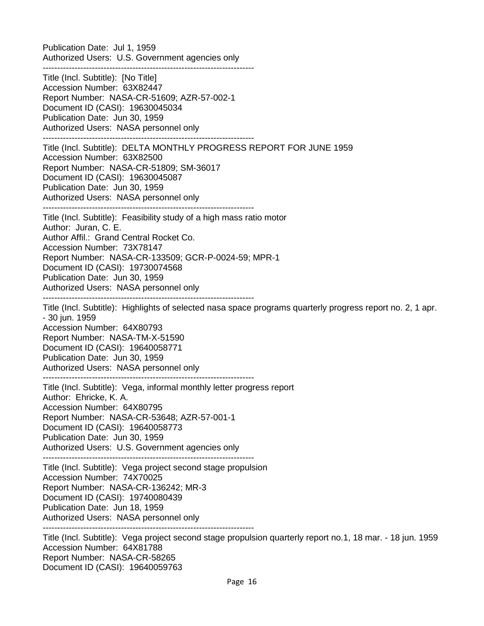Publication Date: Jul 1, 1959 Authorized Users: U.S. Government agencies only -------------------------------------------------------------------------

Title (Incl. Subtitle): [No Title] Accession Number: 63X82447 Report Number: NASA-CR-51609; AZR-57-002-1 Document ID (CASI): 19630045034 Publication Date: Jun 30, 1959 Authorized Users: NASA personnel only -------------------------------------------------------------------------

-------------------------------------------------------------------------

Title (Incl. Subtitle): DELTA MONTHLY PROGRESS REPORT FOR JUNE 1959 Accession Number: 63X82500 Report Number: NASA-CR-51809; SM-36017 Document ID (CASI): 19630045087 Publication Date: Jun 30, 1959 Authorized Users: NASA personnel only

Title (Incl. Subtitle): Feasibility study of a high mass ratio motor Author: Juran, C. E. Author Affil.: Grand Central Rocket Co. Accession Number: 73X78147 Report Number: NASA-CR-133509; GCR-P-0024-59; MPR-1 Document ID (CASI): 19730074568 Publication Date: Jun 30, 1959 Authorized Users: NASA personnel only -------------------------------------------------------------------------

Title (Incl. Subtitle): Highlights of selected nasa space programs quarterly progress report no. 2, 1 apr. - 30 jun. 1959 Accession Number: 64X80793 Report Number: NASA-TM-X-51590 Document ID (CASI): 19640058771 Publication Date: Jun 30, 1959 Authorized Users: NASA personnel only ------------------------------------------------------------------------- Title (Incl. Subtitle): Vega, informal monthly letter progress report

Author: Ehricke, K. A. Accession Number: 64X80795 Report Number: NASA-CR-53648; AZR-57-001-1 Document ID (CASI): 19640058773 Publication Date: Jun 30, 1959 Authorized Users: U.S. Government agencies only

-------------------------------------------------------------------------

Title (Incl. Subtitle): Vega project second stage propulsion Accession Number: 74X70025 Report Number: NASA-CR-136242; MR-3 Document ID (CASI): 19740080439 Publication Date: Jun 18, 1959 Authorized Users: NASA personnel only -------------------------------------------------------------------------

Title (Incl. Subtitle): Vega project second stage propulsion quarterly report no.1, 18 mar. - 18 jun. 1959 Accession Number: 64X81788 Report Number: NASA-CR-58265 Document ID (CASI): 19640059763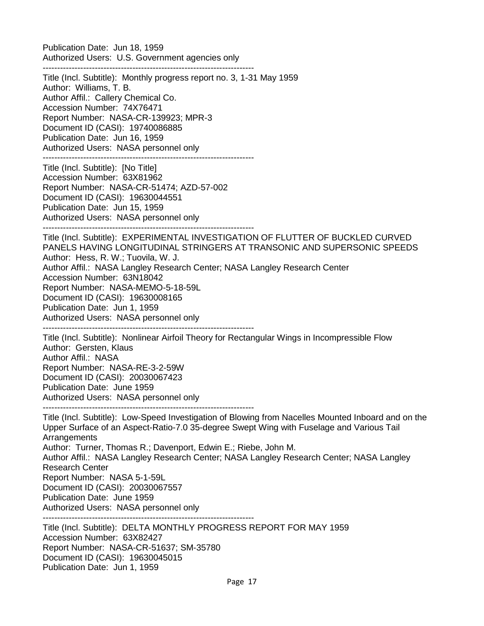Publication Date: Jun 18, 1959 Authorized Users: U.S. Government agencies only -------------------------------------------------------------------------

Title (Incl. Subtitle): Monthly progress report no. 3, 1-31 May 1959 Author: Williams, T. B. Author Affil.: Callery Chemical Co. Accession Number: 74X76471 Report Number: NASA-CR-139923; MPR-3 Document ID (CASI): 19740086885 Publication Date: Jun 16, 1959 Authorized Users: NASA personnel only ------------------------------------------------------------------------- Title (Incl. Subtitle): [No Title] Accession Number: 63X81962 Report Number: NASA-CR-51474; AZD-57-002 Document ID (CASI): 19630044551 Publication Date: Jun 15, 1959 Authorized Users: NASA personnel only ------------------------------------------------------------------------- Title (Incl. Subtitle): EXPERIMENTAL INVESTIGATION OF FLUTTER OF BUCKLED CURVED PANELS HAVING LONGITUDINAL STRINGERS AT TRANSONIC AND SUPERSONIC SPEEDS Author: Hess, R. W.; Tuovila, W. J. Author Affil.: NASA Langley Research Center; NASA Langley Research Center Accession Number: 63N18042 Report Number: NASA-MEMO-5-18-59L Document ID (CASI): 19630008165 Publication Date: Jun 1, 1959 Authorized Users: NASA personnel only ------------------------------------------------------------------------- Title (Incl. Subtitle): Nonlinear Airfoil Theory for Rectangular Wings in Incompressible Flow Author: Gersten, Klaus Author Affil.: NASA Report Number: NASA-RE-3-2-59W Document ID (CASI): 20030067423 Publication Date: June 1959 Authorized Users: NASA personnel only ------------------------------------------------------------------------- Title (Incl. Subtitle): Low-Speed Investigation of Blowing from Nacelles Mounted Inboard and on the Upper Surface of an Aspect-Ratio-7.0 35-degree Swept Wing with Fuselage and Various Tail **Arrangements** Author: Turner, Thomas R.; Davenport, Edwin E.; Riebe, John M. Author Affil.: NASA Langley Research Center; NASA Langley Research Center; NASA Langley Research Center Report Number: NASA 5-1-59L Document ID (CASI): 20030067557

Publication Date: June 1959

Authorized Users: NASA personnel only

-------------------------------------------------------------------------

Title (Incl. Subtitle): DELTA MONTHLY PROGRESS REPORT FOR MAY 1959 Accession Number: 63X82427 Report Number: NASA-CR-51637; SM-35780 Document ID (CASI): 19630045015 Publication Date: Jun 1, 1959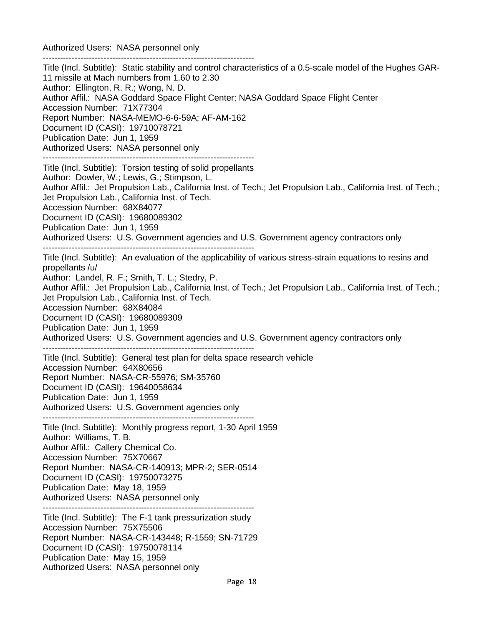Authorized Users: NASA personnel only

------------------------------------------------------------------------- Title (Incl. Subtitle): Static stability and control characteristics of a 0.5-scale model of the Hughes GAR-11 missile at Mach numbers from 1.60 to 2.30 Author: Ellington, R. R.; Wong, N. D. Author Affil.: NASA Goddard Space Flight Center; NASA Goddard Space Flight Center Accession Number: 71X77304 Report Number: NASA-MEMO-6-6-59A; AF-AM-162 Document ID (CASI): 19710078721 Publication Date: Jun 1, 1959 Authorized Users: NASA personnel only ------------------------------------------------------------------------- Title (Incl. Subtitle): Torsion testing of solid propellants Author: Dowler, W.; Lewis, G.; Stimpson, L. Author Affil.: Jet Propulsion Lab., California Inst. of Tech.; Jet Propulsion Lab., California Inst. of Tech.; Jet Propulsion Lab., California Inst. of Tech. Accession Number: 68X84077 Document ID (CASI): 19680089302 Publication Date: Jun 1, 1959 Authorized Users: U.S. Government agencies and U.S. Government agency contractors only ------------------------------------------------------------------------- Title (Incl. Subtitle): An evaluation of the applicability of various stress-strain equations to resins and propellants /u/ Author: Landel, R. F.; Smith, T. L.; Stedry, P. Author Affil.: Jet Propulsion Lab., California Inst. of Tech.; Jet Propulsion Lab., California Inst. of Tech.; Jet Propulsion Lab., California Inst. of Tech. Accession Number: 68X84084 Document ID (CASI): 19680089309 Publication Date: Jun 1, 1959 Authorized Users: U.S. Government agencies and U.S. Government agency contractors only ------------------------------------------------------------------------- Title (Incl. Subtitle): General test plan for delta space research vehicle Accession Number: 64X80656 Report Number: NASA-CR-55976; SM-35760 Document ID (CASI): 19640058634 Publication Date: Jun 1, 1959 Authorized Users: U.S. Government agencies only ------------------------------------------------------------------------- Title (Incl. Subtitle): Monthly progress report, 1-30 April 1959 Author: Williams, T. B. Author Affil.: Callery Chemical Co. Accession Number: 75X70667 Report Number: NASA-CR-140913; MPR-2; SER-0514 Document ID (CASI): 19750073275 Publication Date: May 18, 1959 Authorized Users: NASA personnel only ------------------------------------------------------------------------- Title (Incl. Subtitle): The F-1 tank pressurization study Accession Number: 75X75506 Report Number: NASA-CR-143448; R-1559; SN-71729 Document ID (CASI): 19750078114 Publication Date: May 15, 1959 Authorized Users: NASA personnel only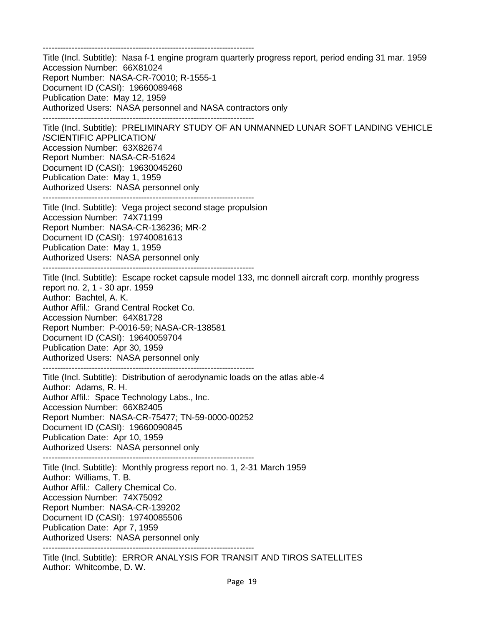------------------------------------------------------------------------- Title (Incl. Subtitle): Nasa f-1 engine program quarterly progress report, period ending 31 mar. 1959 Accession Number: 66X81024 Report Number: NASA-CR-70010; R-1555-1 Document ID (CASI): 19660089468 Publication Date: May 12, 1959 Authorized Users: NASA personnel and NASA contractors only ------------------------------------------------------------------------- Title (Incl. Subtitle): PRELIMINARY STUDY OF AN UNMANNED LUNAR SOFT LANDING VEHICLE /SCIENTIFIC APPLICATION/ Accession Number: 63X82674 Report Number: NASA-CR-51624 Document ID (CASI): 19630045260 Publication Date: May 1, 1959 Authorized Users: NASA personnel only ------------------------------------------------------------------------- Title (Incl. Subtitle): Vega project second stage propulsion Accession Number: 74X71199 Report Number: NASA-CR-136236; MR-2 Document ID (CASI): 19740081613 Publication Date: May 1, 1959 Authorized Users: NASA personnel only ------------------------------------------------------------------------- Title (Incl. Subtitle): Escape rocket capsule model 133, mc donnell aircraft corp. monthly progress report no. 2, 1 - 30 apr. 1959 Author: Bachtel, A. K. Author Affil.: Grand Central Rocket Co. Accession Number: 64X81728 Report Number: P-0016-59; NASA-CR-138581 Document ID (CASI): 19640059704 Publication Date: Apr 30, 1959 Authorized Users: NASA personnel only ------------------------------------------------------------------------- Title (Incl. Subtitle): Distribution of aerodynamic loads on the atlas able-4 Author: Adams, R. H. Author Affil.: Space Technology Labs., Inc. Accession Number: 66X82405 Report Number: NASA-CR-75477; TN-59-0000-00252 Document ID (CASI): 19660090845 Publication Date: Apr 10, 1959 Authorized Users: NASA personnel only ------------------------------------------------------------------------- Title (Incl. Subtitle): Monthly progress report no. 1, 2-31 March 1959 Author: Williams, T. B. Author Affil.: Callery Chemical Co. Accession Number: 74X75092 Report Number: NASA-CR-139202 Document ID (CASI): 19740085506 Publication Date: Apr 7, 1959 Authorized Users: NASA personnel only ------------------------------------------------------------------------- Title (Incl. Subtitle): ERROR ANALYSIS FOR TRANSIT AND TIROS SATELLITES

Author: Whitcombe, D. W.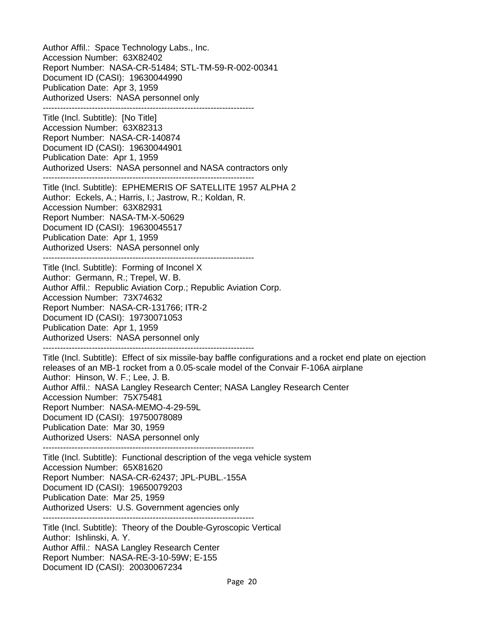Author Affil.: Space Technology Labs., Inc. Accession Number: 63X82402 Report Number: NASA-CR-51484; STL-TM-59-R-002-00341 Document ID (CASI): 19630044990 Publication Date: Apr 3, 1959 Authorized Users: NASA personnel only ------------------------------------------------------------------------- Title (Incl. Subtitle): [No Title] Accession Number: 63X82313 Report Number: NASA-CR-140874 Document ID (CASI): 19630044901 Publication Date: Apr 1, 1959 Authorized Users: NASA personnel and NASA contractors only ------------------------------------------------------------------------- Title (Incl. Subtitle): EPHEMERIS OF SATELLITE 1957 ALPHA 2 Author: Eckels, A.; Harris, I.; Jastrow, R.; Koldan, R. Accession Number: 63X82931 Report Number: NASA-TM-X-50629 Document ID (CASI): 19630045517 Publication Date: Apr 1, 1959 Authorized Users: NASA personnel only ------------------------------------------------------------------------- Title (Incl. Subtitle): Forming of Inconel X Author: Germann, R.; Trepel, W. B. Author Affil.: Republic Aviation Corp.; Republic Aviation Corp. Accession Number: 73X74632 Report Number: NASA-CR-131766; ITR-2 Document ID (CASI): 19730071053 Publication Date: Apr 1, 1959 Authorized Users: NASA personnel only ------------------------------------------------------------------------- Title (Incl. Subtitle): Effect of six missile-bay baffle configurations and a rocket end plate on ejection releases of an MB-1 rocket from a 0.05-scale model of the Convair F-106A airplane Author: Hinson, W. F.; Lee, J. B. Author Affil.: NASA Langley Research Center; NASA Langley Research Center Accession Number: 75X75481 Report Number: NASA-MEMO-4-29-59L Document ID (CASI): 19750078089 Publication Date: Mar 30, 1959 Authorized Users: NASA personnel only ------------------------------------------------------------------------- Title (Incl. Subtitle): Functional description of the vega vehicle system Accession Number: 65X81620 Report Number: NASA-CR-62437; JPL-PUBL.-155A Document ID (CASI): 19650079203 Publication Date: Mar 25, 1959 Authorized Users: U.S. Government agencies only ------------------------------------------------------------------------- Title (Incl. Subtitle): Theory of the Double-Gyroscopic Vertical Author: Ishlinski, A. Y. Author Affil.: NASA Langley Research Center Report Number: NASA-RE-3-10-59W; E-155 Document ID (CASI): 20030067234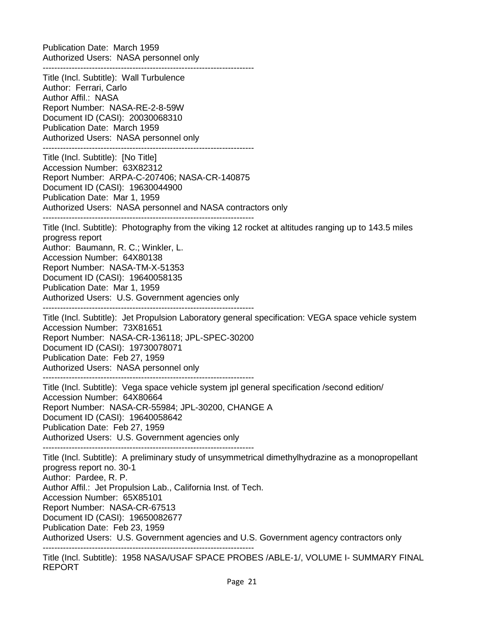Publication Date: March 1959 Authorized Users: NASA personnel only -------------------------------------------------------------------------

Title (Incl. Subtitle): Wall Turbulence Author: Ferrari, Carlo Author Affil.: NASA Report Number: NASA-RE-2-8-59W Document ID (CASI): 20030068310 Publication Date: March 1959 Authorized Users: NASA personnel only ------------------------------------------------------------------------- Title (Incl. Subtitle): [No Title] Accession Number: 63X82312 Report Number: ARPA-C-207406; NASA-CR-140875 Document ID (CASI): 19630044900 Publication Date: Mar 1, 1959 Authorized Users: NASA personnel and NASA contractors only ------------------------------------------------------------------------- Title (Incl. Subtitle): Photography from the viking 12 rocket at altitudes ranging up to 143.5 miles progress report Author: Baumann, R. C.; Winkler, L. Accession Number: 64X80138 Report Number: NASA-TM-X-51353 Document ID (CASI): 19640058135 Publication Date: Mar 1, 1959 Authorized Users: U.S. Government agencies only ------------------------------------------------------------------------- Title (Incl. Subtitle): Jet Propulsion Laboratory general specification: VEGA space vehicle system Accession Number: 73X81651 Report Number: NASA-CR-136118; JPL-SPEC-30200 Document ID (CASI): 19730078071 Publication Date: Feb 27, 1959 Authorized Users: NASA personnel only ------------------------------------------------------------------------- Title (Incl. Subtitle): Vega space vehicle system jpl general specification /second edition/ Accession Number: 64X80664 Report Number: NASA-CR-55984; JPL-30200, CHANGE A Document ID (CASI): 19640058642 Publication Date: Feb 27, 1959 Authorized Users: U.S. Government agencies only ------------------------------------------------------------------------- Title (Incl. Subtitle): A preliminary study of unsymmetrical dimethylhydrazine as a monopropellant progress report no. 30-1 Author: Pardee, R. P. Author Affil.: Jet Propulsion Lab., California Inst. of Tech. Accession Number: 65X85101 Report Number: NASA-CR-67513 Document ID (CASI): 19650082677 Publication Date: Feb 23, 1959 Authorized Users: U.S. Government agencies and U.S. Government agency contractors only -------------------------------------------------------------------------

Title (Incl. Subtitle): 1958 NASA/USAF SPACE PROBES /ABLE-1/, VOLUME I- SUMMARY FINAL REPORT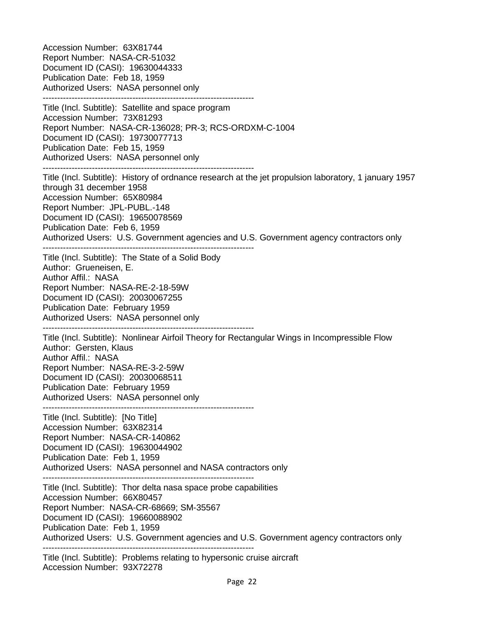Accession Number: 63X81744 Report Number: NASA-CR-51032 Document ID (CASI): 19630044333 Publication Date: Feb 18, 1959 Authorized Users: NASA personnel only ------------------------------------------------------------------------- Title (Incl. Subtitle): Satellite and space program Accession Number: 73X81293 Report Number: NASA-CR-136028; PR-3; RCS-ORDXM-C-1004 Document ID (CASI): 19730077713 Publication Date: Feb 15, 1959 Authorized Users: NASA personnel only ------------------------------------------------------------------------- Title (Incl. Subtitle): History of ordnance research at the jet propulsion laboratory, 1 january 1957 through 31 december 1958 Accession Number: 65X80984 Report Number: JPL-PUBL.-148 Document ID (CASI): 19650078569 Publication Date: Feb 6, 1959 Authorized Users: U.S. Government agencies and U.S. Government agency contractors only ------------------------------------------------------------------------- Title (Incl. Subtitle): The State of a Solid Body Author: Grueneisen, E. Author Affil.: NASA Report Number: NASA-RE-2-18-59W Document ID (CASI): 20030067255 Publication Date: February 1959 Authorized Users: NASA personnel only ------------------------------------------------------------------------- Title (Incl. Subtitle): Nonlinear Airfoil Theory for Rectangular Wings in Incompressible Flow Author: Gersten, Klaus Author Affil.: NASA Report Number: NASA-RE-3-2-59W Document ID (CASI): 20030068511 Publication Date: February 1959 Authorized Users: NASA personnel only ------------------------------------------------------------------------- Title (Incl. Subtitle): [No Title] Accession Number: 63X82314 Report Number: NASA-CR-140862 Document ID (CASI): 19630044902 Publication Date: Feb 1, 1959 Authorized Users: NASA personnel and NASA contractors only ------------------------------------------------------------------------- Title (Incl. Subtitle): Thor delta nasa space probe capabilities Accession Number: 66X80457 Report Number: NASA-CR-68669; SM-35567 Document ID (CASI): 19660088902 Publication Date: Feb 1, 1959 Authorized Users: U.S. Government agencies and U.S. Government agency contractors only ------------------------------------------------------------------------- Title (Incl. Subtitle): Problems relating to hypersonic cruise aircraft Accession Number: 93X72278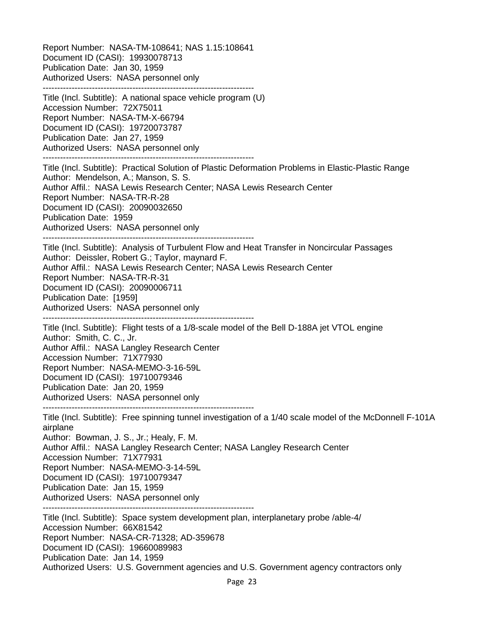Report Number: NASA-TM-108641; NAS 1.15:108641 Document ID (CASI): 19930078713 Publication Date: Jan 30, 1959 Authorized Users: NASA personnel only -------------------------------------------------------------------------

Title (Incl. Subtitle): A national space vehicle program (U) Accession Number: 72X75011 Report Number: NASA-TM-X-66794 Document ID (CASI): 19720073787 Publication Date: Jan 27, 1959 Authorized Users: NASA personnel only ------------------------------------------------------------------------- Title (Incl. Subtitle): Practical Solution of Plastic Deformation Problems in Elastic-Plastic Range Author: Mendelson, A.; Manson, S. S. Author Affil.: NASA Lewis Research Center; NASA Lewis Research Center Report Number: NASA-TR-R-28 Document ID (CASI): 20090032650 Publication Date: 1959 Authorized Users: NASA personnel only ------------------------------------------------------------------------- Title (Incl. Subtitle): Analysis of Turbulent Flow and Heat Transfer in Noncircular Passages Author: Deissler, Robert G.; Taylor, maynard F. Author Affil.: NASA Lewis Research Center; NASA Lewis Research Center Report Number: NASA-TR-R-31 Document ID (CASI): 20090006711 Publication Date: [1959] Authorized Users: NASA personnel only ------------------------------------------------------------------------- Title (Incl. Subtitle): Flight tests of a 1/8-scale model of the Bell D-188A jet VTOL engine Author: Smith, C. C., Jr. Author Affil.: NASA Langley Research Center Accession Number: 71X77930 Report Number: NASA-MEMO-3-16-59L Document ID (CASI): 19710079346 Publication Date: Jan 20, 1959 Authorized Users: NASA personnel only ------------------------------------------------------------------------- Title (Incl. Subtitle): Free spinning tunnel investigation of a 1/40 scale model of the McDonnell F-101A airplane Author: Bowman, J. S., Jr.; Healy, F. M. Author Affil.: NASA Langley Research Center; NASA Langley Research Center Accession Number: 71X77931 Report Number: NASA-MEMO-3-14-59L Document ID (CASI): 19710079347 Publication Date: Jan 15, 1959 Authorized Users: NASA personnel only ------------------------------------------------------------------------- Title (Incl. Subtitle): Space system development plan, interplanetary probe /able-4/ Accession Number: 66X81542 Report Number: NASA-CR-71328; AD-359678 Document ID (CASI): 19660089983

Publication Date: Jan 14, 1959

Authorized Users: U.S. Government agencies and U.S. Government agency contractors only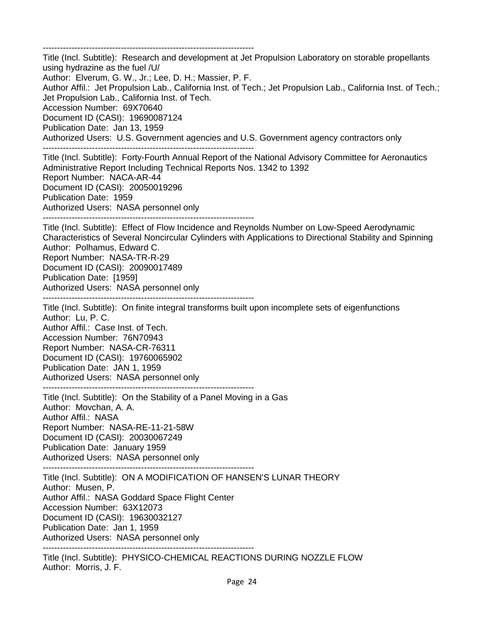------------------------------------------------------------------------- Title (Incl. Subtitle): Research and development at Jet Propulsion Laboratory on storable propellants using hydrazine as the fuel /U/ Author: Elverum, G. W., Jr.; Lee, D. H.; Massier, P. F. Author Affil.: Jet Propulsion Lab., California Inst. of Tech.; Jet Propulsion Lab., California Inst. of Tech.; Jet Propulsion Lab., California Inst. of Tech. Accession Number: 69X70640 Document ID (CASI): 19690087124 Publication Date: Jan 13, 1959 Authorized Users: U.S. Government agencies and U.S. Government agency contractors only ------------------------------------------------------------------------- Title (Incl. Subtitle): Forty-Fourth Annual Report of the National Advisory Committee for Aeronautics Administrative Report Including Technical Reports Nos. 1342 to 1392 Report Number: NACA-AR-44 Document ID (CASI): 20050019296 Publication Date: 1959 Authorized Users: NASA personnel only ------------------------------------------------------------------------- Title (Incl. Subtitle): Effect of Flow Incidence and Reynolds Number on Low-Speed Aerodynamic Characteristics of Several Noncircular Cylinders with Applications to Directional Stability and Spinning Author: Polhamus, Edward C. Report Number: NASA-TR-R-29 Document ID (CASI): 20090017489 Publication Date: [1959] Authorized Users: NASA personnel only ------------------------------------------------------------------------- Title (Incl. Subtitle): On finite integral transforms built upon incomplete sets of eigenfunctions Author: Lu, P. C. Author Affil.: Case Inst. of Tech. Accession Number: 76N70943 Report Number: NASA-CR-76311 Document ID (CASI): 19760065902 Publication Date: JAN 1, 1959 Authorized Users: NASA personnel only ------------------------------------------------------------------------- Title (Incl. Subtitle): On the Stability of a Panel Moving in a Gas Author: Movchan, A. A. Author Affil.: NASA Report Number: NASA-RE-11-21-58W Document ID (CASI): 20030067249 Publication Date: January 1959 Authorized Users: NASA personnel only ------------------------------------------------------------------------- Title (Incl. Subtitle): ON A MODIFICATION OF HANSEN'S LUNAR THEORY Author: Musen, P. Author Affil.: NASA Goddard Space Flight Center Accession Number: 63X12073 Document ID (CASI): 19630032127 Publication Date: Jan 1, 1959 Authorized Users: NASA personnel only ------------------------------------------------------------------------- Title (Incl. Subtitle): PHYSICO-CHEMICAL REACTIONS DURING NOZZLE FLOW Author: Morris, J. F.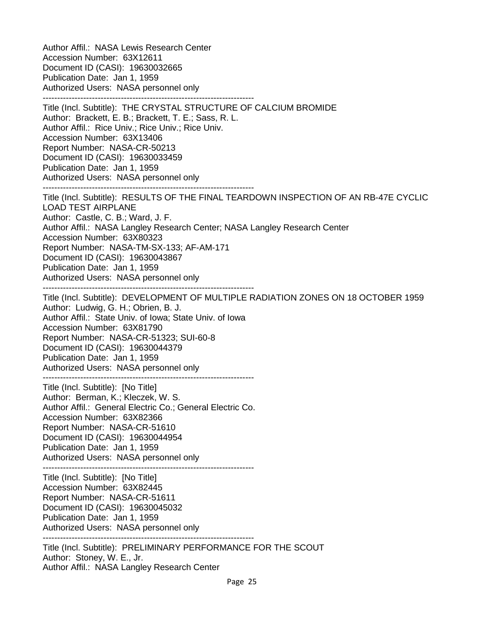Author Affil.: NASA Lewis Research Center Accession Number: 63X12611 Document ID (CASI): 19630032665 Publication Date: Jan 1, 1959 Authorized Users: NASA personnel only ------------------------------------------------------------------------- Title (Incl. Subtitle): THE CRYSTAL STRUCTURE OF CALCIUM BROMIDE Author: Brackett, E. B.; Brackett, T. E.; Sass, R. L. Author Affil.: Rice Univ.; Rice Univ.; Rice Univ. Accession Number: 63X13406 Report Number: NASA-CR-50213 Document ID (CASI): 19630033459 Publication Date: Jan 1, 1959 Authorized Users: NASA personnel only ------------------------------------------------------------------------- Title (Incl. Subtitle): RESULTS OF THE FINAL TEARDOWN INSPECTION OF AN RB-47E CYCLIC LOAD TEST AIRPLANE Author: Castle, C. B.; Ward, J. F. Author Affil.: NASA Langley Research Center; NASA Langley Research Center Accession Number: 63X80323 Report Number: NASA-TM-SX-133; AF-AM-171 Document ID (CASI): 19630043867 Publication Date: Jan 1, 1959 Authorized Users: NASA personnel only ------------------------------------------------------------------------- Title (Incl. Subtitle): DEVELOPMENT OF MULTIPLE RADIATION ZONES ON 18 OCTOBER 1959 Author: Ludwig, G. H.; Obrien, B. J. Author Affil.: State Univ. of Iowa; State Univ. of Iowa Accession Number: 63X81790 Report Number: NASA-CR-51323; SUI-60-8 Document ID (CASI): 19630044379 Publication Date: Jan 1, 1959 Authorized Users: NASA personnel only ------------------------------------------------------------------------- Title (Incl. Subtitle): [No Title] Author: Berman, K.; Kleczek, W. S. Author Affil.: General Electric Co.; General Electric Co. Accession Number: 63X82366 Report Number: NASA-CR-51610 Document ID (CASI): 19630044954 Publication Date: Jan 1, 1959 Authorized Users: NASA personnel only ------------------------------------------------------------------------- Title (Incl. Subtitle): [No Title] Accession Number: 63X82445 Report Number: NASA-CR-51611 Document ID (CASI): 19630045032 Publication Date: Jan 1, 1959 Authorized Users: NASA personnel only ------------------------------------------------------------------------- Title (Incl. Subtitle): PRELIMINARY PERFORMANCE FOR THE SCOUT Author: Stoney, W. E., Jr.

Author Affil.: NASA Langley Research Center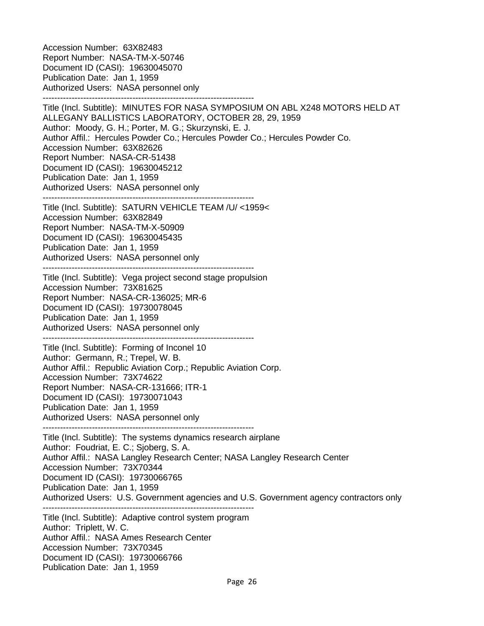Accession Number: 63X82483 Report Number: NASA-TM-X-50746 Document ID (CASI): 19630045070 Publication Date: Jan 1, 1959 Authorized Users: NASA personnel only -------------------------------------------------------------------------

Title (Incl. Subtitle): MINUTES FOR NASA SYMPOSIUM ON ABL X248 MOTORS HELD AT ALLEGANY BALLISTICS LABORATORY, OCTOBER 28, 29, 1959 Author: Moody, G. H.; Porter, M. G.; Skurzynski, E. J. Author Affil.: Hercules Powder Co.; Hercules Powder Co.; Hercules Powder Co. Accession Number: 63X82626 Report Number: NASA-CR-51438 Document ID (CASI): 19630045212 Publication Date: Jan 1, 1959 Authorized Users: NASA personnel only

------------------------------------------------------------------------- Title (Incl. Subtitle): SATURN VEHICLE TEAM /U/ <1959< Accession Number: 63X82849 Report Number: NASA-TM-X-50909 Document ID (CASI): 19630045435 Publication Date: Jan 1, 1959 Authorized Users: NASA personnel only -------------------------------------------------------------------------

Title (Incl. Subtitle): Vega project second stage propulsion Accession Number: 73X81625 Report Number: NASA-CR-136025; MR-6 Document ID (CASI): 19730078045 Publication Date: Jan 1, 1959 Authorized Users: NASA personnel only -------------------------------------------------------------------------

Title (Incl. Subtitle): Forming of Inconel 10 Author: Germann, R.; Trepel, W. B. Author Affil.: Republic Aviation Corp.; Republic Aviation Corp. Accession Number: 73X74622 Report Number: NASA-CR-131666; ITR-1 Document ID (CASI): 19730071043 Publication Date: Jan 1, 1959 Authorized Users: NASA personnel only -------------------------------------------------------------------------

Title (Incl. Subtitle): The systems dynamics research airplane Author: Foudriat, E. C.; Sjoberg, S. A. Author Affil.: NASA Langley Research Center; NASA Langley Research Center Accession Number: 73X70344 Document ID (CASI): 19730066765 Publication Date: Jan 1, 1959 Authorized Users: U.S. Government agencies and U.S. Government agency contractors only ------------------------------------------------------------------------- Title (Incl. Subtitle): Adaptive control system program Author: Triplett, W. C. Author Affil.: NASA Ames Research Center

Accession Number: 73X70345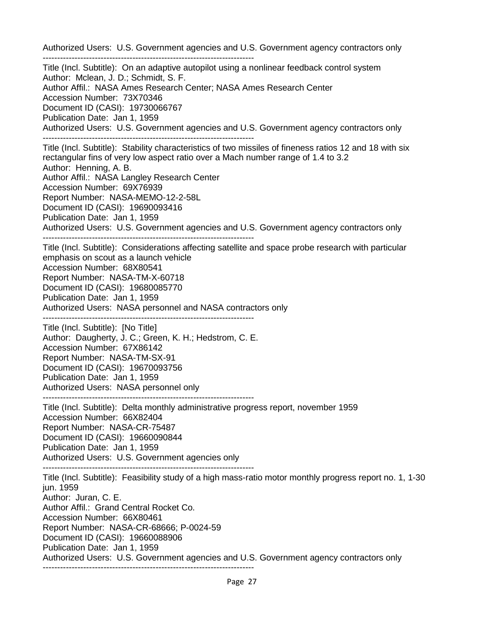Authorized Users: U.S. Government agencies and U.S. Government agency contractors only ------------------------------------------------------------------------- Title (Incl. Subtitle): On an adaptive autopilot using a nonlinear feedback control system Author: Mclean, J. D.; Schmidt, S. F. Author Affil.: NASA Ames Research Center; NASA Ames Research Center Accession Number: 73X70346 Document ID (CASI): 19730066767 Publication Date: Jan 1, 1959 Authorized Users: U.S. Government agencies and U.S. Government agency contractors only ------------------------------------------------------------------------- Title (Incl. Subtitle): Stability characteristics of two missiles of fineness ratios 12 and 18 with six rectangular fins of very low aspect ratio over a Mach number range of 1.4 to 3.2 Author: Henning, A. B. Author Affil.: NASA Langley Research Center Accession Number: 69X76939 Report Number: NASA-MEMO-12-2-58L Document ID (CASI): 19690093416 Publication Date: Jan 1, 1959 Authorized Users: U.S. Government agencies and U.S. Government agency contractors only ------------------------------------------------------------------------- Title (Incl. Subtitle): Considerations affecting satellite and space probe research with particular emphasis on scout as a launch vehicle Accession Number: 68X80541 Report Number: NASA-TM-X-60718 Document ID (CASI): 19680085770 Publication Date: Jan 1, 1959 Authorized Users: NASA personnel and NASA contractors only ------------------------------------------------------------------------- Title (Incl. Subtitle): [No Title] Author: Daugherty, J. C.; Green, K. H.; Hedstrom, C. E. Accession Number: 67X86142 Report Number: NASA-TM-SX-91 Document ID (CASI): 19670093756 Publication Date: Jan 1, 1959 Authorized Users: NASA personnel only ------------------------------------------------------------------------- Title (Incl. Subtitle): Delta monthly administrative progress report, november 1959 Accession Number: 66X82404 Report Number: NASA-CR-75487 Document ID (CASI): 19660090844 Publication Date: Jan 1, 1959 Authorized Users: U.S. Government agencies only ------------------------------------------------------------------------- Title (Incl. Subtitle): Feasibility study of a high mass-ratio motor monthly progress report no. 1, 1-30 jun. 1959 Author: Juran, C. E. Author Affil.: Grand Central Rocket Co. Accession Number: 66X80461 Report Number: NASA-CR-68666; P-0024-59 Document ID (CASI): 19660088906 Publication Date: Jan 1, 1959 Authorized Users: U.S. Government agencies and U.S. Government agency contractors only -------------------------------------------------------------------------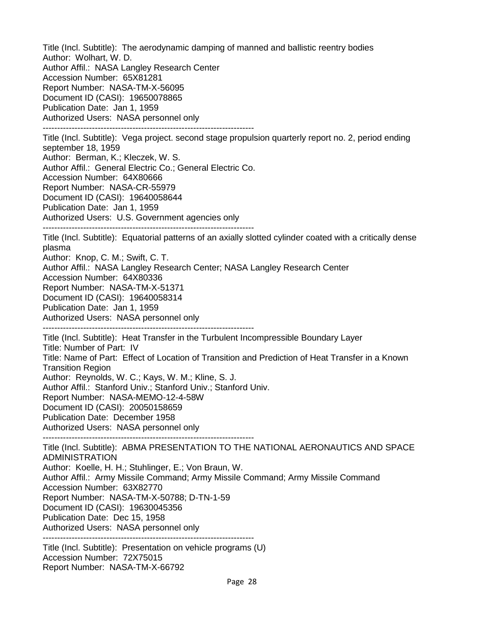Title (Incl. Subtitle): The aerodynamic damping of manned and ballistic reentry bodies Author: Wolhart, W. D. Author Affil.: NASA Langley Research Center Accession Number: 65X81281 Report Number: NASA-TM-X-56095 Document ID (CASI): 19650078865 Publication Date: Jan 1, 1959 Authorized Users: NASA personnel only ------------------------------------------------------------------------- Title (Incl. Subtitle): Vega project. second stage propulsion quarterly report no. 2, period ending september 18, 1959 Author: Berman, K.; Kleczek, W. S. Author Affil.: General Electric Co.; General Electric Co. Accession Number: 64X80666 Report Number: NASA-CR-55979 Document ID (CASI): 19640058644 Publication Date: Jan 1, 1959 Authorized Users: U.S. Government agencies only ------------------------------------------------------------------------- Title (Incl. Subtitle): Equatorial patterns of an axially slotted cylinder coated with a critically dense plasma Author: Knop, C. M.; Swift, C. T. Author Affil.: NASA Langley Research Center; NASA Langley Research Center Accession Number: 64X80336 Report Number: NASA-TM-X-51371 Document ID (CASI): 19640058314 Publication Date: Jan 1, 1959 Authorized Users: NASA personnel only ------------------------------------------------------------------------- Title (Incl. Subtitle): Heat Transfer in the Turbulent Incompressible Boundary Layer Title: Number of Part: IV Title: Name of Part: Effect of Location of Transition and Prediction of Heat Transfer in a Known Transition Region Author: Reynolds, W. C.; Kays, W. M.; Kline, S. J. Author Affil.: Stanford Univ.; Stanford Univ.; Stanford Univ. Report Number: NASA-MEMO-12-4-58W Document ID (CASI): 20050158659 Publication Date: December 1958 Authorized Users: NASA personnel only ------------------------------------------------------------------------- Title (Incl. Subtitle): ABMA PRESENTATION TO THE NATIONAL AERONAUTICS AND SPACE ADMINISTRATION Author: Koelle, H. H.; Stuhlinger, E.; Von Braun, W. Author Affil.: Army Missile Command; Army Missile Command; Army Missile Command Accession Number: 63X82770 Report Number: NASA-TM-X-50788; D-TN-1-59 Document ID (CASI): 19630045356 Publication Date: Dec 15, 1958 Authorized Users: NASA personnel only ------------------------------------------------------------------------- Title (Incl. Subtitle): Presentation on vehicle programs (U) Accession Number: 72X75015

Report Number: NASA-TM-X-66792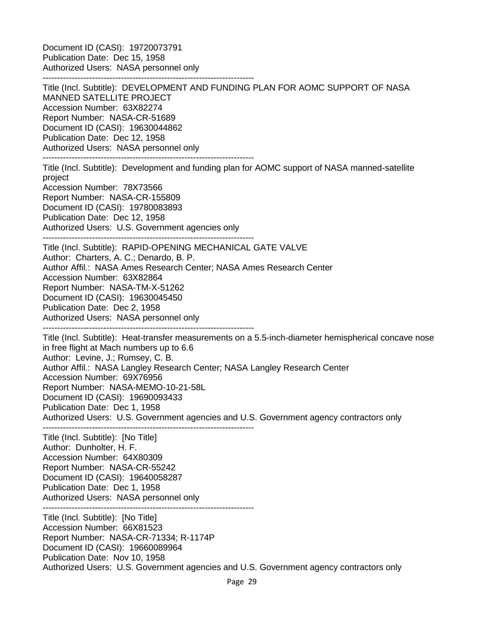Document ID (CASI): 19720073791 Publication Date: Dec 15, 1958 Authorized Users: NASA personnel only ------------------------------------------------------------------------- Title (Incl. Subtitle): DEVELOPMENT AND FUNDING PLAN FOR AOMC SUPPORT OF NASA MANNED SATELLITE PROJECT Accession Number: 63X82274 Report Number: NASA-CR-51689 Document ID (CASI): 19630044862 Publication Date: Dec 12, 1958 Authorized Users: NASA personnel only ------------------------------------------------------------------------- Title (Incl. Subtitle): Development and funding plan for AOMC support of NASA manned-satellite project Accession Number: 78X73566 Report Number: NASA-CR-155809 Document ID (CASI): 19780083893 Publication Date: Dec 12, 1958 Authorized Users: U.S. Government agencies only ------------------------------------------------------------------------- Title (Incl. Subtitle): RAPID-OPENING MECHANICAL GATE VALVE Author: Charters, A. C.; Denardo, B. P. Author Affil.: NASA Ames Research Center; NASA Ames Research Center Accession Number: 63X82864 Report Number: NASA-TM-X-51262 Document ID (CASI): 19630045450 Publication Date: Dec 2, 1958 Authorized Users: NASA personnel only ------------------------------------------------------------------------- Title (Incl. Subtitle): Heat-transfer measurements on a 5.5-inch-diameter hemispherical concave nose in free flight at Mach numbers up to 6.6 Author: Levine, J.; Rumsey, C. B. Author Affil.: NASA Langley Research Center; NASA Langley Research Center Accession Number: 69X76956 Report Number: NASA-MEMO-10-21-58L Document ID (CASI): 19690093433 Publication Date: Dec 1, 1958 Authorized Users: U.S. Government agencies and U.S. Government agency contractors only ------------------------------------------------------------------------- Title (Incl. Subtitle): [No Title] Author: Dunholter, H. F. Accession Number: 64X80309 Report Number: NASA-CR-55242 Document ID (CASI): 19640058287 Publication Date: Dec 1, 1958 Authorized Users: NASA personnel only ------------------------------------------------------------------------- Title (Incl. Subtitle): [No Title] Accession Number: 66X81523 Report Number: NASA-CR-71334; R-1174P Document ID (CASI): 19660089964 Publication Date: Nov 10, 1958 Authorized Users: U.S. Government agencies and U.S. Government agency contractors only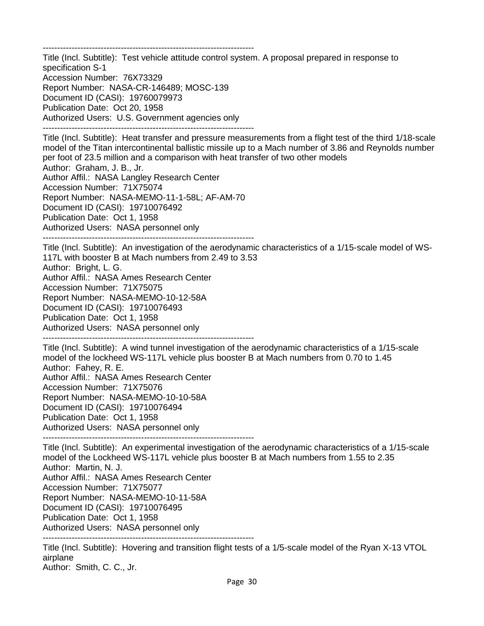-------------------------------------------------------------------------

Title (Incl. Subtitle): Test vehicle attitude control system. A proposal prepared in response to specification S-1 Accession Number: 76X73329 Report Number: NASA-CR-146489; MOSC-139 Document ID (CASI): 19760079973 Publication Date: Oct 20, 1958 Authorized Users: U.S. Government agencies only -------------------------------------------------------------------------

Title (Incl. Subtitle): Heat transfer and pressure measurements from a flight test of the third 1/18-scale model of the Titan intercontinental ballistic missile up to a Mach number of 3.86 and Reynolds number per foot of 23.5 million and a comparison with heat transfer of two other models Author: Graham, J. B., Jr. Author Affil.: NASA Langley Research Center Accession Number: 71X75074 Report Number: NASA-MEMO-11-1-58L; AF-AM-70 Document ID (CASI): 19710076492 Publication Date: Oct 1, 1958 Authorized Users: NASA personnel only ------------------------------------------------------------------------- Title (Incl. Subtitle): An investigation of the aerodynamic characteristics of a 1/15-scale model of WS-

117L with booster B at Mach numbers from 2.49 to 3.53 Author: Bright, L. G. Author Affil.: NASA Ames Research Center

Accession Number: 71X75075

Report Number: NASA-MEMO-10-12-58A

Document ID (CASI): 19710076493

Publication Date: Oct 1, 1958

Authorized Users: NASA personnel only

-------------------------------------------------------------------------

Title (Incl. Subtitle): A wind tunnel investigation of the aerodynamic characteristics of a 1/15-scale model of the lockheed WS-117L vehicle plus booster B at Mach numbers from 0.70 to 1.45 Author: Fahey, R. E. Author Affil.: NASA Ames Research Center Accession Number: 71X75076 Report Number: NASA-MEMO-10-10-58A Document ID (CASI): 19710076494 Publication Date: Oct 1, 1958 Authorized Users: NASA personnel only -------------------------------------------------------------------------

Title (Incl. Subtitle): An experimental investigation of the aerodynamic characteristics of a 1/15-scale model of the Lockheed WS-117L vehicle plus booster B at Mach numbers from 1.55 to 2.35 Author: Martin, N. J. Author Affil.: NASA Ames Research Center Accession Number: 71X75077 Report Number: NASA-MEMO-10-11-58A Document ID (CASI): 19710076495 Publication Date: Oct 1, 1958 Authorized Users: NASA personnel only -------------------------------------------------------------------------

Title (Incl. Subtitle): Hovering and transition flight tests of a 1/5-scale model of the Ryan X-13 VTOL airplane Author: Smith, C. C., Jr.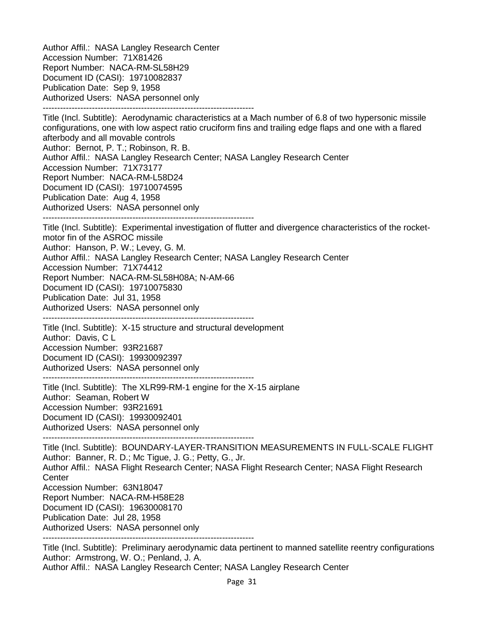Author Affil.: NASA Langley Research Center Accession Number: 71X81426 Report Number: NACA-RM-SL58H29 Document ID (CASI): 19710082837 Publication Date: Sep 9, 1958 Authorized Users: NASA personnel only -------------------------------------------------------------------------

Title (Incl. Subtitle): Aerodynamic characteristics at a Mach number of 6.8 of two hypersonic missile configurations, one with low aspect ratio cruciform fins and trailing edge flaps and one with a flared afterbody and all movable controls Author: Bernot, P. T.; Robinson, R. B. Author Affil.: NASA Langley Research Center; NASA Langley Research Center Accession Number: 71X73177 Report Number: NACA-RM-L58D24 Document ID (CASI): 19710074595 Publication Date: Aug 4, 1958 Authorized Users: NASA personnel only -------------------------------------------------------------------------

Title (Incl. Subtitle): Experimental investigation of flutter and divergence characteristics of the rocketmotor fin of the ASROC missile Author: Hanson, P. W.; Levey, G. M. Author Affil.: NASA Langley Research Center; NASA Langley Research Center Accession Number: 71X74412 Report Number: NACA-RM-SL58H08A; N-AM-66 Document ID (CASI): 19710075830 Publication Date: Jul 31, 1958 Authorized Users: NASA personnel only

-------------------------------------------------------------------------

Title (Incl. Subtitle): X-15 structure and structural development Author: Davis, C L Accession Number: 93R21687 Document ID (CASI): 19930092397 Authorized Users: NASA personnel only -------------------------------------------------------------------------

Title (Incl. Subtitle): The XLR99-RM-1 engine for the X-15 airplane Author: Seaman, Robert W Accession Number: 93R21691 Document ID (CASI): 19930092401 Authorized Users: NASA personnel only -------------------------------------------------------------------------

Title (Incl. Subtitle): BOUNDARY-LAYER-TRANSITION MEASUREMENTS IN FULL-SCALE FLIGHT Author: Banner, R. D.; Mc Tigue, J. G.; Petty, G., Jr. Author Affil.: NASA Flight Research Center; NASA Flight Research Center; NASA Flight Research **Center** Accession Number: 63N18047 Report Number: NACA-RM-H58E28 Document ID (CASI): 19630008170 Publication Date: Jul 28, 1958 Authorized Users: NASA personnel only -------------------------------------------------------------------------

Title (Incl. Subtitle): Preliminary aerodynamic data pertinent to manned satellite reentry configurations Author: Armstrong, W. O.; Penland, J. A. Author Affil.: NASA Langley Research Center; NASA Langley Research Center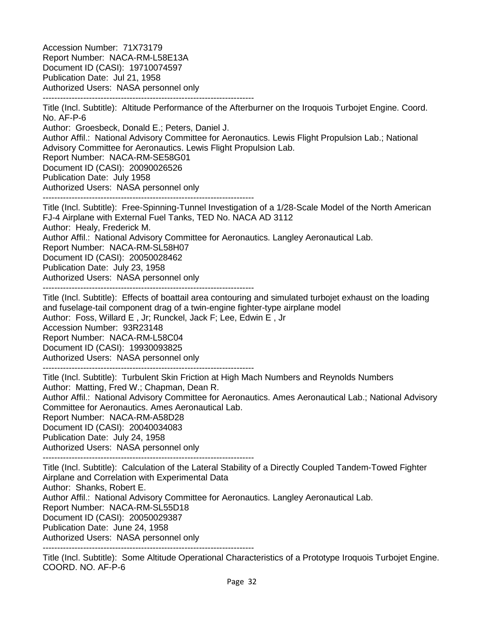Accession Number: 71X73179 Report Number: NACA-RM-L58E13A Document ID (CASI): 19710074597 Publication Date: Jul 21, 1958 Authorized Users: NASA personnel only -------------------------------------------------------------------------

Title (Incl. Subtitle): Altitude Performance of the Afterburner on the Iroquois Turbojet Engine. Coord. No. AF-P-6

Author: Groesbeck, Donald E.; Peters, Daniel J. Author Affil.: National Advisory Committee for Aeronautics. Lewis Flight Propulsion Lab.; National Advisory Committee for Aeronautics. Lewis Flight Propulsion Lab. Report Number: NACA-RM-SE58G01 Document ID (CASI): 20090026526 Publication Date: July 1958 Authorized Users: NASA personnel only

-------------------------------------------------------------------------

Title (Incl. Subtitle): Free-Spinning-Tunnel Investigation of a 1/28-Scale Model of the North American FJ-4 Airplane with External Fuel Tanks, TED No. NACA AD 3112 Author: Healy, Frederick M. Author Affil.: National Advisory Committee for Aeronautics. Langley Aeronautical Lab. Report Number: NACA-RM-SL58H07 Document ID (CASI): 20050028462 Publication Date: July 23, 1958 Authorized Users: NASA personnel only -------------------------------------------------------------------------

Title (Incl. Subtitle): Effects of boattail area contouring and simulated turbojet exhaust on the loading and fuselage-tail component drag of a twin-engine fighter-type airplane model Author: Foss, Willard E , Jr; Runckel, Jack F; Lee, Edwin E , Jr Accession Number: 93R23148 Report Number: NACA-RM-L58C04 Document ID (CASI): 19930093825 Authorized Users: NASA personnel only

-------------------------------------------------------------------------

Title (Incl. Subtitle): Turbulent Skin Friction at High Mach Numbers and Reynolds Numbers Author: Matting, Fred W.; Chapman, Dean R. Author Affil.: National Advisory Committee for Aeronautics. Ames Aeronautical Lab.; National Advisory Committee for Aeronautics. Ames Aeronautical Lab. Report Number: NACA-RM-A58D28 Document ID (CASI): 20040034083 Publication Date: July 24, 1958 Authorized Users: NASA personnel only

-------------------------------------------------------------------------

Title (Incl. Subtitle): Calculation of the Lateral Stability of a Directly Coupled Tandem-Towed Fighter Airplane and Correlation with Experimental Data Author: Shanks, Robert E. Author Affil.: National Advisory Committee for Aeronautics. Langley Aeronautical Lab. Report Number: NACA-RM-SL55D18 Document ID (CASI): 20050029387 Publication Date: June 24, 1958 Authorized Users: NASA personnel only -------------------------------------------------------------------------

Title (Incl. Subtitle): Some Altitude Operational Characteristics of a Prototype Iroquois Turbojet Engine. COORD. NO. AF-P-6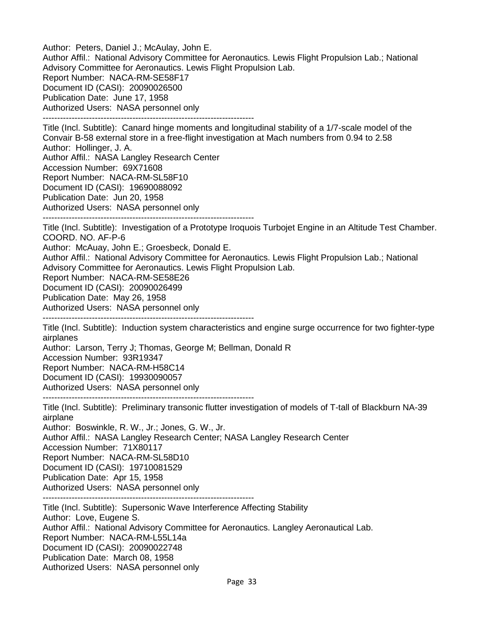Author: Peters, Daniel J.; McAulay, John E. Author Affil.: National Advisory Committee for Aeronautics. Lewis Flight Propulsion Lab.; National Advisory Committee for Aeronautics. Lewis Flight Propulsion Lab. Report Number: NACA-RM-SE58F17 Document ID (CASI): 20090026500 Publication Date: June 17, 1958 Authorized Users: NASA personnel only ------------------------------------------------------------------------- Title (Incl. Subtitle): Canard hinge moments and longitudinal stability of a 1/7-scale model of the Convair B-58 external store in a free-flight investigation at Mach numbers from 0.94 to 2.58 Author: Hollinger, J. A. Author Affil.: NASA Langley Research Center Accession Number: 69X71608

Report Number: NACA-RM-SL58F10

Document ID (CASI): 19690088092

Publication Date: Jun 20, 1958

Authorized Users: NASA personnel only

-------------------------------------------------------------------------

Title (Incl. Subtitle): Investigation of a Prototype Iroquois Turbojet Engine in an Altitude Test Chamber. COORD. NO. AF-P-6

Author: McAuay, John E.; Groesbeck, Donald E.

Author Affil.: National Advisory Committee for Aeronautics. Lewis Flight Propulsion Lab.; National Advisory Committee for Aeronautics. Lewis Flight Propulsion Lab.

Report Number: NACA-RM-SE58E26

Document ID (CASI): 20090026499

Publication Date: May 26, 1958

Authorized Users: NASA personnel only

-------------------------------------------------------------------------

Title (Incl. Subtitle): Induction system characteristics and engine surge occurrence for two fighter-type airplanes

Author: Larson, Terry J; Thomas, George M; Bellman, Donald R

Accession Number: 93R19347

Report Number: NACA-RM-H58C14

Document ID (CASI): 19930090057

Authorized Users: NASA personnel only

-------------------------------------------------------------------------

Title (Incl. Subtitle): Preliminary transonic flutter investigation of models of T-tall of Blackburn NA-39 airplane

Author: Boswinkle, R. W., Jr.; Jones, G. W., Jr.

Author Affil.: NASA Langley Research Center; NASA Langley Research Center Accession Number: 71X80117

Report Number: NACA-RM-SL58D10

Document ID (CASI): 19710081529

Publication Date: Apr 15, 1958

Authorized Users: NASA personnel only

-------------------------------------------------------------------------

Title (Incl. Subtitle): Supersonic Wave Interference Affecting Stability Author: Love, Eugene S. Author Affil.: National Advisory Committee for Aeronautics. Langley Aeronautical Lab. Report Number: NACA-RM-L55L14a Document ID (CASI): 20090022748 Publication Date: March 08, 1958 Authorized Users: NASA personnel only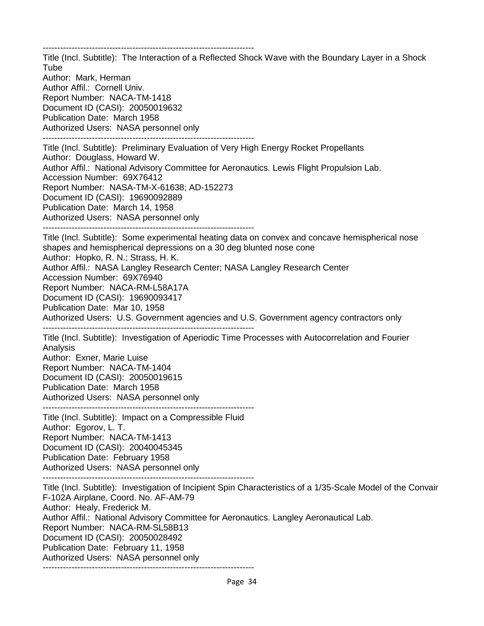------------------------------------------------------------------------- Title (Incl. Subtitle): The Interaction of a Reflected Shock Wave with the Boundary Layer in a Shock Tube Author: Mark, Herman Author Affil.: Cornell Univ. Report Number: NACA-TM-1418 Document ID (CASI): 20050019632 Publication Date: March 1958 Authorized Users: NASA personnel only ------------------------------------------------------------------------- Title (Incl. Subtitle): Preliminary Evaluation of Very High Energy Rocket Propellants Author: Douglass, Howard W. Author Affil.: National Advisory Committee for Aeronautics. Lewis Flight Propulsion Lab. Accession Number: 69X76412 Report Number: NASA-TM-X-61638; AD-152273 Document ID (CASI): 19690092889 Publication Date: March 14, 1958 Authorized Users: NASA personnel only ------------------------------------------------------------------------- Title (Incl. Subtitle): Some experimental heating data on convex and concave hemispherical nose shapes and hemispherical depressions on a 30 deg blunted nose cone Author: Hopko, R. N.; Strass, H. K. Author Affil.: NASA Langley Research Center; NASA Langley Research Center Accession Number: 69X76940 Report Number: NACA-RM-L58A17A Document ID (CASI): 19690093417 Publication Date: Mar 10, 1958 Authorized Users: U.S. Government agencies and U.S. Government agency contractors only ------------------------------------------------------------------------- Title (Incl. Subtitle): Investigation of Aperiodic Time Processes with Autocorrelation and Fourier Analysis Author: Exner, Marie Luise Report Number: NACA-TM-1404 Document ID (CASI): 20050019615 Publication Date: March 1958 Authorized Users: NASA personnel only ------------------------------------------------------------------------- Title (Incl. Subtitle): Impact on a Compressible Fluid Author: Egorov, L. T. Report Number: NACA-TM-1413 Document ID (CASI): 20040045345 Publication Date: February 1958 Authorized Users: NASA personnel only ------------------------------------------------------------------------- Title (Incl. Subtitle): Investigation of Incipient Spin Characteristics of a 1/35-Scale Model of the Convair F-102A Airplane, Coord. No. AF-AM-79 Author: Healy, Frederick M. Author Affil.: National Advisory Committee for Aeronautics. Langley Aeronautical Lab. Report Number: NACA-RM-SL58B13 Document ID (CASI): 20050028492 Publication Date: February 11, 1958 Authorized Users: NASA personnel only

-------------------------------------------------------------------------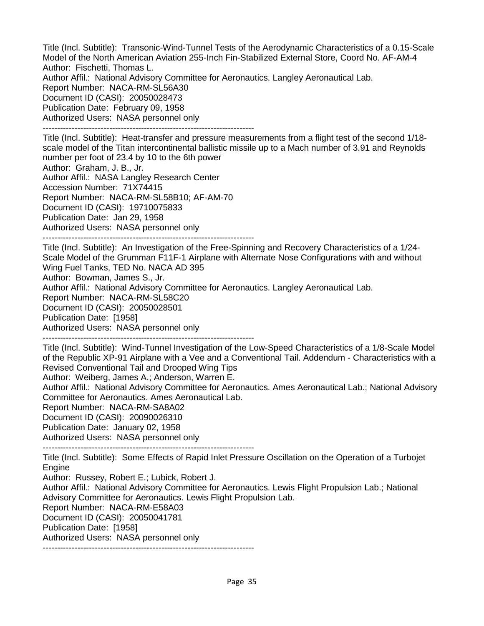Title (Incl. Subtitle): Transonic-Wind-Tunnel Tests of the Aerodynamic Characteristics of a 0.15-Scale Model of the North American Aviation 255-Inch Fin-Stabilized External Store, Coord No. AF-AM-4 Author: Fischetti, Thomas L. Author Affil.: National Advisory Committee for Aeronautics. Langley Aeronautical Lab.

Report Number: NACA-RM-SL56A30 Document ID (CASI): 20050028473 Publication Date: February 09, 1958 Authorized Users: NASA personnel only

-------------------------------------------------------------------------

Title (Incl. Subtitle): Heat-transfer and pressure measurements from a flight test of the second 1/18 scale model of the Titan intercontinental ballistic missile up to a Mach number of 3.91 and Reynolds number per foot of 23.4 by 10 to the 6th power Author: Graham, J. B., Jr. Author Affil.: NASA Langley Research Center Accession Number: 71X74415

Report Number: NACA-RM-SL58B10; AF-AM-70

Document ID (CASI): 19710075833

Publication Date: Jan 29, 1958

Authorized Users: NASA personnel only

-------------------------------------------------------------------------

Title (Incl. Subtitle): An Investigation of the Free-Spinning and Recovery Characteristics of a 1/24- Scale Model of the Grumman F11F-1 Airplane with Alternate Nose Configurations with and without Wing Fuel Tanks, TED No. NACA AD 395 Author: Bowman, James S., Jr. Author Affil.: National Advisory Committee for Aeronautics. Langley Aeronautical Lab. Report Number: NACA-RM-SL58C20 Document ID (CASI): 20050028501 Publication Date: [1958] Authorized Users: NASA personnel only -------------------------------------------------------------------------

Title (Incl. Subtitle): Wind-Tunnel Investigation of the Low-Speed Characteristics of a 1/8-Scale Model of the Republic XP-91 Airplane with a Vee and a Conventional Tail. Addendum - Characteristics with a Revised Conventional Tail and Drooped Wing Tips

Author: Weiberg, James A.; Anderson, Warren E.

Author Affil.: National Advisory Committee for Aeronautics. Ames Aeronautical Lab.; National Advisory Committee for Aeronautics. Ames Aeronautical Lab.

Report Number: NACA-RM-SA8A02

Document ID (CASI): 20090026310

Publication Date: January 02, 1958

Authorized Users: NASA personnel only

-------------------------------------------------------------------------

Title (Incl. Subtitle): Some Effects of Rapid Inlet Pressure Oscillation on the Operation of a Turbojet Engine

Author: Russey, Robert E.; Lubick, Robert J.

Author Affil.: National Advisory Committee for Aeronautics. Lewis Flight Propulsion Lab.; National Advisory Committee for Aeronautics. Lewis Flight Propulsion Lab.

Report Number: NACA-RM-E58A03

Document ID (CASI): 20050041781

Publication Date: [1958]

Authorized Users: NASA personnel only -------------------------------------------------------------------------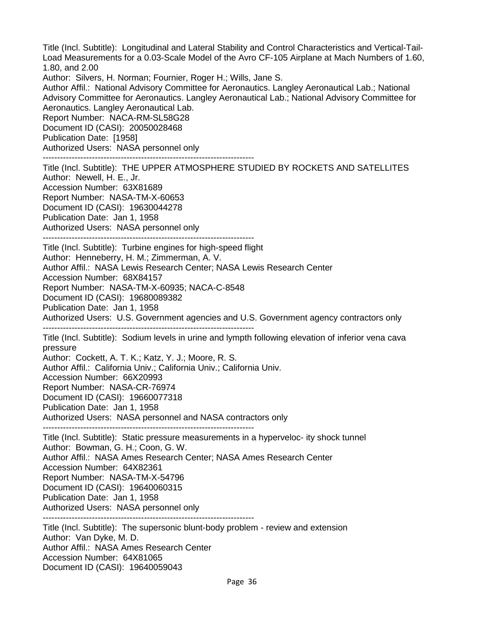Title (Incl. Subtitle): Longitudinal and Lateral Stability and Control Characteristics and Vertical-Tail-Load Measurements for a 0.03-Scale Model of the Avro CF-105 Airplane at Mach Numbers of 1.60, 1.80, and 2.00 Author: Silvers, H. Norman; Fournier, Roger H.; Wills, Jane S. Author Affil.: National Advisory Committee for Aeronautics. Langley Aeronautical Lab.; National Advisory Committee for Aeronautics. Langley Aeronautical Lab.; National Advisory Committee for Aeronautics. Langley Aeronautical Lab. Report Number: NACA-RM-SL58G28 Document ID (CASI): 20050028468 Publication Date: [1958] Authorized Users: NASA personnel only ------------------------------------------------------------------------- Title (Incl. Subtitle): THE UPPER ATMOSPHERE STUDIED BY ROCKETS AND SATELLITES Author: Newell, H. E., Jr. Accession Number: 63X81689 Report Number: NASA-TM-X-60653 Document ID (CASI): 19630044278 Publication Date: Jan 1, 1958 Authorized Users: NASA personnel only ------------------------------------------------------------------------- Title (Incl. Subtitle): Turbine engines for high-speed flight Author: Henneberry, H. M.; Zimmerman, A. V. Author Affil.: NASA Lewis Research Center; NASA Lewis Research Center Accession Number: 68X84157 Report Number: NASA-TM-X-60935; NACA-C-8548 Document ID (CASI): 19680089382 Publication Date: Jan 1, 1958 Authorized Users: U.S. Government agencies and U.S. Government agency contractors only ------------------------------------------------------------------------- Title (Incl. Subtitle): Sodium levels in urine and lympth following elevation of inferior vena cava pressure Author: Cockett, A. T. K.; Katz, Y. J.; Moore, R. S. Author Affil.: California Univ.; California Univ.; California Univ. Accession Number: 66X20993 Report Number: NASA-CR-76974 Document ID (CASI): 19660077318 Publication Date: Jan 1, 1958 Authorized Users: NASA personnel and NASA contractors only ------------------------------------------------------------------------- Title (Incl. Subtitle): Static pressure measurements in a hyperveloc- ity shock tunnel Author: Bowman, G. H.; Coon, G. W. Author Affil.: NASA Ames Research Center; NASA Ames Research Center Accession Number: 64X82361 Report Number: NASA-TM-X-54796 Document ID (CASI): 19640060315 Publication Date: Jan 1, 1958 Authorized Users: NASA personnel only ------------------------------------------------------------------------- Title (Incl. Subtitle): The supersonic blunt-body problem - review and extension Author: Van Dyke, M. D. Author Affil.: NASA Ames Research Center

Accession Number: 64X81065

Document ID (CASI): 19640059043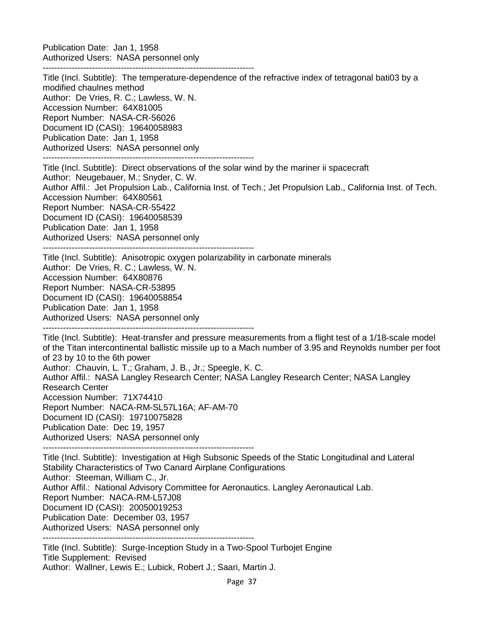Publication Date: Jan 1, 1958 Authorized Users: NASA personnel only

-------------------------------------------------------------------------

Title (Incl. Subtitle): The temperature-dependence of the refractive index of tetragonal bati03 by a modified chaulnes method Author: De Vries, R. C.; Lawless, W. N. Accession Number: 64X81005 Report Number: NASA-CR-56026 Document ID (CASI): 19640058983 Publication Date: Jan 1, 1958 Authorized Users: NASA personnel only ------------------------------------------------------------------------- Title (Incl. Subtitle): Direct observations of the solar wind by the mariner ii spacecraft Author: Neugebauer, M.; Snyder, C. W. Author Affil.: Jet Propulsion Lab., California Inst. of Tech.; Jet Propulsion Lab., California Inst. of Tech. Accession Number: 64X80561 Report Number: NASA-CR-55422 Document ID (CASI): 19640058539 Publication Date: Jan 1, 1958 Authorized Users: NASA personnel only ------------------------------------------------------------------------- Title (Incl. Subtitle): Anisotropic oxygen polarizability in carbonate minerals Author: De Vries, R. C.; Lawless, W. N. Accession Number: 64X80876 Report Number: NASA-CR-53895 Document ID (CASI): 19640058854 Publication Date: Jan 1, 1958 Authorized Users: NASA personnel only ------------------------------------------------------------------------- Title (Incl. Subtitle): Heat-transfer and pressure measurements from a flight test of a 1/18-scale model of the Titan intercontinental ballistic missile up to a Mach number of 3.95 and Reynolds number per foot of 23 by 10 to the 6th power Author: Chauvin, L. T.; Graham, J. B., Jr.; Speegle, K. C. Author Affil.: NASA Langley Research Center; NASA Langley Research Center; NASA Langley Research Center Accession Number: 71X74410 Report Number: NACA-RM-SL57L16A; AF-AM-70 Document ID (CASI): 19710075828 Publication Date: Dec 19, 1957 Authorized Users: NASA personnel only ------------------------------------------------------------------------- Title (Incl. Subtitle): Investigation at High Subsonic Speeds of the Static Longitudinal and Lateral Stability Characteristics of Two Canard Airplane Configurations Author: Steeman, William C., Jr. Author Affil.: National Advisory Committee for Aeronautics. Langley Aeronautical Lab. Report Number: NACA-RM-L57J08 Document ID (CASI): 20050019253 Publication Date: December 03, 1957 Authorized Users: NASA personnel only ------------------------------------------------------------------------- Title (Incl. Subtitle): Surge-Inception Study in a Two-Spool Turbojet Engine Title Supplement: Revised

Author: Wallner, Lewis E.; Lubick, Robert J.; Saari, Martin J.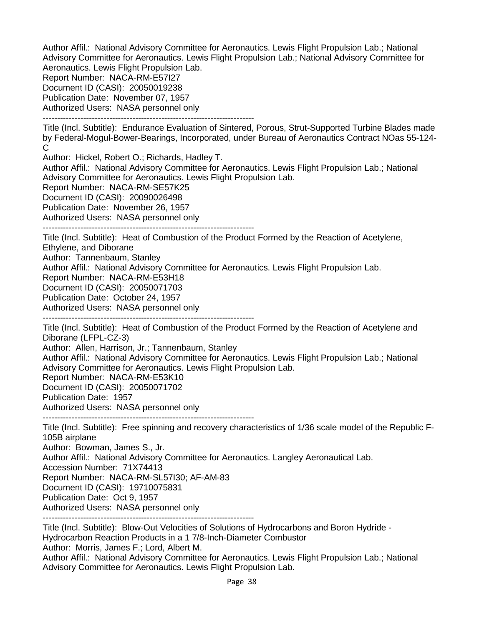Author Affil.: National Advisory Committee for Aeronautics. Lewis Flight Propulsion Lab.; National Advisory Committee for Aeronautics. Lewis Flight Propulsion Lab.; National Advisory Committee for Aeronautics. Lewis Flight Propulsion Lab.

Report Number: NACA-RM-E57I27

Document ID (CASI): 20050019238

Publication Date: November 07, 1957

Authorized Users: NASA personnel only

-------------------------------------------------------------------------

Title (Incl. Subtitle): Endurance Evaluation of Sintered, Porous, Strut-Supported Turbine Blades made by Federal-Mogul-Bower-Bearings, Incorporated, under Bureau of Aeronautics Contract NOas 55-124- C

Author: Hickel, Robert O.; Richards, Hadley T.

Author Affil.: National Advisory Committee for Aeronautics. Lewis Flight Propulsion Lab.; National Advisory Committee for Aeronautics. Lewis Flight Propulsion Lab.

Report Number: NACA-RM-SE57K25

Document ID (CASI): 20090026498

Publication Date: November 26, 1957

Authorized Users: NASA personnel only

-------------------------------------------------------------------------

Title (Incl. Subtitle): Heat of Combustion of the Product Formed by the Reaction of Acetylene, Ethylene, and Diborane

Author: Tannenbaum, Stanley

Author Affil.: National Advisory Committee for Aeronautics. Lewis Flight Propulsion Lab.

Report Number: NACA-RM-E53H18

Document ID (CASI): 20050071703

Publication Date: October 24, 1957

Authorized Users: NASA personnel only

-------------------------------------------------------------------------

Title (Incl. Subtitle): Heat of Combustion of the Product Formed by the Reaction of Acetylene and Diborane (LFPL-CZ-3)

Author: Allen, Harrison, Jr.; Tannenbaum, Stanley

Author Affil.: National Advisory Committee for Aeronautics. Lewis Flight Propulsion Lab.; National Advisory Committee for Aeronautics. Lewis Flight Propulsion Lab.

Report Number: NACA-RM-E53K10

Document ID (CASI): 20050071702

Publication Date: 1957

Authorized Users: NASA personnel only

-------------------------------------------------------------------------

Title (Incl. Subtitle): Free spinning and recovery characteristics of 1/36 scale model of the Republic F-105B airplane Author: Bowman, James S., Jr. Author Affil.: National Advisory Committee for Aeronautics. Langley Aeronautical Lab. Accession Number: 71X74413 Report Number: NACA-RM-SL57I30; AF-AM-83 Document ID (CASI): 19710075831 Publication Date: Oct 9, 1957 Authorized Users: NASA personnel only

-------------------------------------------------------------------------

Title (Incl. Subtitle): Blow-Out Velocities of Solutions of Hydrocarbons and Boron Hydride - Hydrocarbon Reaction Products in a 1 7/8-Inch-Diameter Combustor

Author: Morris, James F.; Lord, Albert M.

Author Affil.: National Advisory Committee for Aeronautics. Lewis Flight Propulsion Lab.; National Advisory Committee for Aeronautics. Lewis Flight Propulsion Lab.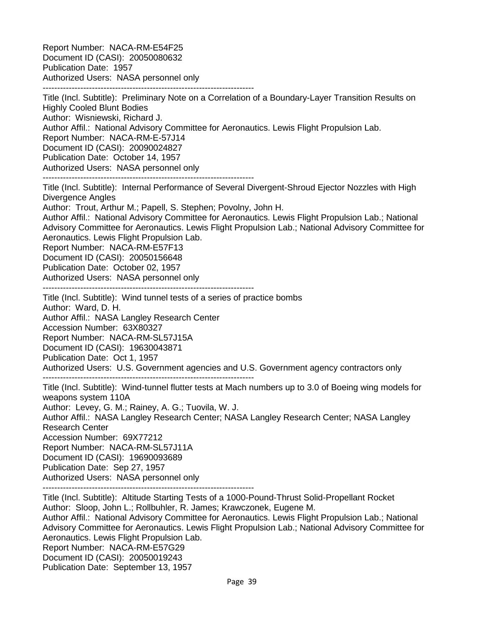Report Number: NACA-RM-E54F25 Document ID (CASI): 20050080632 Publication Date: 1957 Authorized Users: NASA personnel only -------------------------------------------------------------------------

Title (Incl. Subtitle): Preliminary Note on a Correlation of a Boundary-Layer Transition Results on Highly Cooled Blunt Bodies Author: Wisniewski, Richard J. Author Affil.: National Advisory Committee for Aeronautics. Lewis Flight Propulsion Lab. Report Number: NACA-RM-E-57J14 Document ID (CASI): 20090024827 Publication Date: October 14, 1957 Authorized Users: NASA personnel only -------------------------------------------------------------------------

Title (Incl. Subtitle): Internal Performance of Several Divergent-Shroud Ejector Nozzles with High Divergence Angles Author: Trout, Arthur M.; Papell, S. Stephen; Povolny, John H.

Author Affil.: National Advisory Committee for Aeronautics. Lewis Flight Propulsion Lab.; National Advisory Committee for Aeronautics. Lewis Flight Propulsion Lab.; National Advisory Committee for Aeronautics. Lewis Flight Propulsion Lab.

Report Number: NACA-RM-E57F13 Document ID (CASI): 20050156648 Publication Date: October 02, 1957

Authorized Users: NASA personnel only

-------------------------------------------------------------------------

Title (Incl. Subtitle): Wind tunnel tests of a series of practice bombs Author: Ward, D. H.

Author Affil.: NASA Langley Research Center

Accession Number: 63X80327

Report Number: NACA-RM-SL57J15A

Document ID (CASI): 19630043871

Publication Date: Oct 1, 1957

Authorized Users: U.S. Government agencies and U.S. Government agency contractors only -------------------------------------------------------------------------

Title (Incl. Subtitle): Wind-tunnel flutter tests at Mach numbers up to 3.0 of Boeing wing models for weapons system 110A

Author: Levey, G. M.; Rainey, A. G.; Tuovila, W. J.

Author Affil.: NASA Langley Research Center; NASA Langley Research Center; NASA Langley Research Center Accession Number: 69X77212 Report Number: NACA-RM-SL57J11A Document ID (CASI): 19690093689

Publication Date: Sep 27, 1957

Authorized Users: NASA personnel only

-------------------------------------------------------------------------

Title (Incl. Subtitle): Altitude Starting Tests of a 1000-Pound-Thrust Solid-Propellant Rocket Author: Sloop, John L.; Rollbuhler, R. James; Krawczonek, Eugene M. Author Affil.: National Advisory Committee for Aeronautics. Lewis Flight Propulsion Lab.; National Advisory Committee for Aeronautics. Lewis Flight Propulsion Lab.; National Advisory Committee for Aeronautics. Lewis Flight Propulsion Lab. Report Number: NACA-RM-E57G29 Document ID (CASI): 20050019243 Publication Date: September 13, 1957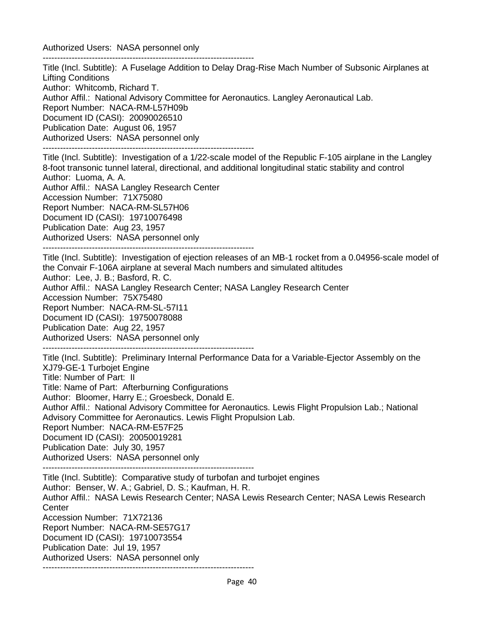Authorized Users: NASA personnel only

------------------------------------------------------------------------- Title (Incl. Subtitle): A Fuselage Addition to Delay Drag-Rise Mach Number of Subsonic Airplanes at Lifting Conditions Author: Whitcomb, Richard T. Author Affil.: National Advisory Committee for Aeronautics. Langley Aeronautical Lab. Report Number: NACA-RM-L57H09b Document ID (CASI): 20090026510 Publication Date: August 06, 1957 Authorized Users: NASA personnel only ------------------------------------------------------------------------- Title (Incl. Subtitle): Investigation of a 1/22-scale model of the Republic F-105 airplane in the Langley 8-foot transonic tunnel lateral, directional, and additional longitudinal static stability and control Author: Luoma, A. A. Author Affil.: NASA Langley Research Center Accession Number: 71X75080 Report Number: NACA-RM-SL57H06 Document ID (CASI): 19710076498 Publication Date: Aug 23, 1957 Authorized Users: NASA personnel only ------------------------------------------------------------------------- Title (Incl. Subtitle): Investigation of ejection releases of an MB-1 rocket from a 0.04956-scale model of the Convair F-106A airplane at several Mach numbers and simulated altitudes Author: Lee, J. B.; Basford, R. C. Author Affil.: NASA Langley Research Center; NASA Langley Research Center Accession Number: 75X75480 Report Number: NACA-RM-SL-57I11 Document ID (CASI): 19750078088 Publication Date: Aug 22, 1957 Authorized Users: NASA personnel only ------------------------------------------------------------------------- Title (Incl. Subtitle): Preliminary Internal Performance Data for a Variable-Ejector Assembly on the XJ79-GE-1 Turbojet Engine Title: Number of Part: II Title: Name of Part: Afterburning Configurations Author: Bloomer, Harry E.; Groesbeck, Donald E. Author Affil.: National Advisory Committee for Aeronautics. Lewis Flight Propulsion Lab.; National

Advisory Committee for Aeronautics. Lewis Flight Propulsion Lab.

Report Number: NACA-RM-E57F25

Document ID (CASI): 20050019281

Publication Date: July 30, 1957

Authorized Users: NASA personnel only -------------------------------------------------------------------------

Title (Incl. Subtitle): Comparative study of turbofan and turbojet engines Author: Benser, W. A.; Gabriel, D. S.; Kaufman, H. R. Author Affil.: NASA Lewis Research Center; NASA Lewis Research Center; NASA Lewis Research **Center** Accession Number: 71X72136 Report Number: NACA-RM-SE57G17 Document ID (CASI): 19710073554 Publication Date: Jul 19, 1957 Authorized Users: NASA personnel only -------------------------------------------------------------------------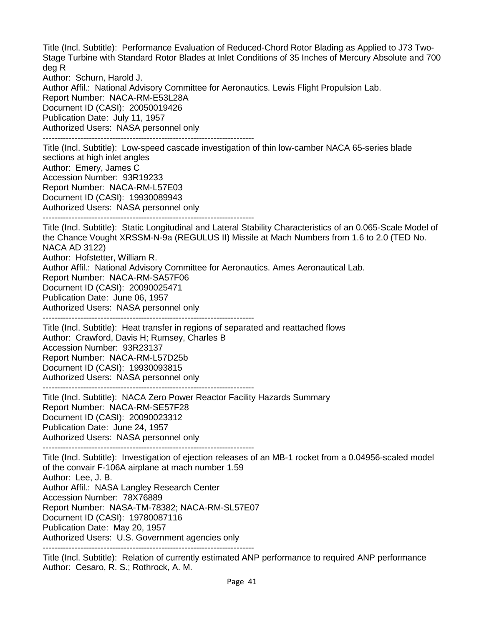Title (Incl. Subtitle): Performance Evaluation of Reduced-Chord Rotor Blading as Applied to J73 Two-Stage Turbine with Standard Rotor Blades at Inlet Conditions of 35 Inches of Mercury Absolute and 700 deg R

Author: Schurn, Harold J.

Author Affil.: National Advisory Committee for Aeronautics. Lewis Flight Propulsion Lab. Report Number: NACA-RM-E53L28A Document ID (CASI): 20050019426 Publication Date: July 11, 1957 Authorized Users: NASA personnel only -------------------------------------------------------------------------

Title (Incl. Subtitle): Low-speed cascade investigation of thin low-camber NACA 65-series blade sections at high inlet angles Author: Emery, James C Accession Number: 93R19233 Report Number: NACA-RM-L57E03 Document ID (CASI): 19930089943 Authorized Users: NASA personnel only -------------------------------------------------------------------------

Title (Incl. Subtitle): Static Longitudinal and Lateral Stability Characteristics of an 0.065-Scale Model of the Chance Vought XRSSM-N-9a (REGULUS II) Missile at Mach Numbers from 1.6 to 2.0 (TED No. NACA AD 3122) Author: Hofstetter, William R. Author Affil.: National Advisory Committee for Aeronautics. Ames Aeronautical Lab.

Report Number: NACA-RM-SA57F06

Document ID (CASI): 20090025471

Publication Date: June 06, 1957

Authorized Users: NASA personnel only

-------------------------------------------------------------------------

Title (Incl. Subtitle): Heat transfer in regions of separated and reattached flows Author: Crawford, Davis H; Rumsey, Charles B Accession Number: 93R23137 Report Number: NACA-RM-L57D25b Document ID (CASI): 19930093815 Authorized Users: NASA personnel only

-------------------------------------------------------------------------

Title (Incl. Subtitle): NACA Zero Power Reactor Facility Hazards Summary Report Number: NACA-RM-SE57F28 Document ID (CASI): 20090023312 Publication Date: June 24, 1957 Authorized Users: NASA personnel only

-------------------------------------------------------------------------

Title (Incl. Subtitle): Investigation of ejection releases of an MB-1 rocket from a 0.04956-scaled model of the convair F-106A airplane at mach number 1.59 Author: Lee, J. B. Author Affil.: NASA Langley Research Center Accession Number: 78X76889 Report Number: NASA-TM-78382; NACA-RM-SL57E07 Document ID (CASI): 19780087116 Publication Date: May 20, 1957

Authorized Users: U.S. Government agencies only -------------------------------------------------------------------------

Title (Incl. Subtitle): Relation of currently estimated ANP performance to required ANP performance Author: Cesaro, R. S.; Rothrock, A. M.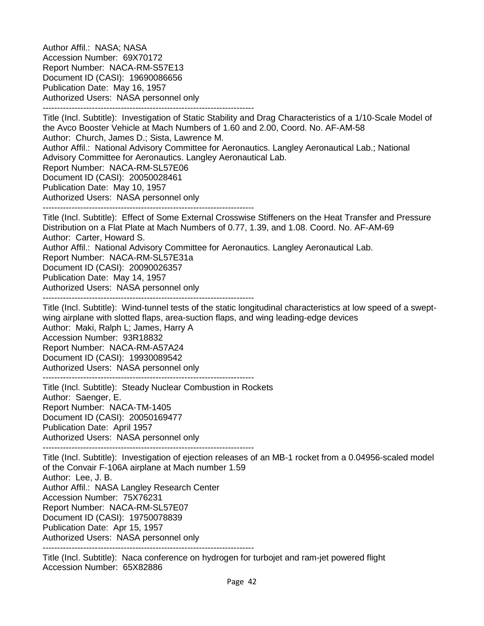Author Affil.: NASA; NASA Accession Number: 69X70172 Report Number: NACA-RM-S57E13 Document ID (CASI): 19690086656 Publication Date: May 16, 1957 Authorized Users: NASA personnel only -------------------------------------------------------------------------

Title (Incl. Subtitle): Investigation of Static Stability and Drag Characteristics of a 1/10-Scale Model of the Avco Booster Vehicle at Mach Numbers of 1.60 and 2.00, Coord. No. AF-AM-58 Author: Church, James D.; Sista, Lawrence M. Author Affil.: National Advisory Committee for Aeronautics. Langley Aeronautical Lab.; National Advisory Committee for Aeronautics. Langley Aeronautical Lab. Report Number: NACA-RM-SL57E06 Document ID (CASI): 20050028461 Publication Date: May 10, 1957 Authorized Users: NASA personnel only -------------------------------------------------------------------------

Title (Incl. Subtitle): Effect of Some External Crosswise Stiffeners on the Heat Transfer and Pressure Distribution on a Flat Plate at Mach Numbers of 0.77, 1.39, and 1.08. Coord. No. AF-AM-69 Author: Carter, Howard S. Author Affil.: National Advisory Committee for Aeronautics. Langley Aeronautical Lab. Report Number: NACA-RM-SL57E31a Document ID (CASI): 20090026357 Publication Date: May 14, 1957 Authorized Users: NASA personnel only -------------------------------------------------------------------------

Title (Incl. Subtitle): Wind-tunnel tests of the static longitudinal characteristics at low speed of a sweptwing airplane with slotted flaps, area-suction flaps, and wing leading-edge devices Author: Maki, Ralph L; James, Harry A Accession Number: 93R18832 Report Number: NACA-RM-A57A24 Document ID (CASI): 19930089542 Authorized Users: NASA personnel only -------------------------------------------------------------------------

Title (Incl. Subtitle): Steady Nuclear Combustion in Rockets Author: Saenger, E. Report Number: NACA-TM-1405 Document ID (CASI): 20050169477 Publication Date: April 1957 Authorized Users: NASA personnel only

-------------------------------------------------------------------------

Title (Incl. Subtitle): Investigation of ejection releases of an MB-1 rocket from a 0.04956-scaled model of the Convair F-106A airplane at Mach number 1.59 Author: Lee, J. B. Author Affil.: NASA Langley Research Center Accession Number: 75X76231 Report Number: NACA-RM-SL57E07 Document ID (CASI): 19750078839 Publication Date: Apr 15, 1957 Authorized Users: NASA personnel only -------------------------------------------------------------------------

Title (Incl. Subtitle): Naca conference on hydrogen for turbojet and ram-jet powered flight Accession Number: 65X82886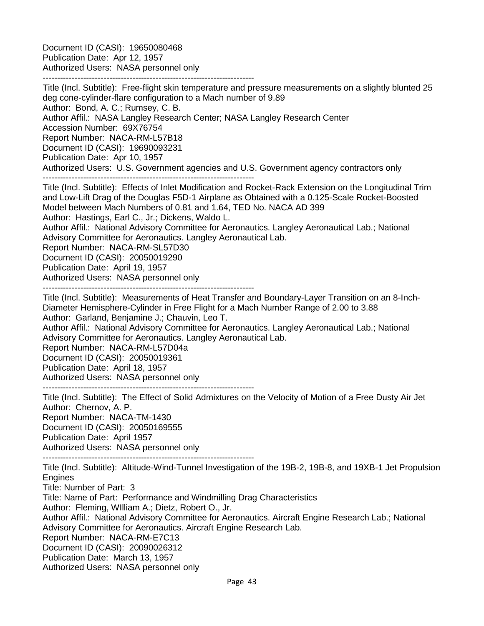Document ID (CASI): 19650080468 Publication Date: Apr 12, 1957 Authorized Users: NASA personnel only

-------------------------------------------------------------------------

Title (Incl. Subtitle): Free-flight skin temperature and pressure measurements on a slightly blunted 25 deg cone-cylinder-flare configuration to a Mach number of 9.89 Author: Bond, A. C.; Rumsey, C. B. Author Affil.: NASA Langley Research Center; NASA Langley Research Center Accession Number: 69X76754 Report Number: NACA-RM-L57B18 Document ID (CASI): 19690093231 Publication Date: Apr 10, 1957 Authorized Users: U.S. Government agencies and U.S. Government agency contractors only -------------------------------------------------------------------------

Title (Incl. Subtitle): Effects of Inlet Modification and Rocket-Rack Extension on the Longitudinal Trim and Low-Lift Drag of the Douglas F5D-1 Airplane as Obtained with a 0.125-Scale Rocket-Boosted Model between Mach Numbers of 0.81 and 1.64, TED No. NACA AD 399 Author: Hastings, Earl C., Jr.; Dickens, Waldo L.

Author Affil.: National Advisory Committee for Aeronautics. Langley Aeronautical Lab.; National Advisory Committee for Aeronautics. Langley Aeronautical Lab.

Report Number: NACA-RM-SL57D30

Document ID (CASI): 20050019290

Publication Date: April 19, 1957

Authorized Users: NASA personnel only

-------------------------------------------------------------------------

Title (Incl. Subtitle): Measurements of Heat Transfer and Boundary-Layer Transition on an 8-Inch-Diameter Hemisphere-Cylinder in Free Flight for a Mach Number Range of 2.00 to 3.88 Author: Garland, Benjamine J.; Chauvin, Leo T.

Author Affil.: National Advisory Committee for Aeronautics. Langley Aeronautical Lab.; National Advisory Committee for Aeronautics. Langley Aeronautical Lab.

Report Number: NACA-RM-L57D04a

Document ID (CASI): 20050019361

Publication Date: April 18, 1957

Authorized Users: NASA personnel only

-------------------------------------------------------------------------

Title (Incl. Subtitle): The Effect of Solid Admixtures on the Velocity of Motion of a Free Dusty Air Jet Author: Chernov, A. P. Report Number: NACA-TM-1430 Document ID (CASI): 20050169555 Publication Date: April 1957 Authorized Users: NASA personnel only

-------------------------------------------------------------------------

Title (Incl. Subtitle): Altitude-Wind-Tunnel Investigation of the 19B-2, 19B-8, and 19XB-1 Jet Propulsion **Engines** 

Title: Number of Part: 3

Title: Name of Part: Performance and Windmilling Drag Characteristics

Author: Fleming, WIlliam A.; Dietz, Robert O., Jr.

Author Affil.: National Advisory Committee for Aeronautics. Aircraft Engine Research Lab.; National Advisory Committee for Aeronautics. Aircraft Engine Research Lab.

Report Number: NACA-RM-E7C13

Document ID (CASI): 20090026312

Publication Date: March 13, 1957

Authorized Users: NASA personnel only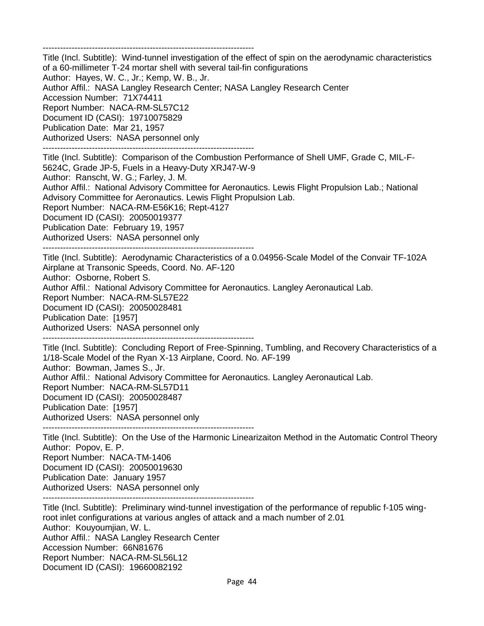------------------------------------------------------------------------- Title (Incl. Subtitle): Wind-tunnel investigation of the effect of spin on the aerodynamic characteristics of a 60-millimeter T-24 mortar shell with several tail-fin configurations Author: Hayes, W. C., Jr.; Kemp, W. B., Jr. Author Affil.: NASA Langley Research Center; NASA Langley Research Center Accession Number: 71X74411 Report Number: NACA-RM-SL57C12 Document ID (CASI): 19710075829 Publication Date: Mar 21, 1957 Authorized Users: NASA personnel only ------------------------------------------------------------------------- Title (Incl. Subtitle): Comparison of the Combustion Performance of Shell UMF, Grade C, MIL-F-5624C, Grade JP-5, Fuels in a Heavy-Duty XRJ47-W-9 Author: Ranscht, W. G.; Farley, J. M. Author Affil.: National Advisory Committee for Aeronautics. Lewis Flight Propulsion Lab.; National Advisory Committee for Aeronautics. Lewis Flight Propulsion Lab. Report Number: NACA-RM-E56K16; Rept-4127 Document ID (CASI): 20050019377 Publication Date: February 19, 1957 Authorized Users: NASA personnel only ------------------------------------------------------------------------- Title (Incl. Subtitle): Aerodynamic Characteristics of a 0.04956-Scale Model of the Convair TF-102A Airplane at Transonic Speeds, Coord. No. AF-120 Author: Osborne, Robert S. Author Affil.: National Advisory Committee for Aeronautics. Langley Aeronautical Lab. Report Number: NACA-RM-SL57E22 Document ID (CASI): 20050028481 Publication Date: [1957] Authorized Users: NASA personnel only ------------------------------------------------------------------------- Title (Incl. Subtitle): Concluding Report of Free-Spinning, Tumbling, and Recovery Characteristics of a 1/18-Scale Model of the Ryan X-13 Airplane, Coord. No. AF-199 Author: Bowman, James S., Jr. Author Affil.: National Advisory Committee for Aeronautics. Langley Aeronautical Lab. Report Number: NACA-RM-SL57D11 Document ID (CASI): 20050028487 Publication Date: [1957] Authorized Users: NASA personnel only ------------------------------------------------------------------------- Title (Incl. Subtitle): On the Use of the Harmonic Linearizaiton Method in the Automatic Control Theory Author: Popov, E. P. Report Number: NACA-TM-1406 Document ID (CASI): 20050019630 Publication Date: January 1957 Authorized Users: NASA personnel only ------------------------------------------------------------------------- Title (Incl. Subtitle): Preliminary wind-tunnel investigation of the performance of republic f-105 wingroot inlet configurations at various angles of attack and a mach number of 2.01 Author: Kouyoumjian, W. L. Author Affil.: NASA Langley Research Center Accession Number: 66N81676 Report Number: NACA-RM-SL56L12 Document ID (CASI): 19660082192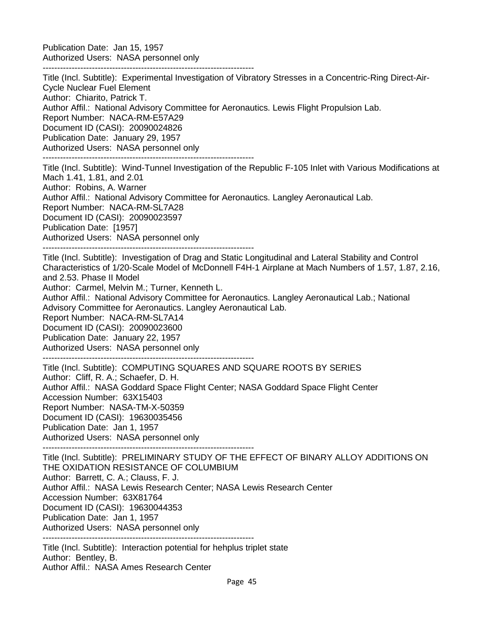Publication Date: Jan 15, 1957 Authorized Users: NASA personnel only

-------------------------------------------------------------------------

Title (Incl. Subtitle): Experimental Investigation of Vibratory Stresses in a Concentric-Ring Direct-Air-Cycle Nuclear Fuel Element Author: Chiarito, Patrick T. Author Affil.: National Advisory Committee for Aeronautics. Lewis Flight Propulsion Lab. Report Number: NACA-RM-E57A29 Document ID (CASI): 20090024826 Publication Date: January 29, 1957 Authorized Users: NASA personnel only ------------------------------------------------------------------------- Title (Incl. Subtitle): Wind-Tunnel Investigation of the Republic F-105 Inlet with Various Modifications at Mach 1.41, 1.81, and 2.01 Author: Robins, A. Warner Author Affil.: National Advisory Committee for Aeronautics. Langley Aeronautical Lab. Report Number: NACA-RM-SL7A28 Document ID (CASI): 20090023597 Publication Date: [1957] Authorized Users: NASA personnel only ------------------------------------------------------------------------- Title (Incl. Subtitle): Investigation of Drag and Static Longitudinal and Lateral Stability and Control Characteristics of 1/20-Scale Model of McDonnell F4H-1 Airplane at Mach Numbers of 1.57, 1.87, 2.16, and 2.53. Phase II Model Author: Carmel, Melvin M.; Turner, Kenneth L. Author Affil.: National Advisory Committee for Aeronautics. Langley Aeronautical Lab.; National Advisory Committee for Aeronautics. Langley Aeronautical Lab. Report Number: NACA-RM-SL7A14 Document ID (CASI): 20090023600 Publication Date: January 22, 1957 Authorized Users: NASA personnel only ------------------------------------------------------------------------- Title (Incl. Subtitle): COMPUTING SQUARES AND SQUARE ROOTS BY SERIES Author: Cliff, R. A.; Schaefer, D. H. Author Affil.: NASA Goddard Space Flight Center; NASA Goddard Space Flight Center Accession Number: 63X15403 Report Number: NASA-TM-X-50359 Document ID (CASI): 19630035456 Publication Date: Jan 1, 1957 Authorized Users: NASA personnel only ------------------------------------------------------------------------- Title (Incl. Subtitle): PRELIMINARY STUDY OF THE EFFECT OF BINARY ALLOY ADDITIONS ON THE OXIDATION RESISTANCE OF COLUMBIUM Author: Barrett, C. A.; Clauss, F. J. Author Affil.: NASA Lewis Research Center; NASA Lewis Research Center Accession Number: 63X81764 Document ID (CASI): 19630044353 Publication Date: Jan 1, 1957 Authorized Users: NASA personnel only ------------------------------------------------------------------------- Title (Incl. Subtitle): Interaction potential for hehplus triplet state Author: Bentley, B. Author Affil.: NASA Ames Research Center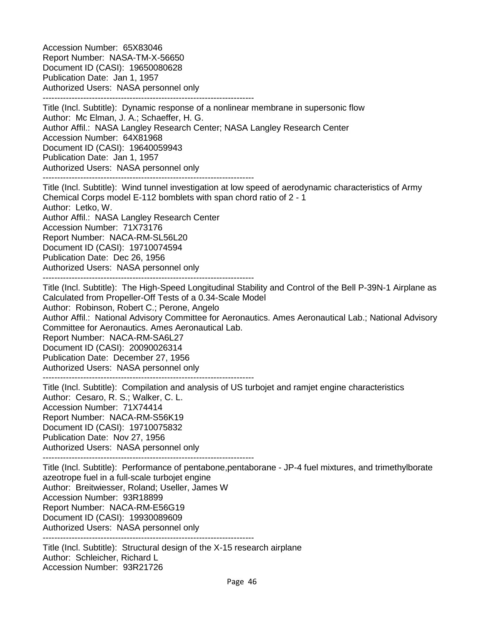Accession Number: 65X83046 Report Number: NASA-TM-X-56650 Document ID (CASI): 19650080628 Publication Date: Jan 1, 1957 Authorized Users: NASA personnel only

-------------------------------------------------------------------------

Title (Incl. Subtitle): Dynamic response of a nonlinear membrane in supersonic flow Author: Mc Elman, J. A.; Schaeffer, H. G. Author Affil.: NASA Langley Research Center; NASA Langley Research Center Accession Number: 64X81968 Document ID (CASI): 19640059943 Publication Date: Jan 1, 1957 Authorized Users: NASA personnel only -------------------------------------------------------------------------

Title (Incl. Subtitle): Wind tunnel investigation at low speed of aerodynamic characteristics of Army Chemical Corps model E-112 bomblets with span chord ratio of 2 - 1 Author: Letko, W. Author Affil.: NASA Langley Research Center Accession Number: 71X73176 Report Number: NACA-RM-SL56L20 Document ID (CASI): 19710074594 Publication Date: Dec 26, 1956 Authorized Users: NASA personnel only -------------------------------------------------------------------------

Title (Incl. Subtitle): The High-Speed Longitudinal Stability and Control of the Bell P-39N-1 Airplane as Calculated from Propeller-Off Tests of a 0.34-Scale Model Author: Robinson, Robert C.; Perone, Angelo Author Affil.: National Advisory Committee for Aeronautics. Ames Aeronautical Lab.; National Advisory Committee for Aeronautics. Ames Aeronautical Lab. Report Number: NACA-RM-SA6L27 Document ID (CASI): 20090026314 Publication Date: December 27, 1956 Authorized Users: NASA personnel only

-------------------------------------------------------------------------

Title (Incl. Subtitle): Compilation and analysis of US turbojet and ramjet engine characteristics Author: Cesaro, R. S.; Walker, C. L. Accession Number: 71X74414 Report Number: NACA-RM-S56K19 Document ID (CASI): 19710075832 Publication Date: Nov 27, 1956 Authorized Users: NASA personnel only -------------------------------------------------------------------------

Title (Incl. Subtitle): Performance of pentabone,pentaborane - JP-4 fuel mixtures, and trimethylborate azeotrope fuel in a full-scale turbojet engine Author: Breitwiesser, Roland; Useller, James W Accession Number: 93R18899 Report Number: NACA-RM-E56G19 Document ID (CASI): 19930089609 Authorized Users: NASA personnel only -------------------------------------------------------------------------

Title (Incl. Subtitle): Structural design of the X-15 research airplane Author: Schleicher, Richard L Accession Number: 93R21726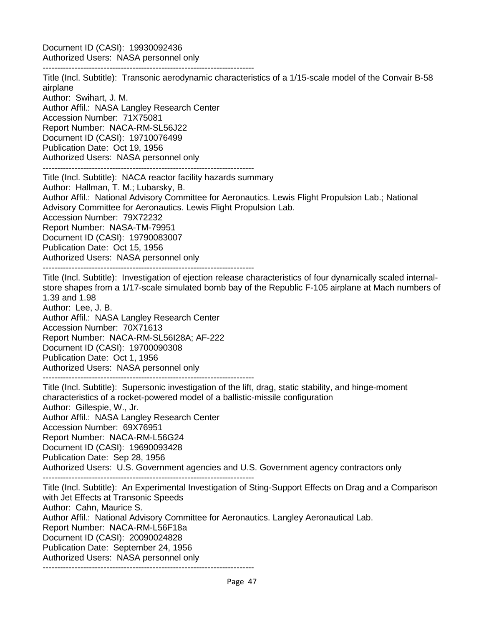Document ID (CASI): 19930092436 Authorized Users: NASA personnel only

-------------------------------------------------------------------------

Title (Incl. Subtitle): Transonic aerodynamic characteristics of a 1/15-scale model of the Convair B-58 airplane Author: Swihart, J. M. Author Affil.: NASA Langley Research Center Accession Number: 71X75081 Report Number: NACA-RM-SL56J22 Document ID (CASI): 19710076499 Publication Date: Oct 19, 1956 Authorized Users: NASA personnel only ------------------------------------------------------------------------- Title (Incl. Subtitle): NACA reactor facility hazards summary Author: Hallman, T. M.; Lubarsky, B. Author Affil.: National Advisory Committee for Aeronautics. Lewis Flight Propulsion Lab.; National Advisory Committee for Aeronautics. Lewis Flight Propulsion Lab. Accession Number: 79X72232 Report Number: NASA-TM-79951 Document ID (CASI): 19790083007 Publication Date: Oct 15, 1956 Authorized Users: NASA personnel only ------------------------------------------------------------------------- Title (Incl. Subtitle): Investigation of ejection release characteristics of four dynamically scaled internalstore shapes from a 1/17-scale simulated bomb bay of the Republic F-105 airplane at Mach numbers of 1.39 and 1.98 Author: Lee, J. B. Author Affil.: NASA Langley Research Center Accession Number: 70X71613 Report Number: NACA-RM-SL56I28A; AF-222 Document ID (CASI): 19700090308 Publication Date: Oct 1, 1956 Authorized Users: NASA personnel only ------------------------------------------------------------------------- Title (Incl. Subtitle): Supersonic investigation of the lift, drag, static stability, and hinge-moment characteristics of a rocket-powered model of a ballistic-missile configuration Author: Gillespie, W., Jr. Author Affil.: NASA Langley Research Center Accession Number: 69X76951 Report Number: NACA-RM-L56G24

Publication Date: Sep 28, 1956 Authorized Users: U.S. Government agencies and U.S. Government agency contractors only

-------------------------------------------------------------------------

Document ID (CASI): 19690093428

Title (Incl. Subtitle): An Experimental Investigation of Sting-Support Effects on Drag and a Comparison with Jet Effects at Transonic Speeds Author: Cahn, Maurice S. Author Affil.: National Advisory Committee for Aeronautics. Langley Aeronautical Lab. Report Number: NACA-RM-L56F18a Document ID (CASI): 20090024828 Publication Date: September 24, 1956 Authorized Users: NASA personnel only -------------------------------------------------------------------------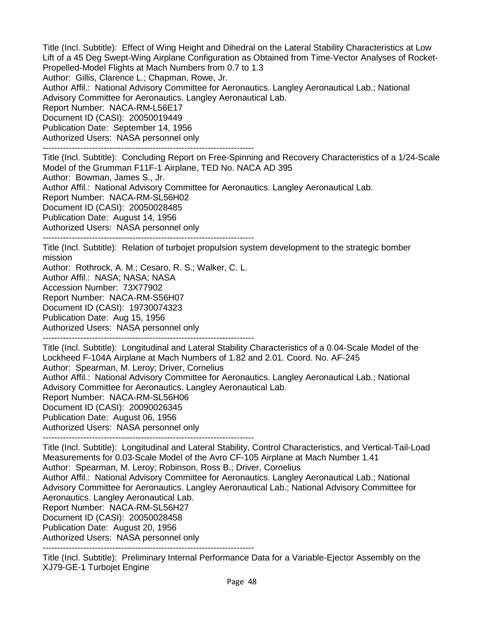Title (Incl. Subtitle): Effect of Wing Height and Dihedral on the Lateral Stability Characteristics at Low Lift of a 45 Deg Swept-Wing Airplane Configuration as Obtained from Time-Vector Analyses of Rocket-Propelled-Model Flights at Mach Numbers from 0.7 to 1.3

Author: Gillis, Clarence L.; Chapman, Rowe, Jr.

Author Affil.: National Advisory Committee for Aeronautics. Langley Aeronautical Lab.; National Advisory Committee for Aeronautics. Langley Aeronautical Lab.

Report Number: NACA-RM-L56E17

Document ID (CASI): 20050019449

Publication Date: September 14, 1956

Authorized Users: NASA personnel only

-------------------------------------------------------------------------

Title (Incl. Subtitle): Concluding Report on Free-Spinning and Recovery Characteristics of a 1/24-Scale Model of the Grumman F11F-1 Airplane, TED No. NACA AD 395

Author: Bowman, James S., Jr.

Author Affil.: National Advisory Committee for Aeronautics. Langley Aeronautical Lab.

Report Number: NACA-RM-SL56H02

Document ID (CASI): 20050028485

Publication Date: August 14, 1956

Authorized Users: NASA personnel only

-------------------------------------------------------------------------

Title (Incl. Subtitle): Relation of turbojet propulsion system development to the strategic bomber mission

Author: Rothrock, A. M.; Cesaro, R. S.; Walker, C. L.

Author Affil.: NASA; NASA; NASA

Accession Number: 73X77902

Report Number: NACA-RM-S56H07

Document ID (CASI): 19730074323

Publication Date: Aug 15, 1956

Authorized Users: NASA personnel only -------------------------------------------------------------------------

Title (Incl. Subtitle): Longitudinal and Lateral Stability Characteristics of a 0.04-Scale Model of the Lockheed F-104A Airplane at Mach Numbers of 1.82 and 2.01. Coord. No. AF-245 Author: Spearman, M. Leroy; Driver, Cornelius Author Affil.: National Advisory Committee for Aeronautics. Langley Aeronautical Lab.; National Advisory Committee for Aeronautics. Langley Aeronautical Lab. Report Number: NACA-RM-SL56H06 Document ID (CASI): 20090026345 Publication Date: August 06, 1956 Authorized Users: NASA personnel only

-------------------------------------------------------------------------

Title (Incl. Subtitle): Longitudinal and Lateral Stability, Control Characteristics, and Vertical-Tail-Load Measurements for 0.03-Scale Model of the Avro CF-105 Airplane at Mach Number 1.41 Author: Spearman, M. Leroy; Robinson, Ross B.; Driver, Cornelius Author Affil.: National Advisory Committee for Aeronautics. Langley Aeronautical Lab.; National Advisory Committee for Aeronautics. Langley Aeronautical Lab.; National Advisory Committee for Aeronautics. Langley Aeronautical Lab. Report Number: NACA-RM-SL56H27 Document ID (CASI): 20050028458 Publication Date: August 20, 1956 Authorized Users: NASA personnel only -------------------------------------------------------------------------

Title (Incl. Subtitle): Preliminary Internal Performance Data for a Variable-Ejector Assembly on the XJ79-GE-1 Turbojet Engine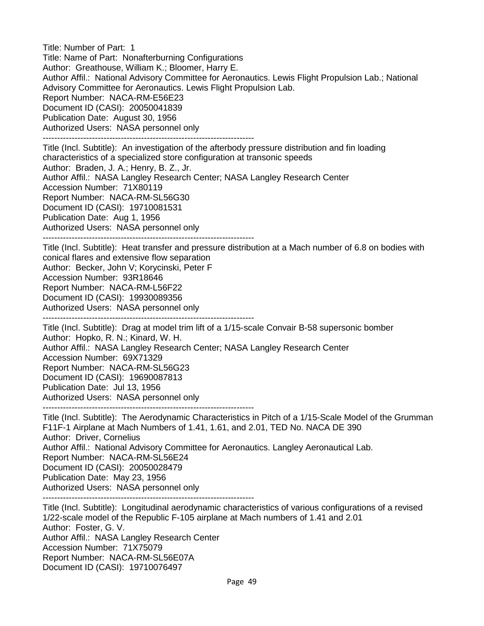Title: Number of Part: 1 Title: Name of Part: Nonafterburning Configurations Author: Greathouse, William K.; Bloomer, Harry E. Author Affil.: National Advisory Committee for Aeronautics. Lewis Flight Propulsion Lab.; National Advisory Committee for Aeronautics. Lewis Flight Propulsion Lab. Report Number: NACA-RM-E56E23 Document ID (CASI): 20050041839 Publication Date: August 30, 1956 Authorized Users: NASA personnel only -------------------------------------------------------------------------

Title (Incl. Subtitle): An investigation of the afterbody pressure distribution and fin loading characteristics of a specialized store configuration at transonic speeds Author: Braden, J. A.; Henry, B. Z., Jr. Author Affil.: NASA Langley Research Center; NASA Langley Research Center Accession Number: 71X80119 Report Number: NACA-RM-SL56G30 Document ID (CASI): 19710081531 Publication Date: Aug 1, 1956 Authorized Users: NASA personnel only

-------------------------------------------------------------------------

Title (Incl. Subtitle): Heat transfer and pressure distribution at a Mach number of 6.8 on bodies with conical flares and extensive flow separation Author: Becker, John V; Korycinski, Peter F Accession Number: 93R18646 Report Number: NACA-RM-L56F22 Document ID (CASI): 19930089356 Authorized Users: NASA personnel only -------------------------------------------------------------------------

Title (Incl. Subtitle): Drag at model trim lift of a 1/15-scale Convair B-58 supersonic bomber Author: Hopko, R. N.; Kinard, W. H. Author Affil.: NASA Langley Research Center; NASA Langley Research Center Accession Number: 69X71329 Report Number: NACA-RM-SL56G23 Document ID (CASI): 19690087813 Publication Date: Jul 13, 1956 Authorized Users: NASA personnel only -------------------------------------------------------------------------

Title (Incl. Subtitle): The Aerodynamic Characteristics in Pitch of a 1/15-Scale Model of the Grumman F11F-1 Airplane at Mach Numbers of 1.41, 1.61, and 2.01, TED No. NACA DE 390 Author: Driver, Cornelius Author Affil.: National Advisory Committee for Aeronautics. Langley Aeronautical Lab. Report Number: NACA-RM-SL56E24 Document ID (CASI): 20050028479 Publication Date: May 23, 1956 Authorized Users: NASA personnel only -------------------------------------------------------------------------

Title (Incl. Subtitle): Longitudinal aerodynamic characteristics of various configurations of a revised 1/22-scale model of the Republic F-105 airplane at Mach numbers of 1.41 and 2.01 Author: Foster, G. V. Author Affil.: NASA Langley Research Center Accession Number: 71X75079 Report Number: NACA-RM-SL56E07A Document ID (CASI): 19710076497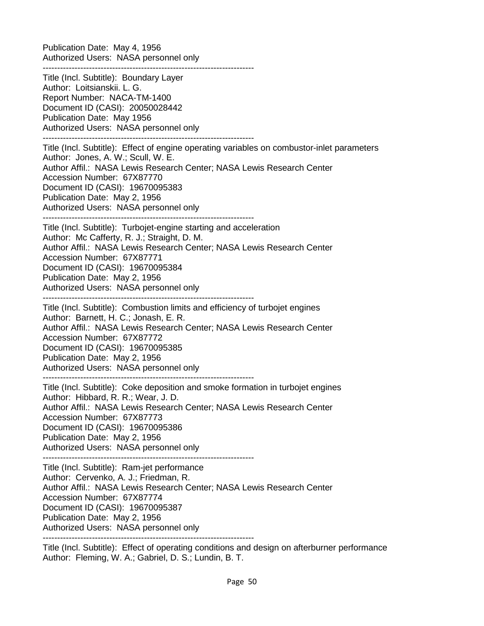Publication Date: May 4, 1956 Authorized Users: NASA personnel only -------------------------------------------------------------------------

Title (Incl. Subtitle): Boundary Layer Author: Loitsianskii. L. G. Report Number: NACA-TM-1400 Document ID (CASI): 20050028442 Publication Date: May 1956 Authorized Users: NASA personnel only -------------------------------------------------------------------------

Title (Incl. Subtitle): Effect of engine operating variables on combustor-inlet parameters Author: Jones, A. W.; Scull, W. E. Author Affil.: NASA Lewis Research Center; NASA Lewis Research Center Accession Number: 67X87770 Document ID (CASI): 19670095383 Publication Date: May 2, 1956 Authorized Users: NASA personnel only -------------------------------------------------------------------------

Title (Incl. Subtitle): Turbojet-engine starting and acceleration Author: Mc Cafferty, R. J.; Straight, D. M. Author Affil.: NASA Lewis Research Center; NASA Lewis Research Center Accession Number: 67X87771 Document ID (CASI): 19670095384 Publication Date: May 2, 1956 Authorized Users: NASA personnel only -------------------------------------------------------------------------

Title (Incl. Subtitle): Combustion limits and efficiency of turbojet engines Author: Barnett, H. C.; Jonash, E. R. Author Affil.: NASA Lewis Research Center; NASA Lewis Research Center Accession Number: 67X87772 Document ID (CASI): 19670095385 Publication Date: May 2, 1956 Authorized Users: NASA personnel only -------------------------------------------------------------------------

Title (Incl. Subtitle): Coke deposition and smoke formation in turbojet engines Author: Hibbard, R. R.; Wear, J. D. Author Affil.: NASA Lewis Research Center; NASA Lewis Research Center Accession Number: 67X87773 Document ID (CASI): 19670095386 Publication Date: May 2, 1956 Authorized Users: NASA personnel only

------------------------------------------------------------------------- Title (Incl. Subtitle): Ram-jet performance Author: Cervenko, A. J.; Friedman, R. Author Affil.: NASA Lewis Research Center; NASA Lewis Research Center Accession Number: 67X87774 Document ID (CASI): 19670095387 Publication Date: May 2, 1956 Authorized Users: NASA personnel only -------------------------------------------------------------------------

Title (Incl. Subtitle): Effect of operating conditions and design on afterburner performance Author: Fleming, W. A.; Gabriel, D. S.; Lundin, B. T.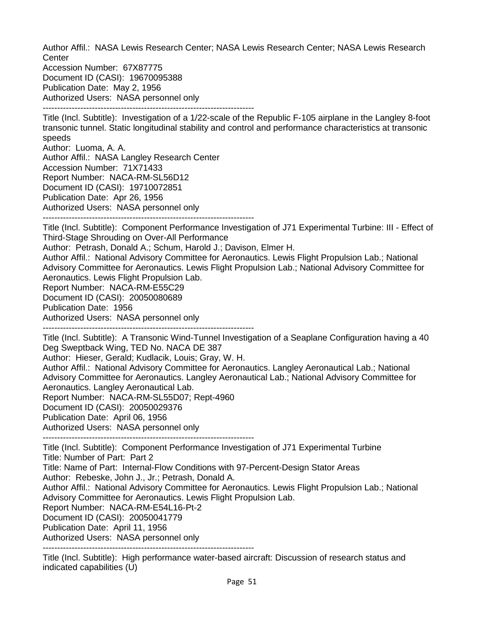Author Affil.: NASA Lewis Research Center; NASA Lewis Research Center; NASA Lewis Research **Center** 

Accession Number: 67X87775 Document ID (CASI): 19670095388 Publication Date: May 2, 1956 Authorized Users: NASA personnel only

-------------------------------------------------------------------------

Title (Incl. Subtitle): Investigation of a 1/22-scale of the Republic F-105 airplane in the Langley 8-foot transonic tunnel. Static longitudinal stability and control and performance characteristics at transonic speeds

Author: Luoma, A. A. Author Affil.: NASA Langley Research Center Accession Number: 71X71433 Report Number: NACA-RM-SL56D12 Document ID (CASI): 19710072851 Publication Date: Apr 26, 1956 Authorized Users: NASA personnel only -------------------------------------------------------------------------

Title (Incl. Subtitle): Component Performance Investigation of J71 Experimental Turbine: III - Effect of Third-Stage Shrouding on Over-All Performance

Author: Petrash, Donald A.; Schum, Harold J.; Davison, Elmer H.

Author Affil.: National Advisory Committee for Aeronautics. Lewis Flight Propulsion Lab.; National Advisory Committee for Aeronautics. Lewis Flight Propulsion Lab.; National Advisory Committee for Aeronautics. Lewis Flight Propulsion Lab.

Report Number: NACA-RM-E55C29

Document ID (CASI): 20050080689

Publication Date: 1956

Authorized Users: NASA personnel only

-------------------------------------------------------------------------

Title (Incl. Subtitle): A Transonic Wind-Tunnel Investigation of a Seaplane Configuration having a 40 Deg Sweptback Wing, TED No. NACA DE 387

Author: Hieser, Gerald; Kudlacik, Louis; Gray, W. H.

Author Affil.: National Advisory Committee for Aeronautics. Langley Aeronautical Lab.; National Advisory Committee for Aeronautics. Langley Aeronautical Lab.; National Advisory Committee for Aeronautics. Langley Aeronautical Lab.

Report Number: NACA-RM-SL55D07; Rept-4960

Document ID (CASI): 20050029376

Publication Date: April 06, 1956

Authorized Users: NASA personnel only

-------------------------------------------------------------------------

Title (Incl. Subtitle): Component Performance Investigation of J71 Experimental Turbine Title: Number of Part: Part 2 Title: Name of Part: Internal-Flow Conditions with 97-Percent-Design Stator Areas

Author: Rebeske, John J., Jr.; Petrash, Donald A.

Author Affil.: National Advisory Committee for Aeronautics. Lewis Flight Propulsion Lab.; National Advisory Committee for Aeronautics. Lewis Flight Propulsion Lab.

Report Number: NACA-RM-E54L16-Pt-2

Document ID (CASI): 20050041779

Publication Date: April 11, 1956

Authorized Users: NASA personnel only

-------------------------------------------------------------------------

Title (Incl. Subtitle): High performance water-based aircraft: Discussion of research status and indicated capabilities (U)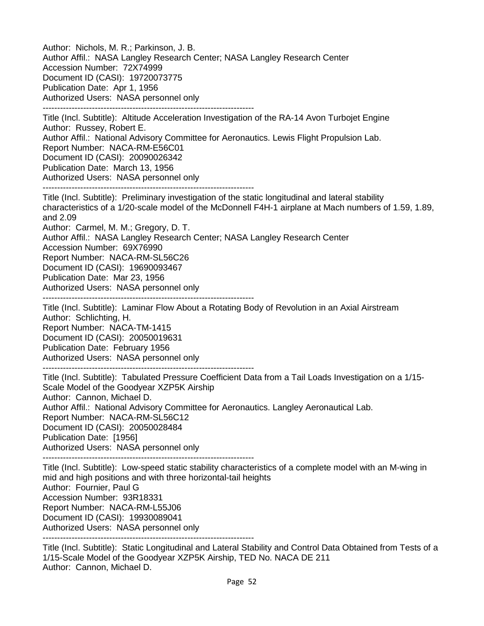Author: Nichols, M. R.; Parkinson, J. B. Author Affil.: NASA Langley Research Center; NASA Langley Research Center Accession Number: 72X74999 Document ID (CASI): 19720073775 Publication Date: Apr 1, 1956 Authorized Users: NASA personnel only ------------------------------------------------------------------------- Title (Incl. Subtitle): Altitude Acceleration Investigation of the RA-14 Avon Turbojet Engine Author: Russey, Robert E. Author Affil.: National Advisory Committee for Aeronautics. Lewis Flight Propulsion Lab.

Report Number: NACA-RM-E56C01

Document ID (CASI): 20090026342

Publication Date: March 13, 1956

Authorized Users: NASA personnel only

-------------------------------------------------------------------------

Title (Incl. Subtitle): Preliminary investigation of the static longitudinal and lateral stability characteristics of a 1/20-scale model of the McDonnell F4H-1 airplane at Mach numbers of 1.59, 1.89, and 2.09

Author: Carmel, M. M.; Gregory, D. T.

Author Affil.: NASA Langley Research Center; NASA Langley Research Center

Accession Number: 69X76990

Report Number: NACA-RM-SL56C26

Document ID (CASI): 19690093467

Publication Date: Mar 23, 1956

Authorized Users: NASA personnel only

-------------------------------------------------------------------------

Title (Incl. Subtitle): Laminar Flow About a Rotating Body of Revolution in an Axial Airstream Author: Schlichting, H. Report Number: NACA-TM-1415 Document ID (CASI): 20050019631 Publication Date: February 1956 Authorized Users: NASA personnel only

-------------------------------------------------------------------------

Title (Incl. Subtitle): Tabulated Pressure Coefficient Data from a Tail Loads Investigation on a 1/15- Scale Model of the Goodyear XZP5K Airship Author: Cannon, Michael D. Author Affil.: National Advisory Committee for Aeronautics. Langley Aeronautical Lab. Report Number: NACA-RM-SL56C12 Document ID (CASI): 20050028484 Publication Date: [1956] Authorized Users: NASA personnel only

-------------------------------------------------------------------------

Title (Incl. Subtitle): Low-speed static stability characteristics of a complete model with an M-wing in mid and high positions and with three horizontal-tail heights Author: Fournier, Paul G Accession Number: 93R18331 Report Number: NACA-RM-L55J06 Document ID (CASI): 19930089041 Authorized Users: NASA personnel only

-------------------------------------------------------------------------

Title (Incl. Subtitle): Static Longitudinal and Lateral Stability and Control Data Obtained from Tests of a 1/15-Scale Model of the Goodyear XZP5K Airship, TED No. NACA DE 211 Author: Cannon, Michael D.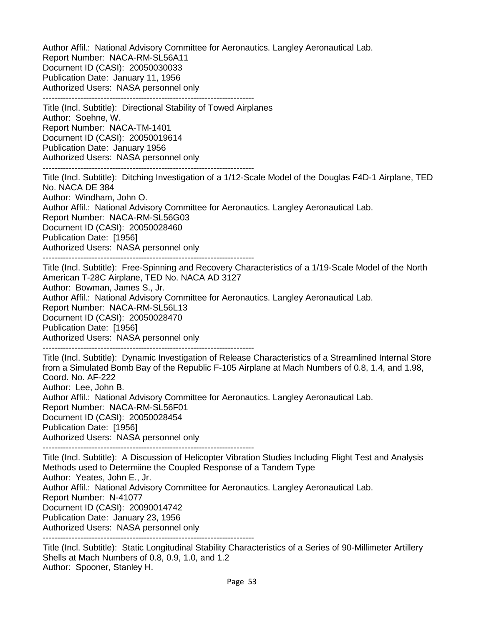Author Affil.: National Advisory Committee for Aeronautics. Langley Aeronautical Lab. Report Number: NACA-RM-SL56A11 Document ID (CASI): 20050030033 Publication Date: January 11, 1956 Authorized Users: NASA personnel only -------------------------------------------------------------------------

Title (Incl. Subtitle): Directional Stability of Towed Airplanes Author: Soehne, W. Report Number: NACA-TM-1401 Document ID (CASI): 20050019614 Publication Date: January 1956 Authorized Users: NASA personnel only -------------------------------------------------------------------------

Title (Incl. Subtitle): Ditching Investigation of a 1/12-Scale Model of the Douglas F4D-1 Airplane, TED No. NACA DE 384 Author: Windham, John O. Author Affil.: National Advisory Committee for Aeronautics. Langley Aeronautical Lab. Report Number: NACA-RM-SL56G03 Document ID (CASI): 20050028460 Publication Date: [1956] Authorized Users: NASA personnel only -------------------------------------------------------------------------

Title (Incl. Subtitle): Free-Spinning and Recovery Characteristics of a 1/19-Scale Model of the North American T-28C Airplane, TED No. NACA AD 3127 Author: Bowman, James S., Jr. Author Affil.: National Advisory Committee for Aeronautics. Langley Aeronautical Lab. Report Number: NACA-RM-SL56L13 Document ID (CASI): 20050028470 Publication Date: [1956] Authorized Users: NASA personnel only -------------------------------------------------------------------------

Title (Incl. Subtitle): Dynamic Investigation of Release Characteristics of a Streamlined Internal Store from a Simulated Bomb Bay of the Republic F-105 Airplane at Mach Numbers of 0.8, 1.4, and 1.98, Coord. No. AF-222 Author: Lee, John B. Author Affil.: National Advisory Committee for Aeronautics. Langley Aeronautical Lab. Report Number: NACA-RM-SL56F01 Document ID (CASI): 20050028454 Publication Date: [1956] Authorized Users: NASA personnel only

-------------------------------------------------------------------------

Title (Incl. Subtitle): A Discussion of Helicopter Vibration Studies Including Flight Test and Analysis Methods used to Determiine the Coupled Response of a Tandem Type Author: Yeates, John E., Jr. Author Affil.: National Advisory Committee for Aeronautics. Langley Aeronautical Lab. Report Number: N-41077 Document ID (CASI): 20090014742 Publication Date: January 23, 1956 Authorized Users: NASA personnel only -------------------------------------------------------------------------

Title (Incl. Subtitle): Static Longitudinal Stability Characteristics of a Series of 90-Millimeter Artillery Shells at Mach Numbers of 0.8, 0.9, 1.0, and 1.2 Author: Spooner, Stanley H.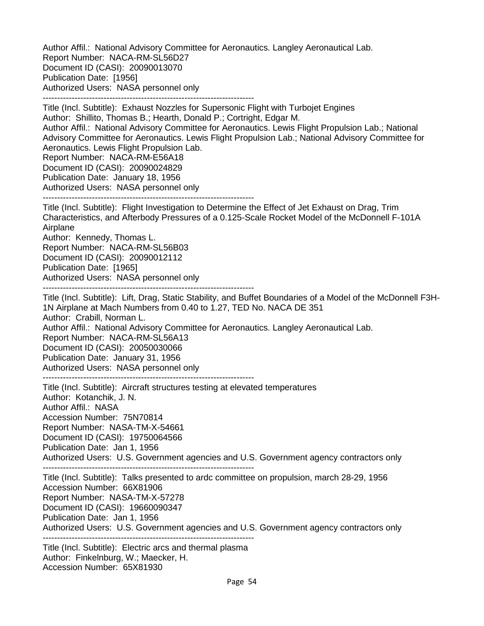Author Affil.: National Advisory Committee for Aeronautics. Langley Aeronautical Lab. Report Number: NACA-RM-SL56D27 Document ID (CASI): 20090013070 Publication Date: [1956] Authorized Users: NASA personnel only -------------------------------------------------------------------------

Title (Incl. Subtitle): Exhaust Nozzles for Supersonic Flight with Turbojet Engines Author: Shillito, Thomas B.; Hearth, Donald P.; Cortright, Edgar M. Author Affil.: National Advisory Committee for Aeronautics. Lewis Flight Propulsion Lab.; National Advisory Committee for Aeronautics. Lewis Flight Propulsion Lab.; National Advisory Committee for Aeronautics. Lewis Flight Propulsion Lab. Report Number: NACA-RM-E56A18 Document ID (CASI): 20090024829 Publication Date: January 18, 1956 Authorized Users: NASA personnel only

-------------------------------------------------------------------------

Title (Incl. Subtitle): Flight Investigation to Determine the Effect of Jet Exhaust on Drag, Trim Characteristics, and Afterbody Pressures of a 0.125-Scale Rocket Model of the McDonnell F-101A Airplane

Author: Kennedy, Thomas L. Report Number: NACA-RM-SL56B03 Document ID (CASI): 20090012112 Publication Date: [1965] Authorized Users: NASA personnel only

-------------------------------------------------------------------------

Title (Incl. Subtitle): Lift, Drag, Static Stability, and Buffet Boundaries of a Model of the McDonnell F3H-1N Airplane at Mach Numbers from 0.40 to 1.27, TED No. NACA DE 351 Author: Crabill, Norman L. Author Affil.: National Advisory Committee for Aeronautics. Langley Aeronautical Lab. Report Number: NACA-RM-SL56A13 Document ID (CASI): 20050030066 Publication Date: January 31, 1956 Authorized Users: NASA personnel only

-------------------------------------------------------------------------

Title (Incl. Subtitle): Aircraft structures testing at elevated temperatures Author: Kotanchik, J. N. Author Affil.: NASA Accession Number: 75N70814 Report Number: NASA-TM-X-54661 Document ID (CASI): 19750064566 Publication Date: Jan 1, 1956 Authorized Users: U.S. Government agencies and U.S. Government agency contractors only -------------------------------------------------------------------------

Title (Incl. Subtitle): Talks presented to ardc committee on propulsion, march 28-29, 1956 Accession Number: 66X81906 Report Number: NASA-TM-X-57278 Document ID (CASI): 19660090347 Publication Date: Jan 1, 1956 Authorized Users: U.S. Government agencies and U.S. Government agency contractors only -------------------------------------------------------------------------

Title (Incl. Subtitle): Electric arcs and thermal plasma Author: Finkelnburg, W.; Maecker, H. Accession Number: 65X81930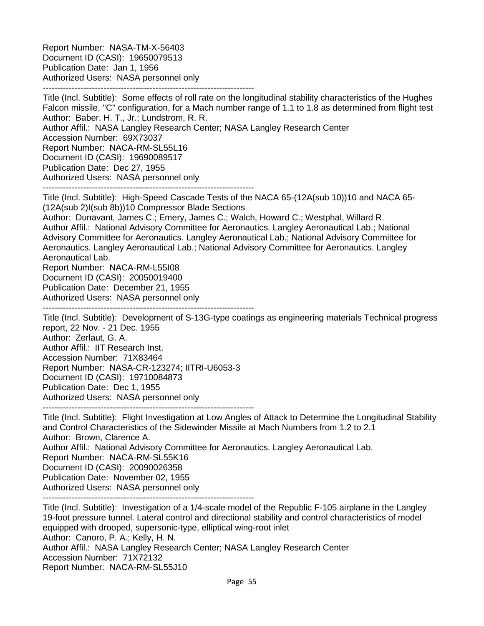Report Number: NASA-TM-X-56403 Document ID (CASI): 19650079513 Publication Date: Jan 1, 1956 Authorized Users: NASA personnel only -------------------------------------------------------------------------

Title (Incl. Subtitle): Some effects of roll rate on the longitudinal stability characteristics of the Hughes Falcon missile, ''C'' configuration, for a Mach number range of 1.1 to 1.8 as determined from flight test Author: Baber, H. T., Jr.; Lundstrom, R. R. Author Affil.: NASA Langley Research Center; NASA Langley Research Center Accession Number: 69X73037 Report Number: NACA-RM-SL55L16 Document ID (CASI): 19690089517 Publication Date: Dec 27, 1955 Authorized Users: NASA personnel only -------------------------------------------------------------------------

Title (Incl. Subtitle): High-Speed Cascade Tests of the NACA 65-(12A(sub 10))10 and NACA 65- (12A(sub 2)I(sub 8b))10 Compressor Blade Sections

Author: Dunavant, James C.; Emery, James C.; Walch, Howard C.; Westphal, Willard R. Author Affil.: National Advisory Committee for Aeronautics. Langley Aeronautical Lab.; National Advisory Committee for Aeronautics. Langley Aeronautical Lab.; National Advisory Committee for Aeronautics. Langley Aeronautical Lab.; National Advisory Committee for Aeronautics. Langley Aeronautical Lab.

Report Number: NACA-RM-L55I08

Document ID (CASI): 20050019400

Publication Date: December 21, 1955

Authorized Users: NASA personnel only

-------------------------------------------------------------------------

Title (Incl. Subtitle): Development of S-13G-type coatings as engineering materials Technical progress report, 22 Nov. - 21 Dec. 1955 Author: Zerlaut, G. A.

Author Affil.: IIT Research Inst. Accession Number: 71X83464 Report Number: NASA-CR-123274; IITRI-U6053-3 Document ID (CASI): 19710084873 Publication Date: Dec 1, 1955 Authorized Users: NASA personnel only

-------------------------------------------------------------------------

Title (Incl. Subtitle): Flight Investigation at Low Angles of Attack to Determine the Longitudinal Stability and Control Characteristics of the Sidewinder Missile at Mach Numbers from 1.2 to 2.1 Author: Brown, Clarence A. Author Affil.: National Advisory Committee for Aeronautics. Langley Aeronautical Lab. Report Number: NACA-RM-SL55K16 Document ID (CASI): 20090026358 Publication Date: November 02, 1955 Authorized Users: NASA personnel only -------------------------------------------------------------------------

Title (Incl. Subtitle): Investigation of a 1/4-scale model of the Republic F-105 airplane in the Langley 19-foot pressure tunnel. Lateral control and directional stability and control characteristics of model equipped with drooped, supersonic-type, elliptical wing-root inlet Author: Canoro, P. A.; Kelly, H. N. Author Affil.: NASA Langley Research Center; NASA Langley Research Center Accession Number: 71X72132 Report Number: NACA-RM-SL55J10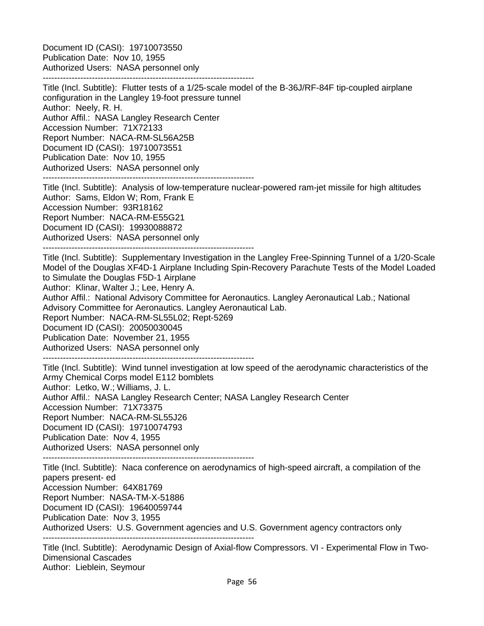Document ID (CASI): 19710073550 Publication Date: Nov 10, 1955 Authorized Users: NASA personnel only -------------------------------------------------------------------------

Title (Incl. Subtitle): Flutter tests of a 1/25-scale model of the B-36J/RF-84F tip-coupled airplane configuration in the Langley 19-foot pressure tunnel Author: Neely, R. H. Author Affil.: NASA Langley Research Center Accession Number: 71X72133 Report Number: NACA-RM-SL56A25B Document ID (CASI): 19710073551 Publication Date: Nov 10, 1955 Authorized Users: NASA personnel only

-------------------------------------------------------------------------

Title (Incl. Subtitle): Analysis of low-temperature nuclear-powered ram-jet missile for high altitudes Author: Sams, Eldon W; Rom, Frank E Accession Number: 93R18162 Report Number: NACA-RM-E55G21 Document ID (CASI): 19930088872 Authorized Users: NASA personnel only

-------------------------------------------------------------------------

Title (Incl. Subtitle): Supplementary Investigation in the Langley Free-Spinning Tunnel of a 1/20-Scale Model of the Douglas XF4D-1 Airplane Including Spin-Recovery Parachute Tests of the Model Loaded to Simulate the Douglas F5D-1 Airplane

Author: Klinar, Walter J.; Lee, Henry A.

Author Affil.: National Advisory Committee for Aeronautics. Langley Aeronautical Lab.; National Advisory Committee for Aeronautics. Langley Aeronautical Lab.

Report Number: NACA-RM-SL55L02; Rept-5269

Document ID (CASI): 20050030045

Publication Date: November 21, 1955

Authorized Users: NASA personnel only

-------------------------------------------------------------------------

Title (Incl. Subtitle): Wind tunnel investigation at low speed of the aerodynamic characteristics of the Army Chemical Corps model E112 bomblets Author: Letko, W.; Williams, J. L. Author Affil.: NASA Langley Research Center; NASA Langley Research Center Accession Number: 71X73375 Report Number: NACA-RM-SL55J26 Document ID (CASI): 19710074793 Publication Date: Nov 4, 1955 Authorized Users: NASA personnel only

-------------------------------------------------------------------------

Title (Incl. Subtitle): Naca conference on aerodynamics of high-speed aircraft, a compilation of the papers present- ed Accession Number: 64X81769

Report Number: NASA-TM-X-51886

Document ID (CASI): 19640059744

Publication Date: Nov 3, 1955

Authorized Users: U.S. Government agencies and U.S. Government agency contractors only

-------------------------------------------------------------------------

Title (Incl. Subtitle): Aerodynamic Design of Axial-flow Compressors. VI - Experimental Flow in Two-Dimensional Cascades Author: Lieblein, Seymour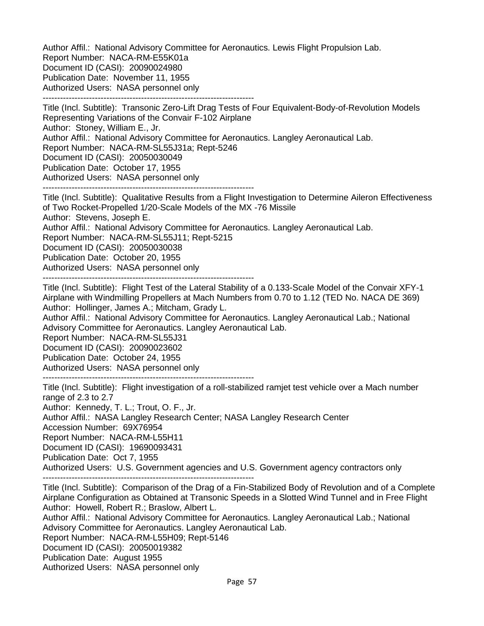Author Affil.: National Advisory Committee for Aeronautics. Lewis Flight Propulsion Lab. Report Number: NACA-RM-E55K01a Document ID (CASI): 20090024980 Publication Date: November 11, 1955 Authorized Users: NASA personnel only -------------------------------------------------------------------------

Title (Incl. Subtitle): Transonic Zero-Lift Drag Tests of Four Equivalent-Body-of-Revolution Models Representing Variations of the Convair F-102 Airplane Author: Stoney, William E., Jr. Author Affil.: National Advisory Committee for Aeronautics. Langley Aeronautical Lab. Report Number: NACA-RM-SL55J31a; Rept-5246 Document ID (CASI): 20050030049 Publication Date: October 17, 1955 Authorized Users: NASA personnel only -------------------------------------------------------------------------

Title (Incl. Subtitle): Qualitative Results from a Flight Investigation to Determine Aileron Effectiveness of Two Rocket-Propelled 1/20-Scale Models of the MX -76 Missile Author: Stevens, Joseph E. Author Affil.: National Advisory Committee for Aeronautics. Langley Aeronautical Lab. Report Number: NACA-RM-SL55J11; Rept-5215 Document ID (CASI): 20050030038 Publication Date: October 20, 1955

Authorized Users: NASA personnel only

-------------------------------------------------------------------------

Title (Incl. Subtitle): Flight Test of the Lateral Stability of a 0.133-Scale Model of the Convair XFY-1 Airplane with Windmilling Propellers at Mach Numbers from 0.70 to 1.12 (TED No. NACA DE 369) Author: Hollinger, James A.; Mitcham, Grady L.

Author Affil.: National Advisory Committee for Aeronautics. Langley Aeronautical Lab.; National Advisory Committee for Aeronautics. Langley Aeronautical Lab.

Report Number: NACA-RM-SL55J31

Document ID (CASI): 20090023602

Publication Date: October 24, 1955

Authorized Users: NASA personnel only

-------------------------------------------------------------------------

Title (Incl. Subtitle): Flight investigation of a roll-stabilized ramjet test vehicle over a Mach number range of 2.3 to 2.7 Author: Kennedy, T. L.; Trout, O. F., Jr.

Author Affil.: NASA Langley Research Center; NASA Langley Research Center

Accession Number: 69X76954

Report Number: NACA-RM-L55H11

Document ID (CASI): 19690093431

Publication Date: Oct 7, 1955

Authorized Users: U.S. Government agencies and U.S. Government agency contractors only

-------------------------------------------------------------------------

Title (Incl. Subtitle): Comparison of the Drag of a Fin-Stabilized Body of Revolution and of a Complete Airplane Configuration as Obtained at Transonic Speeds in a Slotted Wind Tunnel and in Free Flight Author: Howell, Robert R.; Braslow, Albert L.

Author Affil.: National Advisory Committee for Aeronautics. Langley Aeronautical Lab.; National Advisory Committee for Aeronautics. Langley Aeronautical Lab.

Report Number: NACA-RM-L55H09; Rept-5146

Document ID (CASI): 20050019382

Publication Date: August 1955

Authorized Users: NASA personnel only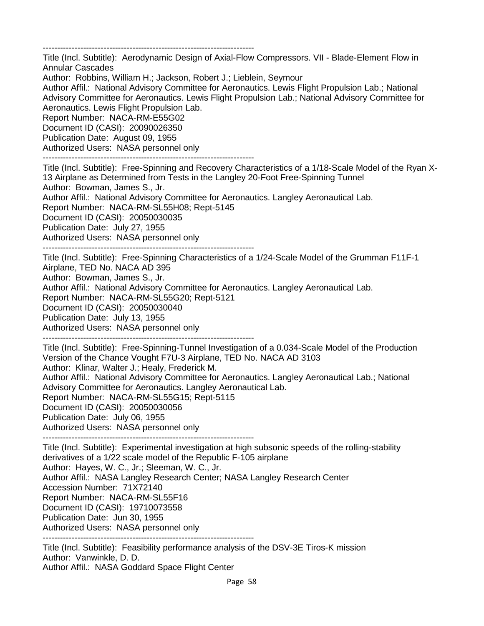-------------------------------------------------------------------------

Title (Incl. Subtitle): Aerodynamic Design of Axial-Flow Compressors. VII - Blade-Element Flow in Annular Cascades

Author: Robbins, William H.; Jackson, Robert J.; Lieblein, Seymour

Author Affil.: National Advisory Committee for Aeronautics. Lewis Flight Propulsion Lab.; National Advisory Committee for Aeronautics. Lewis Flight Propulsion Lab.; National Advisory Committee for Aeronautics. Lewis Flight Propulsion Lab.

Report Number: NACA-RM-E55G02 Document ID (CASI): 20090026350

Publication Date: August 09, 1955

Authorized Users: NASA personnel only -------------------------------------------------------------------------

Title (Incl. Subtitle): Free-Spinning and Recovery Characteristics of a 1/18-Scale Model of the Ryan X-

13 Airplane as Determined from Tests in the Langley 20-Foot Free-Spinning Tunnel

Author: Bowman, James S., Jr.

Author Affil.: National Advisory Committee for Aeronautics. Langley Aeronautical Lab.

Report Number: NACA-RM-SL55H08; Rept-5145

Document ID (CASI): 20050030035

Publication Date: July 27, 1955

Authorized Users: NASA personnel only

-------------------------------------------------------------------------

Title (Incl. Subtitle): Free-Spinning Characteristics of a 1/24-Scale Model of the Grumman F11F-1

Airplane, TED No. NACA AD 395 Author: Bowman, James S., Jr.

Author Affil.: National Advisory Committee for Aeronautics. Langley Aeronautical Lab.

Report Number: NACA-RM-SL55G20; Rept-5121

Document ID (CASI): 20050030040

Publication Date: July 13, 1955

Authorized Users: NASA personnel only -------------------------------------------------------------------------

Title (Incl. Subtitle): Free-Spinning-Tunnel Investigation of a 0.034-Scale Model of the Production Version of the Chance Vought F7U-3 Airplane, TED No. NACA AD 3103 Author: Klinar, Walter J.; Healy, Frederick M. Author Affil.: National Advisory Committee for Aeronautics. Langley Aeronautical Lab.; National Advisory Committee for Aeronautics. Langley Aeronautical Lab. Report Number: NACA-RM-SL55G15; Rept-5115 Document ID (CASI): 20050030056 Publication Date: July 06, 1955 Authorized Users: NASA personnel only

-------------------------------------------------------------------------

Title (Incl. Subtitle): Experimental investigation at high subsonic speeds of the rolling-stability derivatives of a 1/22 scale model of the Republic F-105 airplane Author: Hayes, W. C., Jr.; Sleeman, W. C., Jr. Author Affil.: NASA Langley Research Center; NASA Langley Research Center Accession Number: 71X72140 Report Number: NACA-RM-SL55F16 Document ID (CASI): 19710073558 Publication Date: Jun 30, 1955 Authorized Users: NASA personnel only -------------------------------------------------------------------------

Title (Incl. Subtitle): Feasibility performance analysis of the DSV-3E Tiros-K mission Author: Vanwinkle, D. D. Author Affil.: NASA Goddard Space Flight Center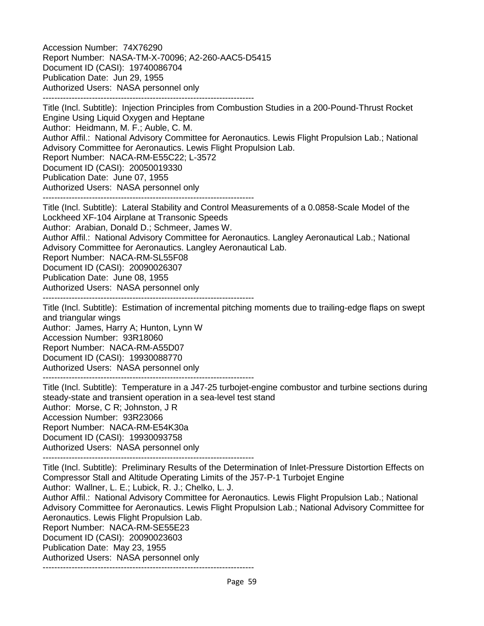Accession Number: 74X76290 Report Number: NASA-TM-X-70096; A2-260-AAC5-D5415 Document ID (CASI): 19740086704 Publication Date: Jun 29, 1955 Authorized Users: NASA personnel only -------------------------------------------------------------------------

Title (Incl. Subtitle): Injection Principles from Combustion Studies in a 200-Pound-Thrust Rocket Engine Using Liquid Oxygen and Heptane Author: Heidmann, M. F.; Auble, C. M. Author Affil.: National Advisory Committee for Aeronautics. Lewis Flight Propulsion Lab.; National Advisory Committee for Aeronautics. Lewis Flight Propulsion Lab. Report Number: NACA-RM-E55C22; L-3572 Document ID (CASI): 20050019330 Publication Date: June 07, 1955 Authorized Users: NASA personnel only

-------------------------------------------------------------------------

Title (Incl. Subtitle): Lateral Stability and Control Measurements of a 0.0858-Scale Model of the Lockheed XF-104 Airplane at Transonic Speeds Author: Arabian, Donald D.; Schmeer, James W.

Author Affil.: National Advisory Committee for Aeronautics. Langley Aeronautical Lab.; National Advisory Committee for Aeronautics. Langley Aeronautical Lab.

Report Number: NACA-RM-SL55F08

Document ID (CASI): 20090026307

Publication Date: June 08, 1955

Authorized Users: NASA personnel only

-------------------------------------------------------------------------

Title (Incl. Subtitle): Estimation of incremental pitching moments due to trailing-edge flaps on swept and triangular wings

Author: James, Harry A; Hunton, Lynn W Accession Number: 93R18060 Report Number: NACA-RM-A55D07 Document ID (CASI): 19930088770 Authorized Users: NASA personnel only

-------------------------------------------------------------------------

Title (Incl. Subtitle): Temperature in a J47-25 turbojet-engine combustor and turbine sections during steady-state and transient operation in a sea-level test stand Author: Morse, C R; Johnston, J R Accession Number: 93R23066 Report Number: NACA-RM-E54K30a Document ID (CASI): 19930093758 Authorized Users: NASA personnel only

-------------------------------------------------------------------------

Title (Incl. Subtitle): Preliminary Results of the Determination of Inlet-Pressure Distortion Effects on Compressor Stall and Altitude Operating Limits of the J57-P-1 Turbojet Engine

Author: Wallner, L. E.; Lubick, R. J.; Chelko, L. J.

Author Affil.: National Advisory Committee for Aeronautics. Lewis Flight Propulsion Lab.; National Advisory Committee for Aeronautics. Lewis Flight Propulsion Lab.; National Advisory Committee for Aeronautics. Lewis Flight Propulsion Lab.

Report Number: NACA-RM-SE55E23

Document ID (CASI): 20090023603

Publication Date: May 23, 1955

Authorized Users: NASA personnel only -------------------------------------------------------------------------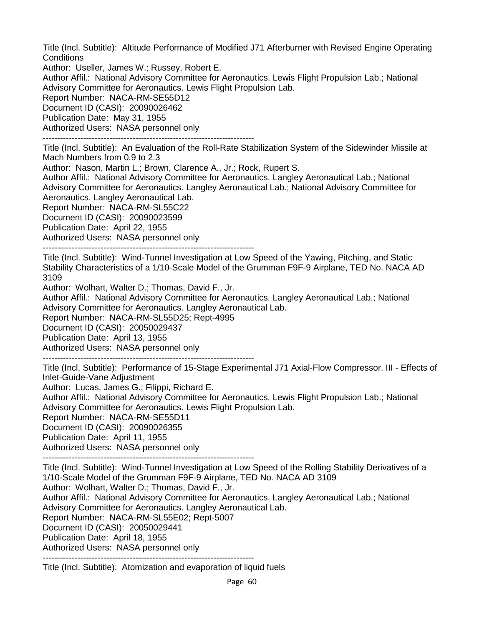Title (Incl. Subtitle): Altitude Performance of Modified J71 Afterburner with Revised Engine Operating **Conditions** 

Author: Useller, James W.; Russey, Robert E.

Author Affil.: National Advisory Committee for Aeronautics. Lewis Flight Propulsion Lab.; National Advisory Committee for Aeronautics. Lewis Flight Propulsion Lab.

Report Number: NACA-RM-SE55D12

Document ID (CASI): 20090026462

Publication Date: May 31, 1955

Authorized Users: NASA personnel only

-------------------------------------------------------------------------

Title (Incl. Subtitle): An Evaluation of the Roll-Rate Stabilization System of the Sidewinder Missile at Mach Numbers from 0.9 to 2.3

Author: Nason, Martin L.; Brown, Clarence A., Jr.; Rock, Rupert S.

Author Affil.: National Advisory Committee for Aeronautics. Langley Aeronautical Lab.; National Advisory Committee for Aeronautics. Langley Aeronautical Lab.; National Advisory Committee for Aeronautics. Langley Aeronautical Lab.

Report Number: NACA-RM-SL55C22

Document ID (CASI): 20090023599

Publication Date: April 22, 1955

Authorized Users: NASA personnel only

-------------------------------------------------------------------------

Title (Incl. Subtitle): Wind-Tunnel Investigation at Low Speed of the Yawing, Pitching, and Static Stability Characteristics of a 1/10-Scale Model of the Grumman F9F-9 Airplane, TED No. NACA AD 3109

Author: Wolhart, Walter D.; Thomas, David F., Jr.

Author Affil.: National Advisory Committee for Aeronautics. Langley Aeronautical Lab.; National Advisory Committee for Aeronautics. Langley Aeronautical Lab.

Report Number: NACA-RM-SL55D25; Rept-4995

Document ID (CASI): 20050029437

Publication Date: April 13, 1955

Authorized Users: NASA personnel only

-------------------------------------------------------------------------

Title (Incl. Subtitle): Performance of 15-Stage Experimental J71 Axial-Flow Compressor. III - Effects of Inlet-Guide-Vane Adjustment

Author: Lucas, James G.; Filippi, Richard E.

Author Affil.: National Advisory Committee for Aeronautics. Lewis Flight Propulsion Lab.; National Advisory Committee for Aeronautics. Lewis Flight Propulsion Lab.

Report Number: NACA-RM-SE55D11

Document ID (CASI): 20090026355

Publication Date: April 11, 1955

Authorized Users: NASA personnel only

-------------------------------------------------------------------------

Title (Incl. Subtitle): Wind-Tunnel Investigation at Low Speed of the Rolling Stability Derivatives of a 1/10-Scale Model of the Grumman F9F-9 Airplane, TED No. NACA AD 3109

Author: Wolhart, Walter D.; Thomas, David F., Jr.

Author Affil.: National Advisory Committee for Aeronautics. Langley Aeronautical Lab.; National Advisory Committee for Aeronautics. Langley Aeronautical Lab.

Report Number: NACA-RM-SL55E02; Rept-5007

Document ID (CASI): 20050029441

Publication Date: April 18, 1955

Authorized Users: NASA personnel only

-------------------------------------------------------------------------

Title (Incl. Subtitle): Atomization and evaporation of liquid fuels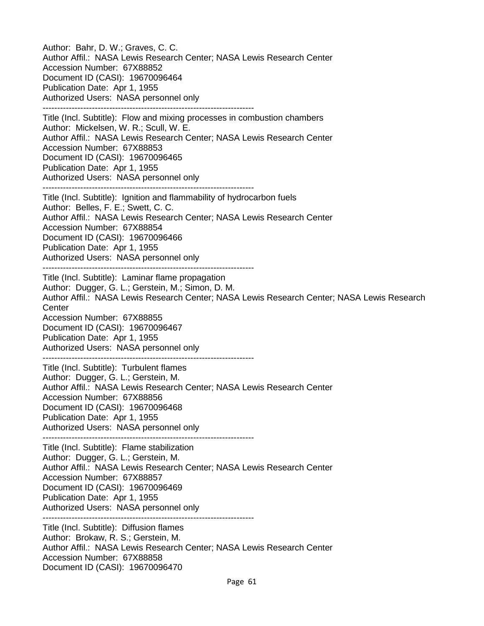Author: Bahr, D. W.; Graves, C. C. Author Affil.: NASA Lewis Research Center; NASA Lewis Research Center Accession Number: 67X88852 Document ID (CASI): 19670096464 Publication Date: Apr 1, 1955 Authorized Users: NASA personnel only ------------------------------------------------------------------------- Title (Incl. Subtitle): Flow and mixing processes in combustion chambers Author: Mickelsen, W. R.; Scull, W. E. Author Affil.: NASA Lewis Research Center; NASA Lewis Research Center Accession Number: 67X88853 Document ID (CASI): 19670096465 Publication Date: Apr 1, 1955 Authorized Users: NASA personnel only ------------------------------------------------------------------------- Title (Incl. Subtitle): Ignition and flammability of hydrocarbon fuels Author: Belles, F. E.; Swett, C. C. Author Affil.: NASA Lewis Research Center; NASA Lewis Research Center Accession Number: 67X88854 Document ID (CASI): 19670096466 Publication Date: Apr 1, 1955 Authorized Users: NASA personnel only ------------------------------------------------------------------------- Title (Incl. Subtitle): Laminar flame propagation Author: Dugger, G. L.; Gerstein, M.; Simon, D. M. Author Affil.: NASA Lewis Research Center; NASA Lewis Research Center; NASA Lewis Research **Center** Accession Number: 67X88855 Document ID (CASI): 19670096467 Publication Date: Apr 1, 1955 Authorized Users: NASA personnel only ------------------------------------------------------------------------- Title (Incl. Subtitle): Turbulent flames Author: Dugger, G. L.; Gerstein, M. Author Affil.: NASA Lewis Research Center; NASA Lewis Research Center Accession Number: 67X88856 Document ID (CASI): 19670096468 Publication Date: Apr 1, 1955 Authorized Users: NASA personnel only ------------------------------------------------------------------------- Title (Incl. Subtitle): Flame stabilization Author: Dugger, G. L.; Gerstein, M. Author Affil.: NASA Lewis Research Center; NASA Lewis Research Center Accession Number: 67X88857 Document ID (CASI): 19670096469 Publication Date: Apr 1, 1955 Authorized Users: NASA personnel only ------------------------------------------------------------------------- Title (Incl. Subtitle): Diffusion flames Author: Brokaw, R. S.; Gerstein, M. Author Affil.: NASA Lewis Research Center; NASA Lewis Research Center Accession Number: 67X88858 Document ID (CASI): 19670096470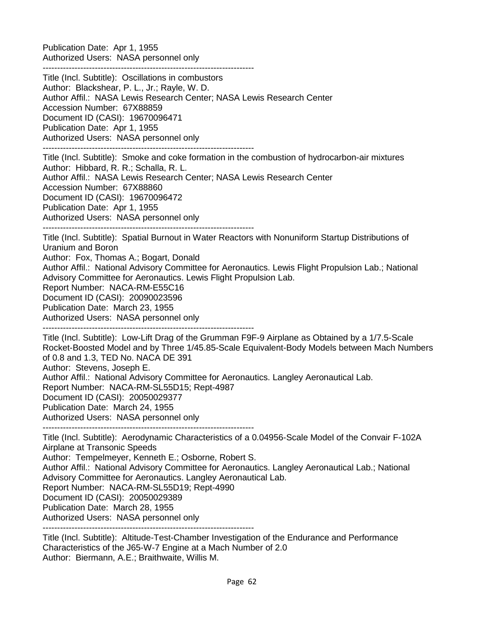Publication Date: Apr 1, 1955 Authorized Users: NASA personnel only

------------------------------------------------------------------------- Title (Incl. Subtitle): Oscillations in combustors Author: Blackshear, P. L., Jr.; Rayle, W. D. Author Affil.: NASA Lewis Research Center; NASA Lewis Research Center Accession Number: 67X88859 Document ID (CASI): 19670096471 Publication Date: Apr 1, 1955 Authorized Users: NASA personnel only ------------------------------------------------------------------------- Title (Incl. Subtitle): Smoke and coke formation in the combustion of hydrocarbon-air mixtures Author: Hibbard, R. R.; Schalla, R. L. Author Affil.: NASA Lewis Research Center; NASA Lewis Research Center Accession Number: 67X88860 Document ID (CASI): 19670096472 Publication Date: Apr 1, 1955 Authorized Users: NASA personnel only ------------------------------------------------------------------------- Title (Incl. Subtitle): Spatial Burnout in Water Reactors with Nonuniform Startup Distributions of Uranium and Boron Author: Fox, Thomas A.; Bogart, Donald Author Affil.: National Advisory Committee for Aeronautics. Lewis Flight Propulsion Lab.; National Advisory Committee for Aeronautics. Lewis Flight Propulsion Lab. Report Number: NACA-RM-E55C16 Document ID (CASI): 20090023596 Publication Date: March 23, 1955 Authorized Users: NASA personnel only ------------------------------------------------------------------------- Title (Incl. Subtitle): Low-Lift Drag of the Grumman F9F-9 Airplane as Obtained by a 1/7.5-Scale Rocket-Boosted Model and by Three 1/45.85-Scale Equivalent-Body Models between Mach Numbers of 0.8 and 1.3, TED No. NACA DE 391 Author: Stevens, Joseph E. Author Affil.: National Advisory Committee for Aeronautics. Langley Aeronautical Lab. Report Number: NACA-RM-SL55D15; Rept-4987 Document ID (CASI): 20050029377 Publication Date: March 24, 1955 Authorized Users: NASA personnel only ------------------------------------------------------------------------- Title (Incl. Subtitle): Aerodynamic Characteristics of a 0.04956-Scale Model of the Convair F-102A

Airplane at Transonic Speeds Author: Tempelmeyer, Kenneth E.; Osborne, Robert S. Author Affil.: National Advisory Committee for Aeronautics. Langley Aeronautical Lab.; National Advisory Committee for Aeronautics. Langley Aeronautical Lab. Report Number: NACA-RM-SL55D19; Rept-4990 Document ID (CASI): 20050029389 Publication Date: March 28, 1955 Authorized Users: NASA personnel only -------------------------------------------------------------------------

Title (Incl. Subtitle): Altitude-Test-Chamber Investigation of the Endurance and Performance Characteristics of the J65-W-7 Engine at a Mach Number of 2.0 Author: Biermann, A.E.; Braithwaite, Willis M.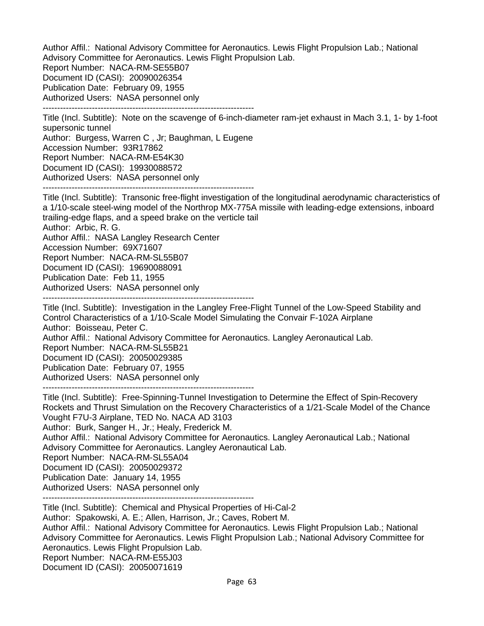Author Affil.: National Advisory Committee for Aeronautics. Lewis Flight Propulsion Lab.; National Advisory Committee for Aeronautics. Lewis Flight Propulsion Lab. Report Number: NACA-RM-SE55B07 Document ID (CASI): 20090026354 Publication Date: February 09, 1955 Authorized Users: NASA personnel only

-------------------------------------------------------------------------

Title (Incl. Subtitle): Note on the scavenge of 6-inch-diameter ram-jet exhaust in Mach 3.1, 1- by 1-foot supersonic tunnel

Author: Burgess, Warren C , Jr; Baughman, L Eugene Accession Number: 93R17862 Report Number: NACA-RM-E54K30 Document ID (CASI): 19930088572 Authorized Users: NASA personnel only -------------------------------------------------------------------------

Title (Incl. Subtitle): Transonic free-flight investigation of the longitudinal aerodynamic characteristics of a 1/10-scale steel-wing model of the Northrop MX-775A missile with leading-edge extensions, inboard trailing-edge flaps, and a speed brake on the verticle tail Author: Arbic, R. G.

Author Affil.: NASA Langley Research Center Accession Number: 69X71607 Report Number: NACA-RM-SL55B07 Document ID (CASI): 19690088091 Publication Date: Feb 11, 1955 Authorized Users: NASA personnel only

-------------------------------------------------------------------------

Title (Incl. Subtitle): Investigation in the Langley Free-Flight Tunnel of the Low-Speed Stability and Control Characteristics of a 1/10-Scale Model Simulating the Convair F-102A Airplane Author: Boisseau, Peter C. Author Affil.: National Advisory Committee for Aeronautics. Langley Aeronautical Lab. Report Number: NACA-RM-SL55B21 Document ID (CASI): 20050029385 Publication Date: February 07, 1955 Authorized Users: NASA personnel only -------------------------------------------------------------------------

Title (Incl. Subtitle): Free-Spinning-Tunnel Investigation to Determine the Effect of Spin-Recovery Rockets and Thrust Simulation on the Recovery Characteristics of a 1/21-Scale Model of the Chance Vought F7U-3 Airplane, TED No. NACA AD 3103 Author: Burk, Sanger H., Jr.; Healy, Frederick M. Author Affil.: National Advisory Committee for Aeronautics. Langley Aeronautical Lab.; National Advisory Committee for Aeronautics. Langley Aeronautical Lab. Report Number: NACA-RM-SL55A04 Document ID (CASI): 20050029372 Publication Date: January 14, 1955 Authorized Users: NASA personnel only

-------------------------------------------------------------------------

Title (Incl. Subtitle): Chemical and Physical Properties of Hi-Cal-2 Author: Spakowski, A. E.; Allen, Harrison, Jr.; Caves, Robert M. Author Affil.: National Advisory Committee for Aeronautics. Lewis Flight Propulsion Lab.; National Advisory Committee for Aeronautics. Lewis Flight Propulsion Lab.; National Advisory Committee for Aeronautics. Lewis Flight Propulsion Lab. Report Number: NACA-RM-E55J03 Document ID (CASI): 20050071619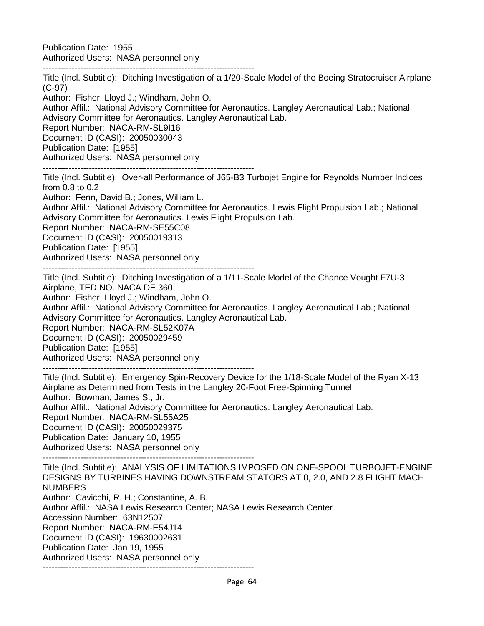Publication Date: 1955 Authorized Users: NASA personnel only

-------------------------------------------------------------------------

Title (Incl. Subtitle): Ditching Investigation of a 1/20-Scale Model of the Boeing Stratocruiser Airplane (C-97) Author: Fisher, Lloyd J.; Windham, John O. Author Affil.: National Advisory Committee for Aeronautics. Langley Aeronautical Lab.; National Advisory Committee for Aeronautics. Langley Aeronautical Lab. Report Number: NACA-RM-SL9I16 Document ID (CASI): 20050030043 Publication Date: [1955] Authorized Users: NASA personnel only

-------------------------------------------------------------------------

Title (Incl. Subtitle): Over-all Performance of J65-B3 Turbojet Engine for Reynolds Number Indices from 0.8 to 0.2

Author: Fenn, David B.; Jones, William L.

Author Affil.: National Advisory Committee for Aeronautics. Lewis Flight Propulsion Lab.; National Advisory Committee for Aeronautics. Lewis Flight Propulsion Lab.

Report Number: NACA-RM-SE55C08

Document ID (CASI): 20050019313

Publication Date: [1955]

Authorized Users: NASA personnel only

-------------------------------------------------------------------------

Title (Incl. Subtitle): Ditching Investigation of a 1/11-Scale Model of the Chance Vought F7U-3 Airplane, TED NO. NACA DE 360

Author: Fisher, Lloyd J.; Windham, John O.

Author Affil.: National Advisory Committee for Aeronautics. Langley Aeronautical Lab.; National Advisory Committee for Aeronautics. Langley Aeronautical Lab.

Report Number: NACA-RM-SL52K07A Document ID (CASI): 20050029459

Publication Date: [1955]

Authorized Users: NASA personnel only

-------------------------------------------------------------------------

Title (Incl. Subtitle): Emergency Spin-Recovery Device for the 1/18-Scale Model of the Ryan X-13 Airplane as Determined from Tests in the Langley 20-Foot Free-Spinning Tunnel Author: Bowman, James S., Jr. Author Affil.: National Advisory Committee for Aeronautics. Langley Aeronautical Lab. Report Number: NACA-RM-SL55A25 Document ID (CASI): 20050029375 Publication Date: January 10, 1955 Authorized Users: NASA personnel only

-------------------------------------------------------------------------

Title (Incl. Subtitle): ANALYSIS OF LIMITATIONS IMPOSED ON ONE-SPOOL TURBOJET-ENGINE DESIGNS BY TURBINES HAVING DOWNSTREAM STATORS AT 0, 2.0, AND 2.8 FLIGHT MACH NUMBERS Author: Cavicchi, R. H.; Constantine, A. B. Author Affil.: NASA Lewis Research Center; NASA Lewis Research Center Accession Number: 63N12507 Report Number: NACA-RM-E54J14 Document ID (CASI): 19630002631 Publication Date: Jan 19, 1955

Authorized Users: NASA personnel only

-------------------------------------------------------------------------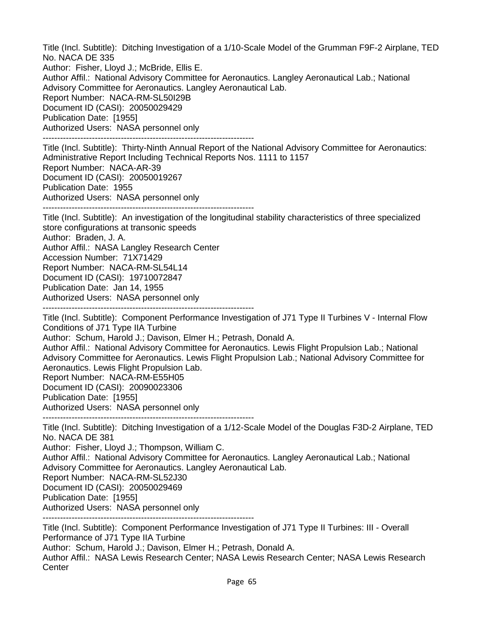Title (Incl. Subtitle): Ditching Investigation of a 1/10-Scale Model of the Grumman F9F-2 Airplane, TED No. NACA DE 335 Author: Fisher, Lloyd J.; McBride, Ellis E. Author Affil.: National Advisory Committee for Aeronautics. Langley Aeronautical Lab.; National Advisory Committee for Aeronautics. Langley Aeronautical Lab. Report Number: NACA-RM-SL50I29B Document ID (CASI): 20050029429 Publication Date: [1955] Authorized Users: NASA personnel only -------------------------------------------------------------------------

Title (Incl. Subtitle): Thirty-Ninth Annual Report of the National Advisory Committee for Aeronautics: Administrative Report Including Technical Reports Nos. 1111 to 1157 Report Number: NACA-AR-39 Document ID (CASI): 20050019267 Publication Date: 1955 Authorized Users: NASA personnel only -------------------------------------------------------------------------

Title (Incl. Subtitle): An investigation of the longitudinal stability characteristics of three specialized store configurations at transonic speeds Author: Braden, J. A. Author Affil.: NASA Langley Research Center Accession Number: 71X71429 Report Number: NACA-RM-SL54L14 Document ID (CASI): 19710072847 Publication Date: Jan 14, 1955 Authorized Users: NASA personnel only -------------------------------------------------------------------------

Title (Incl. Subtitle): Component Performance Investigation of J71 Type II Turbines V - Internal Flow Conditions of J71 Type IIA Turbine Author: Schum, Harold J.; Davison, Elmer H.; Petrash, Donald A. Author Affil.: National Advisory Committee for Aeronautics. Lewis Flight Propulsion Lab.; National Advisory Committee for Aeronautics. Lewis Flight Propulsion Lab.; National Advisory Committee for Aeronautics. Lewis Flight Propulsion Lab. Report Number: NACA-RM-E55H05 Document ID (CASI): 20090023306 Publication Date: [1955] Authorized Users: NASA personnel only -------------------------------------------------------------------------

Title (Incl. Subtitle): Ditching Investigation of a 1/12-Scale Model of the Douglas F3D-2 Airplane, TED No. NACA DE 381 Author: Fisher, Lloyd J.; Thompson, William C. Author Affil.: National Advisory Committee for Aeronautics. Langley Aeronautical Lab.; National Advisory Committee for Aeronautics. Langley Aeronautical Lab. Report Number: NACA-RM-SL52J30 Document ID (CASI): 20050029469 Publication Date: [1955] Authorized Users: NASA personnel only -------------------------------------------------------------------------

Title (Incl. Subtitle): Component Performance Investigation of J71 Type II Turbines: III - Overall Performance of J71 Type IIA Turbine

Author: Schum, Harold J.; Davison, Elmer H.; Petrash, Donald A.

Author Affil.: NASA Lewis Research Center; NASA Lewis Research Center; NASA Lewis Research **Center**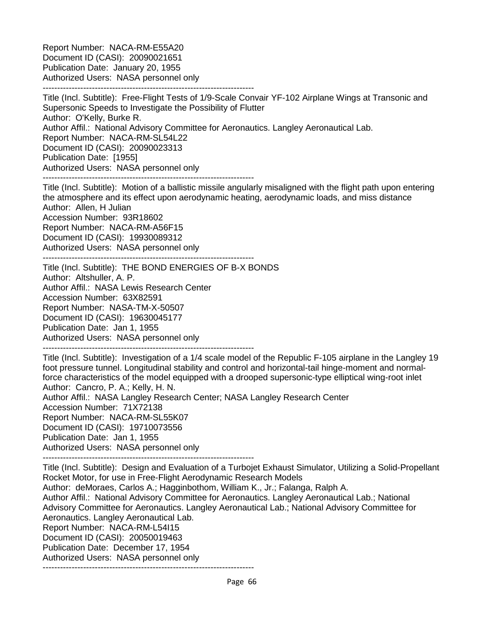Report Number: NACA-RM-E55A20 Document ID (CASI): 20090021651 Publication Date: January 20, 1955 Authorized Users: NASA personnel only -------------------------------------------------------------------------

Title (Incl. Subtitle): Free-Flight Tests of 1/9-Scale Convair YF-102 Airplane Wings at Transonic and Supersonic Speeds to Investigate the Possibility of Flutter Author: O'Kelly, Burke R. Author Affil.: National Advisory Committee for Aeronautics. Langley Aeronautical Lab. Report Number: NACA-RM-SL54L22 Document ID (CASI): 20090023313 Publication Date: [1955] Authorized Users: NASA personnel only -------------------------------------------------------------------------

Title (Incl. Subtitle): Motion of a ballistic missile angularly misaligned with the flight path upon entering the atmosphere and its effect upon aerodynamic heating, aerodynamic loads, and miss distance Author: Allen, H Julian Accession Number: 93R18602 Report Number: NACA-RM-A56F15 Document ID (CASI): 19930089312 Authorized Users: NASA personnel only -------------------------------------------------------------------------

Title (Incl. Subtitle): THE BOND ENERGIES OF B-X BONDS Author: Altshuller, A. P. Author Affil.: NASA Lewis Research Center Accession Number: 63X82591 Report Number: NASA-TM-X-50507 Document ID (CASI): 19630045177 Publication Date: Jan 1, 1955 Authorized Users: NASA personnel only -------------------------------------------------------------------------

Title (Incl. Subtitle): Investigation of a 1/4 scale model of the Republic F-105 airplane in the Langley 19 foot pressure tunnel. Longitudinal stability and control and horizontal-tail hinge-moment and normalforce characteristics of the model equipped with a drooped supersonic-type elliptical wing-root inlet Author: Cancro, P. A.; Kelly, H. N. Author Affil.: NASA Langley Research Center; NASA Langley Research Center

Accession Number: 71X72138 Report Number: NACA-RM-SL55K07 Document ID (CASI): 19710073556 Publication Date: Jan 1, 1955 Authorized Users: NASA personnel only -------------------------------------------------------------------------

Title (Incl. Subtitle): Design and Evaluation of a Turbojet Exhaust Simulator, Utilizing a Solid-Propellant Rocket Motor, for use in Free-Flight Aerodynamic Research Models Author: deMoraes, Carlos A.; Hagginbothom, William K., Jr.; Falanga, Ralph A. Author Affil.: National Advisory Committee for Aeronautics. Langley Aeronautical Lab.; National Advisory Committee for Aeronautics. Langley Aeronautical Lab.; National Advisory Committee for Aeronautics. Langley Aeronautical Lab. Report Number: NACA-RM-L54I15 Document ID (CASI): 20050019463 Publication Date: December 17, 1954 Authorized Users: NASA personnel only -------------------------------------------------------------------------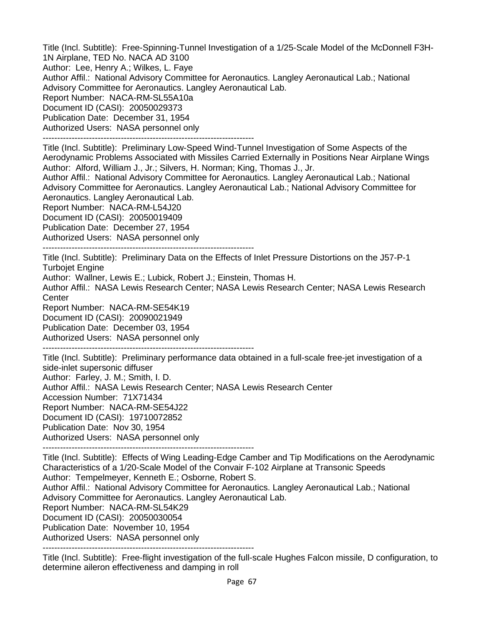Title (Incl. Subtitle): Free-Spinning-Tunnel Investigation of a 1/25-Scale Model of the McDonnell F3H-1N Airplane, TED No. NACA AD 3100 Author: Lee, Henry A.; Wilkes, L. Faye Author Affil.: National Advisory Committee for Aeronautics. Langley Aeronautical Lab.; National Advisory Committee for Aeronautics. Langley Aeronautical Lab. Report Number: NACA-RM-SL55A10a Document ID (CASI): 20050029373 Publication Date: December 31, 1954 Authorized Users: NASA personnel only -------------------------------------------------------------------------

Title (Incl. Subtitle): Preliminary Low-Speed Wind-Tunnel Investigation of Some Aspects of the Aerodynamic Problems Associated with Missiles Carried Externally in Positions Near Airplane Wings Author: Alford, William J., Jr.; Silvers, H. Norman; King, Thomas J., Jr.

Author Affil.: National Advisory Committee for Aeronautics. Langley Aeronautical Lab.; National Advisory Committee for Aeronautics. Langley Aeronautical Lab.; National Advisory Committee for Aeronautics. Langley Aeronautical Lab.

Report Number: NACA-RM-L54J20 Document ID (CASI): 20050019409 Publication Date: December 27, 1954 Authorized Users: NASA personnel only

-------------------------------------------------------------------------

Title (Incl. Subtitle): Preliminary Data on the Effects of Inlet Pressure Distortions on the J57-P-1 Turbojet Engine

Author: Wallner, Lewis E.; Lubick, Robert J.; Einstein, Thomas H.

Author Affil.: NASA Lewis Research Center; NASA Lewis Research Center; NASA Lewis Research **Center** 

Report Number: NACA-RM-SE54K19

Document ID (CASI): 20090021949

Publication Date: December 03, 1954

Authorized Users: NASA personnel only -------------------------------------------------------------------------

Title (Incl. Subtitle): Preliminary performance data obtained in a full-scale free-jet investigation of a side-inlet supersonic diffuser Author: Farley, J. M.; Smith, I. D. Author Affil.: NASA Lewis Research Center; NASA Lewis Research Center Accession Number: 71X71434 Report Number: NACA-RM-SE54J22 Document ID (CASI): 19710072852 Publication Date: Nov 30, 1954 Authorized Users: NASA personnel only

-------------------------------------------------------------------------

Title (Incl. Subtitle): Effects of Wing Leading-Edge Camber and Tip Modifications on the Aerodynamic Characteristics of a 1/20-Scale Model of the Convair F-102 Airplane at Transonic Speeds Author: Tempelmeyer, Kenneth E.; Osborne, Robert S. Author Affil.: National Advisory Committee for Aeronautics. Langley Aeronautical Lab.; National Advisory Committee for Aeronautics. Langley Aeronautical Lab. Report Number: NACA-RM-SL54K29

Document ID (CASI): 20050030054

Publication Date: November 10, 1954

Authorized Users: NASA personnel only

-------------------------------------------------------------------------

Title (Incl. Subtitle): Free-flight investigation of the full-scale Hughes Falcon missile, D configuration, to determine aileron effectiveness and damping in roll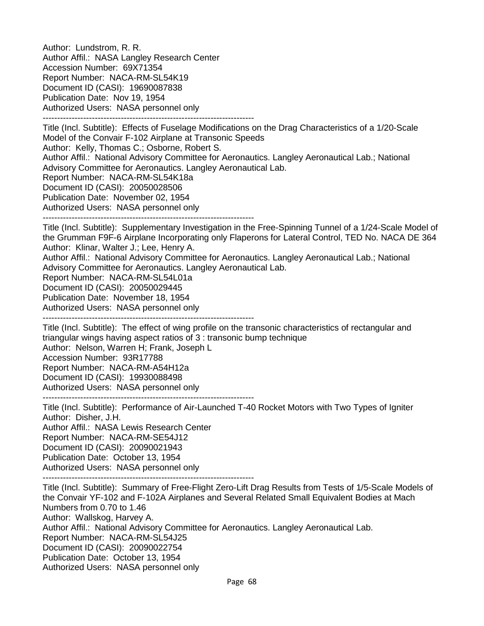Author: Lundstrom, R. R. Author Affil.: NASA Langley Research Center Accession Number: 69X71354 Report Number: NACA-RM-SL54K19 Document ID (CASI): 19690087838 Publication Date: Nov 19, 1954 Authorized Users: NASA personnel only -------------------------------------------------------------------------

Title (Incl. Subtitle): Effects of Fuselage Modifications on the Drag Characteristics of a 1/20-Scale Model of the Convair F-102 Airplane at Transonic Speeds Author: Kelly, Thomas C.; Osborne, Robert S. Author Affil.: National Advisory Committee for Aeronautics. Langley Aeronautical Lab.; National Advisory Committee for Aeronautics. Langley Aeronautical Lab. Report Number: NACA-RM-SL54K18a Document ID (CASI): 20050028506 Publication Date: November 02, 1954 Authorized Users: NASA personnel only -------------------------------------------------------------------------

Title (Incl. Subtitle): Supplementary Investigation in the Free-Spinning Tunnel of a 1/24-Scale Model of the Grumman F9F-6 Airplane Incorporating only Flaperons for Lateral Control, TED No. NACA DE 364 Author: Klinar, Walter J.; Lee, Henry A.

Author Affil.: National Advisory Committee for Aeronautics. Langley Aeronautical Lab.; National Advisory Committee for Aeronautics. Langley Aeronautical Lab.

Report Number: NACA-RM-SL54L01a

Document ID (CASI): 20050029445

Publication Date: November 18, 1954

Authorized Users: NASA personnel only

-------------------------------------------------------------------------

Title (Incl. Subtitle): The effect of wing profile on the transonic characteristics of rectangular and triangular wings having aspect ratios of 3 : transonic bump technique Author: Nelson, Warren H; Frank, Joseph L

Accession Number: 93R17788 Report Number: NACA-RM-A54H12a

Document ID (CASI): 19930088498

Authorized Users: NASA personnel only

-------------------------------------------------------------------------

Title (Incl. Subtitle): Performance of Air-Launched T-40 Rocket Motors with Two Types of Igniter Author: Disher, J.H. Author Affil.: NASA Lewis Research Center Report Number: NACA-RM-SE54J12 Document ID (CASI): 20090021943 Publication Date: October 13, 1954 Authorized Users: NASA personnel only

-------------------------------------------------------------------------

Title (Incl. Subtitle): Summary of Free-Flight Zero-Lift Drag Results from Tests of 1/5-Scale Models of the Convair YF-102 and F-102A Airplanes and Several Related Small Equivalent Bodies at Mach Numbers from 0.70 to 1.46 Author: Wallskog, Harvey A. Author Affil.: National Advisory Committee for Aeronautics. Langley Aeronautical Lab. Report Number: NACA-RM-SL54J25 Document ID (CASI): 20090022754 Publication Date: October 13, 1954 Authorized Users: NASA personnel only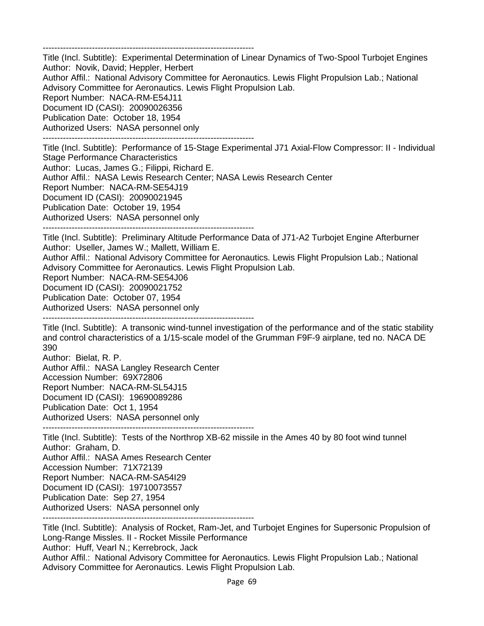-------------------------------------------------------------------------

Title (Incl. Subtitle): Experimental Determination of Linear Dynamics of Two-Spool Turbojet Engines Author: Novik, David; Heppler, Herbert Author Affil.: National Advisory Committee for Aeronautics. Lewis Flight Propulsion Lab.; National Advisory Committee for Aeronautics. Lewis Flight Propulsion Lab. Report Number: NACA-RM-E54J11 Document ID (CASI): 20090026356 Publication Date: October 18, 1954 Authorized Users: NASA personnel only -------------------------------------------------------------------------

Title (Incl. Subtitle): Performance of 15-Stage Experimental J71 Axial-Flow Compressor: II - Individual Stage Performance Characteristics Author: Lucas, James G.; Filippi, Richard E. Author Affil.: NASA Lewis Research Center; NASA Lewis Research Center Report Number: NACA-RM-SE54J19 Document ID (CASI): 20090021945 Publication Date: October 19, 1954 Authorized Users: NASA personnel only

-------------------------------------------------------------------------

Title (Incl. Subtitle): Preliminary Altitude Performance Data of J71-A2 Turbojet Engine Afterburner Author: Useller, James W.; Mallett, William E.

Author Affil.: National Advisory Committee for Aeronautics. Lewis Flight Propulsion Lab.; National Advisory Committee for Aeronautics. Lewis Flight Propulsion Lab.

Report Number: NACA-RM-SE54J06

Document ID (CASI): 20090021752

Publication Date: October 07, 1954

Authorized Users: NASA personnel only

-------------------------------------------------------------------------

Title (Incl. Subtitle): A transonic wind-tunnel investigation of the performance and of the static stability and control characteristics of a 1/15-scale model of the Grumman F9F-9 airplane, ted no. NACA DE 390

Author: Bielat, R. P. Author Affil.: NASA Langley Research Center Accession Number: 69X72806 Report Number: NACA-RM-SL54J15 Document ID (CASI): 19690089286 Publication Date: Oct 1, 1954 Authorized Users: NASA personnel only

-------------------------------------------------------------------------

Title (Incl. Subtitle): Tests of the Northrop XB-62 missile in the Ames 40 by 80 foot wind tunnel Author: Graham, D. Author Affil.: NASA Ames Research Center Accession Number: 71X72139 Report Number: NACA-RM-SA54I29 Document ID (CASI): 19710073557 Publication Date: Sep 27, 1954 Authorized Users: NASA personnel only -------------------------------------------------------------------------

Title (Incl. Subtitle): Analysis of Rocket, Ram-Jet, and Turbojet Engines for Supersonic Propulsion of Long-Range Missles. II - Rocket Missile Performance Author: Huff, Vearl N.; Kerrebrock, Jack Author Affil.: National Advisory Committee for Aeronautics. Lewis Flight Propulsion Lab.; National Advisory Committee for Aeronautics. Lewis Flight Propulsion Lab.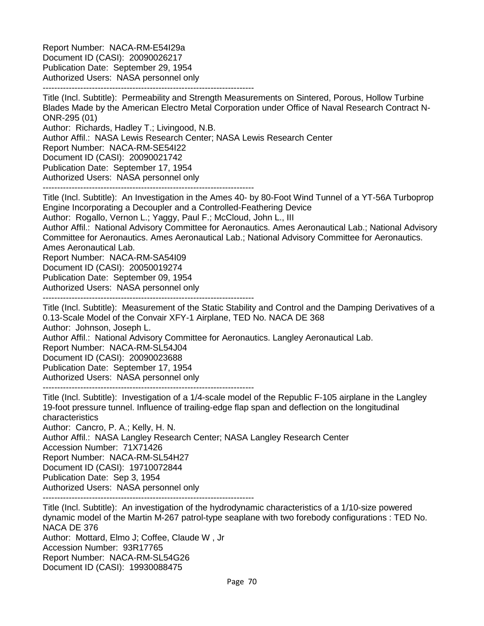Report Number: NACA-RM-E54I29a Document ID (CASI): 20090026217 Publication Date: September 29, 1954 Authorized Users: NASA personnel only -------------------------------------------------------------------------

Title (Incl. Subtitle): Permeability and Strength Measurements on Sintered, Porous, Hollow Turbine Blades Made by the American Electro Metal Corporation under Office of Naval Research Contract N-ONR-295 (01)

Author: Richards, Hadley T.; Livingood, N.B.

Author Affil.: NASA Lewis Research Center; NASA Lewis Research Center

Report Number: NACA-RM-SE54I22

Document ID (CASI): 20090021742

Publication Date: September 17, 1954

Authorized Users: NASA personnel only

-------------------------------------------------------------------------

Title (Incl. Subtitle): An Investigation in the Ames 40- by 80-Foot Wind Tunnel of a YT-56A Turboprop Engine Incorporating a Decoupler and a Controlled-Feathering Device

Author: Rogallo, Vernon L.; Yaggy, Paul F.; McCloud, John L., III

Author Affil.: National Advisory Committee for Aeronautics. Ames Aeronautical Lab.; National Advisory Committee for Aeronautics. Ames Aeronautical Lab.; National Advisory Committee for Aeronautics. Ames Aeronautical Lab.

Report Number: NACA-RM-SA54I09

Document ID (CASI): 20050019274

Publication Date: September 09, 1954

Authorized Users: NASA personnel only

-------------------------------------------------------------------------

Title (Incl. Subtitle): Measurement of the Static Stability and Control and the Damping Derivatives of a 0.13-Scale Model of the Convair XFY-1 Airplane, TED No. NACA DE 368 Author: Johnson, Joseph L. Author Affil.: National Advisory Committee for Aeronautics. Langley Aeronautical Lab. Report Number: NACA-RM-SL54J04 Document ID (CASI): 20090023688 Publication Date: September 17, 1954 Authorized Users: NASA personnel only -------------------------------------------------------------------------

Title (Incl. Subtitle): Investigation of a 1/4-scale model of the Republic F-105 airplane in the Langley 19-foot pressure tunnel. Influence of trailing-edge flap span and deflection on the longitudinal characteristics

Author: Cancro, P. A.; Kelly, H. N.

Author Affil.: NASA Langley Research Center; NASA Langley Research Center Accession Number: 71X71426 Report Number: NACA-RM-SL54H27 Document ID (CASI): 19710072844 Publication Date: Sep 3, 1954 Authorized Users: NASA personnel only

-------------------------------------------------------------------------

Title (Incl. Subtitle): An investigation of the hydrodynamic characteristics of a 1/10-size powered dynamic model of the Martin M-267 patrol-type seaplane with two forebody configurations : TED No. NACA DE 376 Author: Mottard, Elmo J; Coffee, Claude W , Jr Accession Number: 93R17765 Report Number: NACA-RM-SL54G26 Document ID (CASI): 19930088475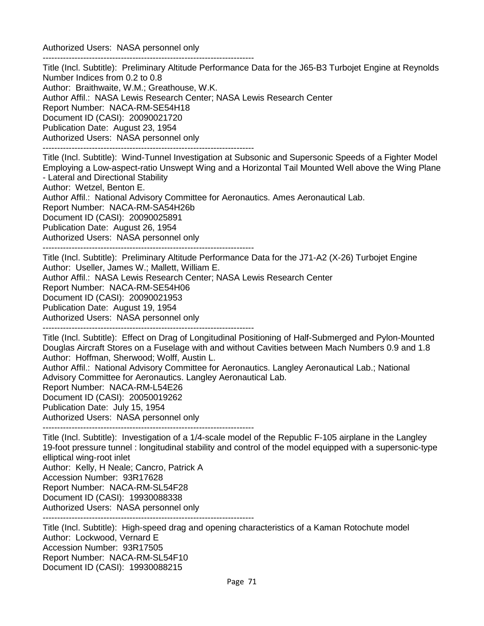Authorized Users: NASA personnel only -------------------------------------------------------------------------

Title (Incl. Subtitle): Preliminary Altitude Performance Data for the J65-B3 Turbojet Engine at Reynolds Number Indices from 0.2 to 0.8 Author: Braithwaite, W.M.; Greathouse, W.K. Author Affil.: NASA Lewis Research Center; NASA Lewis Research Center Report Number: NACA-RM-SE54H18 Document ID (CASI): 20090021720 Publication Date: August 23, 1954 Authorized Users: NASA personnel only ------------------------------------------------------------------------- Title (Incl. Subtitle): Wind-Tunnel Investigation at Subsonic and Supersonic Speeds of a Fighter Model

Employing a Low-aspect-ratio Unswept Wing and a Horizontal Tail Mounted Well above the Wing Plane - Lateral and Directional Stability Author: Wetzel, Benton E. Author Affil.: National Advisory Committee for Aeronautics. Ames Aeronautical Lab. Report Number: NACA-RM-SA54H26b Document ID (CASI): 20090025891 Publication Date: August 26, 1954

Authorized Users: NASA personnel only

-------------------------------------------------------------------------

Title (Incl. Subtitle): Preliminary Altitude Performance Data for the J71-A2 (X-26) Turbojet Engine Author: Useller, James W.; Mallett, William E. Author Affil.: NASA Lewis Research Center; NASA Lewis Research Center Report Number: NACA-RM-SE54H06 Document ID (CASI): 20090021953 Publication Date: August 19, 1954 Authorized Users: NASA personnel only -------------------------------------------------------------------------

Title (Incl. Subtitle): Effect on Drag of Longitudinal Positioning of Half-Submerged and Pylon-Mounted Douglas Aircraft Stores on a Fuselage with and without Cavities between Mach Numbers 0.9 and 1.8

Author: Hoffman, Sherwood; Wolff, Austin L.

Author Affil.: National Advisory Committee for Aeronautics. Langley Aeronautical Lab.; National Advisory Committee for Aeronautics. Langley Aeronautical Lab.

Report Number: NACA-RM-L54E26

Document ID (CASI): 20050019262

Publication Date: July 15, 1954

Authorized Users: NASA personnel only

-------------------------------------------------------------------------

Title (Incl. Subtitle): Investigation of a 1/4-scale model of the Republic F-105 airplane in the Langley 19-foot pressure tunnel : longitudinal stability and control of the model equipped with a supersonic-type elliptical wing-root inlet Author: Kelly, H Neale; Cancro, Patrick A Accession Number: 93R17628 Report Number: NACA-RM-SL54F28 Document ID (CASI): 19930088338 Authorized Users: NASA personnel only

-------------------------------------------------------------------------

Title (Incl. Subtitle): High-speed drag and opening characteristics of a Kaman Rotochute model Author: Lockwood, Vernard E Accession Number: 93R17505 Report Number: NACA-RM-SL54F10 Document ID (CASI): 19930088215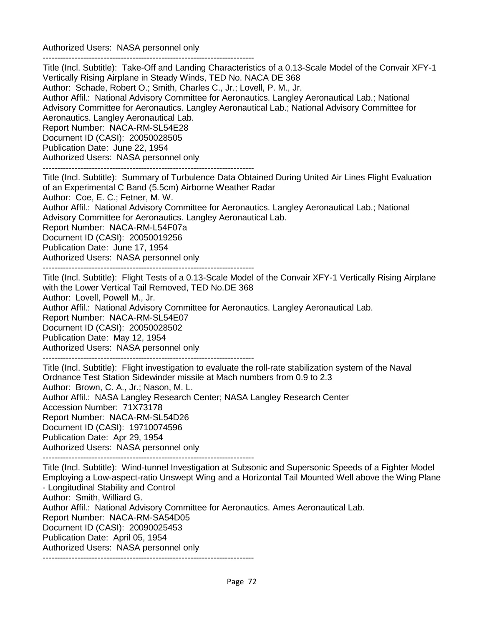Authorized Users: NASA personnel only -------------------------------------------------------------------------

Title (Incl. Subtitle): Take-Off and Landing Characteristics of a 0.13-Scale Model of the Convair XFY-1 Vertically Rising Airplane in Steady Winds, TED No. NACA DE 368 Author: Schade, Robert O.; Smith, Charles C., Jr.; Lovell, P. M., Jr. Author Affil.: National Advisory Committee for Aeronautics. Langley Aeronautical Lab.; National Advisory Committee for Aeronautics. Langley Aeronautical Lab.; National Advisory Committee for Aeronautics. Langley Aeronautical Lab. Report Number: NACA-RM-SL54E28 Document ID (CASI): 20050028505 Publication Date: June 22, 1954 Authorized Users: NASA personnel only -------------------------------------------------------------------------

Title (Incl. Subtitle): Summary of Turbulence Data Obtained During United Air Lines Flight Evaluation of an Experimental C Band (5.5cm) Airborne Weather Radar Author: Coe, E. C.; Fetner, M. W. Author Affil.: National Advisory Committee for Aeronautics. Langley Aeronautical Lab.; National Advisory Committee for Aeronautics. Langley Aeronautical Lab. Report Number: NACA-RM-L54F07a Document ID (CASI): 20050019256 Publication Date: June 17, 1954 Authorized Users: NASA personnel only -------------------------------------------------------------------------

Title (Incl. Subtitle): Flight Tests of a 0.13-Scale Model of the Convair XFY-1 Vertically Rising Airplane with the Lower Vertical Tail Removed, TED No.DE 368 Author: Lovell, Powell M., Jr. Author Affil.: National Advisory Committee for Aeronautics. Langley Aeronautical Lab. Report Number: NACA-RM-SL54E07 Document ID (CASI): 20050028502 Publication Date: May 12, 1954 Authorized Users: NASA personnel only -------------------------------------------------------------------------

Title (Incl. Subtitle): Flight investigation to evaluate the roll-rate stabilization system of the Naval Ordnance Test Station Sidewinder missile at Mach numbers from 0.9 to 2.3 Author: Brown, C. A., Jr.; Nason, M. L. Author Affil.: NASA Langley Research Center; NASA Langley Research Center Accession Number: 71X73178 Report Number: NACA-RM-SL54D26 Document ID (CASI): 19710074596 Publication Date: Apr 29, 1954 Authorized Users: NASA personnel only -------------------------------------------------------------------------

Title (Incl. Subtitle): Wind-tunnel Investigation at Subsonic and Supersonic Speeds of a Fighter Model Employing a Low-aspect-ratio Unswept Wing and a Horizontal Tail Mounted Well above the Wing Plane - Longitudinal Stability and Control Author: Smith, Williard G. Author Affil.: National Advisory Committee for Aeronautics. Ames Aeronautical Lab. Report Number: NACA-RM-SA54D05 Document ID (CASI): 20090025453 Publication Date: April 05, 1954 Authorized Users: NASA personnel only -------------------------------------------------------------------------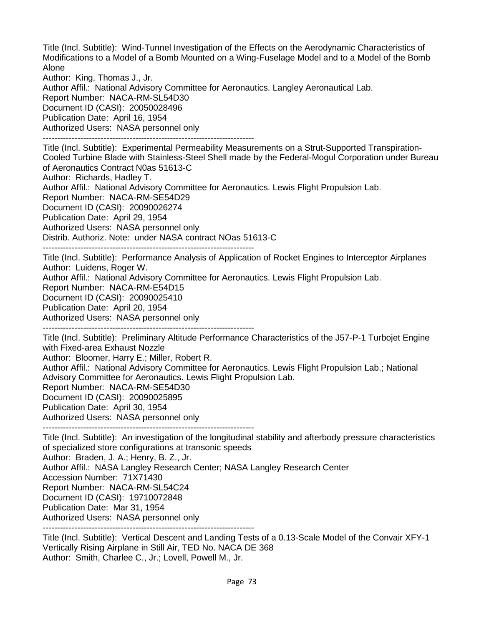Title (Incl. Subtitle): Wind-Tunnel Investigation of the Effects on the Aerodynamic Characteristics of Modifications to a Model of a Bomb Mounted on a Wing-Fuselage Model and to a Model of the Bomb Alone

Author: King, Thomas J., Jr.

Author Affil.: National Advisory Committee for Aeronautics. Langley Aeronautical Lab. Report Number: NACA-RM-SL54D30 Document ID (CASI): 20050028496 Publication Date: April 16, 1954 Authorized Users: NASA personnel only -------------------------------------------------------------------------

Title (Incl. Subtitle): Experimental Permeability Measurements on a Strut-Supported Transpiration-Cooled Turbine Blade with Stainless-Steel Shell made by the Federal-Mogul Corporation under Bureau of Aeronautics Contract N0as 51613-C Author: Richards, Hadley T. Author Affil.: National Advisory Committee for Aeronautics. Lewis Flight Propulsion Lab. Report Number: NACA-RM-SE54D29 Document ID (CASI): 20090026274 Publication Date: April 29, 1954 Authorized Users: NASA personnel only Distrib. Authoriz. Note: under NASA contract NOas 51613-C

-------------------------------------------------------------------------

Title (Incl. Subtitle): Performance Analysis of Application of Rocket Engines to Interceptor Airplanes Author: Luidens, Roger W.

Author Affil.: National Advisory Committee for Aeronautics. Lewis Flight Propulsion Lab.

Report Number: NACA-RM-E54D15

Document ID (CASI): 20090025410

Publication Date: April 20, 1954

Authorized Users: NASA personnel only

-------------------------------------------------------------------------

Title (Incl. Subtitle): Preliminary Altitude Performance Characteristics of the J57-P-1 Turbojet Engine with Fixed-area Exhaust Nozzle

Author: Bloomer, Harry E.; Miller, Robert R.

Author Affil.: National Advisory Committee for Aeronautics. Lewis Flight Propulsion Lab.; National Advisory Committee for Aeronautics. Lewis Flight Propulsion Lab.

Report Number: NACA-RM-SE54D30

Document ID (CASI): 20090025895

Publication Date: April 30, 1954

Authorized Users: NASA personnel only

-------------------------------------------------------------------------

Title (Incl. Subtitle): An investigation of the longitudinal stability and afterbody pressure characteristics of specialized store configurations at transonic speeds Author: Braden, J. A.; Henry, B. Z., Jr.

Author Affil.: NASA Langley Research Center; NASA Langley Research Center

Accession Number: 71X71430

Report Number: NACA-RM-SL54C24

Document ID (CASI): 19710072848

Publication Date: Mar 31, 1954

Authorized Users: NASA personnel only

-------------------------------------------------------------------------

Title (Incl. Subtitle): Vertical Descent and Landing Tests of a 0.13-Scale Model of the Convair XFY-1 Vertically Rising Airplane in Still Air, TED No. NACA DE 368 Author: Smith, Charlee C., Jr.; Lovell, Powell M., Jr.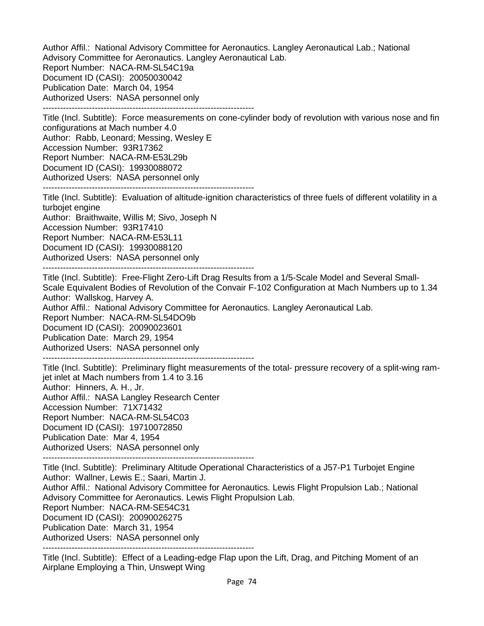Author Affil.: National Advisory Committee for Aeronautics. Langley Aeronautical Lab.; National Advisory Committee for Aeronautics. Langley Aeronautical Lab. Report Number: NACA-RM-SL54C19a Document ID (CASI): 20050030042 Publication Date: March 04, 1954 Authorized Users: NASA personnel only -------------------------------------------------------------------------

Title (Incl. Subtitle): Force measurements on cone-cylinder body of revolution with various nose and fin configurations at Mach number 4.0 Author: Rabb, Leonard; Messing, Wesley E Accession Number: 93R17362 Report Number: NACA-RM-E53L29b Document ID (CASI): 19930088072 Authorized Users: NASA personnel only -------------------------------------------------------------------------

Title (Incl. Subtitle): Evaluation of altitude-ignition characteristics of three fuels of different volatility in a turbojet engine Author: Braithwaite, Willis M; Sivo, Joseph N

Accession Number: 93R17410

Report Number: NACA-RM-E53L11

Document ID (CASI): 19930088120

Authorized Users: NASA personnel only

-------------------------------------------------------------------------

Title (Incl. Subtitle): Free-Flight Zero-Lift Drag Results from a 1/5-Scale Model and Several Small-Scale Equivalent Bodies of Revolution of the Convair F-102 Configuration at Mach Numbers up to 1.34 Author: Wallskog, Harvey A. Author Affil.: National Advisory Committee for Aeronautics. Langley Aeronautical Lab. Report Number: NACA-RM-SL54DO9b Document ID (CASI): 20090023601

Publication Date: March 29, 1954

Authorized Users: NASA personnel only

-------------------------------------------------------------------------

Title (Incl. Subtitle): Preliminary flight measurements of the total- pressure recovery of a split-wing ramjet inlet at Mach numbers from 1.4 to 3.16 Author: Hinners, A. H., Jr. Author Affil.: NASA Langley Research Center

Accession Number: 71X71432

Report Number: NACA-RM-SL54C03 Document ID (CASI): 19710072850

Publication Date: Mar 4, 1954

Authorized Users: NASA personnel only

-------------------------------------------------------------------------

Title (Incl. Subtitle): Preliminary Altitude Operational Characteristics of a J57-P1 Turbojet Engine Author: Wallner, Lewis E.; Saari, Martin J. Author Affil.: National Advisory Committee for Aeronautics. Lewis Flight Propulsion Lab.; National Advisory Committee for Aeronautics. Lewis Flight Propulsion Lab. Report Number: NACA-RM-SE54C31 Document ID (CASI): 20090026275 Publication Date: March 31, 1954

Authorized Users: NASA personnel only

-------------------------------------------------------------------------

Title (Incl. Subtitle): Effect of a Leading-edge Flap upon the Lift, Drag, and Pitching Moment of an Airplane Employing a Thin, Unswept Wing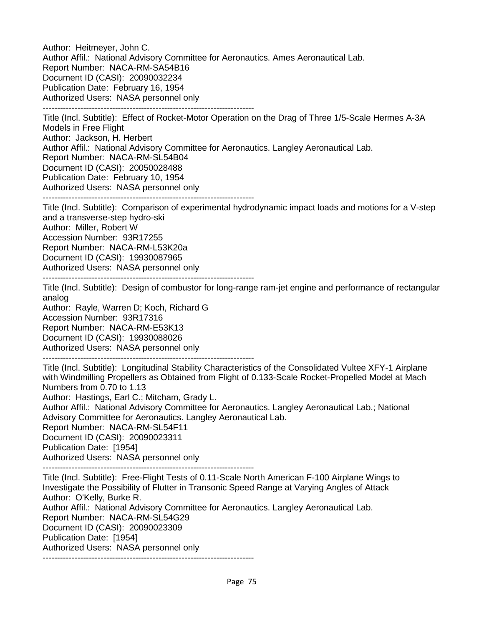Author: Heitmeyer, John C. Author Affil.: National Advisory Committee for Aeronautics. Ames Aeronautical Lab. Report Number: NACA-RM-SA54B16 Document ID (CASI): 20090032234 Publication Date: February 16, 1954 Authorized Users: NASA personnel only ------------------------------------------------------------------------- Title (Incl. Subtitle): Effect of Rocket-Motor Operation on the Drag of Three 1/5-Scale Hermes A-3A Models in Free Flight Author: Jackson, H. Herbert Author Affil.: National Advisory Committee for Aeronautics. Langley Aeronautical Lab. Report Number: NACA-RM-SL54B04 Document ID (CASI): 20050028488 Publication Date: February 10, 1954 Authorized Users: NASA personnel only ------------------------------------------------------------------------- Title (Incl. Subtitle): Comparison of experimental hydrodynamic impact loads and motions for a V-step and a transverse-step hydro-ski Author: Miller, Robert W Accession Number: 93R17255 Report Number: NACA-RM-L53K20a Document ID (CASI): 19930087965 Authorized Users: NASA personnel only ------------------------------------------------------------------------- Title (Incl. Subtitle): Design of combustor for long-range ram-jet engine and performance of rectangular analog Author: Rayle, Warren D; Koch, Richard G Accession Number: 93R17316 Report Number: NACA-RM-E53K13 Document ID (CASI): 19930088026 Authorized Users: NASA personnel only ------------------------------------------------------------------------- Title (Incl. Subtitle): Longitudinal Stability Characteristics of the Consolidated Vultee XFY-1 Airplane with Windmilling Propellers as Obtained from Flight of 0.133-Scale Rocket-Propelled Model at Mach Numbers from 0.70 to 1.13 Author: Hastings, Earl C.; Mitcham, Grady L. Author Affil.: National Advisory Committee for Aeronautics. Langley Aeronautical Lab.; National Advisory Committee for Aeronautics. Langley Aeronautical Lab. Report Number: NACA-RM-SL54F11 Document ID (CASI): 20090023311 Publication Date: [1954] Authorized Users: NASA personnel only ------------------------------------------------------------------------- Title (Incl. Subtitle): Free-Flight Tests of 0.11-Scale North American F-100 Airplane Wings to Investigate the Possibility of Flutter in Transonic Speed Range at Varying Angles of Attack Author: O'Kelly, Burke R. Author Affil.: National Advisory Committee for Aeronautics. Langley Aeronautical Lab. Report Number: NACA-RM-SL54G29 Document ID (CASI): 20090023309 Publication Date: [1954] Authorized Users: NASA personnel only -------------------------------------------------------------------------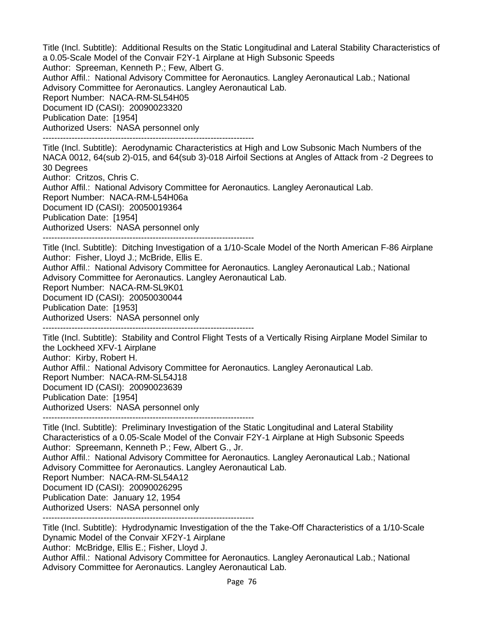Title (Incl. Subtitle): Additional Results on the Static Longitudinal and Lateral Stability Characteristics of a 0.05-Scale Model of the Convair F2Y-1 Airplane at High Subsonic Speeds Author: Spreeman, Kenneth P.; Few, Albert G. Author Affil.: National Advisory Committee for Aeronautics. Langley Aeronautical Lab.; National Advisory Committee for Aeronautics. Langley Aeronautical Lab. Report Number: NACA-RM-SL54H05 Document ID (CASI): 20090023320 Publication Date: [1954] Authorized Users: NASA personnel only ------------------------------------------------------------------------- Title (Incl. Subtitle): Aerodynamic Characteristics at High and Low Subsonic Mach Numbers of the NACA 0012, 64(sub 2)-015, and 64(sub 3)-018 Airfoil Sections at Angles of Attack from -2 Degrees to 30 Degrees Author: Critzos, Chris C. Author Affil.: National Advisory Committee for Aeronautics. Langley Aeronautical Lab. Report Number: NACA-RM-L54H06a Document ID (CASI): 20050019364 Publication Date: [1954] Authorized Users: NASA personnel only ------------------------------------------------------------------------- Title (Incl. Subtitle): Ditching Investigation of a 1/10-Scale Model of the North American F-86 Airplane Author: Fisher, Lloyd J.; McBride, Ellis E. Author Affil.: National Advisory Committee for Aeronautics. Langley Aeronautical Lab.; National Advisory Committee for Aeronautics. Langley Aeronautical Lab. Report Number: NACA-RM-SL9K01 Document ID (CASI): 20050030044 Publication Date: [1953] Authorized Users: NASA personnel only ------------------------------------------------------------------------- Title (Incl. Subtitle): Stability and Control Flight Tests of a Vertically Rising Airplane Model Similar to the Lockheed XFV-1 Airplane Author: Kirby, Robert H. Author Affil.: National Advisory Committee for Aeronautics. Langley Aeronautical Lab. Report Number: NACA-RM-SL54J18 Document ID (CASI): 20090023639 Publication Date: [1954] Authorized Users: NASA personnel only ------------------------------------------------------------------------- Title (Incl. Subtitle): Preliminary Investigation of the Static Longitudinal and Lateral Stability Characteristics of a 0.05-Scale Model of the Convair F2Y-1 Airplane at High Subsonic Speeds Author: Spreemann, Kenneth P.; Few, Albert G., Jr. Author Affil.: National Advisory Committee for Aeronautics. Langley Aeronautical Lab.; National Advisory Committee for Aeronautics. Langley Aeronautical Lab. Report Number: NACA-RM-SL54A12 Document ID (CASI): 20090026295 Publication Date: January 12, 1954 Authorized Users: NASA personnel only -------------------------------------------------------------------------

Title (Incl. Subtitle): Hydrodynamic Investigation of the the Take-Off Characteristics of a 1/10-Scale Dynamic Model of the Convair XF2Y-1 Airplane

Author: McBridge, Ellis E.; Fisher, Lloyd J.

Author Affil.: National Advisory Committee for Aeronautics. Langley Aeronautical Lab.; National Advisory Committee for Aeronautics. Langley Aeronautical Lab.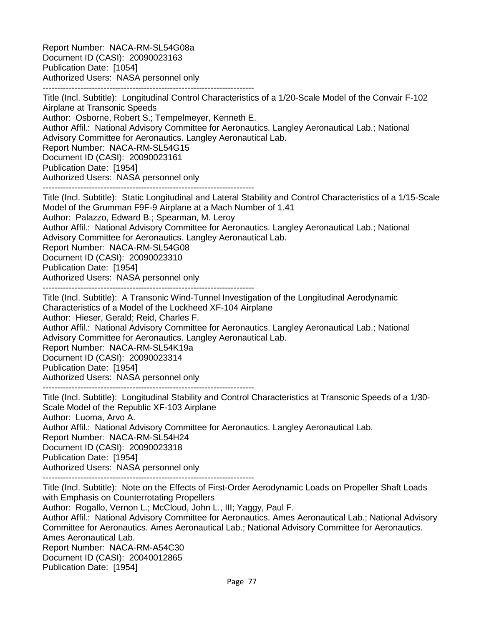Report Number: NACA-RM-SL54G08a Document ID (CASI): 20090023163 Publication Date: [1054] Authorized Users: NASA personnel only -------------------------------------------------------------------------

Title (Incl. Subtitle): Longitudinal Control Characteristics of a 1/20-Scale Model of the Convair F-102 Airplane at Transonic Speeds Author: Osborne, Robert S.; Tempelmeyer, Kenneth E. Author Affil.: National Advisory Committee for Aeronautics. Langley Aeronautical Lab.; National Advisory Committee for Aeronautics. Langley Aeronautical Lab. Report Number: NACA-RM-SL54G15 Document ID (CASI): 20090023161 Publication Date: [1954] Authorized Users: NASA personnel only -------------------------------------------------------------------------

Title (Incl. Subtitle): Static Longitudinal and Lateral Stability and Control Characteristics of a 1/15-Scale Model of the Grumman F9F-9 Airplane at a Mach Number of 1.41 Author: Palazzo, Edward B.; Spearman, M. Leroy Author Affil.: National Advisory Committee for Aeronautics. Langley Aeronautical Lab.; National Advisory Committee for Aeronautics. Langley Aeronautical Lab. Report Number: NACA-RM-SL54G08 Document ID (CASI): 20090023310 Publication Date: [1954] Authorized Users: NASA personnel only -------------------------------------------------------------------------

Title (Incl. Subtitle): A Transonic Wind-Tunnel Investigation of the Longitudinal Aerodynamic Characteristics of a Model of the Lockheed XF-104 Airplane Author: Hieser, Gerald; Reid, Charles F. Author Affil.: National Advisory Committee for Aeronautics. Langley Aeronautical Lab.; National Advisory Committee for Aeronautics. Langley Aeronautical Lab. Report Number: NACA-RM-SL54K19a Document ID (CASI): 20090023314 Publication Date: [1954] Authorized Users: NASA personnel only

-------------------------------------------------------------------------

Title (Incl. Subtitle): Longitudinal Stability and Control Characteristics at Transonic Speeds of a 1/30- Scale Model of the Republic XF-103 Airplane Author: Luoma, Arvo A. Author Affil.: National Advisory Committee for Aeronautics. Langley Aeronautical Lab. Report Number: NACA-RM-SL54H24 Document ID (CASI): 20090023318 Publication Date: [1954] Authorized Users: NASA personnel only -------------------------------------------------------------------------

Title (Incl. Subtitle): Note on the Effects of First-Order Aerodynamic Loads on Propeller Shaft Loads with Emphasis on Counterrotating Propellers Author: Rogallo, Vernon L.; McCloud, John L., III; Yaggy, Paul F. Author Affil.: National Advisory Committee for Aeronautics. Ames Aeronautical Lab.; National Advisory Committee for Aeronautics. Ames Aeronautical Lab.; National Advisory Committee for Aeronautics. Ames Aeronautical Lab. Report Number: NACA-RM-A54C30 Document ID (CASI): 20040012865 Publication Date: [1954]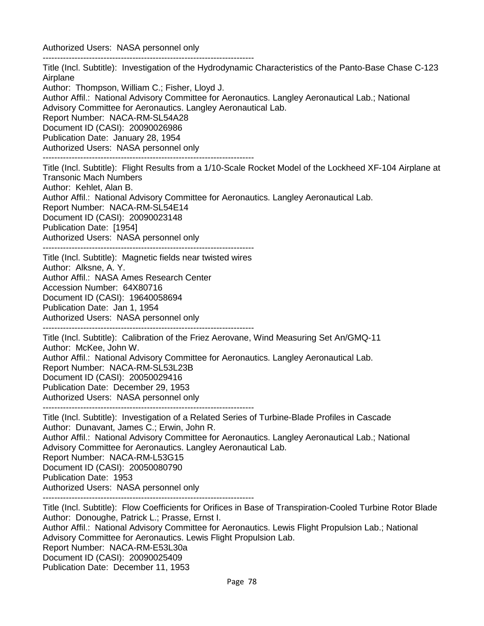Authorized Users: NASA personnel only

------------------------------------------------------------------------- Title (Incl. Subtitle): Investigation of the Hydrodynamic Characteristics of the Panto-Base Chase C-123 Airplane Author: Thompson, William C.; Fisher, Lloyd J. Author Affil.: National Advisory Committee for Aeronautics. Langley Aeronautical Lab.; National Advisory Committee for Aeronautics. Langley Aeronautical Lab. Report Number: NACA-RM-SL54A28 Document ID (CASI): 20090026986 Publication Date: January 28, 1954 Authorized Users: NASA personnel only ------------------------------------------------------------------------- Title (Incl. Subtitle): Flight Results from a 1/10-Scale Rocket Model of the Lockheed XF-104 Airplane at Transonic Mach Numbers Author: Kehlet, Alan B. Author Affil.: National Advisory Committee for Aeronautics. Langley Aeronautical Lab. Report Number: NACA-RM-SL54E14 Document ID (CASI): 20090023148 Publication Date: [1954] Authorized Users: NASA personnel only ------------------------------------------------------------------------- Title (Incl. Subtitle): Magnetic fields near twisted wires Author: Alksne, A. Y. Author Affil.: NASA Ames Research Center Accession Number: 64X80716 Document ID (CASI): 19640058694 Publication Date: Jan 1, 1954 Authorized Users: NASA personnel only ------------------------------------------------------------------------- Title (Incl. Subtitle): Calibration of the Friez Aerovane, Wind Measuring Set An/GMQ-11 Author: McKee, John W. Author Affil.: National Advisory Committee for Aeronautics. Langley Aeronautical Lab. Report Number: NACA-RM-SL53L23B Document ID (CASI): 20050029416 Publication Date: December 29, 1953 Authorized Users: NASA personnel only ------------------------------------------------------------------------- Title (Incl. Subtitle): Investigation of a Related Series of Turbine-Blade Profiles in Cascade Author: Dunavant, James C.; Erwin, John R. Author Affil.: National Advisory Committee for Aeronautics. Langley Aeronautical Lab.; National Advisory Committee for Aeronautics. Langley Aeronautical Lab. Report Number: NACA-RM-L53G15 Document ID (CASI): 20050080790 Publication Date: 1953 Authorized Users: NASA personnel only ------------------------------------------------------------------------- Title (Incl. Subtitle): Flow Coefficients for Orifices in Base of Transpiration-Cooled Turbine Rotor Blade Author: Donoughe, Patrick L.; Prasse, Ernst I. Author Affil.: National Advisory Committee for Aeronautics. Lewis Flight Propulsion Lab.; National Advisory Committee for Aeronautics. Lewis Flight Propulsion Lab. Report Number: NACA-RM-E53L30a

Document ID (CASI): 20090025409

Publication Date: December 11, 1953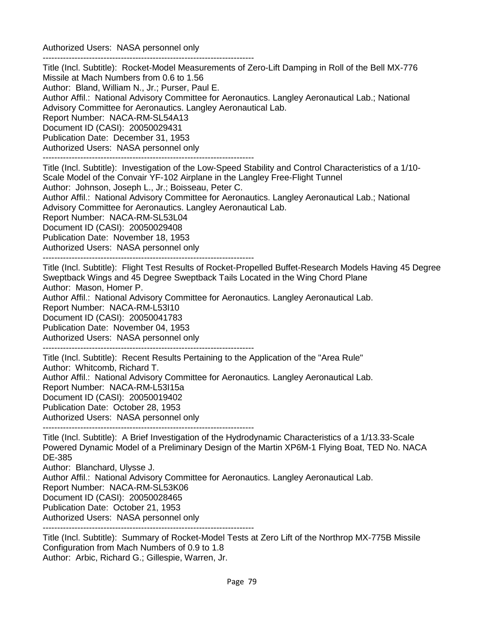Authorized Users: NASA personnel only -------------------------------------------------------------------------

Title (Incl. Subtitle): Rocket-Model Measurements of Zero-Lift Damping in Roll of the Bell MX-776 Missile at Mach Numbers from 0.6 to 1.56 Author: Bland, William N., Jr.; Purser, Paul E. Author Affil.: National Advisory Committee for Aeronautics. Langley Aeronautical Lab.; National Advisory Committee for Aeronautics. Langley Aeronautical Lab. Report Number: NACA-RM-SL54A13 Document ID (CASI): 20050029431 Publication Date: December 31, 1953 Authorized Users: NASA personnel only -------------------------------------------------------------------------

Title (Incl. Subtitle): Investigation of the Low-Speed Stability and Control Characteristics of a 1/10-

Scale Model of the Convair YF-102 Airplane in the Langley Free-Flight Tunnel

Author: Johnson, Joseph L., Jr.; Boisseau, Peter C.

Author Affil.: National Advisory Committee for Aeronautics. Langley Aeronautical Lab.; National Advisory Committee for Aeronautics. Langley Aeronautical Lab.

Report Number: NACA-RM-SL53L04

Document ID (CASI): 20050029408

Publication Date: November 18, 1953

Authorized Users: NASA personnel only

-------------------------------------------------------------------------

Title (Incl. Subtitle): Flight Test Results of Rocket-Propelled Buffet-Research Models Having 45 Degree Sweptback Wings and 45 Degree Sweptback Tails Located in the Wing Chord Plane Author: Mason, Homer P. Author Affil.: National Advisory Committee for Aeronautics. Langley Aeronautical Lab.

Report Number: NACA-RM-L53I10

Document ID (CASI): 20050041783

Publication Date: November 04, 1953

Authorized Users: NASA personnel only

-------------------------------------------------------------------------

Title (Incl. Subtitle): Recent Results Pertaining to the Application of the "Area Rule" Author: Whitcomb, Richard T. Author Affil.: National Advisory Committee for Aeronautics. Langley Aeronautical Lab. Report Number: NACA-RM-L53I15a Document ID (CASI): 20050019402 Publication Date: October 28, 1953 Authorized Users: NASA personnel only

------------------------------------------------------------------------- Title (Incl. Subtitle): A Brief Investigation of the Hydrodynamic Characteristics of a 1/13.33-Scale Powered Dynamic Model of a Preliminary Design of the Martin XP6M-1 Flying Boat, TED No. NACA DE-385

Author: Blanchard, Ulysse J.

Author Affil.: National Advisory Committee for Aeronautics. Langley Aeronautical Lab.

Report Number: NACA-RM-SL53K06

Document ID (CASI): 20050028465

Publication Date: October 21, 1953

Authorized Users: NASA personnel only

-------------------------------------------------------------------------

Title (Incl. Subtitle): Summary of Rocket-Model Tests at Zero Lift of the Northrop MX-775B Missile Configuration from Mach Numbers of 0.9 to 1.8 Author: Arbic, Richard G.; Gillespie, Warren, Jr.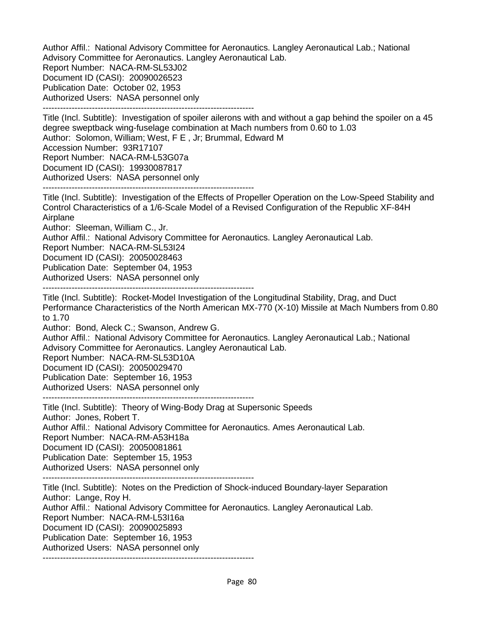Author Affil.: National Advisory Committee for Aeronautics. Langley Aeronautical Lab.; National Advisory Committee for Aeronautics. Langley Aeronautical Lab. Report Number: NACA-RM-SL53J02 Document ID (CASI): 20090026523 Publication Date: October 02, 1953 Authorized Users: NASA personnel only

-------------------------------------------------------------------------

Title (Incl. Subtitle): Investigation of spoiler ailerons with and without a gap behind the spoiler on a 45 degree sweptback wing-fuselage combination at Mach numbers from 0.60 to 1.03 Author: Solomon, William; West, F E , Jr; Brummal, Edward M Accession Number: 93R17107 Report Number: NACA-RM-L53G07a Document ID (CASI): 19930087817 Authorized Users: NASA personnel only -------------------------------------------------------------------------

Title (Incl. Subtitle): Investigation of the Effects of Propeller Operation on the Low-Speed Stability and Control Characteristics of a 1/6-Scale Model of a Revised Configuration of the Republic XF-84H Airplane

Author: Sleeman, William C., Jr.

Author Affil.: National Advisory Committee for Aeronautics. Langley Aeronautical Lab.

Report Number: NACA-RM-SL53I24

Document ID (CASI): 20050028463

Publication Date: September 04, 1953

Authorized Users: NASA personnel only

-------------------------------------------------------------------------

Title (Incl. Subtitle): Rocket-Model Investigation of the Longitudinal Stability, Drag, and Duct Performance Characteristics of the North American MX-770 (X-10) Missile at Mach Numbers from 0.80 to 1.70

Author: Bond, Aleck C.; Swanson, Andrew G.

Author Affil.: National Advisory Committee for Aeronautics. Langley Aeronautical Lab.; National Advisory Committee for Aeronautics. Langley Aeronautical Lab.

Report Number: NACA-RM-SL53D10A

Document ID (CASI): 20050029470

Publication Date: September 16, 1953

Authorized Users: NASA personnel only

-------------------------------------------------------------------------

Title (Incl. Subtitle): Theory of Wing-Body Drag at Supersonic Speeds Author: Jones, Robert T. Author Affil.: National Advisory Committee for Aeronautics. Ames Aeronautical Lab. Report Number: NACA-RM-A53H18a Document ID (CASI): 20050081861 Publication Date: September 15, 1953 Authorized Users: NASA personnel only

-------------------------------------------------------------------------

Title (Incl. Subtitle): Notes on the Prediction of Shock-induced Boundary-layer Separation Author: Lange, Roy H. Author Affil.: National Advisory Committee for Aeronautics. Langley Aeronautical Lab. Report Number: NACA-RM-L53I16a Document ID (CASI): 20090025893 Publication Date: September 16, 1953 Authorized Users: NASA personnel only -------------------------------------------------------------------------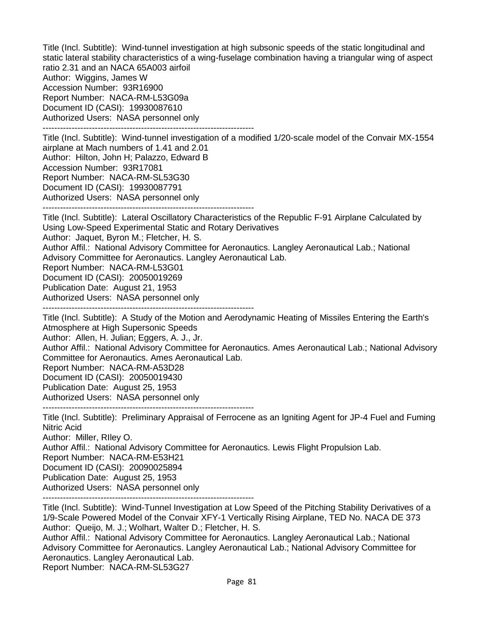Title (Incl. Subtitle): Wind-tunnel investigation at high subsonic speeds of the static longitudinal and static lateral stability characteristics of a wing-fuselage combination having a triangular wing of aspect ratio 2.31 and an NACA 65A003 airfoil Author: Wiggins, James W Accession Number: 93R16900 Report Number: NACA-RM-L53G09a Document ID (CASI): 19930087610 Authorized Users: NASA personnel only -------------------------------------------------------------------------

Title (Incl. Subtitle): Wind-tunnel investigation of a modified 1/20-scale model of the Convair MX-1554 airplane at Mach numbers of 1.41 and 2.01 Author: Hilton, John H; Palazzo, Edward B Accession Number: 93R17081 Report Number: NACA-RM-SL53G30 Document ID (CASI): 19930087791 Authorized Users: NASA personnel only -------------------------------------------------------------------------

Title (Incl. Subtitle): Lateral Oscillatory Characteristics of the Republic F-91 Airplane Calculated by Using Low-Speed Experimental Static and Rotary Derivatives Author: Jaquet, Byron M.; Fletcher, H. S. Author Affil.: National Advisory Committee for Aeronautics. Langley Aeronautical Lab.; National Advisory Committee for Aeronautics. Langley Aeronautical Lab. Report Number: NACA-RM-L53G01 Document ID (CASI): 20050019269 Publication Date: August 21, 1953 Authorized Users: NASA personnel only -------------------------------------------------------------------------

Title (Incl. Subtitle): A Study of the Motion and Aerodynamic Heating of Missiles Entering the Earth's Atmosphere at High Supersonic Speeds

Author: Allen, H. Julian; Eggers, A. J., Jr.

Author Affil.: National Advisory Committee for Aeronautics. Ames Aeronautical Lab.; National Advisory Committee for Aeronautics. Ames Aeronautical Lab.

Report Number: NACA-RM-A53D28

Document ID (CASI): 20050019430

Publication Date: August 25, 1953

Authorized Users: NASA personnel only

-------------------------------------------------------------------------

Title (Incl. Subtitle): Preliminary Appraisal of Ferrocene as an Igniting Agent for JP-4 Fuel and Fuming Nitric Acid

Author: Miller, RIley O.

Author Affil.: National Advisory Committee for Aeronautics. Lewis Flight Propulsion Lab.

Report Number: NACA-RM-E53H21

Document ID (CASI): 20090025894

Publication Date: August 25, 1953

Authorized Users: NASA personnel only

-------------------------------------------------------------------------

Title (Incl. Subtitle): Wind-Tunnel Investigation at Low Speed of the Pitching Stability Derivatives of a 1/9-Scale Powered Model of the Convair XFY-1 Vertically Rising Airplane, TED No. NACA DE 373 Author: Queijo, M. J.; Wolhart, Walter D.; Fletcher, H. S.

Author Affil.: National Advisory Committee for Aeronautics. Langley Aeronautical Lab.; National Advisory Committee for Aeronautics. Langley Aeronautical Lab.; National Advisory Committee for Aeronautics. Langley Aeronautical Lab.

Report Number: NACA-RM-SL53G27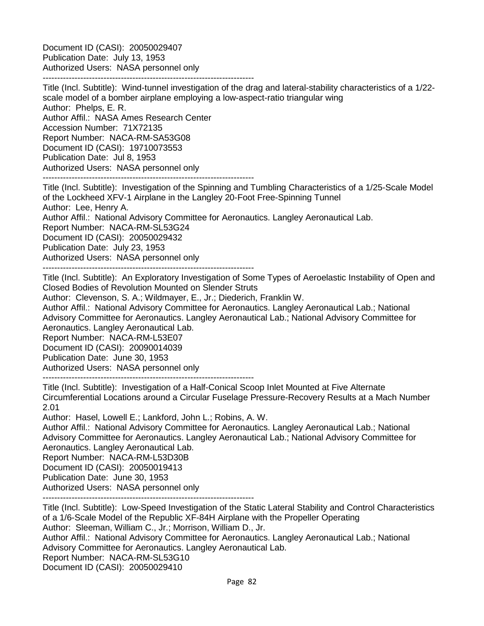Document ID (CASI): 20050029407 Publication Date: July 13, 1953 Authorized Users: NASA personnel only

-------------------------------------------------------------------------

Title (Incl. Subtitle): Wind-tunnel investigation of the drag and lateral-stability characteristics of a 1/22 scale model of a bomber airplane employing a low-aspect-ratio triangular wing Author: Phelps, E. R. Author Affil.: NASA Ames Research Center Accession Number: 71X72135 Report Number: NACA-RM-SA53G08 Document ID (CASI): 19710073553 Publication Date: Jul 8, 1953 Authorized Users: NASA personnel only

-------------------------------------------------------------------------

Title (Incl. Subtitle): Investigation of the Spinning and Tumbling Characteristics of a 1/25-Scale Model of the Lockheed XFV-1 Airplane in the Langley 20-Foot Free-Spinning Tunnel Author: Lee, Henry A. Author Affil.: National Advisory Committee for Aeronautics. Langley Aeronautical Lab. Report Number: NACA-RM-SL53G24 Document ID (CASI): 20050029432 Publication Date: July 23, 1953 Authorized Users: NASA personnel only -------------------------------------------------------------------------

Title (Incl. Subtitle): An Exploratory Investigation of Some Types of Aeroelastic Instability of Open and Closed Bodies of Revolution Mounted on Slender Struts

Author: Clevenson, S. A.; Wildmayer, E., Jr.; Diederich, Franklin W.

Author Affil.: National Advisory Committee for Aeronautics. Langley Aeronautical Lab.; National Advisory Committee for Aeronautics. Langley Aeronautical Lab.; National Advisory Committee for Aeronautics. Langley Aeronautical Lab.

Report Number: NACA-RM-L53E07

Document ID (CASI): 20090014039

Publication Date: June 30, 1953

Authorized Users: NASA personnel only

-------------------------------------------------------------------------

Title (Incl. Subtitle): Investigation of a Half-Conical Scoop Inlet Mounted at Five Alternate Circumferential Locations around a Circular Fuselage Pressure-Recovery Results at a Mach Number 2.01

Author: Hasel, Lowell E.; Lankford, John L.; Robins, A. W.

Author Affil.: National Advisory Committee for Aeronautics. Langley Aeronautical Lab.; National Advisory Committee for Aeronautics. Langley Aeronautical Lab.; National Advisory Committee for Aeronautics. Langley Aeronautical Lab.

Report Number: NACA-RM-L53D30B

Document ID (CASI): 20050019413

Publication Date: June 30, 1953

Authorized Users: NASA personnel only

-------------------------------------------------------------------------

Title (Incl. Subtitle): Low-Speed Investigation of the Static Lateral Stability and Control Characteristics of a 1/6-Scale Model of the Republic XF-84H Airplane with the Propeller Operating Author: Sleeman, William C., Jr.; Morrison, William D., Jr.

Author Affil.: National Advisory Committee for Aeronautics. Langley Aeronautical Lab.; National Advisory Committee for Aeronautics. Langley Aeronautical Lab.

Report Number: NACA-RM-SL53G10

Document ID (CASI): 20050029410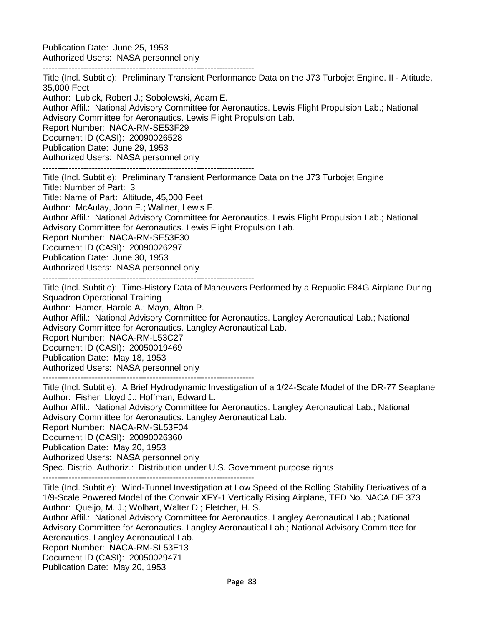Publication Date: June 25, 1953 Authorized Users: NASA personnel only

-------------------------------------------------------------------------

Title (Incl. Subtitle): Preliminary Transient Performance Data on the J73 Turbojet Engine. II - Altitude, 35,000 Feet

Author: Lubick, Robert J.; Sobolewski, Adam E.

Author Affil.: National Advisory Committee for Aeronautics. Lewis Flight Propulsion Lab.; National Advisory Committee for Aeronautics. Lewis Flight Propulsion Lab.

Report Number: NACA-RM-SE53F29

Document ID (CASI): 20090026528

Publication Date: June 29, 1953

Authorized Users: NASA personnel only -------------------------------------------------------------------------

Title (Incl. Subtitle): Preliminary Transient Performance Data on the J73 Turbojet Engine Title: Number of Part: 3 Title: Name of Part: Altitude, 45,000 Feet

Author: McAulay, John E.; Wallner, Lewis E.

Author Affil.: National Advisory Committee for Aeronautics. Lewis Flight Propulsion Lab.; National Advisory Committee for Aeronautics. Lewis Flight Propulsion Lab.

Report Number: NACA-RM-SE53F30

Document ID (CASI): 20090026297

Publication Date: June 30, 1953

Authorized Users: NASA personnel only

-------------------------------------------------------------------------

Title (Incl. Subtitle): Time-History Data of Maneuvers Performed by a Republic F84G Airplane During Squadron Operational Training

Author: Hamer, Harold A.; Mayo, Alton P.

Author Affil.: National Advisory Committee for Aeronautics. Langley Aeronautical Lab.; National Advisory Committee for Aeronautics. Langley Aeronautical Lab.

Report Number: NACA-RM-L53C27

Document ID (CASI): 20050019469

Publication Date: May 18, 1953

Authorized Users: NASA personnel only

-------------------------------------------------------------------------

Title (Incl. Subtitle): A Brief Hydrodynamic Investigation of a 1/24-Scale Model of the DR-77 Seaplane Author: Fisher, Lloyd J.; Hoffman, Edward L.

Author Affil.: National Advisory Committee for Aeronautics. Langley Aeronautical Lab.; National Advisory Committee for Aeronautics. Langley Aeronautical Lab.

Report Number: NACA-RM-SL53F04

Document ID (CASI): 20090026360

Publication Date: May 20, 1953

Authorized Users: NASA personnel only

Spec. Distrib. Authoriz.: Distribution under U.S. Government purpose rights

-------------------------------------------------------------------------

Title (Incl. Subtitle): Wind-Tunnel Investigation at Low Speed of the Rolling Stability Derivatives of a 1/9-Scale Powered Model of the Convair XFY-1 Vertically Rising Airplane, TED No. NACA DE 373 Author: Queijo, M. J.; Wolhart, Walter D.; Fletcher, H. S.

Author Affil.: National Advisory Committee for Aeronautics. Langley Aeronautical Lab.; National Advisory Committee for Aeronautics. Langley Aeronautical Lab.; National Advisory Committee for Aeronautics. Langley Aeronautical Lab.

Report Number: NACA-RM-SL53E13

Document ID (CASI): 20050029471

Publication Date: May 20, 1953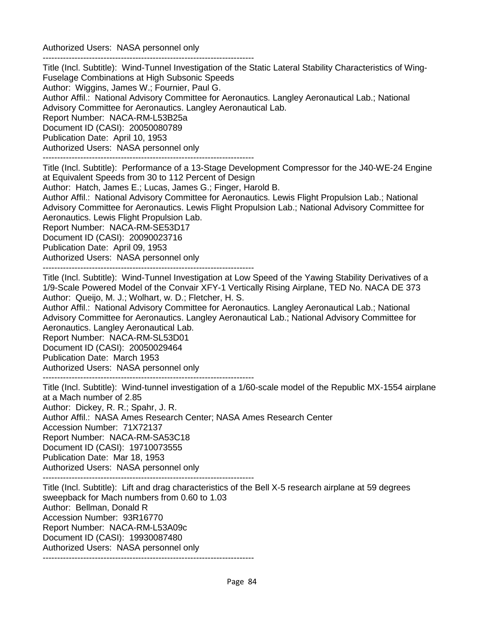Authorized Users: NASA personnel only -------------------------------------------------------------------------

Title (Incl. Subtitle): Wind-Tunnel Investigation of the Static Lateral Stability Characteristics of Wing-Fuselage Combinations at High Subsonic Speeds Author: Wiggins, James W.; Fournier, Paul G. Author Affil.: National Advisory Committee for Aeronautics. Langley Aeronautical Lab.; National Advisory Committee for Aeronautics. Langley Aeronautical Lab. Report Number: NACA-RM-L53B25a Document ID (CASI): 20050080789 Publication Date: April 10, 1953 Authorized Users: NASA personnel only -------------------------------------------------------------------------

Title (Incl. Subtitle): Performance of a 13-Stage Development Compressor for the J40-WE-24 Engine at Equivalent Speeds from 30 to 112 Percent of Design

Author: Hatch, James E.; Lucas, James G.; Finger, Harold B.

Author Affil.: National Advisory Committee for Aeronautics. Lewis Flight Propulsion Lab.; National Advisory Committee for Aeronautics. Lewis Flight Propulsion Lab.; National Advisory Committee for Aeronautics. Lewis Flight Propulsion Lab.

Report Number: NACA-RM-SE53D17

Document ID (CASI): 20090023716

Publication Date: April 09, 1953

Authorized Users: NASA personnel only

-------------------------------------------------------------------------

Title (Incl. Subtitle): Wind-Tunnel Investigation at Low Speed of the Yawing Stability Derivatives of a 1/9-Scale Powered Model of the Convair XFY-1 Vertically Rising Airplane, TED No. NACA DE 373 Author: Queijo, M. J.; Wolhart, w. D.; Fletcher, H. S.

Author Affil.: National Advisory Committee for Aeronautics. Langley Aeronautical Lab.; National Advisory Committee for Aeronautics. Langley Aeronautical Lab.; National Advisory Committee for Aeronautics. Langley Aeronautical Lab.

Report Number: NACA-RM-SL53D01

Document ID (CASI): 20050029464

Publication Date: March 1953

Authorized Users: NASA personnel only

-------------------------------------------------------------------------

Title (Incl. Subtitle): Wind-tunnel investigation of a 1/60-scale model of the Republic MX-1554 airplane at a Mach number of 2.85 Author: Dickey, R. R.; Spahr, J. R. Author Affil.: NASA Ames Research Center; NASA Ames Research Center Accession Number: 71X72137 Report Number: NACA-RM-SA53C18 Document ID (CASI): 19710073555 Publication Date: Mar 18, 1953 Authorized Users: NASA personnel only

-------------------------------------------------------------------------

Title (Incl. Subtitle): Lift and drag characteristics of the Bell X-5 research airplane at 59 degrees sweepback for Mach numbers from 0.60 to 1.03 Author: Bellman, Donald R Accession Number: 93R16770 Report Number: NACA-RM-L53A09c Document ID (CASI): 19930087480 Authorized Users: NASA personnel only -------------------------------------------------------------------------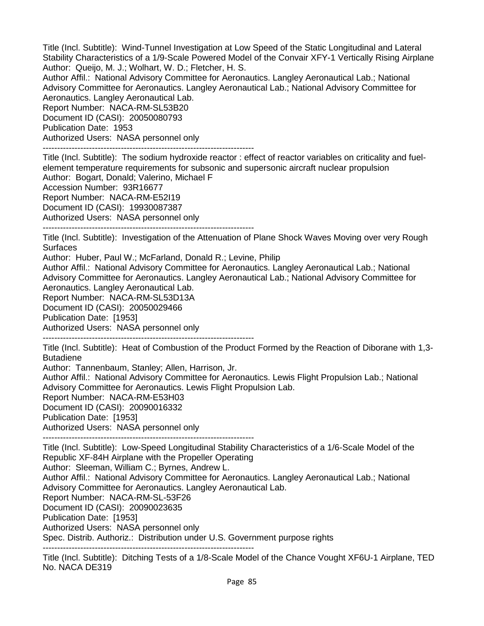Title (Incl. Subtitle): Wind-Tunnel Investigation at Low Speed of the Static Longitudinal and Lateral Stability Characteristics of a 1/9-Scale Powered Model of the Convair XFY-1 Vertically Rising Airplane Author: Queijo, M. J.; Wolhart, W. D.; Fletcher, H. S.

Author Affil.: National Advisory Committee for Aeronautics. Langley Aeronautical Lab.; National Advisory Committee for Aeronautics. Langley Aeronautical Lab.; National Advisory Committee for Aeronautics. Langley Aeronautical Lab.

Report Number: NACA-RM-SL53B20 Document ID (CASI): 20050080793 Publication Date: 1953 Authorized Users: NASA personnel only

-------------------------------------------------------------------------

Title (Incl. Subtitle): The sodium hydroxide reactor : effect of reactor variables on criticality and fuelelement temperature requirements for subsonic and supersonic aircraft nuclear propulsion

Author: Bogart, Donald; Valerino, Michael F

Accession Number: 93R16677

Report Number: NACA-RM-E52I19

Document ID (CASI): 19930087387

Authorized Users: NASA personnel only

-------------------------------------------------------------------------

Title (Incl. Subtitle): Investigation of the Attenuation of Plane Shock Waves Moving over very Rough Surfaces

Author: Huber, Paul W.; McFarland, Donald R.; Levine, Philip Author Affil.: National Advisory Committee for Aeronautics. Langley Aeronautical Lab.; National

Advisory Committee for Aeronautics. Langley Aeronautical Lab.; National Advisory Committee for Aeronautics. Langley Aeronautical Lab.

Report Number: NACA-RM-SL53D13A

Document ID (CASI): 20050029466

Publication Date: [1953]

Authorized Users: NASA personnel only

-------------------------------------------------------------------------

Title (Incl. Subtitle): Heat of Combustion of the Product Formed by the Reaction of Diborane with 1,3- Butadiene

Author: Tannenbaum, Stanley; Allen, Harrison, Jr.

Author Affil.: National Advisory Committee for Aeronautics. Lewis Flight Propulsion Lab.; National Advisory Committee for Aeronautics. Lewis Flight Propulsion Lab.

Report Number: NACA-RM-E53H03

Document ID (CASI): 20090016332

Publication Date: [1953]

Authorized Users: NASA personnel only

-------------------------------------------------------------------------

Title (Incl. Subtitle): Low-Speed Longitudinal Stability Characteristics of a 1/6-Scale Model of the Republic XF-84H Airplane with the Propeller Operating Author: Sleeman, William C.; Byrnes, Andrew L. Author Affil.: National Advisory Committee for Aeronautics. Langley Aeronautical Lab.; National Advisory Committee for Aeronautics. Langley Aeronautical Lab. Report Number: NACA-RM-SL-53F26 Document ID (CASI): 20090023635 Publication Date: [1953] Authorized Users: NASA personnel only Spec. Distrib. Authoriz.: Distribution under U.S. Government purpose rights -------------------------------------------------------------------------

Title (Incl. Subtitle): Ditching Tests of a 1/8-Scale Model of the Chance Vought XF6U-1 Airplane, TED No. NACA DE319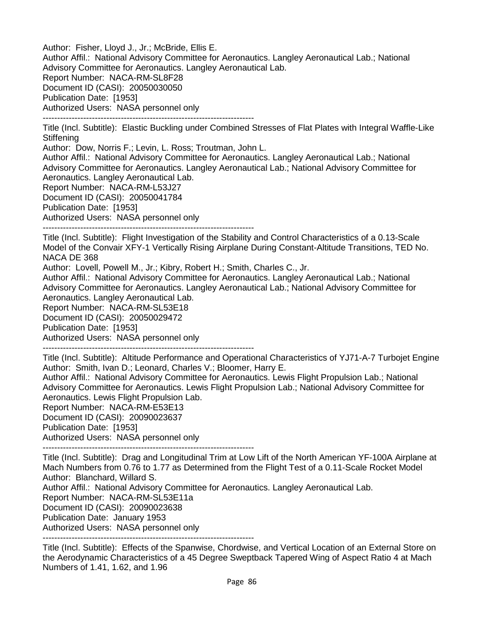Author: Fisher, Lloyd J., Jr.; McBride, Ellis E. Author Affil.: National Advisory Committee for Aeronautics. Langley Aeronautical Lab.; National Advisory Committee for Aeronautics. Langley Aeronautical Lab. Report Number: NACA-RM-SL8F28 Document ID (CASI): 20050030050 Publication Date: [1953] Authorized Users: NASA personnel only

Title (Incl. Subtitle): Elastic Buckling under Combined Stresses of Flat Plates with Integral Waffle-Like **Stiffening** 

Author: Dow, Norris F.; Levin, L. Ross; Troutman, John L.

-------------------------------------------------------------------------

Author Affil.: National Advisory Committee for Aeronautics. Langley Aeronautical Lab.; National Advisory Committee for Aeronautics. Langley Aeronautical Lab.; National Advisory Committee for Aeronautics. Langley Aeronautical Lab.

Report Number: NACA-RM-L53J27

Document ID (CASI): 20050041784

Publication Date: [1953]

Authorized Users: NASA personnel only

-------------------------------------------------------------------------

Title (Incl. Subtitle): Flight Investigation of the Stability and Control Characteristics of a 0.13-Scale Model of the Convair XFY-1 Vertically Rising Airplane During Constant-Altitude Transitions, TED No. NACA DE 368

Author: Lovell, Powell M., Jr.; Kibry, Robert H.; Smith, Charles C., Jr.

Author Affil.: National Advisory Committee for Aeronautics. Langley Aeronautical Lab.; National Advisory Committee for Aeronautics. Langley Aeronautical Lab.; National Advisory Committee for Aeronautics. Langley Aeronautical Lab.

Report Number: NACA-RM-SL53E18

Document ID (CASI): 20050029472

Publication Date: [1953]

Authorized Users: NASA personnel only

-------------------------------------------------------------------------

Title (Incl. Subtitle): Altitude Performance and Operational Characteristics of YJ71-A-7 Turbojet Engine Author: Smith, Ivan D.; Leonard, Charles V.; Bloomer, Harry E.

Author Affil.: National Advisory Committee for Aeronautics. Lewis Flight Propulsion Lab.; National Advisory Committee for Aeronautics. Lewis Flight Propulsion Lab.; National Advisory Committee for Aeronautics. Lewis Flight Propulsion Lab.

Report Number: NACA-RM-E53E13

Document ID (CASI): 20090023637

Publication Date: [1953]

Authorized Users: NASA personnel only

-------------------------------------------------------------------------

Title (Incl. Subtitle): Drag and Longitudinal Trim at Low Lift of the North American YF-100A Airplane at Mach Numbers from 0.76 to 1.77 as Determined from the Flight Test of a 0.11-Scale Rocket Model Author: Blanchard, Willard S.

Author Affil.: National Advisory Committee for Aeronautics. Langley Aeronautical Lab.

Report Number: NACA-RM-SL53E11a

Document ID (CASI): 20090023638

Publication Date: January 1953

Authorized Users: NASA personnel only

-------------------------------------------------------------------------

Title (Incl. Subtitle): Effects of the Spanwise, Chordwise, and Vertical Location of an External Store on the Aerodynamic Characteristics of a 45 Degree Sweptback Tapered Wing of Aspect Ratio 4 at Mach Numbers of 1.41, 1.62, and 1.96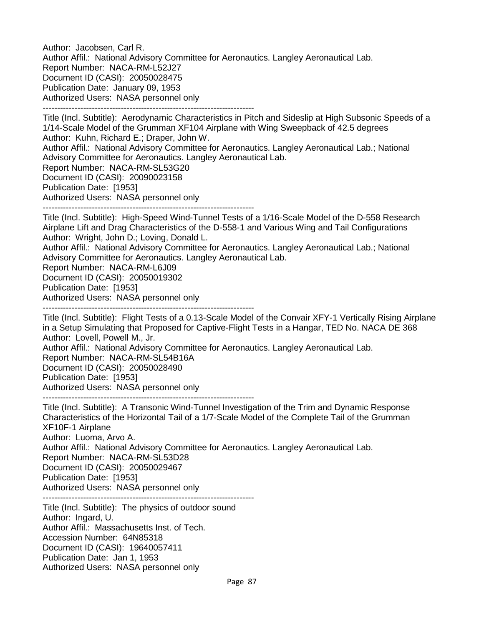Author: Jacobsen, Carl R. Author Affil.: National Advisory Committee for Aeronautics. Langley Aeronautical Lab. Report Number: NACA-RM-L52J27 Document ID (CASI): 20050028475 Publication Date: January 09, 1953 Authorized Users: NASA personnel only -------------------------------------------------------------------------

Title (Incl. Subtitle): Aerodynamic Characteristics in Pitch and Sideslip at High Subsonic Speeds of a 1/14-Scale Model of the Grumman XF104 Airplane with Wing Sweepback of 42.5 degrees Author: Kuhn, Richard E.; Draper, John W. Author Affil.: National Advisory Committee for Aeronautics. Langley Aeronautical Lab.; National Advisory Committee for Aeronautics. Langley Aeronautical Lab. Report Number: NACA-RM-SL53G20 Document ID (CASI): 20090023158 Publication Date: [1953] Authorized Users: NASA personnel only ------------------------------------------------------------------------- Title (Incl. Subtitle): High-Speed Wind-Tunnel Tests of a 1/16-Scale Model of the D-558 Research

Airplane Lift and Drag Characteristics of the D-558-1 and Various Wing and Tail Configurations Author: Wright, John D.; Loving, Donald L.

Author Affil.: National Advisory Committee for Aeronautics. Langley Aeronautical Lab.; National Advisory Committee for Aeronautics. Langley Aeronautical Lab.

Report Number: NACA-RM-L6J09

Document ID (CASI): 20050019302

Publication Date: [1953]

Authorized Users: NASA personnel only

-------------------------------------------------------------------------

Title (Incl. Subtitle): Flight Tests of a 0.13-Scale Model of the Convair XFY-1 Vertically Rising Airplane in a Setup Simulating that Proposed for Captive-Flight Tests in a Hangar, TED No. NACA DE 368 Author: Lovell, Powell M., Jr.

Author Affil.: National Advisory Committee for Aeronautics. Langley Aeronautical Lab.

Report Number: NACA-RM-SL54B16A

Document ID (CASI): 20050028490

Publication Date: [1953]

Authorized Users: NASA personnel only

-------------------------------------------------------------------------

Title (Incl. Subtitle): A Transonic Wind-Tunnel Investigation of the Trim and Dynamic Response Characteristics of the Horizontal Tail of a 1/7-Scale Model of the Complete Tail of the Grumman XF10F-1 Airplane Author: Luoma, Arvo A.

Author Affil.: National Advisory Committee for Aeronautics. Langley Aeronautical Lab.

Report Number: NACA-RM-SL53D28

Document ID (CASI): 20050029467

Publication Date: [1953]

Authorized Users: NASA personnel only

------------------------------------------------------------------------- Title (Incl. Subtitle): The physics of outdoor sound Author: Ingard, U. Author Affil.: Massachusetts Inst. of Tech. Accession Number: 64N85318 Document ID (CASI): 19640057411 Publication Date: Jan 1, 1953 Authorized Users: NASA personnel only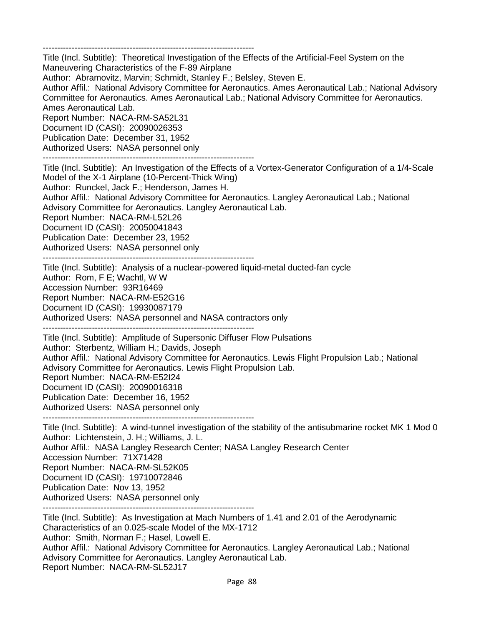-------------------------------------------------------------------------

Title (Incl. Subtitle): Theoretical Investigation of the Effects of the Artificial-Feel System on the Maneuvering Characteristics of the F-89 Airplane

Author: Abramovitz, Marvin; Schmidt, Stanley F.; Belsley, Steven E.

Author Affil.: National Advisory Committee for Aeronautics. Ames Aeronautical Lab.; National Advisory Committee for Aeronautics. Ames Aeronautical Lab.; National Advisory Committee for Aeronautics. Ames Aeronautical Lab.

Report Number: NACA-RM-SA52L31 Document ID (CASI): 20090026353 Publication Date: December 31, 1952 Authorized Users: NASA personnel only

-------------------------------------------------------------------------

Title (Incl. Subtitle): An Investigation of the Effects of a Vortex-Generator Configuration of a 1/4-Scale Model of the X-1 Airplane (10-Percent-Thick Wing) Author: Runckel, Jack F.; Henderson, James H. Author Affil.: National Advisory Committee for Aeronautics. Langley Aeronautical Lab.; National Advisory Committee for Aeronautics. Langley Aeronautical Lab. Report Number: NACA-RM-L52L26 Document ID (CASI): 20050041843 Publication Date: December 23, 1952

Authorized Users: NASA personnel only

-------------------------------------------------------------------------

Title (Incl. Subtitle): Analysis of a nuclear-powered liquid-metal ducted-fan cycle Author: Rom, F E; Wachtl, W W Accession Number: 93R16469 Report Number: NACA-RM-E52G16 Document ID (CASI): 19930087179 Authorized Users: NASA personnel and NASA contractors only

-------------------------------------------------------------------------

Title (Incl. Subtitle): Amplitude of Supersonic Diffuser Flow Pulsations Author: Sterbentz, William H.; Davids, Joseph Author Affil.: National Advisory Committee for Aeronautics. Lewis Flight Propulsion Lab.; National Advisory Committee for Aeronautics. Lewis Flight Propulsion Lab. Report Number: NACA-RM-E52I24 Document ID (CASI): 20090016318 Publication Date: December 16, 1952 Authorized Users: NASA personnel only

-------------------------------------------------------------------------

Title (Incl. Subtitle): A wind-tunnel investigation of the stability of the antisubmarine rocket MK 1 Mod 0 Author: Lichtenstein, J. H.; Williams, J. L. Author Affil.: NASA Langley Research Center; NASA Langley Research Center Accession Number: 71X71428 Report Number: NACA-RM-SL52K05 Document ID (CASI): 19710072846 Publication Date: Nov 13, 1952 Authorized Users: NASA personnel only -------------------------------------------------------------------------

Title (Incl. Subtitle): As Investigation at Mach Numbers of 1.41 and 2.01 of the Aerodynamic Characteristics of an 0.025-scale Model of the MX-1712 Author: Smith, Norman F.; Hasel, Lowell E. Author Affil.: National Advisory Committee for Aeronautics. Langley Aeronautical Lab.; National Advisory Committee for Aeronautics. Langley Aeronautical Lab. Report Number: NACA-RM-SL52J17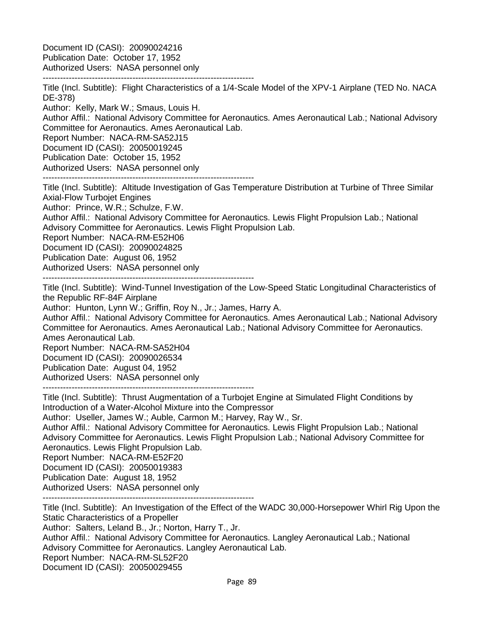Document ID (CASI): 20090024216 Publication Date: October 17, 1952 Authorized Users: NASA personnel only

------------------------------------------------------------------------- Title (Incl. Subtitle): Flight Characteristics of a 1/4-Scale Model of the XPV-1 Airplane (TED No. NACA DE-378)

Author: Kelly, Mark W.; Smaus, Louis H.

Author Affil.: National Advisory Committee for Aeronautics. Ames Aeronautical Lab.; National Advisory Committee for Aeronautics. Ames Aeronautical Lab.

Report Number: NACA-RM-SA52J15

Document ID (CASI): 20050019245

Publication Date: October 15, 1952

Authorized Users: NASA personnel only

-------------------------------------------------------------------------

Title (Incl. Subtitle): Altitude Investigation of Gas Temperature Distribution at Turbine of Three Similar Axial-Flow Turbojet Engines

Author: Prince, W.R.; Schulze, F.W.

Author Affil.: National Advisory Committee for Aeronautics. Lewis Flight Propulsion Lab.; National Advisory Committee for Aeronautics. Lewis Flight Propulsion Lab.

Report Number: NACA-RM-E52H06

Document ID (CASI): 20090024825

Publication Date: August 06, 1952

Authorized Users: NASA personnel only

-------------------------------------------------------------------------

Title (Incl. Subtitle): Wind-Tunnel Investigation of the Low-Speed Static Longitudinal Characteristics of the Republic RF-84F Airplane

Author: Hunton, Lynn W.; Griffin, Roy N., Jr.; James, Harry A.

Author Affil.: National Advisory Committee for Aeronautics. Ames Aeronautical Lab.; National Advisory Committee for Aeronautics. Ames Aeronautical Lab.; National Advisory Committee for Aeronautics. Ames Aeronautical Lab.

Report Number: NACA-RM-SA52H04 Document ID (CASI): 20090026534 Publication Date: August 04, 1952 Authorized Users: NASA personnel only

-------------------------------------------------------------------------

Title (Incl. Subtitle): Thrust Augmentation of a Turbojet Engine at Simulated Flight Conditions by Introduction of a Water-Alcohol Mixture into the Compressor

Author: Useller, James W.; Auble, Carmon M.; Harvey, Ray W., Sr.

Author Affil.: National Advisory Committee for Aeronautics. Lewis Flight Propulsion Lab.; National Advisory Committee for Aeronautics. Lewis Flight Propulsion Lab.; National Advisory Committee for Aeronautics. Lewis Flight Propulsion Lab.

Report Number: NACA-RM-E52F20

Document ID (CASI): 20050019383

Publication Date: August 18, 1952

Authorized Users: NASA personnel only

-------------------------------------------------------------------------

Title (Incl. Subtitle): An Investigation of the Effect of the WADC 30,000-Horsepower Whirl Rig Upon the Static Characteristics of a Propeller

Author: Salters, Leland B., Jr.; Norton, Harry T., Jr.

Author Affil.: National Advisory Committee for Aeronautics. Langley Aeronautical Lab.; National Advisory Committee for Aeronautics. Langley Aeronautical Lab.

Report Number: NACA-RM-SL52F20

Document ID (CASI): 20050029455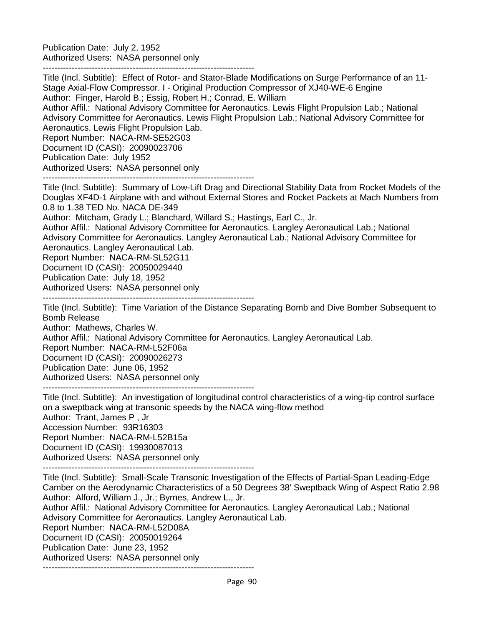Publication Date: July 2, 1952 Authorized Users: NASA personnel only

-------------------------------------------------------------------------

Title (Incl. Subtitle): Effect of Rotor- and Stator-Blade Modifications on Surge Performance of an 11- Stage Axial-Flow Compressor. I - Original Production Compressor of XJ40-WE-6 Engine Author: Finger, Harold B.; Essig, Robert H.; Conrad, E. William Author Affil.: National Advisory Committee for Aeronautics. Lewis Flight Propulsion Lab.; National Advisory Committee for Aeronautics. Lewis Flight Propulsion Lab.; National Advisory Committee for Aeronautics. Lewis Flight Propulsion Lab. Report Number: NACA-RM-SE52G03

Document ID (CASI): 20090023706 Publication Date: July 1952

Authorized Users: NASA personnel only

-------------------------------------------------------------------------

Title (Incl. Subtitle): Summary of Low-Lift Drag and Directional Stability Data from Rocket Models of the Douglas XF4D-1 Airplane with and without External Stores and Rocket Packets at Mach Numbers from 0.8 to 1.38 TED No. NACA DE-349

Author: Mitcham, Grady L.; Blanchard, Willard S.; Hastings, Earl C., Jr.

Author Affil.: National Advisory Committee for Aeronautics. Langley Aeronautical Lab.; National Advisory Committee for Aeronautics. Langley Aeronautical Lab.; National Advisory Committee for Aeronautics. Langley Aeronautical Lab.

Report Number: NACA-RM-SL52G11

Document ID (CASI): 20050029440

Publication Date: July 18, 1952

Authorized Users: NASA personnel only

-------------------------------------------------------------------------

Title (Incl. Subtitle): Time Variation of the Distance Separating Bomb and Dive Bomber Subsequent to Bomb Release

Author: Mathews, Charles W.

Author Affil.: National Advisory Committee for Aeronautics. Langley Aeronautical Lab.

Report Number: NACA-RM-L52F06a

Document ID (CASI): 20090026273

Publication Date: June 06, 1952

Authorized Users: NASA personnel only

-------------------------------------------------------------------------

Title (Incl. Subtitle): An investigation of longitudinal control characteristics of a wing-tip control surface on a sweptback wing at transonic speeds by the NACA wing-flow method Author: Trant, James P , Jr Accession Number: 93R16303 Report Number: NACA-RM-L52B15a Document ID (CASI): 19930087013 Authorized Users: NASA personnel only

-------------------------------------------------------------------------

Title (Incl. Subtitle): Small-Scale Transonic Investigation of the Effects of Partial-Span Leading-Edge Camber on the Aerodynamic Characteristics of a 50 Degrees 38' Sweptback Wing of Aspect Ratio 2.98 Author: Alford, William J., Jr.; Byrnes, Andrew L., Jr. Author Affil.: National Advisory Committee for Aeronautics. Langley Aeronautical Lab.; National Advisory Committee for Aeronautics. Langley Aeronautical Lab. Report Number: NACA-RM-L52D08A Document ID (CASI): 20050019264

Publication Date: June 23, 1952

Authorized Users: NASA personnel only

-------------------------------------------------------------------------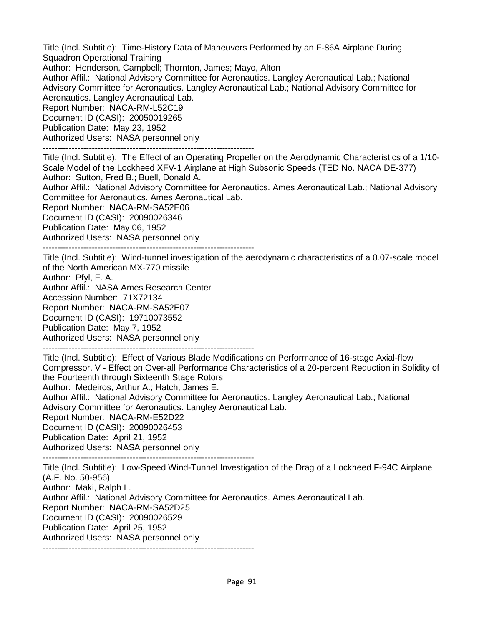Title (Incl. Subtitle): Time-History Data of Maneuvers Performed by an F-86A Airplane During Squadron Operational Training

Author: Henderson, Campbell; Thornton, James; Mayo, Alton

Author Affil.: National Advisory Committee for Aeronautics. Langley Aeronautical Lab.; National Advisory Committee for Aeronautics. Langley Aeronautical Lab.; National Advisory Committee for Aeronautics. Langley Aeronautical Lab.

Report Number: NACA-RM-L52C19 Document ID (CASI): 20050019265

Publication Date: May 23, 1952

Authorized Users: NASA personnel only

-------------------------------------------------------------------------

Title (Incl. Subtitle): The Effect of an Operating Propeller on the Aerodynamic Characteristics of a 1/10- Scale Model of the Lockheed XFV-1 Airplane at High Subsonic Speeds (TED No. NACA DE-377) Author: Sutton, Fred B.; Buell, Donald A.

Author Affil.: National Advisory Committee for Aeronautics. Ames Aeronautical Lab.; National Advisory Committee for Aeronautics. Ames Aeronautical Lab.

Report Number: NACA-RM-SA52E06

Document ID (CASI): 20090026346

Publication Date: May 06, 1952

Authorized Users: NASA personnel only

-------------------------------------------------------------------------

Title (Incl. Subtitle): Wind-tunnel investigation of the aerodynamic characteristics of a 0.07-scale model of the North American MX-770 missile

Author: Pfyl, F. A.

Author Affil.: NASA Ames Research Center

Accession Number: 71X72134

Report Number: NACA-RM-SA52E07

Document ID (CASI): 19710073552

Publication Date: May 7, 1952

Authorized Users: NASA personnel only

-------------------------------------------------------------------------

Title (Incl. Subtitle): Effect of Various Blade Modifications on Performance of 16-stage Axial-flow Compressor. V - Effect on Over-all Performance Characteristics of a 20-percent Reduction in Solidity of the Fourteenth through Sixteenth Stage Rotors

Author: Medeiros, Arthur A.; Hatch, James E.

Author Affil.: National Advisory Committee for Aeronautics. Langley Aeronautical Lab.; National Advisory Committee for Aeronautics. Langley Aeronautical Lab.

Report Number: NACA-RM-E52D22

Document ID (CASI): 20090026453

Publication Date: April 21, 1952

Authorized Users: NASA personnel only

-------------------------------------------------------------------------

Title (Incl. Subtitle): Low-Speed Wind-Tunnel Investigation of the Drag of a Lockheed F-94C Airplane (A.F. No. 50-956)

Author: Maki, Ralph L.

Author Affil.: National Advisory Committee for Aeronautics. Ames Aeronautical Lab.

Report Number: NACA-RM-SA52D25

Document ID (CASI): 20090026529

Publication Date: April 25, 1952

Authorized Users: NASA personnel only

-------------------------------------------------------------------------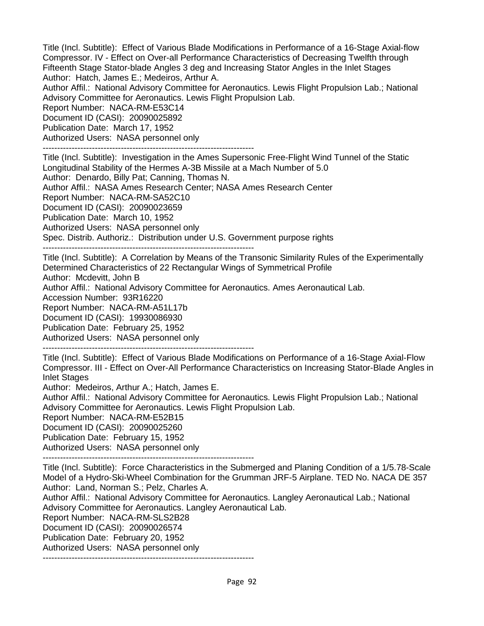Title (Incl. Subtitle): Effect of Various Blade Modifications in Performance of a 16-Stage Axial-flow Compressor. IV - Effect on Over-all Performance Characteristics of Decreasing Twelfth through Fifteenth Stage Stator-blade Angles 3 deg and Increasing Stator Angles in the Inlet Stages Author: Hatch, James E.; Medeiros, Arthur A.

Author Affil.: National Advisory Committee for Aeronautics. Lewis Flight Propulsion Lab.; National Advisory Committee for Aeronautics. Lewis Flight Propulsion Lab.

Report Number: NACA-RM-E53C14 Document ID (CASI): 20090025892

Publication Date: March 17, 1952

Authorized Users: NASA personnel only

-------------------------------------------------------------------------

Title (Incl. Subtitle): Investigation in the Ames Supersonic Free-Flight Wind Tunnel of the Static Longitudinal Stability of the Hermes A-3B Missile at a Mach Number of 5.0 Author: Denardo, Billy Pat; Canning, Thomas N.

Author Affil.: NASA Ames Research Center; NASA Ames Research Center

Report Number: NACA-RM-SA52C10

Document ID (CASI): 20090023659

Publication Date: March 10, 1952

Authorized Users: NASA personnel only

Spec. Distrib. Authoriz.: Distribution under U.S. Government purpose rights

-------------------------------------------------------------------------

Title (Incl. Subtitle): A Correlation by Means of the Transonic Similarity Rules of the Experimentally Determined Characteristics of 22 Rectangular Wings of Symmetrical Profile Author: Mcdevitt, John B Author Affil.: National Advisory Committee for Aeronautics. Ames Aeronautical Lab. Accession Number: 93R16220 Report Number: NACA-RM-A51L17b Document ID (CASI): 19930086930

Publication Date: February 25, 1952

Authorized Users: NASA personnel only

-------------------------------------------------------------------------

Title (Incl. Subtitle): Effect of Various Blade Modifications on Performance of a 16-Stage Axial-Flow Compressor. III - Effect on Over-All Performance Characteristics on Increasing Stator-Blade Angles in Inlet Stages

Author: Medeiros, Arthur A.; Hatch, James E.

Author Affil.: National Advisory Committee for Aeronautics. Lewis Flight Propulsion Lab.; National Advisory Committee for Aeronautics. Lewis Flight Propulsion Lab.

Report Number: NACA-RM-E52B15

Document ID (CASI): 20090025260

Publication Date: February 15, 1952

Authorized Users: NASA personnel only

-------------------------------------------------------------------------

Title (Incl. Subtitle): Force Characteristics in the Submerged and Planing Condition of a 1/5.78-Scale Model of a Hydro-Ski-Wheel Combination for the Grumman JRF-5 Airplane. TED No. NACA DE 357 Author: Land, Norman S.; Pelz, Charles A.

Author Affil.: National Advisory Committee for Aeronautics. Langley Aeronautical Lab.; National Advisory Committee for Aeronautics. Langley Aeronautical Lab.

Report Number: NACA-RM-SLS2B28

Document ID (CASI): 20090026574

Publication Date: February 20, 1952

Authorized Users: NASA personnel only -------------------------------------------------------------------------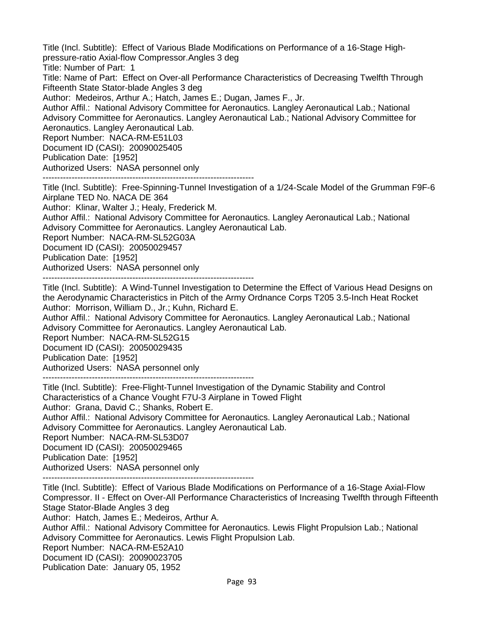Title (Incl. Subtitle): Effect of Various Blade Modifications on Performance of a 16-Stage Highpressure-ratio Axial-flow Compressor.Angles 3 deg

Title: Number of Part: 1

Title: Name of Part: Effect on Over-all Performance Characteristics of Decreasing Twelfth Through Fifteenth State Stator-blade Angles 3 deg

Author: Medeiros, Arthur A.; Hatch, James E.; Dugan, James F., Jr.

Author Affil.: National Advisory Committee for Aeronautics. Langley Aeronautical Lab.; National Advisory Committee for Aeronautics. Langley Aeronautical Lab.; National Advisory Committee for Aeronautics. Langley Aeronautical Lab.

Report Number: NACA-RM-E51L03

Document ID (CASI): 20090025405

Publication Date: [1952]

Authorized Users: NASA personnel only

------------------------------------------------------------------------- Title (Incl. Subtitle): Free-Spinning-Tunnel Investigation of a 1/24-Scale Model of the Grumman F9F-6

Airplane TED No. NACA DE 364 Author: Klinar, Walter J.; Healy, Frederick M.

Author Affil.: National Advisory Committee for Aeronautics. Langley Aeronautical Lab.; National Advisory Committee for Aeronautics. Langley Aeronautical Lab.

Report Number: NACA-RM-SL52G03A

Document ID (CASI): 20050029457

Publication Date: [1952]

Authorized Users: NASA personnel only

-------------------------------------------------------------------------

Title (Incl. Subtitle): A Wind-Tunnel Investigation to Determine the Effect of Various Head Designs on the Aerodynamic Characteristics in Pitch of the Army Ordnance Corps T205 3.5-Inch Heat Rocket Author: Morrison, William D., Jr.; Kuhn, Richard E.

Author Affil.: National Advisory Committee for Aeronautics. Langley Aeronautical Lab.; National Advisory Committee for Aeronautics. Langley Aeronautical Lab.

Report Number: NACA-RM-SL52G15

Document ID (CASI): 20050029435

Publication Date: [1952]

Authorized Users: NASA personnel only

-------------------------------------------------------------------------

Title (Incl. Subtitle): Free-Flight-Tunnel Investigation of the Dynamic Stability and Control Characteristics of a Chance Vought F7U-3 Airplane in Towed Flight Author: Grana, David C.; Shanks, Robert E. Author Affil.: National Advisory Committee for Aeronautics. Langley Aeronautical Lab.; National Advisory Committee for Aeronautics. Langley Aeronautical Lab. Report Number: NACA-RM-SL53D07 Document ID (CASI): 20050029465 Publication Date: [1952] Authorized Users: NASA personnel only

-------------------------------------------------------------------------

Title (Incl. Subtitle): Effect of Various Blade Modifications on Performance of a 16-Stage Axial-Flow Compressor. II - Effect on Over-All Performance Characteristics of Increasing Twelfth through Fifteenth Stage Stator-Blade Angles 3 deg

Author: Hatch, James E.; Medeiros, Arthur A.

Author Affil.: National Advisory Committee for Aeronautics. Lewis Flight Propulsion Lab.; National Advisory Committee for Aeronautics. Lewis Flight Propulsion Lab.

Report Number: NACA-RM-E52A10

Document ID (CASI): 20090023705

Publication Date: January 05, 1952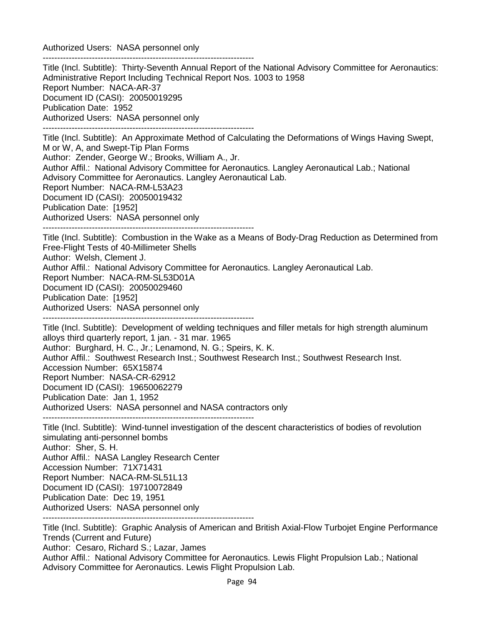Authorized Users: NASA personnel only

------------------------------------------------------------------------- Title (Incl. Subtitle): Thirty-Seventh Annual Report of the National Advisory Committee for Aeronautics: Administrative Report Including Technical Report Nos. 1003 to 1958 Report Number: NACA-AR-37 Document ID (CASI): 20050019295 Publication Date: 1952 Authorized Users: NASA personnel only ------------------------------------------------------------------------- Title (Incl. Subtitle): An Approximate Method of Calculating the Deformations of Wings Having Swept, M or W, A, and Swept-Tip Plan Forms Author: Zender, George W.; Brooks, William A., Jr. Author Affil.: National Advisory Committee for Aeronautics. Langley Aeronautical Lab.; National Advisory Committee for Aeronautics. Langley Aeronautical Lab. Report Number: NACA-RM-L53A23 Document ID (CASI): 20050019432 Publication Date: [1952] Authorized Users: NASA personnel only ------------------------------------------------------------------------- Title (Incl. Subtitle): Combustion in the Wake as a Means of Body-Drag Reduction as Determined from Free-Flight Tests of 40-Millimeter Shells

Author: Welsh, Clement J.

Author Affil.: National Advisory Committee for Aeronautics. Langley Aeronautical Lab.

Report Number: NACA-RM-SL53D01A

Document ID (CASI): 20050029460

Publication Date: [1952]

Authorized Users: NASA personnel only

-------------------------------------------------------------------------

Title (Incl. Subtitle): Development of welding techniques and filler metals for high strength aluminum alloys third quarterly report, 1 jan. - 31 mar. 1965 Author: Burghard, H. C., Jr.; Lenamond, N. G.; Speirs, K. K. Author Affil.: Southwest Research Inst.; Southwest Research Inst.; Southwest Research Inst. Accession Number: 65X15874 Report Number: NASA-CR-62912 Document ID (CASI): 19650062279 Publication Date: Jan 1, 1952 Authorized Users: NASA personnel and NASA contractors only -------------------------------------------------------------------------

Title (Incl. Subtitle): Wind-tunnel investigation of the descent characteristics of bodies of revolution simulating anti-personnel bombs Author: Sher, S. H. Author Affil.: NASA Langley Research Center Accession Number: 71X71431 Report Number: NACA-RM-SL51L13 Document ID (CASI): 19710072849 Publication Date: Dec 19, 1951 Authorized Users: NASA personnel only -------------------------------------------------------------------------

Title (Incl. Subtitle): Graphic Analysis of American and British Axial-Flow Turbojet Engine Performance Trends (Current and Future) Author: Cesaro, Richard S.; Lazar, James Author Affil.: National Advisory Committee for Aeronautics. Lewis Flight Propulsion Lab.; National Advisory Committee for Aeronautics. Lewis Flight Propulsion Lab.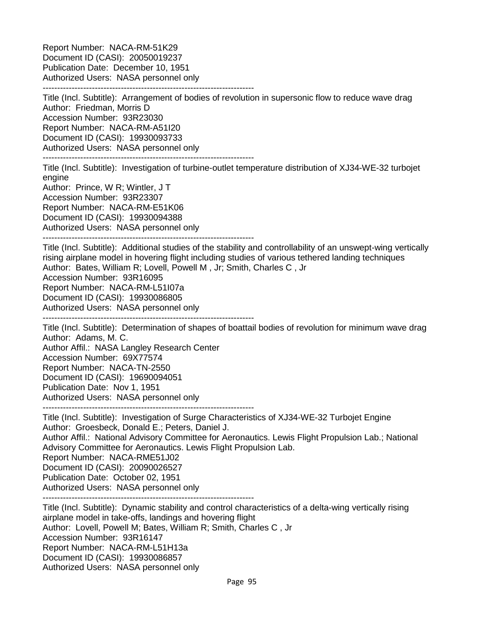Report Number: NACA-RM-51K29 Document ID (CASI): 20050019237 Publication Date: December 10, 1951 Authorized Users: NASA personnel only -------------------------------------------------------------------------

Title (Incl. Subtitle): Arrangement of bodies of revolution in supersonic flow to reduce wave drag Author: Friedman, Morris D Accession Number: 93R23030 Report Number: NACA-RM-A51I20 Document ID (CASI): 19930093733 Authorized Users: NASA personnel only

-------------------------------------------------------------------------

Title (Incl. Subtitle): Investigation of turbine-outlet temperature distribution of XJ34-WE-32 turbojet engine Author: Prince, W R; Wintler, J T

Accession Number: 93R23307 Report Number: NACA-RM-E51K06 Document ID (CASI): 19930094388 Authorized Users: NASA personnel only

-------------------------------------------------------------------------

Title (Incl. Subtitle): Additional studies of the stability and controllability of an unswept-wing vertically rising airplane model in hovering flight including studies of various tethered landing techniques Author: Bates, William R; Lovell, Powell M , Jr; Smith, Charles C , Jr Accession Number: 93R16095 Report Number: NACA-RM-L51I07a Document ID (CASI): 19930086805 Authorized Users: NASA personnel only

-------------------------------------------------------------------------

Title (Incl. Subtitle): Determination of shapes of boattail bodies of revolution for minimum wave drag Author: Adams, M. C.

Author Affil.: NASA Langley Research Center

Accession Number: 69X77574

Report Number: NACA-TN-2550

Document ID (CASI): 19690094051

Publication Date: Nov 1, 1951

Authorized Users: NASA personnel only

-------------------------------------------------------------------------

Title (Incl. Subtitle): Investigation of Surge Characteristics of XJ34-WE-32 Turbojet Engine Author: Groesbeck, Donald E.; Peters, Daniel J.

Author Affil.: National Advisory Committee for Aeronautics. Lewis Flight Propulsion Lab.; National Advisory Committee for Aeronautics. Lewis Flight Propulsion Lab. Report Number: NACA-RME51J02

Document ID (CASI): 20090026527

Publication Date: October 02, 1951

Authorized Users: NASA personnel only

-------------------------------------------------------------------------

Title (Incl. Subtitle): Dynamic stability and control characteristics of a delta-wing vertically rising airplane model in take-offs, landings and hovering flight Author: Lovell, Powell M; Bates, William R; Smith, Charles C , Jr Accession Number: 93R16147 Report Number: NACA-RM-L51H13a Document ID (CASI): 19930086857 Authorized Users: NASA personnel only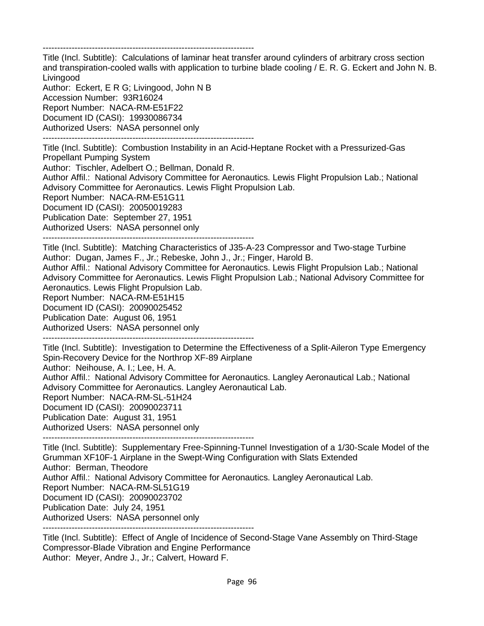-------------------------------------------------------------------------

Title (Incl. Subtitle): Calculations of laminar heat transfer around cylinders of arbitrary cross section and transpiration-cooled walls with application to turbine blade cooling / E. R. G. Eckert and John N. B. Livingood

Author: Eckert, E R G; Livingood, John N B Accession Number: 93R16024 Report Number: NACA-RM-E51F22 Document ID (CASI): 19930086734 Authorized Users: NASA personnel only -------------------------------------------------------------------------

Title (Incl. Subtitle): Combustion Instability in an Acid-Heptane Rocket with a Pressurized-Gas Propellant Pumping System Author: Tischler, Adelbert O.; Bellman, Donald R. Author Affil.: National Advisory Committee for Aeronautics. Lewis Flight Propulsion Lab.; National Advisory Committee for Aeronautics. Lewis Flight Propulsion Lab. Report Number: NACA-RM-E51G11 Document ID (CASI): 20050019283 Publication Date: September 27, 1951 Authorized Users: NASA personnel only

-------------------------------------------------------------------------

Title (Incl. Subtitle): Matching Characteristics of J35-A-23 Compressor and Two-stage Turbine Author: Dugan, James F., Jr.; Rebeske, John J., Jr.; Finger, Harold B.

Author Affil.: National Advisory Committee for Aeronautics. Lewis Flight Propulsion Lab.; National Advisory Committee for Aeronautics. Lewis Flight Propulsion Lab.; National Advisory Committee for Aeronautics. Lewis Flight Propulsion Lab.

Report Number: NACA-RM-E51H15

Document ID (CASI): 20090025452

Publication Date: August 06, 1951

Authorized Users: NASA personnel only -------------------------------------------------------------------------

Title (Incl. Subtitle): Investigation to Determine the Effectiveness of a Split-Aileron Type Emergency Spin-Recovery Device for the Northrop XF-89 Airplane

Author: Neihouse, A. I.; Lee, H. A.

Author Affil.: National Advisory Committee for Aeronautics. Langley Aeronautical Lab.; National Advisory Committee for Aeronautics. Langley Aeronautical Lab.

Report Number: NACA-RM-SL-51H24

Document ID (CASI): 20090023711

Publication Date: August 31, 1951

Authorized Users: NASA personnel only

-------------------------------------------------------------------------

Title (Incl. Subtitle): Supplementary Free-Spinning-Tunnel Investigation of a 1/30-Scale Model of the Grumman XF10F-1 Airplane in the Swept-Wing Configuration with Slats Extended Author: Berman, Theodore Author Affil.: National Advisory Committee for Aeronautics. Langley Aeronautical Lab. Report Number: NACA-RM-SL51G19 Document ID (CASI): 20090023702 Publication Date: July 24, 1951 Authorized Users: NASA personnel only -------------------------------------------------------------------------

Title (Incl. Subtitle): Effect of Angle of Incidence of Second-Stage Vane Assembly on Third-Stage Compressor-Blade Vibration and Engine Performance Author: Meyer, Andre J., Jr.; Calvert, Howard F.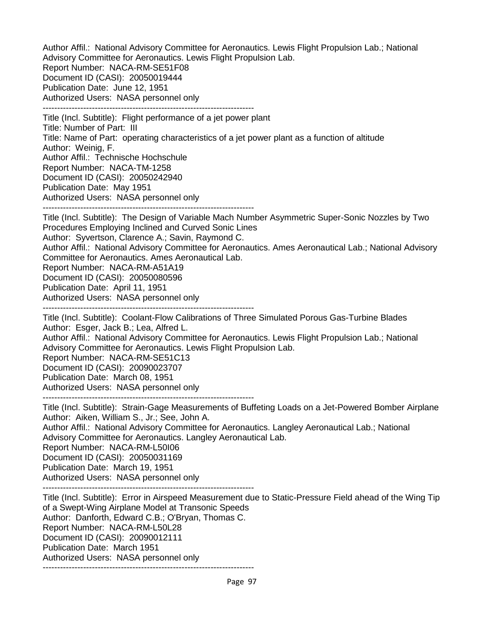Author Affil.: National Advisory Committee for Aeronautics. Lewis Flight Propulsion Lab.; National Advisory Committee for Aeronautics. Lewis Flight Propulsion Lab. Report Number: NACA-RM-SE51F08 Document ID (CASI): 20050019444 Publication Date: June 12, 1951 Authorized Users: NASA personnel only -------------------------------------------------------------------------

Title (Incl. Subtitle): Flight performance of a jet power plant Title: Number of Part: III Title: Name of Part: operating characteristics of a jet power plant as a function of altitude Author: Weinig, F. Author Affil.: Technische Hochschule Report Number: NACA-TM-1258 Document ID (CASI): 20050242940 Publication Date: May 1951 Authorized Users: NASA personnel only -------------------------------------------------------------------------

Title (Incl. Subtitle): The Design of Variable Mach Number Asymmetric Super-Sonic Nozzles by Two Procedures Employing Inclined and Curved Sonic Lines Author: Syvertson, Clarence A.; Savin, Raymond C. Author Affil.: National Advisory Committee for Aeronautics. Ames Aeronautical Lab.; National Advisory Committee for Aeronautics. Ames Aeronautical Lab. Report Number: NACA-RM-A51A19 Document ID (CASI): 20050080596 Publication Date: April 11, 1951 Authorized Users: NASA personnel only -------------------------------------------------------------------------

Title (Incl. Subtitle): Coolant-Flow Calibrations of Three Simulated Porous Gas-Turbine Blades Author: Esger, Jack B.; Lea, Alfred L. Author Affil.: National Advisory Committee for Aeronautics. Lewis Flight Propulsion Lab.; National Advisory Committee for Aeronautics. Lewis Flight Propulsion Lab. Report Number: NACA-RM-SE51C13 Document ID (CASI): 20090023707 Publication Date: March 08, 1951 Authorized Users: NASA personnel only

-------------------------------------------------------------------------

Title (Incl. Subtitle): Strain-Gage Measurements of Buffeting Loads on a Jet-Powered Bomber Airplane Author: Aiken, William S., Jr.; See, John A.

Author Affil.: National Advisory Committee for Aeronautics. Langley Aeronautical Lab.; National Advisory Committee for Aeronautics. Langley Aeronautical Lab. Report Number: NACA-RM-L50I06

Document ID (CASI): 20050031169

Publication Date: March 19, 1951

Authorized Users: NASA personnel only

-------------------------------------------------------------------------

Title (Incl. Subtitle): Error in Airspeed Measurement due to Static-Pressure Field ahead of the Wing Tip of a Swept-Wing Airplane Model at Transonic Speeds Author: Danforth, Edward C.B.; O'Bryan, Thomas C. Report Number: NACA-RM-L50L28 Document ID (CASI): 20090012111 Publication Date: March 1951 Authorized Users: NASA personnel only -------------------------------------------------------------------------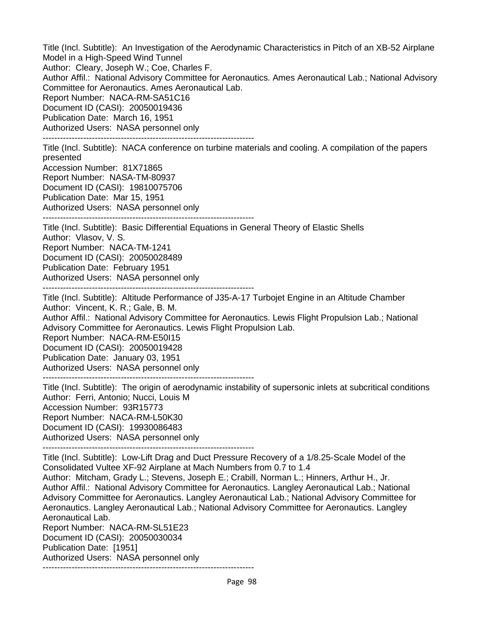Title (Incl. Subtitle): An Investigation of the Aerodynamic Characteristics in Pitch of an XB-52 Airplane Model in a High-Speed Wind Tunnel Author: Cleary, Joseph W.; Coe, Charles F. Author Affil.: National Advisory Committee for Aeronautics. Ames Aeronautical Lab.; National Advisory Committee for Aeronautics. Ames Aeronautical Lab. Report Number: NACA-RM-SA51C16 Document ID (CASI): 20050019436 Publication Date: March 16, 1951 Authorized Users: NASA personnel only -------------------------------------------------------------------------

Title (Incl. Subtitle): NACA conference on turbine materials and cooling. A compilation of the papers presented Accession Number: 81X71865 Report Number: NASA-TM-80937 Document ID (CASI): 19810075706 Publication Date: Mar 15, 1951 Authorized Users: NASA personnel only

-------------------------------------------------------------------------

Title (Incl. Subtitle): Basic Differential Equations in General Theory of Elastic Shells Author: Vlasov, V. S. Report Number: NACA-TM-1241 Document ID (CASI): 20050028489 Publication Date: February 1951 Authorized Users: NASA personnel only -------------------------------------------------------------------------

Title (Incl. Subtitle): Altitude Performance of J35-A-17 Turbojet Engine in an Altitude Chamber Author: Vincent, K. R.; Gale, B. M. Author Affil.: National Advisory Committee for Aeronautics. Lewis Flight Propulsion Lab.; National Advisory Committee for Aeronautics. Lewis Flight Propulsion Lab.

Report Number: NACA-RM-E50I15 Document ID (CASI): 20050019428 Publication Date: January 03, 1951

Authorized Users: NASA personnel only

-------------------------------------------------------------------------

Title (Incl. Subtitle): The origin of aerodynamic instability of supersonic inlets at subcritical conditions Author: Ferri, Antonio; Nucci, Louis M Accession Number: 93R15773 Report Number: NACA-RM-L50K30 Document ID (CASI): 19930086483 Authorized Users: NASA personnel only

-------------------------------------------------------------------------

Title (Incl. Subtitle): Low-Lift Drag and Duct Pressure Recovery of a 1/8.25-Scale Model of the Consolidated Vultee XF-92 Airplane at Mach Numbers from 0.7 to 1.4

Author: Mitcham, Grady L.; Stevens, Joseph E.; Crabill, Norman L.; Hinners, Arthur H., Jr. Author Affil.: National Advisory Committee for Aeronautics. Langley Aeronautical Lab.; National Advisory Committee for Aeronautics. Langley Aeronautical Lab.; National Advisory Committee for Aeronautics. Langley Aeronautical Lab.; National Advisory Committee for Aeronautics. Langley Aeronautical Lab.

Report Number: NACA-RM-SL51E23 Document ID (CASI): 20050030034 Publication Date: [1951] Authorized Users: NASA personnel only -------------------------------------------------------------------------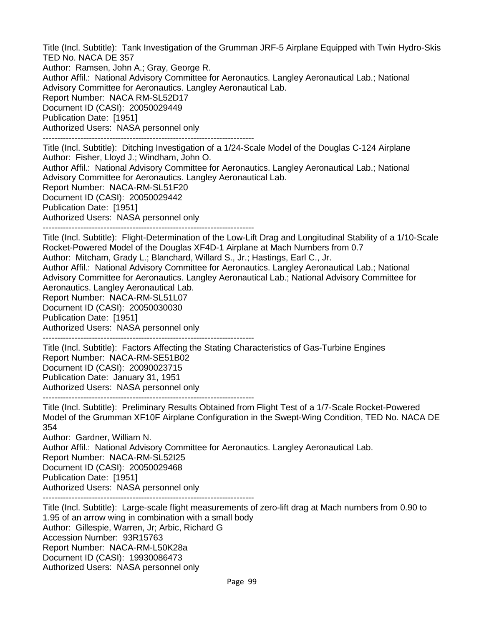Title (Incl. Subtitle): Tank Investigation of the Grumman JRF-5 Airplane Equipped with Twin Hydro-Skis TED No. NACA DE 357 Author: Ramsen, John A.; Gray, George R. Author Affil.: National Advisory Committee for Aeronautics. Langley Aeronautical Lab.; National Advisory Committee for Aeronautics. Langley Aeronautical Lab. Report Number: NACA RM-SL52D17 Document ID (CASI): 20050029449

Publication Date: [1951]

Authorized Users: NASA personnel only

-------------------------------------------------------------------------

Title (Incl. Subtitle): Ditching Investigation of a 1/24-Scale Model of the Douglas C-124 Airplane Author: Fisher, Lloyd J.; Windham, John O.

Author Affil.: National Advisory Committee for Aeronautics. Langley Aeronautical Lab.; National Advisory Committee for Aeronautics. Langley Aeronautical Lab.

Report Number: NACA-RM-SL51F20

Document ID (CASI): 20050029442

Publication Date: [1951]

Authorized Users: NASA personnel only

-------------------------------------------------------------------------

Title (Incl. Subtitle): Flight-Determination of the Low-Lift Drag and Longitudinal Stability of a 1/10-Scale Rocket-Powered Model of the Douglas XF4D-1 Airplane at Mach Numbers from 0.7

Author: Mitcham, Grady L.; Blanchard, Willard S., Jr.; Hastings, Earl C., Jr.

Author Affil.: National Advisory Committee for Aeronautics. Langley Aeronautical Lab.; National Advisory Committee for Aeronautics. Langley Aeronautical Lab.; National Advisory Committee for Aeronautics. Langley Aeronautical Lab.

Report Number: NACA-RM-SL51L07 Document ID (CASI): 20050030030

Publication Date: [1951]

Authorized Users: NASA personnel only -------------------------------------------------------------------------

Title (Incl. Subtitle): Factors Affecting the Stating Characteristics of Gas-Turbine Engines Report Number: NACA-RM-SE51B02 Document ID (CASI): 20090023715 Publication Date: January 31, 1951 Authorized Users: NASA personnel only -------------------------------------------------------------------------

Title (Incl. Subtitle): Preliminary Results Obtained from Flight Test of a 1/7-Scale Rocket-Powered Model of the Grumman XF10F Airplane Configuration in the Swept-Wing Condition, TED No. NACA DE 354

Author: Gardner, William N.

Author Affil.: National Advisory Committee for Aeronautics. Langley Aeronautical Lab.

Report Number: NACA-RM-SL52I25

Document ID (CASI): 20050029468

Publication Date: [1951]

Authorized Users: NASA personnel only

-------------------------------------------------------------------------

Title (Incl. Subtitle): Large-scale flight measurements of zero-lift drag at Mach numbers from 0.90 to 1.95 of an arrow wing in combination with a small body Author: Gillespie, Warren, Jr; Arbic, Richard G Accession Number: 93R15763 Report Number: NACA-RM-L50K28a Document ID (CASI): 19930086473 Authorized Users: NASA personnel only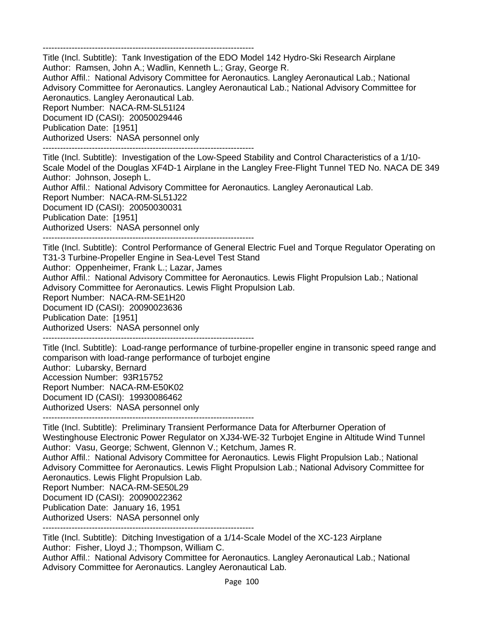-------------------------------------------------------------------------

Title (Incl. Subtitle): Tank Investigation of the EDO Model 142 Hydro-Ski Research Airplane Author: Ramsen, John A.; Wadlin, Kenneth L.; Gray, George R.

Author Affil.: National Advisory Committee for Aeronautics. Langley Aeronautical Lab.; National Advisory Committee for Aeronautics. Langley Aeronautical Lab.; National Advisory Committee for Aeronautics. Langley Aeronautical Lab.

Report Number: NACA-RM-SL51I24 Document ID (CASI): 20050029446 Publication Date: [1951] Authorized Users: NASA personnel only

-------------------------------------------------------------------------

Title (Incl. Subtitle): Investigation of the Low-Speed Stability and Control Characteristics of a 1/10- Scale Model of the Douglas XF4D-1 Airplane in the Langley Free-Flight Tunnel TED No. NACA DE 349 Author: Johnson, Joseph L.

Author Affil.: National Advisory Committee for Aeronautics. Langley Aeronautical Lab.

Report Number: NACA-RM-SL51J22

Document ID (CASI): 20050030031

Publication Date: [1951]

Authorized Users: NASA personnel only

-------------------------------------------------------------------------

Title (Incl. Subtitle): Control Performance of General Electric Fuel and Torque Regulator Operating on T31-3 Turbine-Propeller Engine in Sea-Level Test Stand Author: Oppenheimer, Frank L.; Lazar, James

Author Affil.: National Advisory Committee for Aeronautics. Lewis Flight Propulsion Lab.; National

Advisory Committee for Aeronautics. Lewis Flight Propulsion Lab.

Report Number: NACA-RM-SE1H20

Document ID (CASI): 20090023636

Publication Date: [1951]

Authorized Users: NASA personnel only -------------------------------------------------------------------------

Title (Incl. Subtitle): Load-range performance of turbine-propeller engine in transonic speed range and comparison with load-range performance of turbojet engine Author: Lubarsky, Bernard Accession Number: 93R15752 Report Number: NACA-RM-E50K02 Document ID (CASI): 19930086462 Authorized Users: NASA personnel only

-------------------------------------------------------------------------

Title (Incl. Subtitle): Preliminary Transient Performance Data for Afterburner Operation of Westinghouse Electronic Power Regulator on XJ34-WE-32 Turbojet Engine in Altitude Wind Tunnel Author: Vasu, George; Schwent, Glennon V.; Ketchum, James R.

Author Affil.: National Advisory Committee for Aeronautics. Lewis Flight Propulsion Lab.; National Advisory Committee for Aeronautics. Lewis Flight Propulsion Lab.; National Advisory Committee for Aeronautics. Lewis Flight Propulsion Lab.

Report Number: NACA-RM-SE50L29

Document ID (CASI): 20090022362

Publication Date: January 16, 1951

Authorized Users: NASA personnel only

-------------------------------------------------------------------------

Title (Incl. Subtitle): Ditching Investigation of a 1/14-Scale Model of the XC-123 Airplane Author: Fisher, Lloyd J.; Thompson, William C.

Author Affil.: National Advisory Committee for Aeronautics. Langley Aeronautical Lab.; National Advisory Committee for Aeronautics. Langley Aeronautical Lab.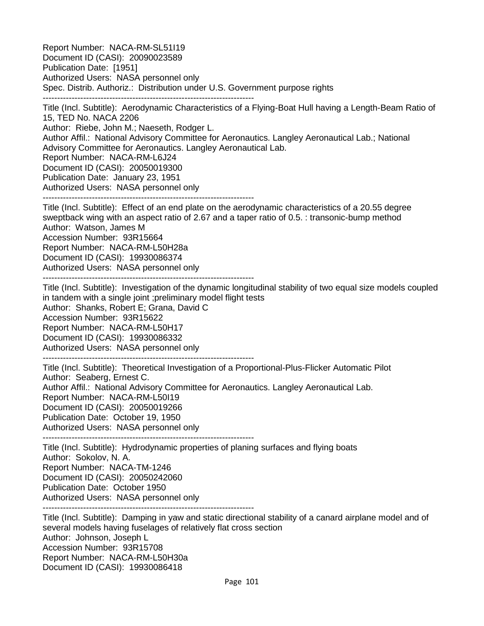Report Number: NACA-RM-SL51I19 Document ID (CASI): 20090023589 Publication Date: [1951] Authorized Users: NASA personnel only Spec. Distrib. Authoriz.: Distribution under U.S. Government purpose rights ------------------------------------------------------------------------- Title (Incl. Subtitle): Aerodynamic Characteristics of a Flying-Boat Hull having a Length-Beam Ratio of 15, TED No. NACA 2206 Author: Riebe, John M.; Naeseth, Rodger L. Author Affil.: National Advisory Committee for Aeronautics. Langley Aeronautical Lab.; National Advisory Committee for Aeronautics. Langley Aeronautical Lab. Report Number: NACA-RM-L6J24 Document ID (CASI): 20050019300 Publication Date: January 23, 1951 Authorized Users: NASA personnel only ------------------------------------------------------------------------- Title (Incl. Subtitle): Effect of an end plate on the aerodynamic characteristics of a 20.55 degree sweptback wing with an aspect ratio of 2.67 and a taper ratio of 0.5. : transonic-bump method Author: Watson, James M Accession Number: 93R15664 Report Number: NACA-RM-L50H28a Document ID (CASI): 19930086374 Authorized Users: NASA personnel only ------------------------------------------------------------------------- Title (Incl. Subtitle): Investigation of the dynamic longitudinal stability of two equal size models coupled in tandem with a single joint ;preliminary model flight tests Author: Shanks, Robert E; Grana, David C Accession Number: 93R15622 Report Number: NACA-RM-L50H17 Document ID (CASI): 19930086332 Authorized Users: NASA personnel only ------------------------------------------------------------------------- Title (Incl. Subtitle): Theoretical Investigation of a Proportional-Plus-Flicker Automatic Pilot Author: Seaberg, Ernest C. Author Affil.: National Advisory Committee for Aeronautics. Langley Aeronautical Lab. Report Number: NACA-RM-L50I19 Document ID (CASI): 20050019266 Publication Date: October 19, 1950

Authorized Users: NASA personnel only

-------------------------------------------------------------------------

Title (Incl. Subtitle): Hydrodynamic properties of planing surfaces and flying boats Author: Sokolov, N. A. Report Number: NACA-TM-1246 Document ID (CASI): 20050242060 Publication Date: October 1950 Authorized Users: NASA personnel only -------------------------------------------------------------------------

Title (Incl. Subtitle): Damping in yaw and static directional stability of a canard airplane model and of several models having fuselages of relatively flat cross section Author: Johnson, Joseph L Accession Number: 93R15708 Report Number: NACA-RM-L50H30a Document ID (CASI): 19930086418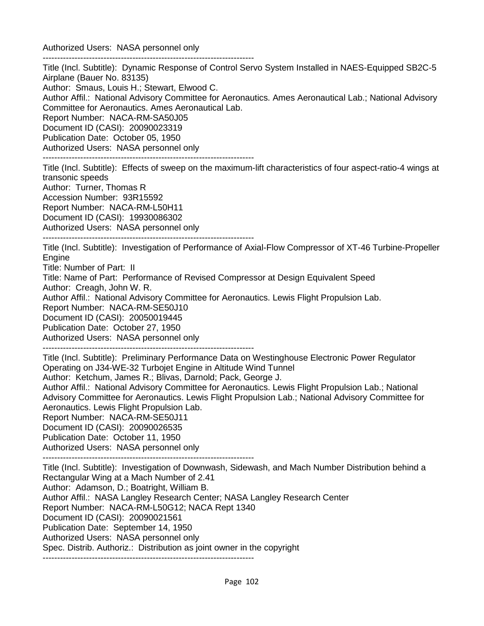Authorized Users: NASA personnel only -------------------------------------------------------------------------

Title (Incl. Subtitle): Dynamic Response of Control Servo System Installed in NAES-Equipped SB2C-5 Airplane (Bauer No. 83135) Author: Smaus, Louis H.; Stewart, Elwood C. Author Affil.: National Advisory Committee for Aeronautics. Ames Aeronautical Lab.; National Advisory Committee for Aeronautics. Ames Aeronautical Lab. Report Number: NACA-RM-SA50J05 Document ID (CASI): 20090023319 Publication Date: October 05, 1950 Authorized Users: NASA personnel only

-------------------------------------------------------------------------

Title (Incl. Subtitle): Effects of sweep on the maximum-lift characteristics of four aspect-ratio-4 wings at transonic speeds Author: Turner, Thomas R

Accession Number: 93R15592 Report Number: NACA-RM-L50H11 Document ID (CASI): 19930086302 Authorized Users: NASA personnel only

-------------------------------------------------------------------------

Title (Incl. Subtitle): Investigation of Performance of Axial-Flow Compressor of XT-46 Turbine-Propeller **Engine** 

Title: Number of Part: II

Title: Name of Part: Performance of Revised Compressor at Design Equivalent Speed

Author: Creagh, John W. R.

Author Affil.: National Advisory Committee for Aeronautics. Lewis Flight Propulsion Lab.

Report Number: NACA-RM-SE50J10

Document ID (CASI): 20050019445

Publication Date: October 27, 1950

Authorized Users: NASA personnel only

-------------------------------------------------------------------------

Title (Incl. Subtitle): Preliminary Performance Data on Westinghouse Electronic Power Regulator Operating on J34-WE-32 Turbojet Engine in Altitude Wind Tunnel

Author: Ketchum, James R.; Blivas, Darnold; Pack, George J.

Author Affil.: National Advisory Committee for Aeronautics. Lewis Flight Propulsion Lab.; National Advisory Committee for Aeronautics. Lewis Flight Propulsion Lab.; National Advisory Committee for Aeronautics. Lewis Flight Propulsion Lab.

Report Number: NACA-RM-SE50J11 Document ID (CASI): 20090026535

Publication Date: October 11, 1950

Authorized Users: NASA personnel only

-------------------------------------------------------------------------

Title (Incl. Subtitle): Investigation of Downwash, Sidewash, and Mach Number Distribution behind a Rectangular Wing at a Mach Number of 2.41 Author: Adamson, D.; Boatright, William B. Author Affil.: NASA Langley Research Center; NASA Langley Research Center Report Number: NACA-RM-L50G12; NACA Rept 1340 Document ID (CASI): 20090021561 Publication Date: September 14, 1950 Authorized Users: NASA personnel only Spec. Distrib. Authoriz.: Distribution as joint owner in the copyright -------------------------------------------------------------------------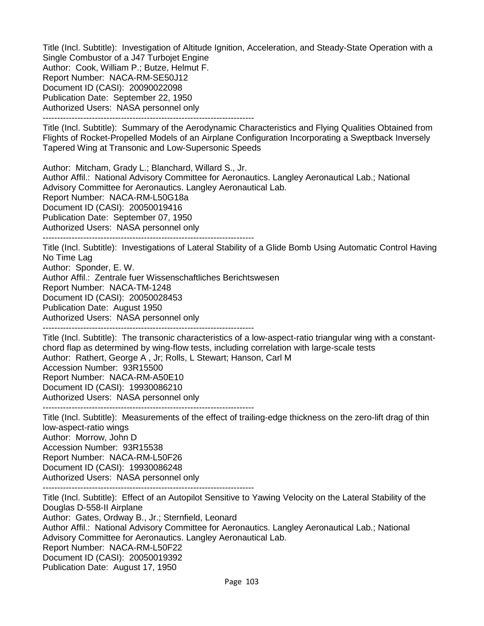Title (Incl. Subtitle): Investigation of Altitude Ignition, Acceleration, and Steady-State Operation with a Single Combustor of a J47 Turbojet Engine Author: Cook, William P.; Butze, Helmut F. Report Number: NACA-RM-SE50J12 Document ID (CASI): 20090022098 Publication Date: September 22, 1950 Authorized Users: NASA personnel only -------------------------------------------------------------------------

Title (Incl. Subtitle): Summary of the Aerodynamic Characteristics and Flying Qualities Obtained from Flights of Rocket-Propelled Models of an Airplane Configuration Incorporating a Sweptback Inversely Tapered Wing at Transonic and Low-Supersonic Speeds

Author: Mitcham, Grady L.; Blanchard, Willard S., Jr.

Author Affil.: National Advisory Committee for Aeronautics. Langley Aeronautical Lab.; National Advisory Committee for Aeronautics. Langley Aeronautical Lab. Report Number: NACA-RM-L50G18a Document ID (CASI): 20050019416 Publication Date: September 07, 1950 Authorized Users: NASA personnel only

-------------------------------------------------------------------------

Title (Incl. Subtitle): Investigations of Lateral Stability of a Glide Bomb Using Automatic Control Having No Time Lag Author: Sponder, E. W. Author Affil.: Zentrale fuer Wissenschaftliches Berichtswesen

Report Number: NACA-TM-1248

Document ID (CASI): 20050028453

Publication Date: August 1950

Authorized Users: NASA personnel only

-------------------------------------------------------------------------

Title (Incl. Subtitle): The transonic characteristics of a low-aspect-ratio triangular wing with a constantchord flap as determined by wing-flow tests, including correlation with large-scale tests Author: Rathert, George A , Jr; Rolls, L Stewart; Hanson, Carl M Accession Number: 93R15500 Report Number: NACA-RM-A50E10 Document ID (CASI): 19930086210 Authorized Users: NASA personnel only

-------------------------------------------------------------------------

Title (Incl. Subtitle): Measurements of the effect of trailing-edge thickness on the zero-lift drag of thin low-aspect-ratio wings Author: Morrow, John D Accession Number: 93R15538 Report Number: NACA-RM-L50F26 Document ID (CASI): 19930086248 Authorized Users: NASA personnel only -------------------------------------------------------------------------

Title (Incl. Subtitle): Effect of an Autopilot Sensitive to Yawing Velocity on the Lateral Stability of the Douglas D-558-II Airplane Author: Gates, Ordway B., Jr.; Sternfield, Leonard Author Affil.: National Advisory Committee for Aeronautics. Langley Aeronautical Lab.; National Advisory Committee for Aeronautics. Langley Aeronautical Lab. Report Number: NACA-RM-L50F22 Document ID (CASI): 20050019392

Publication Date: August 17, 1950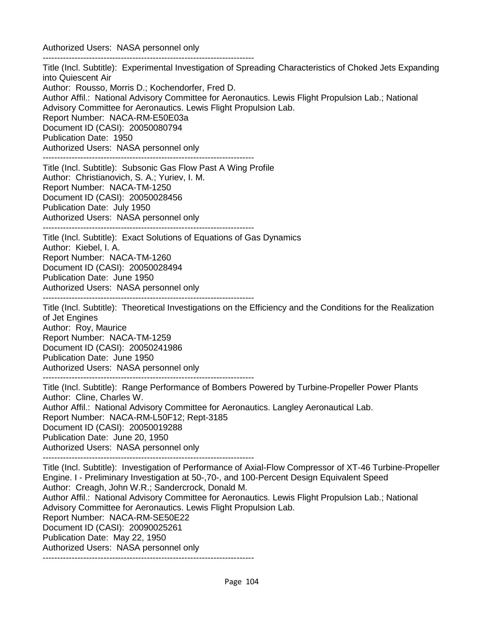Authorized Users: NASA personnel only -------------------------------------------------------------------------

Title (Incl. Subtitle): Experimental Investigation of Spreading Characteristics of Choked Jets Expanding into Quiescent Air Author: Rousso, Morris D.; Kochendorfer, Fred D. Author Affil.: National Advisory Committee for Aeronautics. Lewis Flight Propulsion Lab.; National Advisory Committee for Aeronautics. Lewis Flight Propulsion Lab. Report Number: NACA-RM-E50E03a Document ID (CASI): 20050080794 Publication Date: 1950 Authorized Users: NASA personnel only ------------------------------------------------------------------------- Title (Incl. Subtitle): Subsonic Gas Flow Past A Wing Profile Author: Christianovich, S. A.; Yuriev, I. M. Report Number: NACA-TM-1250 Document ID (CASI): 20050028456 Publication Date: July 1950 Authorized Users: NASA personnel only ------------------------------------------------------------------------- Title (Incl. Subtitle): Exact Solutions of Equations of Gas Dynamics Author: Kiebel, I. A. Report Number: NACA-TM-1260 Document ID (CASI): 20050028494 Publication Date: June 1950 Authorized Users: NASA personnel only ------------------------------------------------------------------------- Title (Incl. Subtitle): Theoretical Investigations on the Efficiency and the Conditions for the Realization of Jet Engines Author: Roy, Maurice Report Number: NACA-TM-1259 Document ID (CASI): 20050241986 Publication Date: June 1950 Authorized Users: NASA personnel only ------------------------------------------------------------------------- Title (Incl. Subtitle): Range Performance of Bombers Powered by Turbine-Propeller Power Plants Author: Cline, Charles W. Author Affil.: National Advisory Committee for Aeronautics. Langley Aeronautical Lab. Report Number: NACA-RM-L50F12; Rept-3185 Document ID (CASI): 20050019288 Publication Date: June 20, 1950 Authorized Users: NASA personnel only ------------------------------------------------------------------------- Title (Incl. Subtitle): Investigation of Performance of Axial-Flow Compressor of XT-46 Turbine-Propeller Engine. I - Preliminary Investigation at 50-,70-, and 100-Percent Design Equivalent Speed Author: Creagh, John W.R.; Sandercrock, Donald M. Author Affil.: National Advisory Committee for Aeronautics. Lewis Flight Propulsion Lab.; National Advisory Committee for Aeronautics. Lewis Flight Propulsion Lab. Report Number: NACA-RM-SE50E22 Document ID (CASI): 20090025261 Publication Date: May 22, 1950 Authorized Users: NASA personnel only -------------------------------------------------------------------------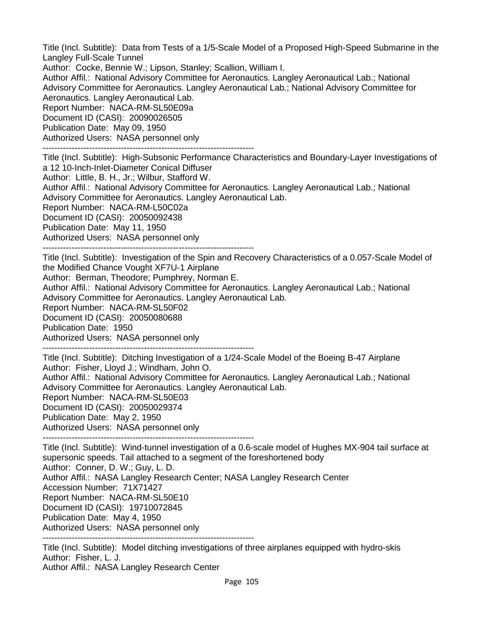Title (Incl. Subtitle): Data from Tests of a 1/5-Scale Model of a Proposed High-Speed Submarine in the Langley Full-Scale Tunnel

Author: Cocke, Bennie W.; Lipson, Stanley; Scallion, William I.

Author Affil.: National Advisory Committee for Aeronautics. Langley Aeronautical Lab.; National Advisory Committee for Aeronautics. Langley Aeronautical Lab.; National Advisory Committee for Aeronautics. Langley Aeronautical Lab.

Report Number: NACA-RM-SL50E09a

Document ID (CASI): 20090026505

Publication Date: May 09, 1950

Authorized Users: NASA personnel only

-------------------------------------------------------------------------

Title (Incl. Subtitle): High-Subsonic Performance Characteristics and Boundary-Layer Investigations of a 12 10-Inch-Inlet-Diameter Conical Diffuser

Author: Little, B. H., Jr.; Wilbur, Stafford W.

Author Affil.: National Advisory Committee for Aeronautics. Langley Aeronautical Lab.; National Advisory Committee for Aeronautics. Langley Aeronautical Lab.

Report Number: NACA-RM-L50C02a

Document ID (CASI): 20050092438

Publication Date: May 11, 1950

Authorized Users: NASA personnel only

-------------------------------------------------------------------------

Title (Incl. Subtitle): Investigation of the Spin and Recovery Characteristics of a 0.057-Scale Model of the Modified Chance Vought XF7U-1 Airplane

Author: Berman, Theodore; Pumphrey, Norman E.

Author Affil.: National Advisory Committee for Aeronautics. Langley Aeronautical Lab.; National Advisory Committee for Aeronautics. Langley Aeronautical Lab.

Report Number: NACA-RM-SL50F02

Document ID (CASI): 20050080688

Publication Date: 1950

Authorized Users: NASA personnel only

-------------------------------------------------------------------------

Title (Incl. Subtitle): Ditching Investigation of a 1/24-Scale Model of the Boeing B-47 Airplane Author: Fisher, Lloyd J.; Windham, John O. Author Affil.: National Advisory Committee for Aeronautics. Langley Aeronautical Lab.; National

Advisory Committee for Aeronautics. Langley Aeronautical Lab.

Report Number: NACA-RM-SL50E03

Document ID (CASI): 20050029374

Publication Date: May 2, 1950

Authorized Users: NASA personnel only

-------------------------------------------------------------------------

Title (Incl. Subtitle): Wind-tunnel investigation of a 0.6-scale model of Hughes MX-904 tail surface at supersonic speeds. Tail attached to a segment of the foreshortened body Author: Conner, D. W.; Guy, L. D. Author Affil.: NASA Langley Research Center; NASA Langley Research Center Accession Number: 71X71427 Report Number: NACA-RM-SL50E10 Document ID (CASI): 19710072845 Publication Date: May 4, 1950 Authorized Users: NASA personnel only

-------------------------------------------------------------------------

Title (Incl. Subtitle): Model ditching investigations of three airplanes equipped with hydro-skis Author: Fisher, L. J.

Author Affil.: NASA Langley Research Center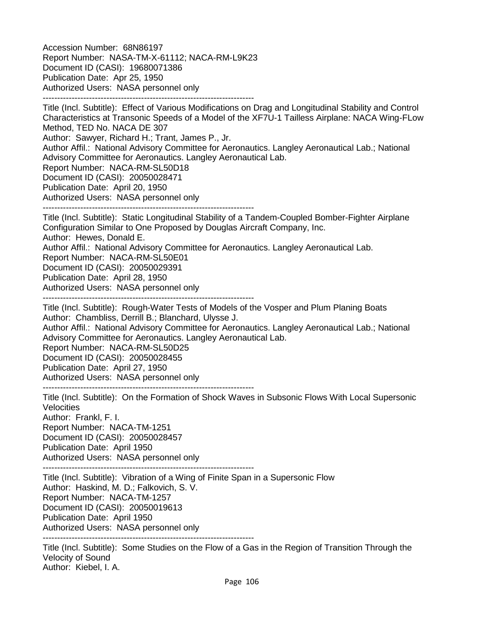Accession Number: 68N86197 Report Number: NASA-TM-X-61112; NACA-RM-L9K23 Document ID (CASI): 19680071386 Publication Date: Apr 25, 1950 Authorized Users: NASA personnel only -------------------------------------------------------------------------

Title (Incl. Subtitle): Effect of Various Modifications on Drag and Longitudinal Stability and Control Characteristics at Transonic Speeds of a Model of the XF7U-1 Tailless Airplane: NACA Wing-FLow Method, TED No. NACA DE 307 Author: Sawyer, Richard H.; Trant, James P., Jr. Author Affil.: National Advisory Committee for Aeronautics. Langley Aeronautical Lab.; National Advisory Committee for Aeronautics. Langley Aeronautical Lab. Report Number: NACA-RM-SL50D18 Document ID (CASI): 20050028471 Publication Date: April 20, 1950 Authorized Users: NASA personnel only -------------------------------------------------------------------------

Title (Incl. Subtitle): Static Longitudinal Stability of a Tandem-Coupled Bomber-Fighter Airplane Configuration Similar to One Proposed by Douglas Aircraft Company, Inc. Author: Hewes, Donald E. Author Affil.: National Advisory Committee for Aeronautics. Langley Aeronautical Lab. Report Number: NACA-RM-SL50E01 Document ID (CASI): 20050029391 Publication Date: April 28, 1950 Authorized Users: NASA personnel only -------------------------------------------------------------------------

Title (Incl. Subtitle): Rough-Water Tests of Models of the Vosper and Plum Planing Boats Author: Chambliss, Derrill B.; Blanchard, Ulysse J. Author Affil.: National Advisory Committee for Aeronautics. Langley Aeronautical Lab.; National Advisory Committee for Aeronautics. Langley Aeronautical Lab. Report Number: NACA-RM-SL50D25 Document ID (CASI): 20050028455 Publication Date: April 27, 1950 Authorized Users: NASA personnel only -------------------------------------------------------------------------

Title (Incl. Subtitle): On the Formation of Shock Waves in Subsonic Flows With Local Supersonic Velocities Author: Frankl, F. I. Report Number: NACA-TM-1251 Document ID (CASI): 20050028457 Publication Date: April 1950 Authorized Users: NASA personnel only -------------------------------------------------------------------------

Title (Incl. Subtitle): Vibration of a Wing of Finite Span in a Supersonic Flow Author: Haskind, M. D.; Falkovich, S. V. Report Number: NACA-TM-1257 Document ID (CASI): 20050019613 Publication Date: April 1950 Authorized Users: NASA personnel only -------------------------------------------------------------------------

Title (Incl. Subtitle): Some Studies on the Flow of a Gas in the Region of Transition Through the

Velocity of Sound Author: Kiebel, I. A.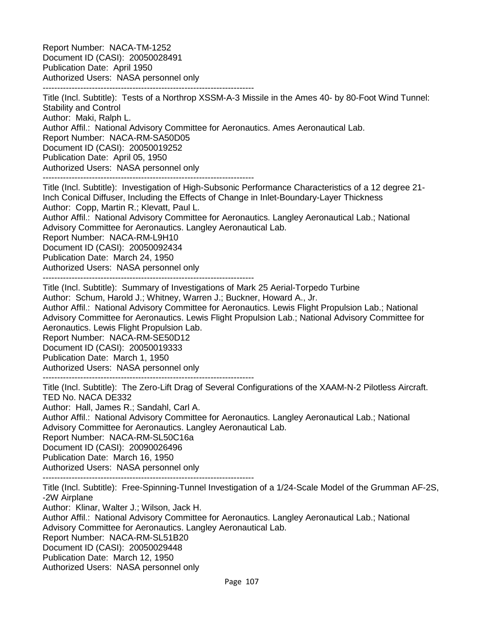Report Number: NACA-TM-1252 Document ID (CASI): 20050028491 Publication Date: April 1950 Authorized Users: NASA personnel only -------------------------------------------------------------------------

Title (Incl. Subtitle): Tests of a Northrop XSSM-A-3 Missile in the Ames 40- by 80-Foot Wind Tunnel: Stability and Control Author: Maki, Ralph L. Author Affil.: National Advisory Committee for Aeronautics. Ames Aeronautical Lab. Report Number: NACA-RM-SA50D05 Document ID (CASI): 20050019252 Publication Date: April 05, 1950 Authorized Users: NASA personnel only -------------------------------------------------------------------------

Title (Incl. Subtitle): Investigation of High-Subsonic Performance Characteristics of a 12 degree 21- Inch Conical Diffuser, Including the Effects of Change in Inlet-Boundary-Layer Thickness Author: Copp, Martin R.; Klevatt, Paul L. Author Affil.: National Advisory Committee for Aeronautics. Langley Aeronautical Lab.; National Advisory Committee for Aeronautics. Langley Aeronautical Lab. Report Number: NACA-RM-L9H10 Document ID (CASI): 20050092434 Publication Date: March 24, 1950 Authorized Users: NASA personnel only -------------------------------------------------------------------------

Title (Incl. Subtitle): Summary of Investigations of Mark 25 Aerial-Torpedo Turbine Author: Schum, Harold J.; Whitney, Warren J.; Buckner, Howard A., Jr.

Author Affil.: National Advisory Committee for Aeronautics. Lewis Flight Propulsion Lab.; National Advisory Committee for Aeronautics. Lewis Flight Propulsion Lab.; National Advisory Committee for Aeronautics. Lewis Flight Propulsion Lab.

Report Number: NACA-RM-SE50D12

Document ID (CASI): 20050019333

Publication Date: March 1, 1950

Authorized Users: NASA personnel only

-------------------------------------------------------------------------

Title (Incl. Subtitle): The Zero-Lift Drag of Several Configurations of the XAAM-N-2 Pilotless Aircraft. TED No. NACA DE332

Author: Hall, James R.; Sandahl, Carl A.

Author Affil.: National Advisory Committee for Aeronautics. Langley Aeronautical Lab.; National Advisory Committee for Aeronautics. Langley Aeronautical Lab.

Report Number: NACA-RM-SL50C16a

Document ID (CASI): 20090026496

Publication Date: March 16, 1950

Authorized Users: NASA personnel only -------------------------------------------------------------------------

Title (Incl. Subtitle): Free-Spinning-Tunnel Investigation of a 1/24-Scale Model of the Grumman AF-2S, -2W Airplane Author: Klinar, Walter J.; Wilson, Jack H. Author Affil.: National Advisory Committee for Aeronautics. Langley Aeronautical Lab.; National Advisory Committee for Aeronautics. Langley Aeronautical Lab. Report Number: NACA-RM-SL51B20 Document ID (CASI): 20050029448 Publication Date: March 12, 1950 Authorized Users: NASA personnel only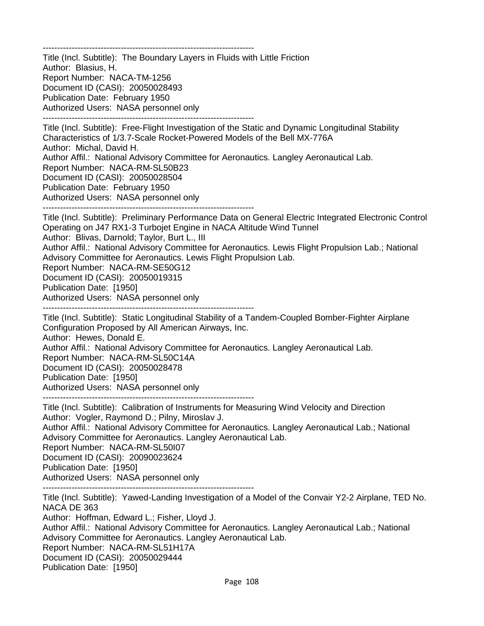-------------------------------------------------------------------------

Title (Incl. Subtitle): The Boundary Layers in Fluids with Little Friction Author: Blasius, H. Report Number: NACA-TM-1256 Document ID (CASI): 20050028493 Publication Date: February 1950 Authorized Users: NASA personnel only -------------------------------------------------------------------------

Title (Incl. Subtitle): Free-Flight Investigation of the Static and Dynamic Longitudinal Stability Characteristics of 1/3.7-Scale Rocket-Powered Models of the Bell MX-776A Author: Michal, David H. Author Affil.: National Advisory Committee for Aeronautics. Langley Aeronautical Lab. Report Number: NACA-RM-SL50B23 Document ID (CASI): 20050028504 Publication Date: February 1950 Authorized Users: NASA personnel only -------------------------------------------------------------------------

Title (Incl. Subtitle): Preliminary Performance Data on General Electric Integrated Electronic Control Operating on J47 RX1-3 Turbojet Engine in NACA Altitude Wind Tunnel Author: Blivas, Darnold; Taylor, Burt L., III Author Affil.: National Advisory Committee for Aeronautics. Lewis Flight Propulsion Lab.; National Advisory Committee for Aeronautics. Lewis Flight Propulsion Lab. Report Number: NACA-RM-SE50G12 Document ID (CASI): 20050019315 Publication Date: [1950] Authorized Users: NASA personnel only -------------------------------------------------------------------------

Title (Incl. Subtitle): Static Longitudinal Stability of a Tandem-Coupled Bomber-Fighter Airplane Configuration Proposed by All American Airways, Inc. Author: Hewes, Donald E. Author Affil.: National Advisory Committee for Aeronautics. Langley Aeronautical Lab. Report Number: NACA-RM-SL50C14A Document ID (CASI): 20050028478 Publication Date: [1950] Authorized Users: NASA personnel only

-------------------------------------------------------------------------

Title (Incl. Subtitle): Calibration of Instruments for Measuring Wind Velocity and Direction Author: Vogler, Raymond D.; Pilny, Miroslav J. Author Affil.: National Advisory Committee for Aeronautics. Langley Aeronautical Lab.; National Advisory Committee for Aeronautics. Langley Aeronautical Lab. Report Number: NACA-RM-SL50I07 Document ID (CASI): 20090023624 Publication Date: [1950]

Authorized Users: NASA personnel only

-------------------------------------------------------------------------

Title (Incl. Subtitle): Yawed-Landing Investigation of a Model of the Convair Y2-2 Airplane, TED No. NACA DE 363

Author: Hoffman, Edward L.; Fisher, Lloyd J.

Author Affil.: National Advisory Committee for Aeronautics. Langley Aeronautical Lab.; National Advisory Committee for Aeronautics. Langley Aeronautical Lab. Report Number: NACA-RM-SL51H17A

Document ID (CASI): 20050029444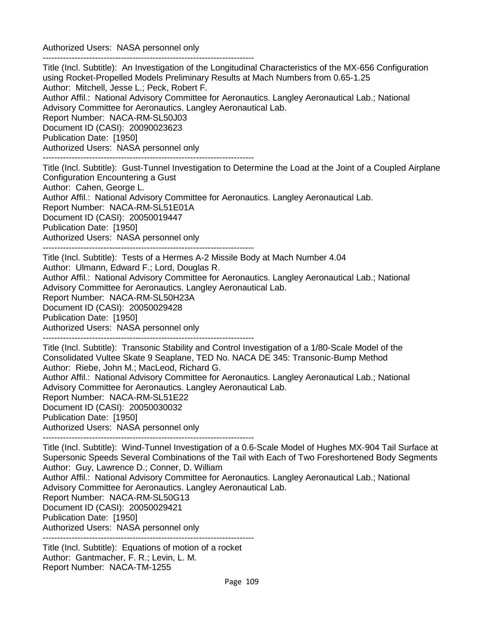Authorized Users: NASA personnel only -------------------------------------------------------------------------

Title (Incl. Subtitle): An Investigation of the Longitudinal Characteristics of the MX-656 Configuration using Rocket-Propelled Models Preliminary Results at Mach Numbers from 0.65-1.25 Author: Mitchell, Jesse L.; Peck, Robert F. Author Affil.: National Advisory Committee for Aeronautics. Langley Aeronautical Lab.; National Advisory Committee for Aeronautics. Langley Aeronautical Lab. Report Number: NACA-RM-SL50J03 Document ID (CASI): 20090023623 Publication Date: [1950] Authorized Users: NASA personnel only -------------------------------------------------------------------------

Title (Incl. Subtitle): Gust-Tunnel Investigation to Determine the Load at the Joint of a Coupled Airplane Configuration Encountering a Gust Author: Cahen, George L. Author Affil.: National Advisory Committee for Aeronautics. Langley Aeronautical Lab. Report Number: NACA-RM-SL51E01A Document ID (CASI): 20050019447 Publication Date: [1950] Authorized Users: NASA personnel only -------------------------------------------------------------------------

Title (Incl. Subtitle): Tests of a Hermes A-2 Missile Body at Mach Number 4.04 Author: Ulmann, Edward F.; Lord, Douglas R. Author Affil.: National Advisory Committee for Aeronautics. Langley Aeronautical Lab.; National Advisory Committee for Aeronautics. Langley Aeronautical Lab. Report Number: NACA-RM-SL50H23A Document ID (CASI): 20050029428 Publication Date: [1950] Authorized Users: NASA personnel only -------------------------------------------------------------------------

Title (Incl. Subtitle): Transonic Stability and Control Investigation of a 1/80-Scale Model of the Consolidated Vultee Skate 9 Seaplane, TED No. NACA DE 345: Transonic-Bump Method Author: Riebe, John M.; MacLeod, Richard G. Author Affil.: National Advisory Committee for Aeronautics. Langley Aeronautical Lab.; National Advisory Committee for Aeronautics. Langley Aeronautical Lab. Report Number: NACA-RM-SL51E22 Document ID (CASI): 20050030032 Publication Date: [1950] Authorized Users: NASA personnel only

-------------------------------------------------------------------------

Title (Incl. Subtitle): Wind-Tunnel Investigation of a 0.6-Scale Model of Hughes MX-904 Tail Surface at Supersonic Speeds Several Combinations of the Tail with Each of Two Foreshortened Body Segments Author: Guy, Lawrence D.; Conner, D. William Author Affil.: National Advisory Committee for Aeronautics. Langley Aeronautical Lab.; National Advisory Committee for Aeronautics. Langley Aeronautical Lab. Report Number: NACA-RM-SL50G13 Document ID (CASI): 20050029421 Publication Date: [1950] Authorized Users: NASA personnel only -------------------------------------------------------------------------

Title (Incl. Subtitle): Equations of motion of a rocket Author: Gantmacher, F. R.; Levin, L. M. Report Number: NACA-TM-1255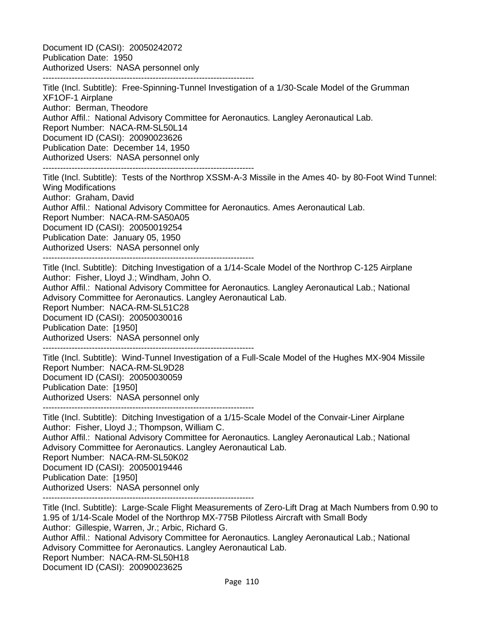Document ID (CASI): 20050242072 Publication Date: 1950 Authorized Users: NASA personnel only

------------------------------------------------------------------------- Title (Incl. Subtitle): Free-Spinning-Tunnel Investigation of a 1/30-Scale Model of the Grumman XF1OF-1 Airplane Author: Berman, Theodore Author Affil.: National Advisory Committee for Aeronautics. Langley Aeronautical Lab. Report Number: NACA-RM-SL50L14 Document ID (CASI): 20090023626 Publication Date: December 14, 1950 Authorized Users: NASA personnel only -------------------------------------------------------------------------

Title (Incl. Subtitle): Tests of the Northrop XSSM-A-3 Missile in the Ames 40- by 80-Foot Wind Tunnel: Wing Modifications Author: Graham, David Author Affil.: National Advisory Committee for Aeronautics. Ames Aeronautical Lab. Report Number: NACA-RM-SA50A05 Document ID (CASI): 20050019254 Publication Date: January 05, 1950 Authorized Users: NASA personnel only -------------------------------------------------------------------------

Title (Incl. Subtitle): Ditching Investigation of a 1/14-Scale Model of the Northrop C-125 Airplane Author: Fisher, Lloyd J.; Windham, John O.

Author Affil.: National Advisory Committee for Aeronautics. Langley Aeronautical Lab.; National Advisory Committee for Aeronautics. Langley Aeronautical Lab.

Report Number: NACA-RM-SL51C28

Document ID (CASI): 20050030016

Publication Date: [1950]

Authorized Users: NASA personnel only

-------------------------------------------------------------------------

Title (Incl. Subtitle): Wind-Tunnel Investigation of a Full-Scale Model of the Hughes MX-904 Missile Report Number: NACA-RM-SL9D28 Document ID (CASI): 20050030059 Publication Date: [1950] Authorized Users: NASA personnel only

-------------------------------------------------------------------------

Title (Incl. Subtitle): Ditching Investigation of a 1/15-Scale Model of the Convair-Liner Airplane Author: Fisher, Lloyd J.; Thompson, William C.

Author Affil.: National Advisory Committee for Aeronautics. Langley Aeronautical Lab.; National Advisory Committee for Aeronautics. Langley Aeronautical Lab.

Report Number: NACA-RM-SL50K02

Document ID (CASI): 20050019446

Publication Date: [1950]

Authorized Users: NASA personnel only

-------------------------------------------------------------------------

Title (Incl. Subtitle): Large-Scale Flight Measurements of Zero-Lift Drag at Mach Numbers from 0.90 to 1.95 of 1/14-Scale Model of the Northrop MX-775B Pilotless Aircraft with Small Body Author: Gillespie, Warren, Jr.; Arbic, Richard G. Author Affil.: National Advisory Committee for Aeronautics. Langley Aeronautical Lab.; National Advisory Committee for Aeronautics. Langley Aeronautical Lab. Report Number: NACA-RM-SL50H18 Document ID (CASI): 20090023625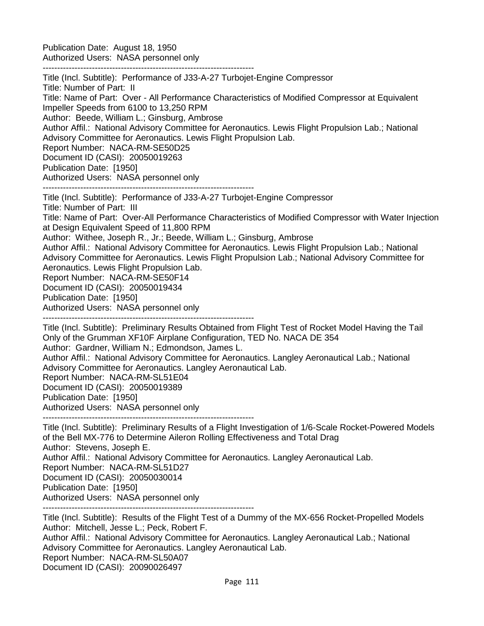Publication Date: August 18, 1950 Authorized Users: NASA personnel only

-------------------------------------------------------------------------

Title (Incl. Subtitle): Performance of J33-A-27 Turbojet-Engine Compressor Title: Number of Part: II Title: Name of Part: Over - All Performance Characteristics of Modified Compressor at Equivalent Impeller Speeds from 6100 to 13,250 RPM Author: Beede, William L.; Ginsburg, Ambrose Author Affil.: National Advisory Committee for Aeronautics. Lewis Flight Propulsion Lab.; National Advisory Committee for Aeronautics. Lewis Flight Propulsion Lab. Report Number: NACA-RM-SE50D25 Document ID (CASI): 20050019263 Publication Date: [1950] Authorized Users: NASA personnel only ------------------------------------------------------------------------- Title (Incl. Subtitle): Performance of J33-A-27 Turbojet-Engine Compressor Title: Number of Part: III Title: Name of Part: Over-All Performance Characteristics of Modified Compressor with Water Injection at Design Equivalent Speed of 11,800 RPM Author: Withee, Joseph R., Jr.; Beede, William L.; Ginsburg, Ambrose Author Affil.: National Advisory Committee for Aeronautics. Lewis Flight Propulsion Lab.; National Advisory Committee for Aeronautics. Lewis Flight Propulsion Lab.; National Advisory Committee for Aeronautics. Lewis Flight Propulsion Lab. Report Number: NACA-RM-SE50F14 Document ID (CASI): 20050019434 Publication Date: [1950] Authorized Users: NASA personnel only ------------------------------------------------------------------------- Title (Incl. Subtitle): Preliminary Results Obtained from Flight Test of Rocket Model Having the Tail Only of the Grumman XF10F Airplane Configuration, TED No. NACA DE 354 Author: Gardner, William N.; Edmondson, James L. Author Affil.: National Advisory Committee for Aeronautics. Langley Aeronautical Lab.; National Advisory Committee for Aeronautics. Langley Aeronautical Lab. Report Number: NACA-RM-SL51E04 Document ID (CASI): 20050019389

Publication Date: [1950]

Authorized Users: NASA personnel only

-------------------------------------------------------------------------

Title (Incl. Subtitle): Preliminary Results of a Flight Investigation of 1/6-Scale Rocket-Powered Models of the Bell MX-776 to Determine Aileron Rolling Effectiveness and Total Drag Author: Stevens, Joseph E. Author Affil.: National Advisory Committee for Aeronautics. Langley Aeronautical Lab. Report Number: NACA-RM-SL51D27 Document ID (CASI): 20050030014 Publication Date: [1950] Authorized Users: NASA personnel only -------------------------------------------------------------------------

Title (Incl. Subtitle): Results of the Flight Test of a Dummy of the MX-656 Rocket-Propelled Models Author: Mitchell, Jesse L.; Peck, Robert F. Author Affil.: National Advisory Committee for Aeronautics. Langley Aeronautical Lab.; National Advisory Committee for Aeronautics. Langley Aeronautical Lab. Report Number: NACA-RM-SL50A07 Document ID (CASI): 20090026497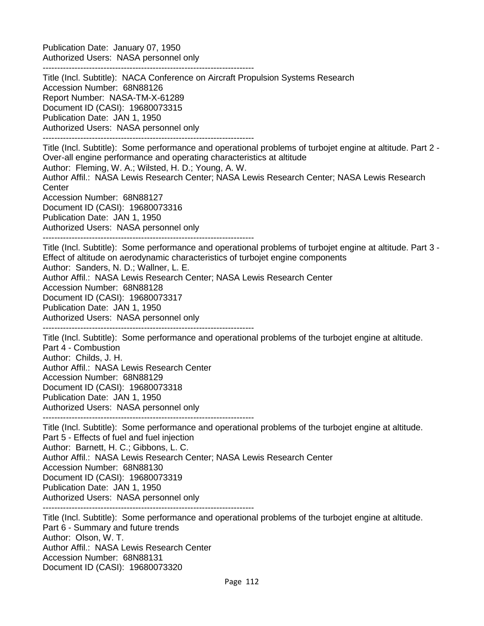Publication Date: January 07, 1950 Authorized Users: NASA personnel only

-------------------------------------------------------------------------

Title (Incl. Subtitle): NACA Conference on Aircraft Propulsion Systems Research Accession Number: 68N88126 Report Number: NASA-TM-X-61289 Document ID (CASI): 19680073315 Publication Date: JAN 1, 1950 Authorized Users: NASA personnel only ------------------------------------------------------------------------- Title (Incl. Subtitle): Some performance and operational problems of turbojet engine at altitude. Part 2 - Over-all engine performance and operating characteristics at altitude Author: Fleming, W. A.; Wilsted, H. D.; Young, A. W.

Author Affil.: NASA Lewis Research Center; NASA Lewis Research Center; NASA Lewis Research **Center** 

Accession Number: 68N88127 Document ID (CASI): 19680073316 Publication Date: JAN 1, 1950

Authorized Users: NASA personnel only

-------------------------------------------------------------------------

Title (Incl. Subtitle): Some performance and operational problems of turbojet engine at altitude. Part 3 - Effect of altitude on aerodynamic characteristics of turbojet engine components Author: Sanders, N. D.; Wallner, L. E. Author Affil.: NASA Lewis Research Center; NASA Lewis Research Center Accession Number: 68N88128 Document ID (CASI): 19680073317 Publication Date: JAN 1, 1950 Authorized Users: NASA personnel only

-------------------------------------------------------------------------

Title (Incl. Subtitle): Some performance and operational problems of the turbojet engine at altitude. Part 4 - Combustion Author: Childs, J. H. Author Affil.: NASA Lewis Research Center Accession Number: 68N88129 Document ID (CASI): 19680073318 Publication Date: JAN 1, 1950 Authorized Users: NASA personnel only

-------------------------------------------------------------------------

Title (Incl. Subtitle): Some performance and operational problems of the turbojet engine at altitude. Part 5 - Effects of fuel and fuel injection Author: Barnett, H. C.; Gibbons, L. C. Author Affil.: NASA Lewis Research Center; NASA Lewis Research Center Accession Number: 68N88130 Document ID (CASI): 19680073319 Publication Date: JAN 1, 1950 Authorized Users: NASA personnel only -------------------------------------------------------------------------

Title (Incl. Subtitle): Some performance and operational problems of the turbojet engine at altitude. Part 6 - Summary and future trends Author: Olson, W. T. Author Affil.: NASA Lewis Research Center Accession Number: 68N88131 Document ID (CASI): 19680073320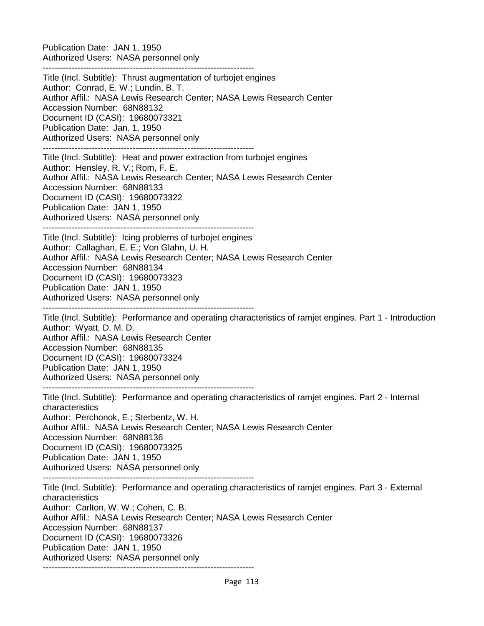Publication Date: JAN 1, 1950 Authorized Users: NASA personnel only

-------------------------------------------------------------------------

Title (Incl. Subtitle): Thrust augmentation of turbojet engines Author: Conrad, E. W.; Lundin, B. T. Author Affil.: NASA Lewis Research Center; NASA Lewis Research Center Accession Number: 68N88132 Document ID (CASI): 19680073321 Publication Date: Jan. 1, 1950 Authorized Users: NASA personnel only ------------------------------------------------------------------------- Title (Incl. Subtitle): Heat and power extraction from turbojet engines Author: Hensley, R. V.; Rom, F. E. Author Affil.: NASA Lewis Research Center; NASA Lewis Research Center Accession Number: 68N88133 Document ID (CASI): 19680073322 Publication Date: JAN 1, 1950 Authorized Users: NASA personnel only ------------------------------------------------------------------------- Title (Incl. Subtitle): Icing problems of turbojet engines Author: Callaghan, E. E.; Von Glahn, U. H. Author Affil.: NASA Lewis Research Center; NASA Lewis Research Center Accession Number: 68N88134 Document ID (CASI): 19680073323 Publication Date: JAN 1, 1950 Authorized Users: NASA personnel only ------------------------------------------------------------------------- Title (Incl. Subtitle): Performance and operating characteristics of ramjet engines. Part 1 - Introduction Author: Wyatt, D. M. D. Author Affil.: NASA Lewis Research Center Accession Number: 68N88135 Document ID (CASI): 19680073324 Publication Date: JAN 1, 1950 Authorized Users: NASA personnel only ------------------------------------------------------------------------- Title (Incl. Subtitle): Performance and operating characteristics of ramjet engines. Part 2 - Internal characteristics Author: Perchonok, E.; Sterbentz, W. H. Author Affil.: NASA Lewis Research Center; NASA Lewis Research Center Accession Number: 68N88136 Document ID (CASI): 19680073325 Publication Date: JAN 1, 1950 Authorized Users: NASA personnel only ------------------------------------------------------------------------- Title (Incl. Subtitle): Performance and operating characteristics of ramjet engines. Part 3 - External characteristics Author: Carlton, W. W.; Cohen, C. B. Author Affil.: NASA Lewis Research Center; NASA Lewis Research Center Accession Number: 68N88137 Document ID (CASI): 19680073326 Publication Date: JAN 1, 1950

Authorized Users: NASA personnel only

-------------------------------------------------------------------------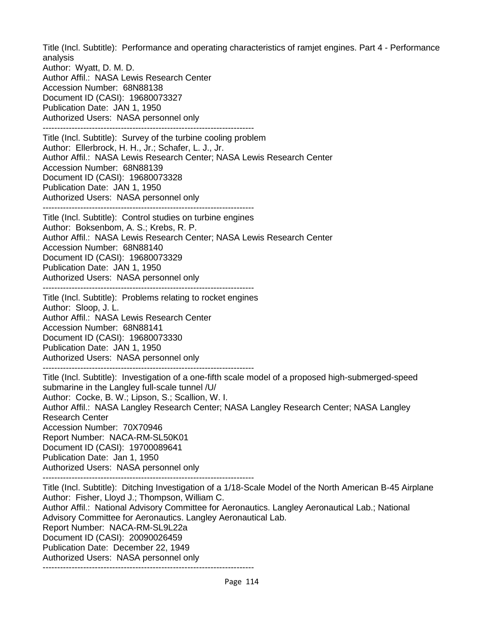Title (Incl. Subtitle): Performance and operating characteristics of ramjet engines. Part 4 - Performance analysis

Author: Wyatt, D. M. D. Author Affil.: NASA Lewis Research Center Accession Number: 68N88138 Document ID (CASI): 19680073327 Publication Date: JAN 1, 1950 Authorized Users: NASA personnel only ------------------------------------------------------------------------- Title (Incl. Subtitle): Survey of the turbine cooling problem Author: Ellerbrock, H. H., Jr.; Schafer, L. J., Jr. Author Affil.: NASA Lewis Research Center; NASA Lewis Research Center Accession Number: 68N88139 Document ID (CASI): 19680073328 Publication Date: JAN 1, 1950 Authorized Users: NASA personnel only ------------------------------------------------------------------------- Title (Incl. Subtitle): Control studies on turbine engines Author: Boksenbom, A. S.; Krebs, R. P. Author Affil.: NASA Lewis Research Center; NASA Lewis Research Center Accession Number: 68N88140 Document ID (CASI): 19680073329 Publication Date: JAN 1, 1950 Authorized Users: NASA personnel only ------------------------------------------------------------------------- Title (Incl. Subtitle): Problems relating to rocket engines Author: Sloop, J. L. Author Affil.: NASA Lewis Research Center Accession Number: 68N88141 Document ID (CASI): 19680073330 Publication Date: JAN 1, 1950 Authorized Users: NASA personnel only ------------------------------------------------------------------------- Title (Incl. Subtitle): Investigation of a one-fifth scale model of a proposed high-submerged-speed submarine in the Langley full-scale tunnel /U/ Author: Cocke, B. W.; Lipson, S.; Scallion, W. I. Author Affil.: NASA Langley Research Center; NASA Langley Research Center; NASA Langley Research Center Accession Number: 70X70946 Report Number: NACA-RM-SL50K01 Document ID (CASI): 19700089641 Publication Date: Jan 1, 1950 Authorized Users: NASA personnel only ------------------------------------------------------------------------- Title (Incl. Subtitle): Ditching Investigation of a 1/18-Scale Model of the North American B-45 Airplane Author: Fisher, Lloyd J.; Thompson, William C. Author Affil.: National Advisory Committee for Aeronautics. Langley Aeronautical Lab.; National Advisory Committee for Aeronautics. Langley Aeronautical Lab. Report Number: NACA-RM-SL9L22a Document ID (CASI): 20090026459 Publication Date: December 22, 1949 Authorized Users: NASA personnel only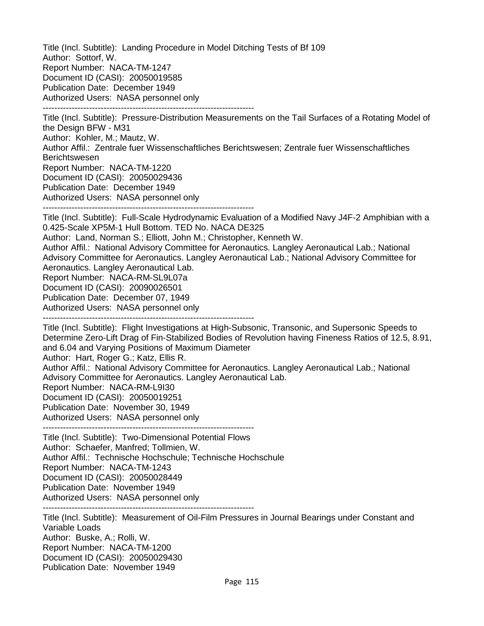Title (Incl. Subtitle): Landing Procedure in Model Ditching Tests of Bf 109 Author: Sottorf, W. Report Number: NACA-TM-1247 Document ID (CASI): 20050019585 Publication Date: December 1949 Authorized Users: NASA personnel only -------------------------------------------------------------------------

Title (Incl. Subtitle): Pressure-Distribution Measurements on the Tail Surfaces of a Rotating Model of the Design BFW - M31 Author: Kohler, M.; Mautz, W. Author Affil.: Zentrale fuer Wissenschaftliches Berichtswesen; Zentrale fuer Wissenschaftliches Berichtswesen Report Number: NACA-TM-1220 Document ID (CASI): 20050029436 Publication Date: December 1949

Authorized Users: NASA personnel only -------------------------------------------------------------------------

Title (Incl. Subtitle): Full-Scale Hydrodynamic Evaluation of a Modified Navy J4F-2 Amphibian with a 0.425-Scale XP5M-1 Hull Bottom. TED No. NACA DE325

Author: Land, Norman S.; Elliott, John M.; Christopher, Kenneth W.

Author Affil.: National Advisory Committee for Aeronautics. Langley Aeronautical Lab.; National Advisory Committee for Aeronautics. Langley Aeronautical Lab.; National Advisory Committee for Aeronautics. Langley Aeronautical Lab.

Report Number: NACA-RM-SL9L07a

Document ID (CASI): 20090026501

Publication Date: December 07, 1949

Authorized Users: NASA personnel only

-------------------------------------------------------------------------

Title (Incl. Subtitle): Flight Investigations at High-Subsonic, Transonic, and Supersonic Speeds to Determine Zero-Lift Drag of Fin-Stabilized Bodies of Revolution having Fineness Ratios of 12.5, 8.91, and 6.04 and Varying Positions of Maximum Diameter Author: Hart, Roger G.; Katz, Ellis R.

Author Affil.: National Advisory Committee for Aeronautics. Langley Aeronautical Lab.; National Advisory Committee for Aeronautics. Langley Aeronautical Lab.

Report Number: NACA-RM-L9I30

Document ID (CASI): 20050019251

Publication Date: November 30, 1949

Authorized Users: NASA personnel only -------------------------------------------------------------------------

Title (Incl. Subtitle): Two-Dimensional Potential Flows Author: Schaefer, Manfred; Tollmien, W. Author Affil.: Technische Hochschule; Technische Hochschule Report Number: NACA-TM-1243 Document ID (CASI): 20050028449 Publication Date: November 1949 Authorized Users: NASA personnel only -------------------------------------------------------------------------

Title (Incl. Subtitle): Measurement of Oil-Film Pressures in Journal Bearings under Constant and Variable Loads Author: Buske, A.; Rolli, W. Report Number: NACA-TM-1200 Document ID (CASI): 20050029430 Publication Date: November 1949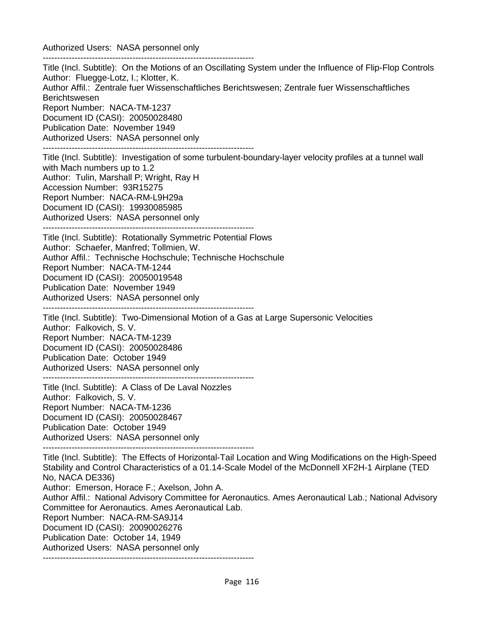Authorized Users: NASA personnel only -------------------------------------------------------------------------

Title (Incl. Subtitle): On the Motions of an Oscillating System under the Influence of Flip-Flop Controls Author: Fluegge-Lotz, I.; Klotter, K. Author Affil.: Zentrale fuer Wissenschaftliches Berichtswesen; Zentrale fuer Wissenschaftliches Berichtswesen Report Number: NACA-TM-1237 Document ID (CASI): 20050028480 Publication Date: November 1949 Authorized Users: NASA personnel only ------------------------------------------------------------------------- Title (Incl. Subtitle): Investigation of some turbulent-boundary-layer velocity profiles at a tunnel wall with Mach numbers up to 1.2 Author: Tulin, Marshall P; Wright, Ray H Accession Number: 93R15275 Report Number: NACA-RM-L9H29a Document ID (CASI): 19930085985 Authorized Users: NASA personnel only ------------------------------------------------------------------------- Title (Incl. Subtitle): Rotationally Symmetric Potential Flows Author: Schaefer, Manfred; Tollmien, W. Author Affil.: Technische Hochschule; Technische Hochschule Report Number: NACA-TM-1244 Document ID (CASI): 20050019548 Publication Date: November 1949 Authorized Users: NASA personnel only ------------------------------------------------------------------------- Title (Incl. Subtitle): Two-Dimensional Motion of a Gas at Large Supersonic Velocities Author: Falkovich, S. V. Report Number: NACA-TM-1239 Document ID (CASI): 20050028486 Publication Date: October 1949 Authorized Users: NASA personnel only ------------------------------------------------------------------------- Title (Incl. Subtitle): A Class of De Laval Nozzles Author: Falkovich, S. V. Report Number: NACA-TM-1236 Document ID (CASI): 20050028467 Publication Date: October 1949 Authorized Users: NASA personnel only ------------------------------------------------------------------------- Title (Incl. Subtitle): The Effects of Horizontal-Tail Location and Wing Modifications on the High-Speed Stability and Control Characteristics of a 01.14-Scale Model of the McDonnell XF2H-1 Airplane (TED No, NACA DE336) Author: Emerson, Horace F.; Axelson, John A. Author Affil.: National Advisory Committee for Aeronautics. Ames Aeronautical Lab.; National Advisory Committee for Aeronautics. Ames Aeronautical Lab. Report Number: NACA-RM-SA9J14 Document ID (CASI): 20090026276 Publication Date: October 14, 1949 Authorized Users: NASA personnel only -------------------------------------------------------------------------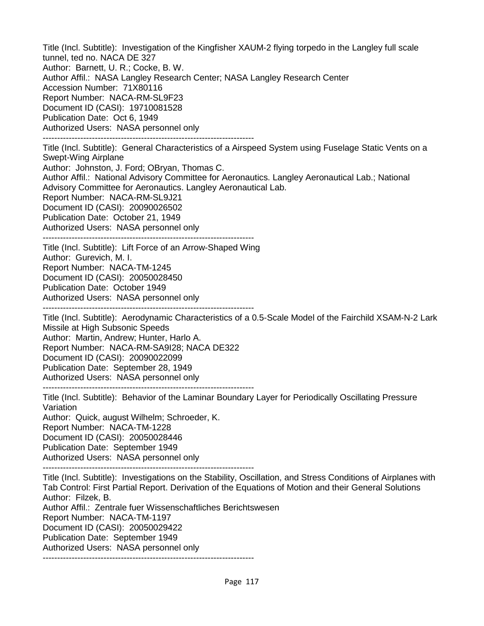Title (Incl. Subtitle): Investigation of the Kingfisher XAUM-2 flying torpedo in the Langley full scale tunnel, ted no. NACA DE 327 Author: Barnett, U. R.; Cocke, B. W. Author Affil.: NASA Langley Research Center; NASA Langley Research Center Accession Number: 71X80116 Report Number: NACA-RM-SL9F23 Document ID (CASI): 19710081528 Publication Date: Oct 6, 1949 Authorized Users: NASA personnel only -------------------------------------------------------------------------

Title (Incl. Subtitle): General Characteristics of a Airspeed System using Fuselage Static Vents on a Swept-Wing Airplane Author: Johnston, J. Ford; OBryan, Thomas C. Author Affil.: National Advisory Committee for Aeronautics. Langley Aeronautical Lab.; National Advisory Committee for Aeronautics. Langley Aeronautical Lab. Report Number: NACA-RM-SL9J21 Document ID (CASI): 20090026502 Publication Date: October 21, 1949 Authorized Users: NASA personnel only

------------------------------------------------------------------------- Title (Incl. Subtitle): Lift Force of an Arrow-Shaped Wing Author: Gurevich, M. I. Report Number: NACA-TM-1245 Document ID (CASI): 20050028450 Publication Date: October 1949 Authorized Users: NASA personnel only -------------------------------------------------------------------------

Title (Incl. Subtitle): Aerodynamic Characteristics of a 0.5-Scale Model of the Fairchild XSAM-N-2 Lark Missile at High Subsonic Speeds Author: Martin, Andrew; Hunter, Harlo A. Report Number: NACA-RM-SA9I28; NACA DE322 Document ID (CASI): 20090022099 Publication Date: September 28, 1949 Authorized Users: NASA personnel only

-------------------------------------------------------------------------

Title (Incl. Subtitle): Behavior of the Laminar Boundary Layer for Periodically Oscillating Pressure Variation Author: Quick, august Wilhelm; Schroeder, K. Report Number: NACA-TM-1228 Document ID (CASI): 20050028446 Publication Date: September 1949 Authorized Users: NASA personnel only -------------------------------------------------------------------------

Title (Incl. Subtitle): Investigations on the Stability, Oscillation, and Stress Conditions of Airplanes with Tab Control: First Partial Report. Derivation of the Equations of Motion and their General Solutions Author: Filzek, B. Author Affil.: Zentrale fuer Wissenschaftliches Berichtswesen Report Number: NACA-TM-1197 Document ID (CASI): 20050029422 Publication Date: September 1949 Authorized Users: NASA personnel only -------------------------------------------------------------------------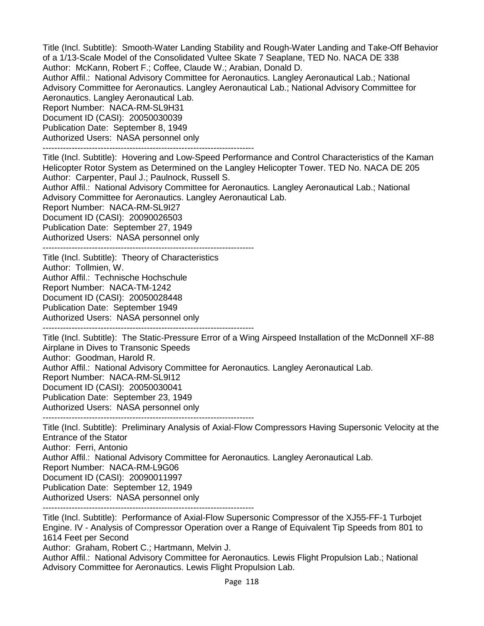Title (Incl. Subtitle): Smooth-Water Landing Stability and Rough-Water Landing and Take-Off Behavior of a 1/13-Scale Model of the Consolidated Vultee Skate 7 Seaplane, TED No. NACA DE 338 Author: McKann, Robert F.; Coffee, Claude W.; Arabian, Donald D.

Author Affil.: National Advisory Committee for Aeronautics. Langley Aeronautical Lab.; National Advisory Committee for Aeronautics. Langley Aeronautical Lab.; National Advisory Committee for Aeronautics. Langley Aeronautical Lab.

Report Number: NACA-RM-SL9H31

Document ID (CASI): 20050030039

Publication Date: September 8, 1949

Authorized Users: NASA personnel only

-------------------------------------------------------------------------

Title (Incl. Subtitle): Hovering and Low-Speed Performance and Control Characteristics of the Kaman Helicopter Rotor System as Determined on the Langley Helicopter Tower. TED No. NACA DE 205 Author: Carpenter, Paul J.; Paulnock, Russell S.

Author Affil.: National Advisory Committee for Aeronautics. Langley Aeronautical Lab.; National Advisory Committee for Aeronautics. Langley Aeronautical Lab.

Report Number: NACA-RM-SL9I27 Document ID (CASI): 20090026503 Publication Date: September 27, 1949

Authorized Users: NASA personnel only -------------------------------------------------------------------------

Title (Incl. Subtitle): Theory of Characteristics

Author: Tollmien, W.

Author Affil.: Technische Hochschule

Report Number: NACA-TM-1242

Document ID (CASI): 20050028448

Publication Date: September 1949

Authorized Users: NASA personnel only

-------------------------------------------------------------------------

Title (Incl. Subtitle): The Static-Pressure Error of a Wing Airspeed Installation of the McDonnell XF-88 Airplane in Dives to Transonic Speeds Author: Goodman, Harold R. Author Affil.: National Advisory Committee for Aeronautics. Langley Aeronautical Lab. Report Number: NACA-RM-SL9I12 Document ID (CASI): 20050030041 Publication Date: September 23, 1949 Authorized Users: NASA personnel only

-------------------------------------------------------------------------

Title (Incl. Subtitle): Preliminary Analysis of Axial-Flow Compressors Having Supersonic Velocity at the Entrance of the Stator Author: Ferri, Antonio Author Affil.: National Advisory Committee for Aeronautics. Langley Aeronautical Lab. Report Number: NACA-RM-L9G06 Document ID (CASI): 20090011997 Publication Date: September 12, 1949 Authorized Users: NASA personnel only -------------------------------------------------------------------------

Title (Incl. Subtitle): Performance of Axial-Flow Supersonic Compressor of the XJ55-FF-1 Turbojet Engine. IV - Analysis of Compressor Operation over a Range of Equivalent Tip Speeds from 801 to 1614 Feet per Second Author: Graham, Robert C.; Hartmann, Melvin J.

Author Affil.: National Advisory Committee for Aeronautics. Lewis Flight Propulsion Lab.; National Advisory Committee for Aeronautics. Lewis Flight Propulsion Lab.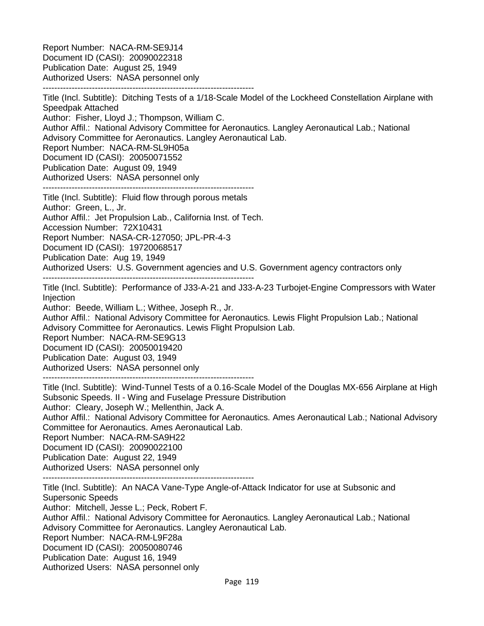Report Number: NACA-RM-SE9J14 Document ID (CASI): 20090022318 Publication Date: August 25, 1949 Authorized Users: NASA personnel only -------------------------------------------------------------------------

Title (Incl. Subtitle): Ditching Tests of a 1/18-Scale Model of the Lockheed Constellation Airplane with Speedpak Attached Author: Fisher, Lloyd J.; Thompson, William C. Author Affil.: National Advisory Committee for Aeronautics. Langley Aeronautical Lab.; National Advisory Committee for Aeronautics. Langley Aeronautical Lab. Report Number: NACA-RM-SL9H05a Document ID (CASI): 20050071552 Publication Date: August 09, 1949 Authorized Users: NASA personnel only ------------------------------------------------------------------------- Title (Incl. Subtitle): Fluid flow through porous metals Author: Green, L., Jr. Author Affil.: Jet Propulsion Lab., California Inst. of Tech. Accession Number: 72X10431 Report Number: NASA-CR-127050; JPL-PR-4-3 Document ID (CASI): 19720068517 Publication Date: Aug 19, 1949 Authorized Users: U.S. Government agencies and U.S. Government agency contractors only ------------------------------------------------------------------------- Title (Incl. Subtitle): Performance of J33-A-21 and J33-A-23 Turbojet-Engine Compressors with Water **Injection** Author: Beede, William L.; Withee, Joseph R., Jr. Author Affil.: National Advisory Committee for Aeronautics. Lewis Flight Propulsion Lab.; National Advisory Committee for Aeronautics. Lewis Flight Propulsion Lab. Report Number: NACA-RM-SE9G13 Document ID (CASI): 20050019420 Publication Date: August 03, 1949 Authorized Users: NASA personnel only ------------------------------------------------------------------------- Title (Incl. Subtitle): Wind-Tunnel Tests of a 0.16-Scale Model of the Douglas MX-656 Airplane at High Subsonic Speeds. II - Wing and Fuselage Pressure Distribution Author: Cleary, Joseph W.; Mellenthin, Jack A. Author Affil.: National Advisory Committee for Aeronautics. Ames Aeronautical Lab.; National Advisory Committee for Aeronautics. Ames Aeronautical Lab. Report Number: NACA-RM-SA9H22 Document ID (CASI): 20090022100 Publication Date: August 22, 1949 Authorized Users: NASA personnel only ------------------------------------------------------------------------- Title (Incl. Subtitle): An NACA Vane-Type Angle-of-Attack Indicator for use at Subsonic and Supersonic Speeds

Author: Mitchell, Jesse L.; Peck, Robert F. Author Affil.: National Advisory Committee for Aeronautics. Langley Aeronautical Lab.; National Advisory Committee for Aeronautics. Langley Aeronautical Lab. Report Number: NACA-RM-L9F28a Document ID (CASI): 20050080746 Publication Date: August 16, 1949 Authorized Users: NASA personnel only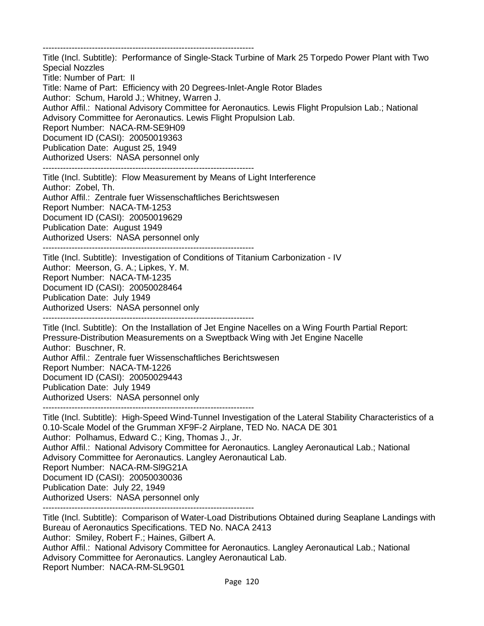-------------------------------------------------------------------------

Title (Incl. Subtitle): Performance of Single-Stack Turbine of Mark 25 Torpedo Power Plant with Two Special Nozzles Title: Number of Part: II Title: Name of Part: Efficiency with 20 Degrees-Inlet-Angle Rotor Blades Author: Schum, Harold J.; Whitney, Warren J. Author Affil.: National Advisory Committee for Aeronautics. Lewis Flight Propulsion Lab.; National Advisory Committee for Aeronautics. Lewis Flight Propulsion Lab. Report Number: NACA-RM-SE9H09 Document ID (CASI): 20050019363 Publication Date: August 25, 1949 Authorized Users: NASA personnel only -------------------------------------------------------------------------

Title (Incl. Subtitle): Flow Measurement by Means of Light Interference Author: Zobel, Th. Author Affil.: Zentrale fuer Wissenschaftliches Berichtswesen Report Number: NACA-TM-1253 Document ID (CASI): 20050019629 Publication Date: August 1949 Authorized Users: NASA personnel only -------------------------------------------------------------------------

Title (Incl. Subtitle): Investigation of Conditions of Titanium Carbonization - IV Author: Meerson, G. A.; Lipkes, Y. M. Report Number: NACA-TM-1235 Document ID (CASI): 20050028464 Publication Date: July 1949 Authorized Users: NASA personnel only -------------------------------------------------------------------------

Title (Incl. Subtitle): On the Installation of Jet Engine Nacelles on a Wing Fourth Partial Report: Pressure-Distribution Measurements on a Sweptback Wing with Jet Engine Nacelle Author: Buschner, R. Author Affil.: Zentrale fuer Wissenschaftliches Berichtswesen Report Number: NACA-TM-1226 Document ID (CASI): 20050029443 Publication Date: July 1949 Authorized Users: NASA personnel only

-------------------------------------------------------------------------

Title (Incl. Subtitle): High-Speed Wind-Tunnel Investigation of the Lateral Stability Characteristics of a 0.10-Scale Model of the Grumman XF9F-2 Airplane, TED No. NACA DE 301 Author: Polhamus, Edward C.; King, Thomas J., Jr. Author Affil.: National Advisory Committee for Aeronautics. Langley Aeronautical Lab.; National Advisory Committee for Aeronautics. Langley Aeronautical Lab. Report Number: NACA-RM-Sl9G21A Document ID (CASI): 20050030036 Publication Date: July 22, 1949 Authorized Users: NASA personnel only -------------------------------------------------------------------------

Title (Incl. Subtitle): Comparison of Water-Load Distributions Obtained during Seaplane Landings with Bureau of Aeronautics Specifications. TED No. NACA 2413 Author: Smiley, Robert F.; Haines, Gilbert A. Author Affil.: National Advisory Committee for Aeronautics. Langley Aeronautical Lab.; National Advisory Committee for Aeronautics. Langley Aeronautical Lab. Report Number: NACA-RM-SL9G01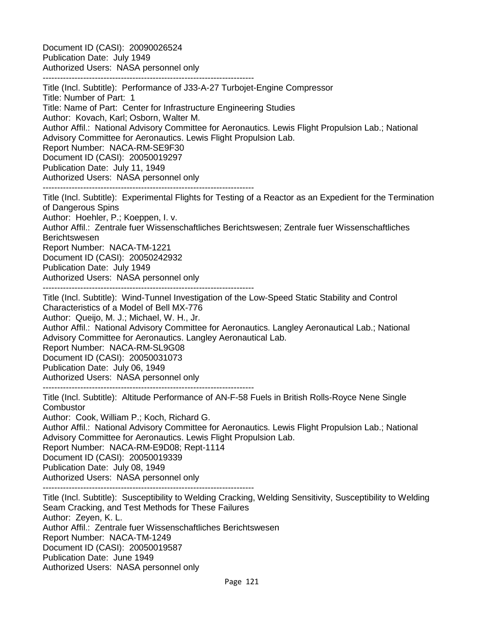Document ID (CASI): 20090026524 Publication Date: July 1949 Authorized Users: NASA personnel only -------------------------------------------------------------------------

Title (Incl. Subtitle): Performance of J33-A-27 Turbojet-Engine Compressor Title: Number of Part: 1 Title: Name of Part: Center for Infrastructure Engineering Studies Author: Kovach, Karl; Osborn, Walter M. Author Affil.: National Advisory Committee for Aeronautics. Lewis Flight Propulsion Lab.; National Advisory Committee for Aeronautics. Lewis Flight Propulsion Lab. Report Number: NACA-RM-SE9F30 Document ID (CASI): 20050019297 Publication Date: July 11, 1949 Authorized Users: NASA personnel only -------------------------------------------------------------------------

Title (Incl. Subtitle): Experimental Flights for Testing of a Reactor as an Expedient for the Termination of Dangerous Spins

Author: Hoehler, P.; Koeppen, I. v.

Author Affil.: Zentrale fuer Wissenschaftliches Berichtswesen; Zentrale fuer Wissenschaftliches Berichtswesen Report Number: NACA-TM-1221

Document ID (CASI): 20050242932

Publication Date: July 1949

Authorized Users: NASA personnel only

-------------------------------------------------------------------------

Title (Incl. Subtitle): Wind-Tunnel Investigation of the Low-Speed Static Stability and Control Characteristics of a Model of Bell MX-776 Author: Queijo, M. J.; Michael, W. H., Jr.

Author Affil.: National Advisory Committee for Aeronautics. Langley Aeronautical Lab.; National Advisory Committee for Aeronautics. Langley Aeronautical Lab.

Report Number: NACA-RM-SL9G08

Document ID (CASI): 20050031073

Publication Date: July 06, 1949

Authorized Users: NASA personnel only

-------------------------------------------------------------------------

Title (Incl. Subtitle): Altitude Performance of AN-F-58 Fuels in British Rolls-Royce Nene Single **Combustor** 

Author: Cook, William P.; Koch, Richard G.

Author Affil.: National Advisory Committee for Aeronautics. Lewis Flight Propulsion Lab.; National Advisory Committee for Aeronautics. Lewis Flight Propulsion Lab.

Report Number: NACA-RM-E9D08; Rept-1114

Document ID (CASI): 20050019339

Publication Date: July 08, 1949

Authorized Users: NASA personnel only

Authorized Users: NASA personnel only

------------------------------------------------------------------------- Title (Incl. Subtitle): Susceptibility to Welding Cracking, Welding Sensitivity, Susceptibility to Welding Seam Cracking, and Test Methods for These Failures Author: Zeyen, K. L. Author Affil.: Zentrale fuer Wissenschaftliches Berichtswesen Report Number: NACA-TM-1249 Document ID (CASI): 20050019587 Publication Date: June 1949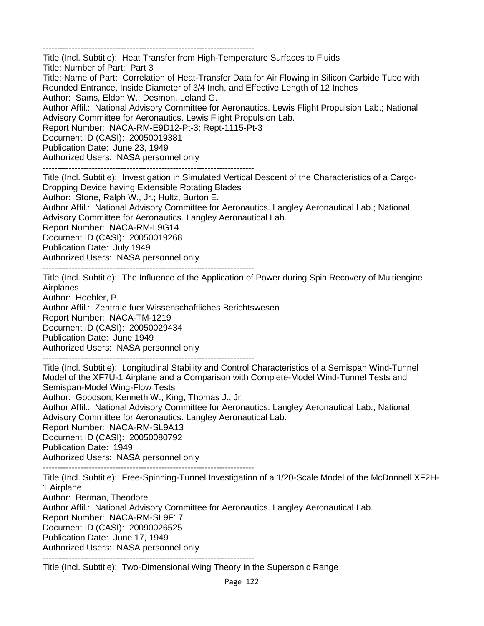-------------------------------------------------------------------------

Title (Incl. Subtitle): Heat Transfer from High-Temperature Surfaces to Fluids Title: Number of Part: Part 3 Title: Name of Part: Correlation of Heat-Transfer Data for Air Flowing in Silicon Carbide Tube with Rounded Entrance, Inside Diameter of 3/4 Inch, and Effective Length of 12 Inches Author: Sams, Eldon W.; Desmon, Leland G. Author Affil.: National Advisory Committee for Aeronautics. Lewis Flight Propulsion Lab.; National Advisory Committee for Aeronautics. Lewis Flight Propulsion Lab. Report Number: NACA-RM-E9D12-Pt-3; Rept-1115-Pt-3 Document ID (CASI): 20050019381 Publication Date: June 23, 1949 Authorized Users: NASA personnel only -------------------------------------------------------------------------

Title (Incl. Subtitle): Investigation in Simulated Vertical Descent of the Characteristics of a Cargo-Dropping Device having Extensible Rotating Blades Author: Stone, Ralph W., Jr.; Hultz, Burton E. Author Affil.: National Advisory Committee for Aeronautics. Langley Aeronautical Lab.; National Advisory Committee for Aeronautics. Langley Aeronautical Lab. Report Number: NACA-RM-L9G14 Document ID (CASI): 20050019268 Publication Date: July 1949 Authorized Users: NASA personnel only -------------------------------------------------------------------------

Title (Incl. Subtitle): The Influence of the Application of Power during Spin Recovery of Multiengine Airplanes

Author: Hoehler, P.

Author Affil.: Zentrale fuer Wissenschaftliches Berichtswesen

Report Number: NACA-TM-1219

Document ID (CASI): 20050029434

Publication Date: June 1949

Authorized Users: NASA personnel only

-------------------------------------------------------------------------

Title (Incl. Subtitle): Longitudinal Stability and Control Characteristics of a Semispan Wind-Tunnel Model of the XF7U-1 Airplane and a Comparison with Complete-Model Wind-Tunnel Tests and Semispan-Model Wing-Flow Tests

Author: Goodson, Kenneth W.; King, Thomas J., Jr.

Author Affil.: National Advisory Committee for Aeronautics. Langley Aeronautical Lab.; National Advisory Committee for Aeronautics. Langley Aeronautical Lab.

Report Number: NACA-RM-SL9A13

Document ID (CASI): 20050080792

Publication Date: 1949

Authorized Users: NASA personnel only -------------------------------------------------------------------------

Title (Incl. Subtitle): Free-Spinning-Tunnel Investigation of a 1/20-Scale Model of the McDonnell XF2H-1 Airplane Author: Berman, Theodore Author Affil.: National Advisory Committee for Aeronautics. Langley Aeronautical Lab. Report Number: NACA-RM-SL9F17 Document ID (CASI): 20090026525 Publication Date: June 17, 1949 Authorized Users: NASA personnel only -------------------------------------------------------------------------

Title (Incl. Subtitle): Two-Dimensional Wing Theory in the Supersonic Range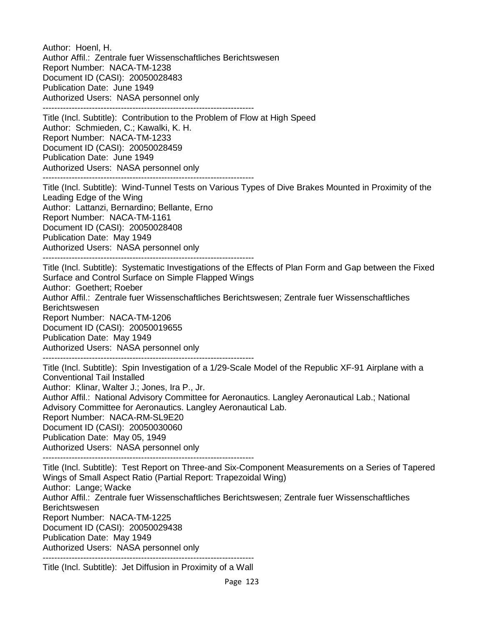Author: Hoenl, H. Author Affil.: Zentrale fuer Wissenschaftliches Berichtswesen Report Number: NACA-TM-1238 Document ID (CASI): 20050028483 Publication Date: June 1949 Authorized Users: NASA personnel only -------------------------------------------------------------------------

Title (Incl. Subtitle): Contribution to the Problem of Flow at High Speed Author: Schmieden, C.; Kawalki, K. H. Report Number: NACA-TM-1233 Document ID (CASI): 20050028459 Publication Date: June 1949 Authorized Users: NASA personnel only -------------------------------------------------------------------------

Title (Incl. Subtitle): Wind-Tunnel Tests on Various Types of Dive Brakes Mounted in Proximity of the Leading Edge of the Wing Author: Lattanzi, Bernardino; Bellante, Erno Report Number: NACA-TM-1161 Document ID (CASI): 20050028408 Publication Date: May 1949 Authorized Users: NASA personnel only -------------------------------------------------------------------------

Title (Incl. Subtitle): Systematic Investigations of the Effects of Plan Form and Gap between the Fixed Surface and Control Surface on Simple Flapped Wings Author: Goethert; Roeber

Author Affil.: Zentrale fuer Wissenschaftliches Berichtswesen; Zentrale fuer Wissenschaftliches Berichtswesen

Report Number: NACA-TM-1206

Document ID (CASI): 20050019655

Publication Date: May 1949

Authorized Users: NASA personnel only -------------------------------------------------------------------------

Title (Incl. Subtitle): Spin Investigation of a 1/29-Scale Model of the Republic XF-91 Airplane with a Conventional Tail Installed

Author: Klinar, Walter J.; Jones, Ira P., Jr.

Author Affil.: National Advisory Committee for Aeronautics. Langley Aeronautical Lab.; National Advisory Committee for Aeronautics. Langley Aeronautical Lab. Report Number: NACA-RM-SL9E20

Document ID (CASI): 20050030060

Publication Date: May 05, 1949

Authorized Users: NASA personnel only

-------------------------------------------------------------------------

Title (Incl. Subtitle): Test Report on Three-and Six-Component Measurements on a Series of Tapered Wings of Small Aspect Ratio (Partial Report: Trapezoidal Wing) Author: Lange; Wacke Author Affil.: Zentrale fuer Wissenschaftliches Berichtswesen; Zentrale fuer Wissenschaftliches Berichtswesen Report Number: NACA-TM-1225 Document ID (CASI): 20050029438 Publication Date: May 1949 Authorized Users: NASA personnel only -------------------------------------------------------------------------

Title (Incl. Subtitle): Jet Diffusion in Proximity of a Wall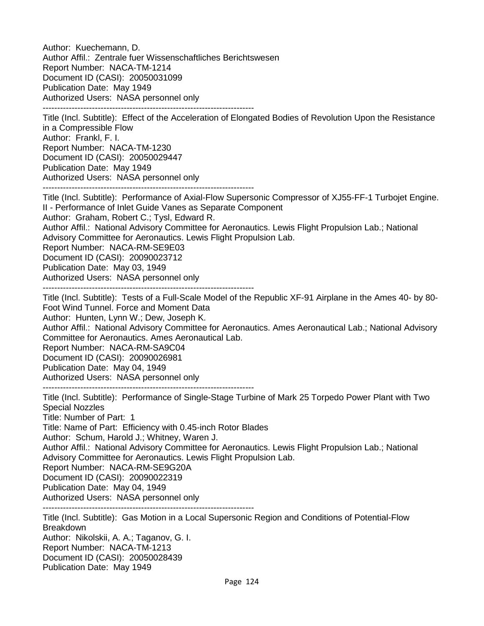Author: Kuechemann, D. Author Affil.: Zentrale fuer Wissenschaftliches Berichtswesen Report Number: NACA-TM-1214 Document ID (CASI): 20050031099 Publication Date: May 1949 Authorized Users: NASA personnel only -------------------------------------------------------------------------

Title (Incl. Subtitle): Effect of the Acceleration of Elongated Bodies of Revolution Upon the Resistance in a Compressible Flow Author: Frankl, F. I. Report Number: NACA-TM-1230 Document ID (CASI): 20050029447 Publication Date: May 1949 Authorized Users: NASA personnel only -------------------------------------------------------------------------

Title (Incl. Subtitle): Performance of Axial-Flow Supersonic Compressor of XJ55-FF-1 Turbojet Engine. II - Performance of Inlet Guide Vanes as Separate Component Author: Graham, Robert C.; Tysl, Edward R. Author Affil.: National Advisory Committee for Aeronautics. Lewis Flight Propulsion Lab.; National Advisory Committee for Aeronautics. Lewis Flight Propulsion Lab. Report Number: NACA-RM-SE9E03 Document ID (CASI): 20090023712 Publication Date: May 03, 1949 Authorized Users: NASA personnel only

-------------------------------------------------------------------------

Title (Incl. Subtitle): Tests of a Full-Scale Model of the Republic XF-91 Airplane in the Ames 40- by 80- Foot Wind Tunnel. Force and Moment Data

Author: Hunten, Lynn W.; Dew, Joseph K.

Author Affil.: National Advisory Committee for Aeronautics. Ames Aeronautical Lab.; National Advisory Committee for Aeronautics. Ames Aeronautical Lab.

Report Number: NACA-RM-SA9C04

Document ID (CASI): 20090026981

Publication Date: May 04, 1949

Authorized Users: NASA personnel only

-------------------------------------------------------------------------

-------------------------------------------------------------------------

Title (Incl. Subtitle): Performance of Single-Stage Turbine of Mark 25 Torpedo Power Plant with Two Special Nozzles

Title: Number of Part: 1

Title: Name of Part: Efficiency with 0.45-inch Rotor Blades

Author: Schum, Harold J.; Whitney, Waren J.

Author Affil.: National Advisory Committee for Aeronautics. Lewis Flight Propulsion Lab.; National Advisory Committee for Aeronautics. Lewis Flight Propulsion Lab.

Report Number: NACA-RM-SE9G20A

Document ID (CASI): 20090022319

Publication Date: May 04, 1949

Authorized Users: NASA personnel only

Title (Incl. Subtitle): Gas Motion in a Local Supersonic Region and Conditions of Potential-Flow Breakdown Author: Nikolskii, A. A.; Taganov, G. I. Report Number: NACA-TM-1213 Document ID (CASI): 20050028439 Publication Date: May 1949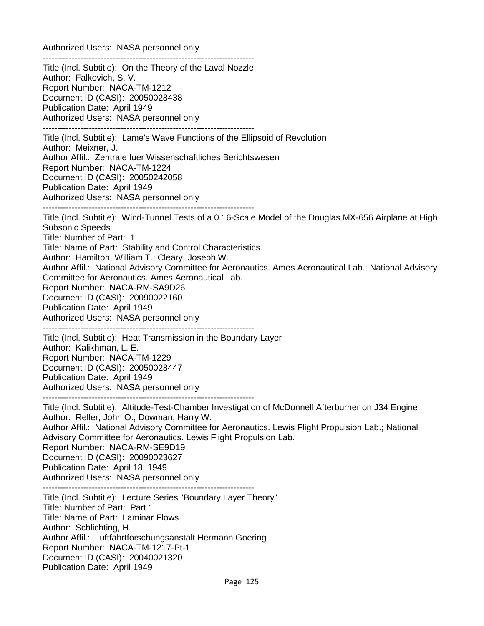Authorized Users: NASA personnel only ------------------------------------------------------------------------- Title (Incl. Subtitle): On the Theory of the Laval Nozzle Author: Falkovich, S. V. Report Number: NACA-TM-1212 Document ID (CASI): 20050028438 Publication Date: April 1949 Authorized Users: NASA personnel only ------------------------------------------------------------------------- Title (Incl. Subtitle): Lame's Wave Functions of the Ellipsoid of Revolution Author: Meixner, J. Author Affil.: Zentrale fuer Wissenschaftliches Berichtswesen Report Number: NACA-TM-1224 Document ID (CASI): 20050242058 Publication Date: April 1949 Authorized Users: NASA personnel only ------------------------------------------------------------------------- Title (Incl. Subtitle): Wind-Tunnel Tests of a 0.16-Scale Model of the Douglas MX-656 Airplane at High Subsonic Speeds Title: Number of Part: 1 Title: Name of Part: Stability and Control Characteristics Author: Hamilton, William T.; Cleary, Joseph W. Author Affil.: National Advisory Committee for Aeronautics. Ames Aeronautical Lab.; National Advisory Committee for Aeronautics. Ames Aeronautical Lab. Report Number: NACA-RM-SA9D26 Document ID (CASI): 20090022160 Publication Date: April 1949 Authorized Users: NASA personnel only ------------------------------------------------------------------------- Title (Incl. Subtitle): Heat Transmission in the Boundary Layer Author: Kalikhman, L. E. Report Number: NACA-TM-1229 Document ID (CASI): 20050028447 Publication Date: April 1949 Authorized Users: NASA personnel only ------------------------------------------------------------------------- Title (Incl. Subtitle): Altitude-Test-Chamber Investigation of McDonnell Afterburner on J34 Engine Author: Reller, John O.; Dowman, Harry W. Author Affil.: National Advisory Committee for Aeronautics. Lewis Flight Propulsion Lab.; National Advisory Committee for Aeronautics. Lewis Flight Propulsion Lab. Report Number: NACA-RM-SE9D19 Document ID (CASI): 20090023627 Publication Date: April 18, 1949 Authorized Users: NASA personnel only ------------------------------------------------------------------------- Title (Incl. Subtitle): Lecture Series "Boundary Layer Theory" Title: Number of Part: Part 1 Title: Name of Part: Laminar Flows Author: Schlichting, H. Author Affil.: Luftfahrtforschungsanstalt Hermann Goering Report Number: NACA-TM-1217-Pt-1 Document ID (CASI): 20040021320 Publication Date: April 1949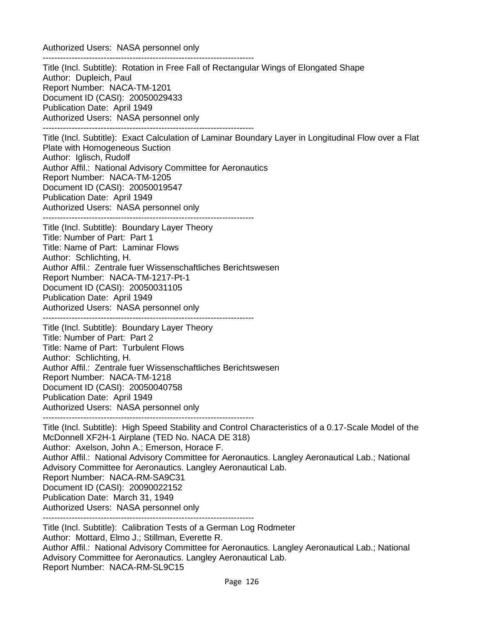Authorized Users: NASA personnel only

------------------------------------------------------------------------- Title (Incl. Subtitle): Rotation in Free Fall of Rectangular Wings of Elongated Shape Author: Dupleich, Paul Report Number: NACA-TM-1201 Document ID (CASI): 20050029433 Publication Date: April 1949 Authorized Users: NASA personnel only ------------------------------------------------------------------------- Title (Incl. Subtitle): Exact Calculation of Laminar Boundary Layer in Longitudinal Flow over a Flat Plate with Homogeneous Suction Author: Iglisch, Rudolf Author Affil.: National Advisory Committee for Aeronautics Report Number: NACA-TM-1205 Document ID (CASI): 20050019547 Publication Date: April 1949 Authorized Users: NASA personnel only ------------------------------------------------------------------------- Title (Incl. Subtitle): Boundary Layer Theory Title: Number of Part: Part 1 Title: Name of Part: Laminar Flows Author: Schlichting, H. Author Affil.: Zentrale fuer Wissenschaftliches Berichtswesen Report Number: NACA-TM-1217-Pt-1 Document ID (CASI): 20050031105 Publication Date: April 1949 Authorized Users: NASA personnel only ------------------------------------------------------------------------- Title (Incl. Subtitle): Boundary Layer Theory Title: Number of Part: Part 2 Title: Name of Part: Turbulent Flows Author: Schlichting, H. Author Affil.: Zentrale fuer Wissenschaftliches Berichtswesen Report Number: NACA-TM-1218 Document ID (CASI): 20050040758 Publication Date: April 1949 Authorized Users: NASA personnel only ------------------------------------------------------------------------- Title (Incl. Subtitle): High Speed Stability and Control Characteristics of a 0.17-Scale Model of the McDonnell XF2H-1 Airplane (TED No. NACA DE 318) Author: Axelson, John A.; Emerson, Horace F. Author Affil.: National Advisory Committee for Aeronautics. Langley Aeronautical Lab.; National Advisory Committee for Aeronautics. Langley Aeronautical Lab. Report Number: NACA-RM-SA9C31 Document ID (CASI): 20090022152 Publication Date: March 31, 1949 Authorized Users: NASA personnel only ------------------------------------------------------------------------- Title (Incl. Subtitle): Calibration Tests of a German Log Rodmeter

Author: Mottard, Elmo J.; Stillman, Everette R. Author Affil.: National Advisory Committee for Aeronautics. Langley Aeronautical Lab.; National Advisory Committee for Aeronautics. Langley Aeronautical Lab. Report Number: NACA-RM-SL9C15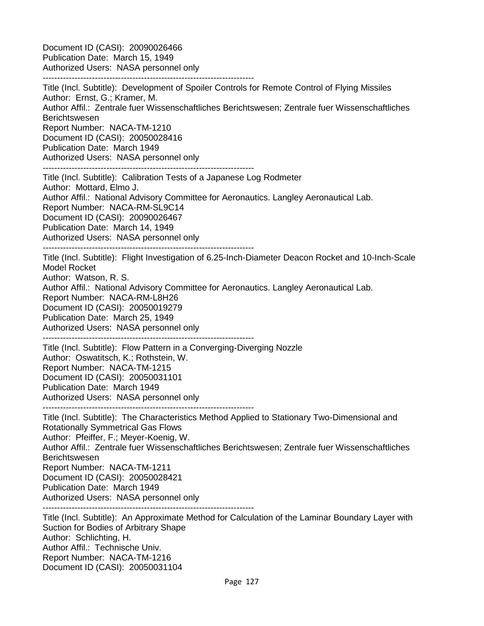Document ID (CASI): 20090026466 Publication Date: March 15, 1949 Authorized Users: NASA personnel only -------------------------------------------------------------------------

Title (Incl. Subtitle): Development of Spoiler Controls for Remote Control of Flying Missiles Author: Ernst, G.; Kramer, M. Author Affil.: Zentrale fuer Wissenschaftliches Berichtswesen; Zentrale fuer Wissenschaftliches Berichtswesen Report Number: NACA-TM-1210 Document ID (CASI): 20050028416 Publication Date: March 1949 Authorized Users: NASA personnel only -------------------------------------------------------------------------

Title (Incl. Subtitle): Calibration Tests of a Japanese Log Rodmeter Author: Mottard, Elmo J. Author Affil.: National Advisory Committee for Aeronautics. Langley Aeronautical Lab. Report Number: NACA-RM-SL9C14 Document ID (CASI): 20090026467 Publication Date: March 14, 1949 Authorized Users: NASA personnel only -------------------------------------------------------------------------

Title (Incl. Subtitle): Flight Investigation of 6.25-Inch-Diameter Deacon Rocket and 10-Inch-Scale Model Rocket Author: Watson, R. S. Author Affil.: National Advisory Committee for Aeronautics. Langley Aeronautical Lab. Report Number: NACA-RM-L8H26 Document ID (CASI): 20050019279 Publication Date: March 25, 1949 Authorized Users: NASA personnel only -------------------------------------------------------------------------

Title (Incl. Subtitle): Flow Pattern in a Converging-Diverging Nozzle Author: Oswatitsch, K.; Rothstein, W. Report Number: NACA-TM-1215 Document ID (CASI): 20050031101 Publication Date: March 1949 Authorized Users: NASA personnel only -------------------------------------------------------------------------

Title (Incl. Subtitle): The Characteristics Method Applied to Stationary Two-Dimensional and Rotationally Symmetrical Gas Flows Author: Pfeiffer, F.; Meyer-Koenig, W. Author Affil.: Zentrale fuer Wissenschaftliches Berichtswesen; Zentrale fuer Wissenschaftliches **Berichtswesen** Report Number: NACA-TM-1211 Document ID (CASI): 20050028421 Publication Date: March 1949 Authorized Users: NASA personnel only -------------------------------------------------------------------------

Title (Incl. Subtitle): An Approximate Method for Calculation of the Laminar Boundary Layer with Suction for Bodies of Arbitrary Shape Author: Schlichting, H. Author Affil.: Technische Univ. Report Number: NACA-TM-1216 Document ID (CASI): 20050031104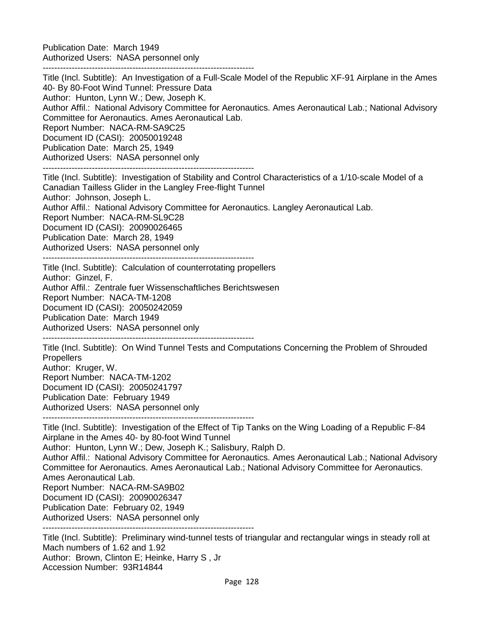Publication Date: March 1949 Authorized Users: NASA personnel only

-------------------------------------------------------------------------

Title (Incl. Subtitle): An Investigation of a Full-Scale Model of the Republic XF-91 Airplane in the Ames 40- By 80-Foot Wind Tunnel: Pressure Data Author: Hunton, Lynn W.; Dew, Joseph K. Author Affil.: National Advisory Committee for Aeronautics. Ames Aeronautical Lab.; National Advisory Committee for Aeronautics. Ames Aeronautical Lab. Report Number: NACA-RM-SA9C25 Document ID (CASI): 20050019248 Publication Date: March 25, 1949 Authorized Users: NASA personnel only

-------------------------------------------------------------------------

Title (Incl. Subtitle): Investigation of Stability and Control Characteristics of a 1/10-scale Model of a Canadian Tailless Glider in the Langley Free-flight Tunnel Author: Johnson, Joseph L. Author Affil.: National Advisory Committee for Aeronautics. Langley Aeronautical Lab. Report Number: NACA-RM-SL9C28 Document ID (CASI): 20090026465 Publication Date: March 28, 1949 Authorized Users: NASA personnel only -------------------------------------------------------------------------

Title (Incl. Subtitle): Calculation of counterrotating propellers Author: Ginzel, F. Author Affil.: Zentrale fuer Wissenschaftliches Berichtswesen Report Number: NACA-TM-1208 Document ID (CASI): 20050242059 Publication Date: March 1949 Authorized Users: NASA personnel only

-------------------------------------------------------------------------

Title (Incl. Subtitle): On Wind Tunnel Tests and Computations Concerning the Problem of Shrouded **Propellers** Author: Kruger, W. Report Number: NACA-TM-1202 Document ID (CASI): 20050241797 Publication Date: February 1949 Authorized Users: NASA personnel only

-------------------------------------------------------------------------

Title (Incl. Subtitle): Investigation of the Effect of Tip Tanks on the Wing Loading of a Republic F-84 Airplane in the Ames 40- by 80-foot Wind Tunnel

Author: Hunton, Lynn W.; Dew, Joseph K.; Salisbury, Ralph D.

Author Affil.: National Advisory Committee for Aeronautics. Ames Aeronautical Lab.; National Advisory Committee for Aeronautics. Ames Aeronautical Lab.; National Advisory Committee for Aeronautics. Ames Aeronautical Lab.

Report Number: NACA-RM-SA9B02

Document ID (CASI): 20090026347

Publication Date: February 02, 1949 Authorized Users: NASA personnel only

-------------------------------------------------------------------------

Title (Incl. Subtitle): Preliminary wind-tunnel tests of triangular and rectangular wings in steady roll at Mach numbers of 1.62 and 1.92

Author: Brown, Clinton E; Heinke, Harry S , Jr

Accession Number: 93R14844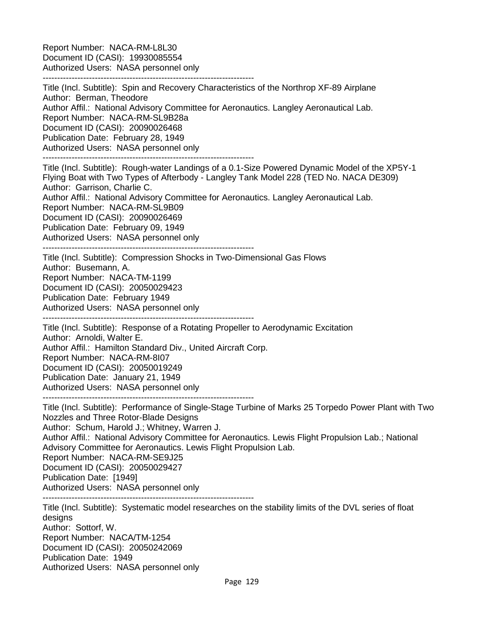Report Number: NACA-RM-L8L30 Document ID (CASI): 19930085554 Authorized Users: NASA personnel only

-------------------------------------------------------------------------

Title (Incl. Subtitle): Spin and Recovery Characteristics of the Northrop XF-89 Airplane Author: Berman, Theodore Author Affil.: National Advisory Committee for Aeronautics. Langley Aeronautical Lab. Report Number: NACA-RM-SL9B28a Document ID (CASI): 20090026468 Publication Date: February 28, 1949 Authorized Users: NASA personnel only -------------------------------------------------------------------------

Title (Incl. Subtitle): Rough-water Landings of a 0.1-Size Powered Dynamic Model of the XP5Y-1 Flying Boat with Two Types of Afterbody - Langley Tank Model 228 (TED No. NACA DE309) Author: Garrison, Charlie C.

Author Affil.: National Advisory Committee for Aeronautics. Langley Aeronautical Lab. Report Number: NACA-RM-SL9B09 Document ID (CASI): 20090026469 Publication Date: February 09, 1949 Authorized Users: NASA personnel only -------------------------------------------------------------------------

Title (Incl. Subtitle): Compression Shocks in Two-Dimensional Gas Flows Author: Busemann, A. Report Number: NACA-TM-1199 Document ID (CASI): 20050029423 Publication Date: February 1949 Authorized Users: NASA personnel only -------------------------------------------------------------------------

Title (Incl. Subtitle): Response of a Rotating Propeller to Aerodynamic Excitation Author: Arnoldi, Walter E. Author Affil.: Hamilton Standard Div., United Aircraft Corp. Report Number: NACA-RM-8I07 Document ID (CASI): 20050019249 Publication Date: January 21, 1949 Authorized Users: NASA personnel only -------------------------------------------------------------------------

Title (Incl. Subtitle): Performance of Single-Stage Turbine of Marks 25 Torpedo Power Plant with Two Nozzles and Three Rotor-Blade Designs Author: Schum, Harold J.; Whitney, Warren J. Author Affil.: National Advisory Committee for Aeronautics. Lewis Flight Propulsion Lab.; National Advisory Committee for Aeronautics. Lewis Flight Propulsion Lab. Report Number: NACA-RM-SE9J25 Document ID (CASI): 20050029427 Publication Date: [1949] Authorized Users: NASA personnel only -------------------------------------------------------------------------

Title (Incl. Subtitle): Systematic model researches on the stability limits of the DVL series of float designs Author: Sottorf, W. Report Number: NACA/TM-1254 Document ID (CASI): 20050242069 Publication Date: 1949 Authorized Users: NASA personnel only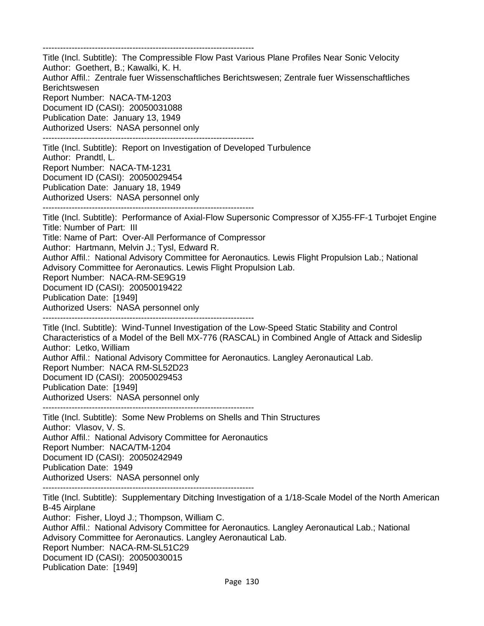-------------------------------------------------------------------------

Title (Incl. Subtitle): The Compressible Flow Past Various Plane Profiles Near Sonic Velocity Author: Goethert, B.; Kawalki, K. H. Author Affil.: Zentrale fuer Wissenschaftliches Berichtswesen; Zentrale fuer Wissenschaftliches Berichtswesen Report Number: NACA-TM-1203 Document ID (CASI): 20050031088 Publication Date: January 13, 1949 Authorized Users: NASA personnel only -------------------------------------------------------------------------

Title (Incl. Subtitle): Report on Investigation of Developed Turbulence Author: Prandtl, L. Report Number: NACA-TM-1231 Document ID (CASI): 20050029454 Publication Date: January 18, 1949 Authorized Users: NASA personnel only -------------------------------------------------------------------------

Title (Incl. Subtitle): Performance of Axial-Flow Supersonic Compressor of XJ55-FF-1 Turbojet Engine Title: Number of Part: III Title: Name of Part: Over-All Performance of Compressor Author: Hartmann, Melvin J.; Tysl, Edward R. Author Affil.: National Advisory Committee for Aeronautics. Lewis Flight Propulsion Lab.; National Advisory Committee for Aeronautics. Lewis Flight Propulsion Lab. Report Number: NACA-RM-SE9G19 Document ID (CASI): 20050019422 Publication Date: [1949] Authorized Users: NASA personnel only

-------------------------------------------------------------------------

Title (Incl. Subtitle): Wind-Tunnel Investigation of the Low-Speed Static Stability and Control Characteristics of a Model of the Bell MX-776 (RASCAL) in Combined Angle of Attack and Sideslip Author: Letko, William Author Affil.: National Advisory Committee for Aeronautics. Langley Aeronautical Lab. Report Number: NACA RM-SL52D23 Document ID (CASI): 20050029453 Publication Date: [1949] Authorized Users: NASA personnel only -------------------------------------------------------------------------

Title (Incl. Subtitle): Some New Problems on Shells and Thin Structures Author: Vlasov, V. S. Author Affil.: National Advisory Committee for Aeronautics Report Number: NACA/TM-1204 Document ID (CASI): 20050242949 Publication Date: 1949 Authorized Users: NASA personnel only -------------------------------------------------------------------------

Title (Incl. Subtitle): Supplementary Ditching Investigation of a 1/18-Scale Model of the North American B-45 Airplane

Author: Fisher, Lloyd J.; Thompson, William C. Author Affil.: National Advisory Committee for Aeronautics. Langley Aeronautical Lab.; National Advisory Committee for Aeronautics. Langley Aeronautical Lab. Report Number: NACA-RM-SL51C29 Document ID (CASI): 20050030015 Publication Date: [1949]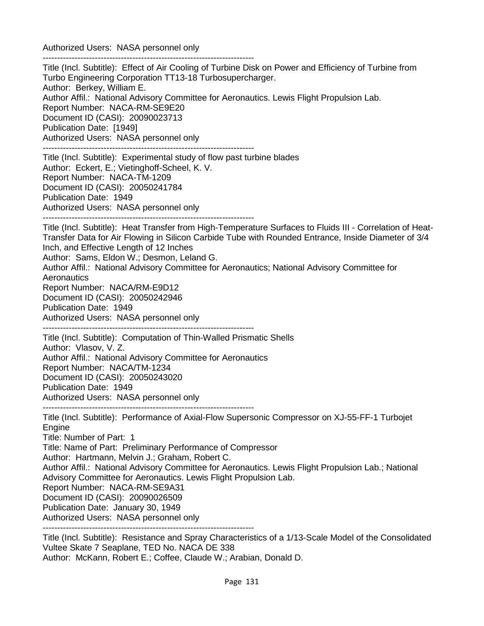Authorized Users: NASA personnel only -------------------------------------------------------------------------

Title (Incl. Subtitle): Effect of Air Cooling of Turbine Disk on Power and Efficiency of Turbine from Turbo Engineering Corporation TT13-18 Turbosupercharger. Author: Berkey, William E. Author Affil.: National Advisory Committee for Aeronautics. Lewis Flight Propulsion Lab. Report Number: NACA-RM-SE9E20 Document ID (CASI): 20090023713 Publication Date: [1949] Authorized Users: NASA personnel only ------------------------------------------------------------------------- Title (Incl. Subtitle): Experimental study of flow past turbine blades Author: Eckert, E.; Vietinghoff-Scheel, K. V. Report Number: NACA-TM-1209 Document ID (CASI): 20050241784 Publication Date: 1949 Authorized Users: NASA personnel only ------------------------------------------------------------------------- Title (Incl. Subtitle): Heat Transfer from High-Temperature Surfaces to Fluids III - Correlation of Heat-Transfer Data for Air Flowing in Silicon Carbide Tube with Rounded Entrance, Inside Diameter of 3/4 Inch, and Effective Length of 12 Inches Author: Sams, Eldon W.; Desmon, Leland G. Author Affil.: National Advisory Committee for Aeronautics; National Advisory Committee for **Aeronautics** Report Number: NACA/RM-E9D12 Document ID (CASI): 20050242946 Publication Date: 1949 Authorized Users: NASA personnel only ------------------------------------------------------------------------- Title (Incl. Subtitle): Computation of Thin-Walled Prismatic Shells Author: Vlasov, V. Z. Author Affil.: National Advisory Committee for Aeronautics Report Number: NACA/TM-1234 Document ID (CASI): 20050243020 Publication Date: 1949 Authorized Users: NASA personnel only ------------------------------------------------------------------------- Title (Incl. Subtitle): Performance of Axial-Flow Supersonic Compressor on XJ-55-FF-1 Turbojet **Engine** Title: Number of Part: 1 Title: Name of Part: Preliminary Performance of Compressor Author: Hartmann, Melvin J.; Graham, Robert C. Author Affil.: National Advisory Committee for Aeronautics. Lewis Flight Propulsion Lab.; National Advisory Committee for Aeronautics. Lewis Flight Propulsion Lab. Report Number: NACA-RM-SE9A31 Document ID (CASI): 20090026509 Publication Date: January 30, 1949 Authorized Users: NASA personnel only Title (Incl. Subtitle): Resistance and Spray Characteristics of a 1/13-Scale Model of the Consolidated Vultee Skate 7 Seaplane, TED No. NACA DE 338 Author: McKann, Robert E.; Coffee, Claude W.; Arabian, Donald D.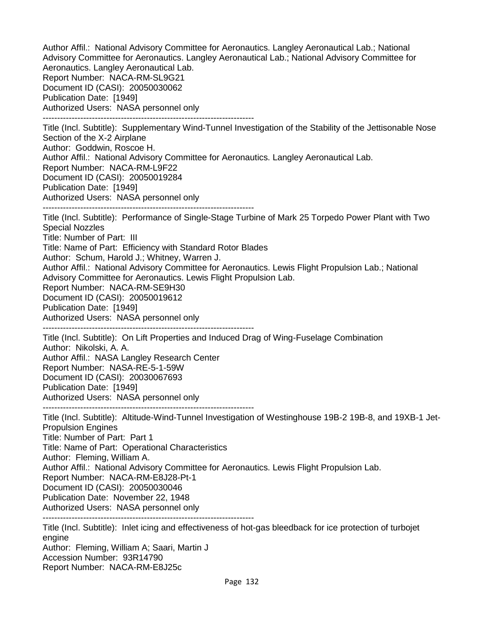Author Affil.: National Advisory Committee for Aeronautics. Langley Aeronautical Lab.; National Advisory Committee for Aeronautics. Langley Aeronautical Lab.; National Advisory Committee for Aeronautics. Langley Aeronautical Lab. Report Number: NACA-RM-SL9G21 Document ID (CASI): 20050030062 Publication Date: [1949] Authorized Users: NASA personnel only ------------------------------------------------------------------------- Title (Incl. Subtitle): Supplementary Wind-Tunnel Investigation of the Stability of the Jettisonable Nose Section of the X-2 Airplane Author: Goddwin, Roscoe H. Author Affil.: National Advisory Committee for Aeronautics. Langley Aeronautical Lab. Report Number: NACA-RM-L9F22 Document ID (CASI): 20050019284 Publication Date: [1949] Authorized Users: NASA personnel only ------------------------------------------------------------------------- Title (Incl. Subtitle): Performance of Single-Stage Turbine of Mark 25 Torpedo Power Plant with Two Special Nozzles Title: Number of Part: III Title: Name of Part: Efficiency with Standard Rotor Blades Author: Schum, Harold J.; Whitney, Warren J. Author Affil.: National Advisory Committee for Aeronautics. Lewis Flight Propulsion Lab.; National Advisory Committee for Aeronautics. Lewis Flight Propulsion Lab. Report Number: NACA-RM-SE9H30 Document ID (CASI): 20050019612 Publication Date: [1949] Authorized Users: NASA personnel only ------------------------------------------------------------------------- Title (Incl. Subtitle): On Lift Properties and Induced Drag of Wing-Fuselage Combination Author: Nikolski, A. A. Author Affil.: NASA Langley Research Center Report Number: NASA-RE-5-1-59W Document ID (CASI): 20030067693 Publication Date: [1949] Authorized Users: NASA personnel only ------------------------------------------------------------------------- Title (Incl. Subtitle): Altitude-Wind-Tunnel Investigation of Westinghouse 19B-2 19B-8, and 19XB-1 Jet-Propulsion Engines Title: Number of Part: Part 1 Title: Name of Part: Operational Characteristics Author: Fleming, William A. Author Affil.: National Advisory Committee for Aeronautics. Lewis Flight Propulsion Lab. Report Number: NACA-RM-E8J28-Pt-1 Document ID (CASI): 20050030046 Publication Date: November 22, 1948 Authorized Users: NASA personnel only ------------------------------------------------------------------------- Title (Incl. Subtitle): Inlet icing and effectiveness of hot-gas bleedback for ice protection of turbojet engine Author: Fleming, William A; Saari, Martin J

Accession Number: 93R14790

Report Number: NACA-RM-E8J25c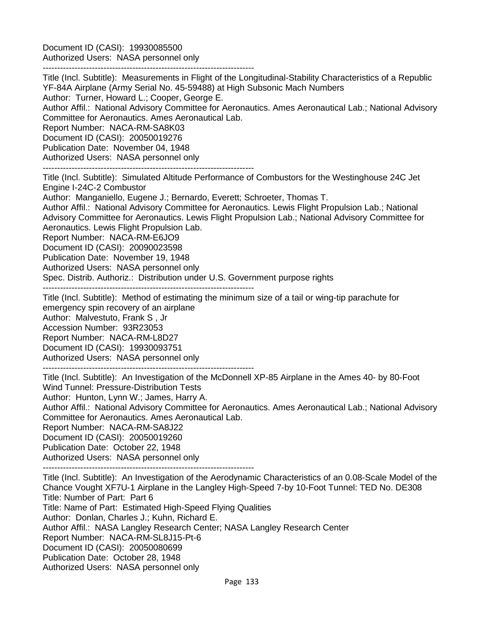Document ID (CASI): 19930085500 Authorized Users: NASA personnel only

-------------------------------------------------------------------------

Title (Incl. Subtitle): Measurements in Flight of the Longitudinal-Stability Characteristics of a Republic YF-84A Airplane (Army Serial No. 45-59488) at High Subsonic Mach Numbers Author: Turner, Howard L.; Cooper, George E. Author Affil.: National Advisory Committee for Aeronautics. Ames Aeronautical Lab.; National Advisory

Committee for Aeronautics. Ames Aeronautical Lab.

Report Number: NACA-RM-SA8K03 Document ID (CASI): 20050019276

Publication Date: November 04, 1948

Authorized Users: NASA personnel only

-------------------------------------------------------------------------

Title (Incl. Subtitle): Simulated Altitude Performance of Combustors for the Westinghouse 24C Jet Engine I-24C-2 Combustor

Author: Manganiello, Eugene J.; Bernardo, Everett; Schroeter, Thomas T.

Author Affil.: National Advisory Committee for Aeronautics. Lewis Flight Propulsion Lab.; National Advisory Committee for Aeronautics. Lewis Flight Propulsion Lab.; National Advisory Committee for Aeronautics. Lewis Flight Propulsion Lab.

Report Number: NACA-RM-E6JO9

Document ID (CASI): 20090023598

Publication Date: November 19, 1948

Authorized Users: NASA personnel only

Spec. Distrib. Authoriz.: Distribution under U.S. Government purpose rights

-------------------------------------------------------------------------

Title (Incl. Subtitle): Method of estimating the minimum size of a tail or wing-tip parachute for emergency spin recovery of an airplane Author: Malvestuto, Frank S , Jr Accession Number: 93R23053 Report Number: NACA-RM-L8D27 Document ID (CASI): 19930093751 Authorized Users: NASA personnel only

-------------------------------------------------------------------------

Title (Incl. Subtitle): An Investigation of the McDonnell XP-85 Airplane in the Ames 40- by 80-Foot Wind Tunnel: Pressure-Distribution Tests Author: Hunton, Lynn W.; James, Harry A. Author Affil.: National Advisory Committee for Aeronautics. Ames Aeronautical Lab.; National Advisory Committee for Aeronautics. Ames Aeronautical Lab. Report Number: NACA-RM-SA8J22 Document ID (CASI): 20050019260

Publication Date: October 22, 1948

Authorized Users: NASA personnel only

-------------------------------------------------------------------------

Title (Incl. Subtitle): An Investigation of the Aerodynamic Characteristics of an 0.08-Scale Model of the Chance Vought XF7U-1 Airplane in the Langley High-Speed 7-by 10-Foot Tunnel: TED No. DE308 Title: Number of Part: Part 6 Title: Name of Part: Estimated High-Speed Flying Qualities Author: Donlan, Charles J.; Kuhn, Richard E. Author Affil.: NASA Langley Research Center; NASA Langley Research Center Report Number: NACA-RM-SL8J15-Pt-6 Document ID (CASI): 20050080699 Publication Date: October 28, 1948 Authorized Users: NASA personnel only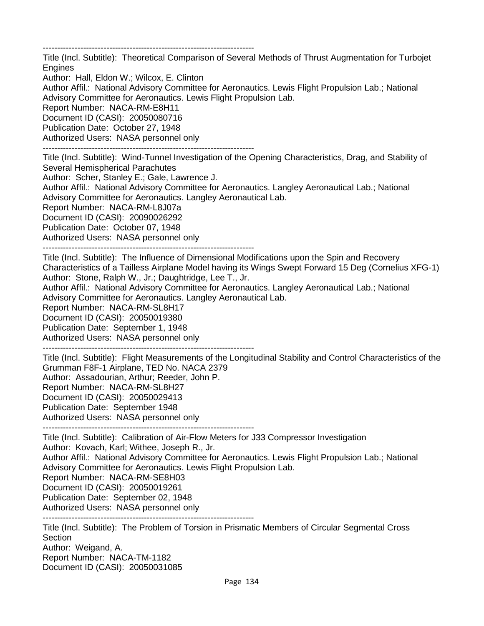-------------------------------------------------------------------------

Title (Incl. Subtitle): Theoretical Comparison of Several Methods of Thrust Augmentation for Turbojet Engines

Author: Hall, Eldon W.; Wilcox, E. Clinton

Author Affil.: National Advisory Committee for Aeronautics. Lewis Flight Propulsion Lab.; National Advisory Committee for Aeronautics. Lewis Flight Propulsion Lab.

Report Number: NACA-RM-E8H11

Document ID (CASI): 20050080716

Publication Date: October 27, 1948

Authorized Users: NASA personnel only

-------------------------------------------------------------------------

Title (Incl. Subtitle): Wind-Tunnel Investigation of the Opening Characteristics, Drag, and Stability of Several Hemispherical Parachutes

Author: Scher, Stanley E.; Gale, Lawrence J.

Author Affil.: National Advisory Committee for Aeronautics. Langley Aeronautical Lab.; National Advisory Committee for Aeronautics. Langley Aeronautical Lab.

Report Number: NACA-RM-L8J07a

Document ID (CASI): 20090026292

Publication Date: October 07, 1948

Authorized Users: NASA personnel only

-------------------------------------------------------------------------

Title (Incl. Subtitle): The Influence of Dimensional Modifications upon the Spin and Recovery Characteristics of a Tailless Airplane Model having its Wings Swept Forward 15 Deg (Cornelius XFG-1) Author: Stone, Ralph W., Jr.; Daughtridge, Lee T., Jr.

Author Affil.: National Advisory Committee for Aeronautics. Langley Aeronautical Lab.; National Advisory Committee for Aeronautics. Langley Aeronautical Lab.

Report Number: NACA-RM-SL8H17

Document ID (CASI): 20050019380

Publication Date: September 1, 1948

Authorized Users: NASA personnel only

-------------------------------------------------------------------------

Title (Incl. Subtitle): Flight Measurements of the Longitudinal Stability and Control Characteristics of the Grumman F8F-1 Airplane, TED No. NACA 2379 Author: Assadourian, Arthur; Reeder, John P. Report Number: NACA-RM-SL8H27 Document ID (CASI): 20050029413 Publication Date: September 1948 Authorized Users: NASA personnel only

-------------------------------------------------------------------------

Title (Incl. Subtitle): Calibration of Air-Flow Meters for J33 Compressor Investigation Author: Kovach, Karl; Withee, Joseph R., Jr. Author Affil.: National Advisory Committee for Aeronautics. Lewis Flight Propulsion Lab.; National Advisory Committee for Aeronautics. Lewis Flight Propulsion Lab. Report Number: NACA-RM-SE8H03 Document ID (CASI): 20050019261 Publication Date: September 02, 1948 Authorized Users: NASA personnel only -------------------------------------------------------------------------

Title (Incl. Subtitle): The Problem of Torsion in Prismatic Members of Circular Segmental Cross Section Author: Weigand, A. Report Number: NACA-TM-1182 Document ID (CASI): 20050031085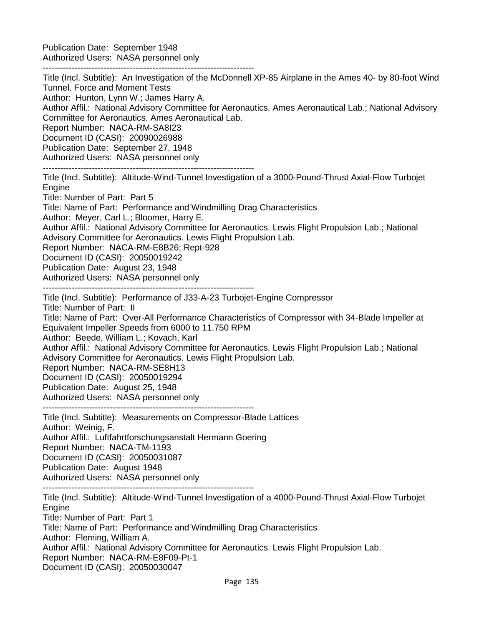Publication Date: September 1948 Authorized Users: NASA personnel only

-------------------------------------------------------------------------

Title (Incl. Subtitle): An Investigation of the McDonnell XP-85 Airplane in the Ames 40- by 80-foot Wind Tunnel. Force and Moment Tests Author: Hunton, Lynn W.; James Harry A. Author Affil.: National Advisory Committee for Aeronautics. Ames Aeronautical Lab.; National Advisory Committee for Aeronautics. Ames Aeronautical Lab. Report Number: NACA-RM-SA8I23 Document ID (CASI): 20090026988 Publication Date: September 27, 1948 Authorized Users: NASA personnel only ------------------------------------------------------------------------- Title (Incl. Subtitle): Altitude-Wind-Tunnel Investigation of a 3000-Pound-Thrust Axial-Flow Turbojet **Engine** Title: Number of Part: Part 5 Title: Name of Part: Performance and Windmilling Drag Characteristics Author: Meyer, Carl L.; Bloomer, Harry E. Author Affil.: National Advisory Committee for Aeronautics. Lewis Flight Propulsion Lab.; National Advisory Committee for Aeronautics. Lewis Flight Propulsion Lab. Report Number: NACA-RM-E8B26; Rept-928 Document ID (CASI): 20050019242 Publication Date: August 23, 1948 Authorized Users: NASA personnel only ------------------------------------------------------------------------- Title (Incl. Subtitle): Performance of J33-A-23 Turbojet-Engine Compressor Title: Number of Part: II Title: Name of Part: Over-All Performance Characteristics of Compressor with 34-Blade Impeller at Equivalent Impeller Speeds from 6000 to 11.750 RPM Author: Beede, William L.; Kovach, Karl Author Affil.: National Advisory Committee for Aeronautics. Lewis Flight Propulsion Lab.; National Advisory Committee for Aeronautics. Lewis Flight Propulsion Lab. Report Number: NACA-RM-SE8H13 Document ID (CASI): 20050019294 Publication Date: August 25, 1948 Authorized Users: NASA personnel only ------------------------------------------------------------------------- Title (Incl. Subtitle): Measurements on Compressor-Blade Lattices Author: Weinig, F. Author Affil.: Luftfahrtforschungsanstalt Hermann Goering Report Number: NACA-TM-1193 Document ID (CASI): 20050031087 Publication Date: August 1948 Authorized Users: NASA personnel only ------------------------------------------------------------------------- Title (Incl. Subtitle): Altitude-Wind-Tunnel Investigation of a 4000-Pound-Thrust Axial-Flow Turbojet **Engine** Title: Number of Part: Part 1 Title: Name of Part: Performance and Windmilling Drag Characteristics Author: Fleming, William A.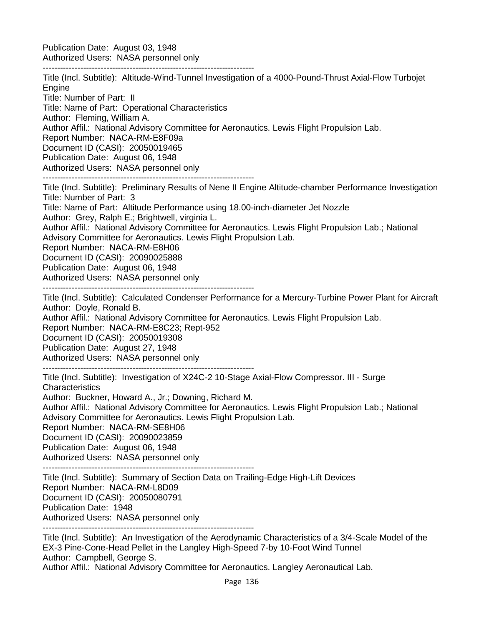Publication Date: August 03, 1948 Authorized Users: NASA personnel only

-------------------------------------------------------------------------

Title (Incl. Subtitle): Altitude-Wind-Tunnel Investigation of a 4000-Pound-Thrust Axial-Flow Turbojet **Engine** Title: Number of Part: II Title: Name of Part: Operational Characteristics Author: Fleming, William A. Author Affil.: National Advisory Committee for Aeronautics. Lewis Flight Propulsion Lab. Report Number: NACA-RM-E8F09a Document ID (CASI): 20050019465 Publication Date: August 06, 1948 Authorized Users: NASA personnel only ------------------------------------------------------------------------- Title (Incl. Subtitle): Preliminary Results of Nene II Engine Altitude-chamber Performance Investigation Title: Number of Part: 3 Title: Name of Part: Altitude Performance using 18.00-inch-diameter Jet Nozzle Author: Grey, Ralph E.; Brightwell, virginia L. Author Affil.: National Advisory Committee for Aeronautics. Lewis Flight Propulsion Lab.; National Advisory Committee for Aeronautics. Lewis Flight Propulsion Lab. Report Number: NACA-RM-E8H06 Document ID (CASI): 20090025888 Publication Date: August 06, 1948 Authorized Users: NASA personnel only ------------------------------------------------------------------------- Title (Incl. Subtitle): Calculated Condenser Performance for a Mercury-Turbine Power Plant for Aircraft Author: Doyle, Ronald B. Author Affil.: National Advisory Committee for Aeronautics. Lewis Flight Propulsion Lab. Report Number: NACA-RM-E8C23; Rept-952 Document ID (CASI): 20050019308 Publication Date: August 27, 1948 Authorized Users: NASA personnel only ------------------------------------------------------------------------- Title (Incl. Subtitle): Investigation of X24C-2 10-Stage Axial-Flow Compressor. III - Surge **Characteristics** Author: Buckner, Howard A., Jr.; Downing, Richard M. Author Affil.: National Advisory Committee for Aeronautics. Lewis Flight Propulsion Lab.; National Advisory Committee for Aeronautics. Lewis Flight Propulsion Lab. Report Number: NACA-RM-SE8H06 Document ID (CASI): 20090023859 Publication Date: August 06, 1948 Authorized Users: NASA personnel only ------------------------------------------------------------------------- Title (Incl. Subtitle): Summary of Section Data on Trailing-Edge High-Lift Devices Report Number: NACA-RM-L8D09 Document ID (CASI): 20050080791 Publication Date: 1948 Authorized Users: NASA personnel only ------------------------------------------------------------------------- Title (Incl. Subtitle): An Investigation of the Aerodynamic Characteristics of a 3/4-Scale Model of the EX-3 Pine-Cone-Head Pellet in the Langley High-Speed 7-by 10-Foot Wind Tunnel Author: Campbell, George S.

Author Affil.: National Advisory Committee for Aeronautics. Langley Aeronautical Lab.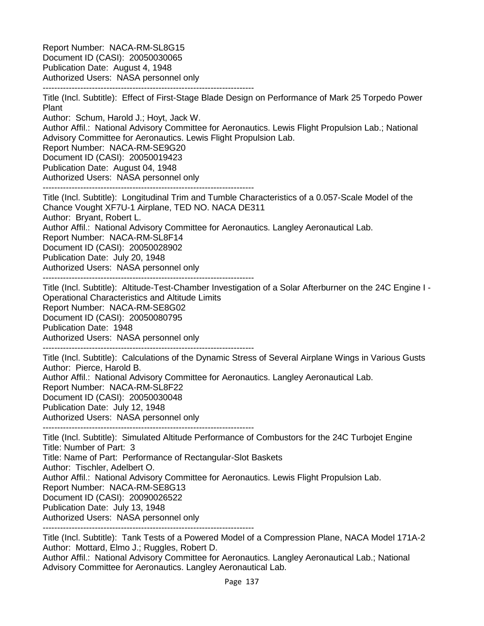Report Number: NACA-RM-SL8G15 Document ID (CASI): 20050030065 Publication Date: August 4, 1948 Authorized Users: NASA personnel only -------------------------------------------------------------------------

Title (Incl. Subtitle): Effect of First-Stage Blade Design on Performance of Mark 25 Torpedo Power Plant Author: Schum, Harold J.; Hoyt, Jack W. Author Affil.: National Advisory Committee for Aeronautics. Lewis Flight Propulsion Lab.; National Advisory Committee for Aeronautics. Lewis Flight Propulsion Lab. Report Number: NACA-RM-SE9G20 Document ID (CASI): 20050019423 Publication Date: August 04, 1948 Authorized Users: NASA personnel only ------------------------------------------------------------------------- Title (Incl. Subtitle): Longitudinal Trim and Tumble Characteristics of a 0.057-Scale Model of the Chance Vought XF7U-1 Airplane, TED NO. NACA DE311 Author: Bryant, Robert L. Author Affil.: National Advisory Committee for Aeronautics. Langley Aeronautical Lab. Report Number: NACA-RM-SL8F14 Document ID (CASI): 20050028902 Publication Date: July 20, 1948 Authorized Users: NASA personnel only ------------------------------------------------------------------------- Title (Incl. Subtitle): Altitude-Test-Chamber Investigation of a Solar Afterburner on the 24C Engine I - Operational Characteristics and Altitude Limits Report Number: NACA-RM-SE8G02 Document ID (CASI): 20050080795 Publication Date: 1948 Authorized Users: NASA personnel only ------------------------------------------------------------------------- Title (Incl. Subtitle): Calculations of the Dynamic Stress of Several Airplane Wings in Various Gusts Author: Pierce, Harold B. Author Affil.: National Advisory Committee for Aeronautics. Langley Aeronautical Lab. Report Number: NACA-RM-SL8F22 Document ID (CASI): 20050030048 Publication Date: July 12, 1948 Authorized Users: NASA personnel only ------------------------------------------------------------------------- Title (Incl. Subtitle): Simulated Altitude Performance of Combustors for the 24C Turbojet Engine Title: Number of Part: 3 Title: Name of Part: Performance of Rectangular-Slot Baskets Author: Tischler, Adelbert O. Author Affil.: National Advisory Committee for Aeronautics. Lewis Flight Propulsion Lab. Report Number: NACA-RM-SE8G13 Document ID (CASI): 20090026522 Publication Date: July 13, 1948 Authorized Users: NASA personnel only ------------------------------------------------------------------------- Title (Incl. Subtitle): Tank Tests of a Powered Model of a Compression Plane, NACA Model 171A-2

Author: Mottard, Elmo J.; Ruggles, Robert D. Author Affil.: National Advisory Committee for Aeronautics. Langley Aeronautical Lab.; National

Advisory Committee for Aeronautics. Langley Aeronautical Lab.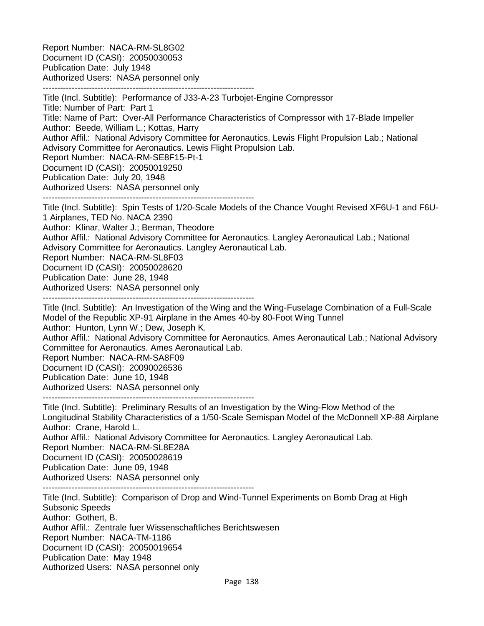Report Number: NACA-RM-SL8G02 Document ID (CASI): 20050030053 Publication Date: July 1948 Authorized Users: NASA personnel only -------------------------------------------------------------------------

Title (Incl. Subtitle): Performance of J33-A-23 Turbojet-Engine Compressor Title: Number of Part: Part 1 Title: Name of Part: Over-All Performance Characteristics of Compressor with 17-Blade Impeller Author: Beede, William L.; Kottas, Harry Author Affil.: National Advisory Committee for Aeronautics. Lewis Flight Propulsion Lab.; National Advisory Committee for Aeronautics. Lewis Flight Propulsion Lab. Report Number: NACA-RM-SE8F15-Pt-1 Document ID (CASI): 20050019250 Publication Date: July 20, 1948 Authorized Users: NASA personnel only ------------------------------------------------------------------------- Title (Incl. Subtitle): Spin Tests of 1/20-Scale Models of the Chance Vought Revised XF6U-1 and F6U-1 Airplanes, TED No. NACA 2390 Author: Klinar, Walter J.; Berman, Theodore Author Affil.: National Advisory Committee for Aeronautics. Langley Aeronautical Lab.; National

Advisory Committee for Aeronautics. Langley Aeronautical Lab.

Report Number: NACA-RM-SL8F03

Document ID (CASI): 20050028620

Publication Date: June 28, 1948

Authorized Users: NASA personnel only

-------------------------------------------------------------------------

Title (Incl. Subtitle): An Investigation of the Wing and the Wing-Fuselage Combination of a Full-Scale Model of the Republic XP-91 Airplane in the Ames 40-by 80-Foot Wing Tunnel Author: Hunton, Lynn W.; Dew, Joseph K.

Author Affil.: National Advisory Committee for Aeronautics. Ames Aeronautical Lab.; National Advisory Committee for Aeronautics. Ames Aeronautical Lab.

Report Number: NACA-RM-SA8F09

Document ID (CASI): 20090026536

Publication Date: June 10, 1948

Authorized Users: NASA personnel only

-------------------------------------------------------------------------

Title (Incl. Subtitle): Preliminary Results of an Investigation by the Wing-Flow Method of the Longitudinal Stability Characteristics of a 1/50-Scale Semispan Model of the McDonnell XP-88 Airplane Author: Crane, Harold L. Author Affil.: National Advisory Committee for Aeronautics. Langley Aeronautical Lab. Report Number: NACA-RM-SL8E28A

Document ID (CASI): 20050028619

Publication Date: June 09, 1948

Authorized Users: NASA personnel only

-------------------------------------------------------------------------

Title (Incl. Subtitle): Comparison of Drop and Wind-Tunnel Experiments on Bomb Drag at High Subsonic Speeds Author: Gothert, B. Author Affil.: Zentrale fuer Wissenschaftliches Berichtswesen Report Number: NACA-TM-1186 Document ID (CASI): 20050019654 Publication Date: May 1948 Authorized Users: NASA personnel only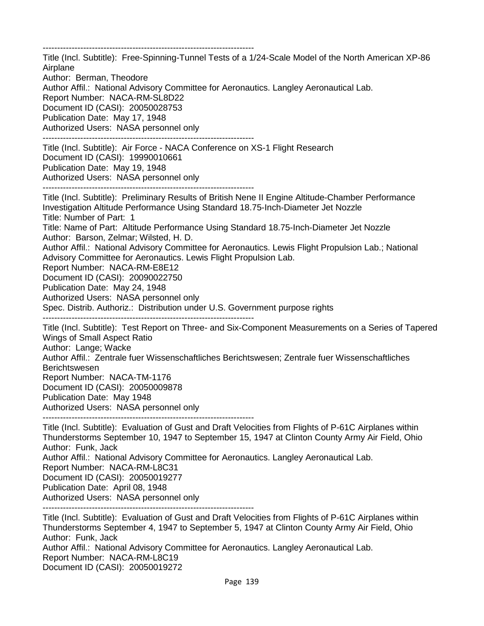------------------------------------------------------------------------- Title (Incl. Subtitle): Free-Spinning-Tunnel Tests of a 1/24-Scale Model of the North American XP-86 Airplane Author: Berman, Theodore Author Affil.: National Advisory Committee for Aeronautics. Langley Aeronautical Lab. Report Number: NACA-RM-SL8D22 Document ID (CASI): 20050028753 Publication Date: May 17, 1948 Authorized Users: NASA personnel only ------------------------------------------------------------------------- Title (Incl. Subtitle): Air Force - NACA Conference on XS-1 Flight Research Document ID (CASI): 19990010661 Publication Date: May 19, 1948 Authorized Users: NASA personnel only ------------------------------------------------------------------------- Title (Incl. Subtitle): Preliminary Results of British Nene II Engine Altitude-Chamber Performance Investigation Altitude Performance Using Standard 18.75-Inch-Diameter Jet Nozzle Title: Number of Part: 1 Title: Name of Part: Altitude Performance Using Standard 18.75-Inch-Diameter Jet Nozzle Author: Barson, Zelmar; Wilsted, H. D. Author Affil.: National Advisory Committee for Aeronautics. Lewis Flight Propulsion Lab.; National Advisory Committee for Aeronautics. Lewis Flight Propulsion Lab. Report Number: NACA-RM-E8E12 Document ID (CASI): 20090022750 Publication Date: May 24, 1948 Authorized Users: NASA personnel only Spec. Distrib. Authoriz.: Distribution under U.S. Government purpose rights ------------------------------------------------------------------------- Title (Incl. Subtitle): Test Report on Three- and Six-Component Measurements on a Series of Tapered Wings of Small Aspect Ratio Author: Lange; Wacke Author Affil.: Zentrale fuer Wissenschaftliches Berichtswesen; Zentrale fuer Wissenschaftliches Berichtswesen Report Number: NACA-TM-1176 Document ID (CASI): 20050009878 Publication Date: May 1948 Authorized Users: NASA personnel only ------------------------------------------------------------------------- Title (Incl. Subtitle): Evaluation of Gust and Draft Velocities from Flights of P-61C Airplanes within Thunderstorms September 10, 1947 to September 15, 1947 at Clinton County Army Air Field, Ohio Author: Funk, Jack Author Affil.: National Advisory Committee for Aeronautics. Langley Aeronautical Lab. Report Number: NACA-RM-L8C31 Document ID (CASI): 20050019277

Publication Date: April 08, 1948

Authorized Users: NASA personnel only -------------------------------------------------------------------------

Title (Incl. Subtitle): Evaluation of Gust and Draft Velocities from Flights of P-61C Airplanes within Thunderstorms September 4, 1947 to September 5, 1947 at Clinton County Army Air Field, Ohio Author: Funk, Jack Author Affil.: National Advisory Committee for Aeronautics. Langley Aeronautical Lab. Report Number: NACA-RM-L8C19 Document ID (CASI): 20050019272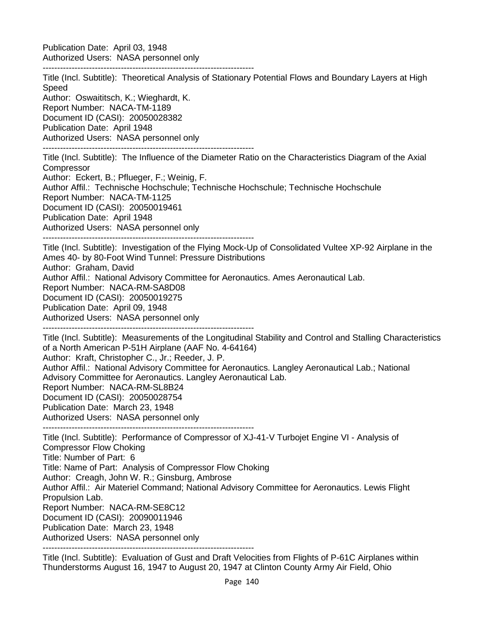Publication Date: April 03, 1948 Authorized Users: NASA personnel only

-------------------------------------------------------------------------

Title (Incl. Subtitle): Theoretical Analysis of Stationary Potential Flows and Boundary Layers at High Speed Author: Oswaititsch, K.; Wieghardt, K. Report Number: NACA-TM-1189 Document ID (CASI): 20050028382 Publication Date: April 1948 Authorized Users: NASA personnel only ------------------------------------------------------------------------- Title (Incl. Subtitle): The Influence of the Diameter Ratio on the Characteristics Diagram of the Axial **Compressor** Author: Eckert, B.; Pflueger, F.; Weinig, F. Author Affil.: Technische Hochschule; Technische Hochschule; Technische Hochschule Report Number: NACA-TM-1125 Document ID (CASI): 20050019461 Publication Date: April 1948 Authorized Users: NASA personnel only ------------------------------------------------------------------------- Title (Incl. Subtitle): Investigation of the Flying Mock-Up of Consolidated Vultee XP-92 Airplane in the Ames 40- by 80-Foot Wind Tunnel: Pressure Distributions Author: Graham, David Author Affil.: National Advisory Committee for Aeronautics. Ames Aeronautical Lab. Report Number: NACA-RM-SA8D08 Document ID (CASI): 20050019275 Publication Date: April 09, 1948 Authorized Users: NASA personnel only ------------------------------------------------------------------------- Title (Incl. Subtitle): Measurements of the Longitudinal Stability and Control and Stalling Characteristics of a North American P-51H Airplane (AAF No. 4-64164) Author: Kraft, Christopher C., Jr.; Reeder, J. P. Author Affil.: National Advisory Committee for Aeronautics. Langley Aeronautical Lab.; National Advisory Committee for Aeronautics. Langley Aeronautical Lab. Report Number: NACA-RM-SL8B24 Document ID (CASI): 20050028754 Publication Date: March 23, 1948 Authorized Users: NASA personnel only ------------------------------------------------------------------------- Title (Incl. Subtitle): Performance of Compressor of XJ-41-V Turbojet Engine VI - Analysis of Compressor Flow Choking Title: Number of Part: 6 Title: Name of Part: Analysis of Compressor Flow Choking Author: Creagh, John W. R.; Ginsburg, Ambrose Author Affil.: Air Materiel Command; National Advisory Committee for Aeronautics. Lewis Flight Propulsion Lab. Report Number: NACA-RM-SE8C12 Document ID (CASI): 20090011946 Publication Date: March 23, 1948 Authorized Users: NASA personnel only -------------------------------------------------------------------------

Title (Incl. Subtitle): Evaluation of Gust and Draft Velocities from Flights of P-61C Airplanes within Thunderstorms August 16, 1947 to August 20, 1947 at Clinton County Army Air Field, Ohio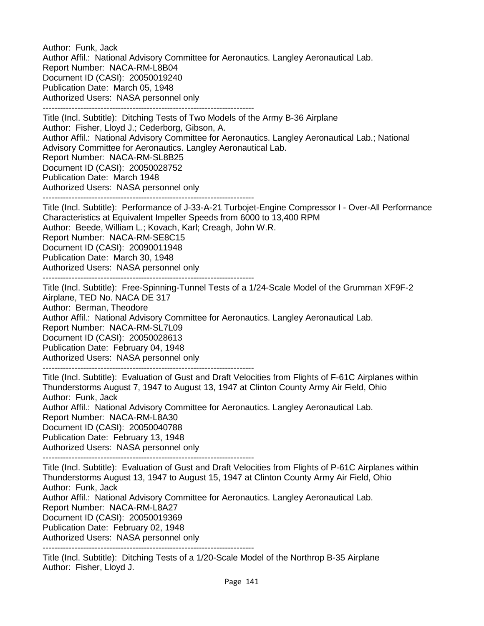Author: Funk, Jack Author Affil.: National Advisory Committee for Aeronautics. Langley Aeronautical Lab. Report Number: NACA-RM-L8B04 Document ID (CASI): 20050019240 Publication Date: March 05, 1948 Authorized Users: NASA personnel only -------------------------------------------------------------------------

Title (Incl. Subtitle): Ditching Tests of Two Models of the Army B-36 Airplane Author: Fisher, Lloyd J.; Cederborg, Gibson, A. Author Affil.: National Advisory Committee for Aeronautics. Langley Aeronautical Lab.; National Advisory Committee for Aeronautics. Langley Aeronautical Lab. Report Number: NACA-RM-SL8B25 Document ID (CASI): 20050028752 Publication Date: March 1948 Authorized Users: NASA personnel only

-------------------------------------------------------------------------

Title (Incl. Subtitle): Performance of J-33-A-21 Turbojet-Engine Compressor I - Over-All Performance Characteristics at Equivalent Impeller Speeds from 6000 to 13,400 RPM Author: Beede, William L.; Kovach, Karl; Creagh, John W.R. Report Number: NACA-RM-SE8C15

Document ID (CASI): 20090011948

Publication Date: March 30, 1948

Authorized Users: NASA personnel only

-------------------------------------------------------------------------

Title (Incl. Subtitle): Free-Spinning-Tunnel Tests of a 1/24-Scale Model of the Grumman XF9F-2 Airplane, TED No. NACA DE 317 Author: Berman, Theodore Author Affil.: National Advisory Committee for Aeronautics. Langley Aeronautical Lab. Report Number: NACA-RM-SL7L09 Document ID (CASI): 20050028613 Publication Date: February 04, 1948 Authorized Users: NASA personnel only

-------------------------------------------------------------------------

Title (Incl. Subtitle): Evaluation of Gust and Draft Velocities from Flights of F-61C Airplanes within Thunderstorms August 7, 1947 to August 13, 1947 at Clinton County Army Air Field, Ohio Author: Funk, Jack Author Affil.: National Advisory Committee for Aeronautics. Langley Aeronautical Lab. Report Number: NACA-RM-L8A30 Document ID (CASI): 20050040788 Publication Date: February 13, 1948 Authorized Users: NASA personnel only

-------------------------------------------------------------------------

Title (Incl. Subtitle): Evaluation of Gust and Draft Velocities from Flights of P-61C Airplanes within Thunderstorms August 13, 1947 to August 15, 1947 at Clinton County Army Air Field, Ohio Author: Funk, Jack Author Affil.: National Advisory Committee for Aeronautics. Langley Aeronautical Lab. Report Number: NACA-RM-L8A27 Document ID (CASI): 20050019369 Publication Date: February 02, 1948 Authorized Users: NASA personnel only

-------------------------------------------------------------------------

Title (Incl. Subtitle): Ditching Tests of a 1/20-Scale Model of the Northrop B-35 Airplane Author: Fisher, Lloyd J.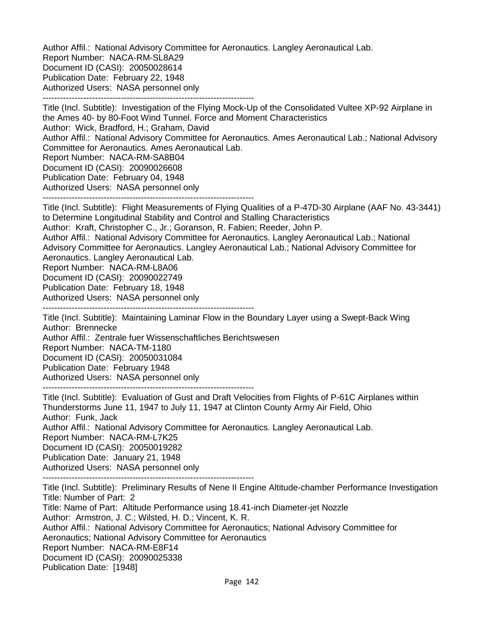Author Affil.: National Advisory Committee for Aeronautics. Langley Aeronautical Lab. Report Number: NACA-RM-SL8A29 Document ID (CASI): 20050028614 Publication Date: February 22, 1948 Authorized Users: NASA personnel only -------------------------------------------------------------------------

Title (Incl. Subtitle): Investigation of the Flying Mock-Up of the Consolidated Vultee XP-92 Airplane in the Ames 40- by 80-Foot Wind Tunnel. Force and Moment Characteristics Author: Wick, Bradford, H.; Graham, David Author Affil.: National Advisory Committee for Aeronautics. Ames Aeronautical Lab.; National Advisory Committee for Aeronautics. Ames Aeronautical Lab. Report Number: NACA-RM-SA8B04 Document ID (CASI): 20090026608 Publication Date: February 04, 1948 Authorized Users: NASA personnel only

-------------------------------------------------------------------------

Title (Incl. Subtitle): Flight Measurements of Flying Qualities of a P-47D-30 Airplane (AAF No. 43-3441) to Determine Longitudinal Stability and Control and Stalling Characteristics

Author: Kraft, Christopher C., Jr.; Goranson, R. Fabien; Reeder, John P.

Author Affil.: National Advisory Committee for Aeronautics. Langley Aeronautical Lab.; National Advisory Committee for Aeronautics. Langley Aeronautical Lab.; National Advisory Committee for Aeronautics. Langley Aeronautical Lab.

Report Number: NACA-RM-L8A06

Document ID (CASI): 20090022749

Publication Date: February 18, 1948

Authorized Users: NASA personnel only

-------------------------------------------------------------------------

Title (Incl. Subtitle): Maintaining Laminar Flow in the Boundary Layer using a Swept-Back Wing Author: Brennecke Author Affil.: Zentrale fuer Wissenschaftliches Berichtswesen Report Number: NACA-TM-1180 Document ID (CASI): 20050031084 Publication Date: February 1948 Authorized Users: NASA personnel only

-------------------------------------------------------------------------

Title (Incl. Subtitle): Evaluation of Gust and Draft Velocities from Flights of P-61C Airplanes within Thunderstorms June 11, 1947 to July 11, 1947 at Clinton County Army Air Field, Ohio Author: Funk, Jack Author Affil.: National Advisory Committee for Aeronautics. Langley Aeronautical Lab. Report Number: NACA-RM-L7K25 Document ID (CASI): 20050019282 Publication Date: January 21, 1948 Authorized Users: NASA personnel only -------------------------------------------------------------------------

Title (Incl. Subtitle): Preliminary Results of Nene II Engine Altitude-chamber Performance Investigation Title: Number of Part: 2 Title: Name of Part: Altitude Performance using 18.41-inch Diameter-jet Nozzle Author: Armstron, J. C.; Wilsted, H. D.; Vincent, K. R. Author Affil.: National Advisory Committee for Aeronautics; National Advisory Committee for Aeronautics; National Advisory Committee for Aeronautics Report Number: NACA-RM-E8F14

Document ID (CASI): 20090025338

Publication Date: [1948]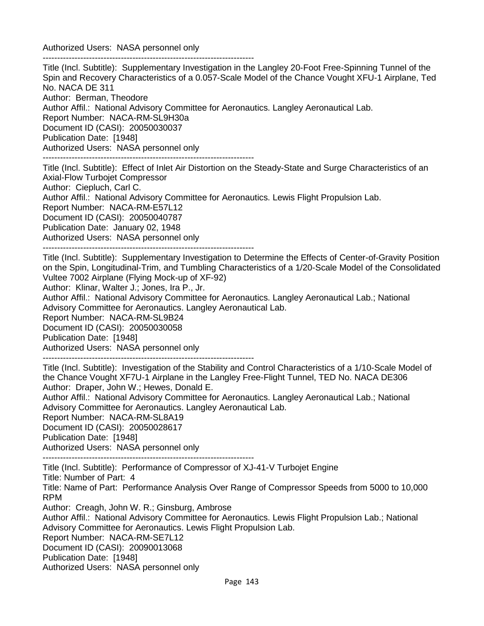Authorized Users: NASA personnel only -------------------------------------------------------------------------

Title (Incl. Subtitle): Supplementary Investigation in the Langley 20-Foot Free-Spinning Tunnel of the Spin and Recovery Characteristics of a 0.057-Scale Model of the Chance Vought XFU-1 Airplane, Ted No. NACA DE 311 Author: Berman, Theodore Author Affil.: National Advisory Committee for Aeronautics. Langley Aeronautical Lab. Report Number: NACA-RM-SL9H30a Document ID (CASI): 20050030037 Publication Date: [1948] Authorized Users: NASA personnel only -------------------------------------------------------------------------

Title (Incl. Subtitle): Effect of Inlet Air Distortion on the Steady-State and Surge Characteristics of an Axial-Flow Turbojet Compressor Author: Ciepluch, Carl C. Author Affil.: National Advisory Committee for Aeronautics. Lewis Flight Propulsion Lab. Report Number: NACA-RM-E57L12 Document ID (CASI): 20050040787 Publication Date: January 02, 1948 Authorized Users: NASA personnel only

-------------------------------------------------------------------------

Title (Incl. Subtitle): Supplementary Investigation to Determine the Effects of Center-of-Gravity Position on the Spin, Longitudinal-Trim, and Tumbling Characteristics of a 1/20-Scale Model of the Consolidated Vultee 7002 Airplane (Flying Mock-up of XF-92)

Author: Klinar, Walter J.; Jones, Ira P., Jr.

Author Affil.: National Advisory Committee for Aeronautics. Langley Aeronautical Lab.; National Advisory Committee for Aeronautics. Langley Aeronautical Lab. Report Number: NACA-RM-SL9B24 Document ID (CASI): 20050030058

Publication Date: [1948]

Authorized Users: NASA personnel only -------------------------------------------------------------------------

Title (Incl. Subtitle): Investigation of the Stability and Control Characteristics of a 1/10-Scale Model of the Chance Vought XF7U-1 Airplane in the Langley Free-Flight Tunnel, TED No. NACA DE306 Author: Draper, John W.; Hewes, Donald E.

Author Affil.: National Advisory Committee for Aeronautics. Langley Aeronautical Lab.; National Advisory Committee for Aeronautics. Langley Aeronautical Lab.

Report Number: NACA-RM-SL8A19

Document ID (CASI): 20050028617

Publication Date: [1948]

Authorized Users: NASA personnel only

-------------------------------------------------------------------------

Title (Incl. Subtitle): Performance of Compressor of XJ-41-V Turbojet Engine

Title: Number of Part: 4

Title: Name of Part: Performance Analysis Over Range of Compressor Speeds from 5000 to 10,000 RPM

Author: Creagh, John W. R.; Ginsburg, Ambrose

Author Affil.: National Advisory Committee for Aeronautics. Lewis Flight Propulsion Lab.; National Advisory Committee for Aeronautics. Lewis Flight Propulsion Lab.

Report Number: NACA-RM-SE7L12

Document ID (CASI): 20090013068

Publication Date: [1948]

Authorized Users: NASA personnel only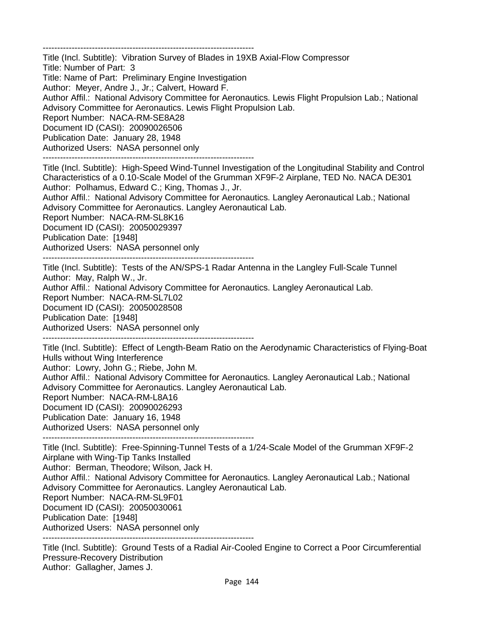-------------------------------------------------------------------------

Title (Incl. Subtitle): Vibration Survey of Blades in 19XB Axial-Flow Compressor Title: Number of Part: 3 Title: Name of Part: Preliminary Engine Investigation Author: Meyer, Andre J., Jr.; Calvert, Howard F. Author Affil.: National Advisory Committee for Aeronautics. Lewis Flight Propulsion Lab.; National Advisory Committee for Aeronautics. Lewis Flight Propulsion Lab. Report Number: NACA-RM-SE8A28 Document ID (CASI): 20090026506 Publication Date: January 28, 1948 Authorized Users: NASA personnel only

-------------------------------------------------------------------------

Title (Incl. Subtitle): High-Speed Wind-Tunnel Investigation of the Longitudinal Stability and Control Characteristics of a 0.10-Scale Model of the Grumman XF9F-2 Airplane, TED No. NACA DE301 Author: Polhamus, Edward C.; King, Thomas J., Jr.

Author Affil.: National Advisory Committee for Aeronautics. Langley Aeronautical Lab.; National Advisory Committee for Aeronautics. Langley Aeronautical Lab.

Report Number: NACA-RM-SL8K16

Document ID (CASI): 20050029397 Publication Date: [1948] Authorized Users: NASA personnel only

-------------------------------------------------------------------------

Title (Incl. Subtitle): Tests of the AN/SPS-1 Radar Antenna in the Langley Full-Scale Tunnel Author: May, Ralph W., Jr.

Author Affil.: National Advisory Committee for Aeronautics. Langley Aeronautical Lab.

Report Number: NACA-RM-SL7L02 Document ID (CASI): 20050028508

Publication Date: [1948]

Authorized Users: NASA personnel only

-------------------------------------------------------------------------

Title (Incl. Subtitle): Effect of Length-Beam Ratio on the Aerodynamic Characteristics of Flying-Boat Hulls without Wing Interference

Author: Lowry, John G.; Riebe, John M.

Author Affil.: National Advisory Committee for Aeronautics. Langley Aeronautical Lab.; National Advisory Committee for Aeronautics. Langley Aeronautical Lab.

Report Number: NACA-RM-L8A16

Document ID (CASI): 20090026293

Publication Date: January 16, 1948

Authorized Users: NASA personnel only

-------------------------------------------------------------------------

Title (Incl. Subtitle): Free-Spinning-Tunnel Tests of a 1/24-Scale Model of the Grumman XF9F-2 Airplane with Wing-Tip Tanks Installed Author: Berman, Theodore; Wilson, Jack H. Author Affil.: National Advisory Committee for Aeronautics. Langley Aeronautical Lab.; National Advisory Committee for Aeronautics. Langley Aeronautical Lab. Report Number: NACA-RM-SL9F01 Document ID (CASI): 20050030061 Publication Date: [1948] Authorized Users: NASA personnel only -------------------------------------------------------------------------

Title (Incl. Subtitle): Ground Tests of a Radial Air-Cooled Engine to Correct a Poor Circumferential Pressure-Recovery Distribution Author: Gallagher, James J.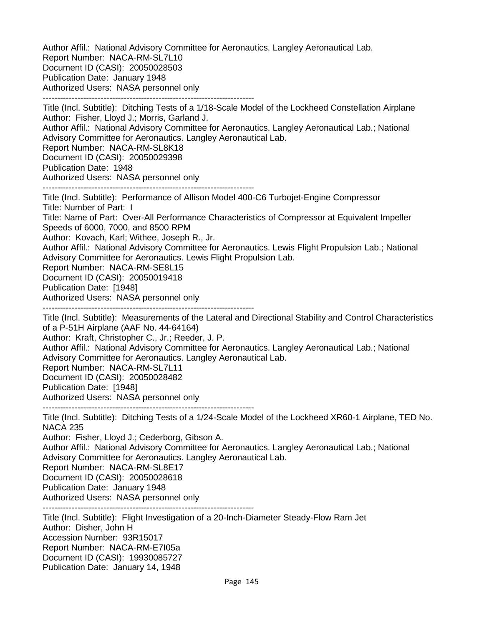Author Affil.: National Advisory Committee for Aeronautics. Langley Aeronautical Lab. Report Number: NACA-RM-SL7L10 Document ID (CASI): 20050028503 Publication Date: January 1948 Authorized Users: NASA personnel only -------------------------------------------------------------------------

Title (Incl. Subtitle): Ditching Tests of a 1/18-Scale Model of the Lockheed Constellation Airplane Author: Fisher, Lloyd J.; Morris, Garland J. Author Affil.: National Advisory Committee for Aeronautics. Langley Aeronautical Lab.; National Advisory Committee for Aeronautics. Langley Aeronautical Lab. Report Number: NACA-RM-SL8K18 Document ID (CASI): 20050029398 Publication Date: 1948 Authorized Users: NASA personnel only ------------------------------------------------------------------------- Title (Incl. Subtitle): Performance of Allison Model 400-C6 Turbojet-Engine Compressor Title: Number of Part: I Title: Name of Part: Over-All Performance Characteristics of Compressor at Equivalent Impeller Speeds of 6000, 7000, and 8500 RPM Author: Kovach, Karl; Withee, Joseph R., Jr. Author Affil.: National Advisory Committee for Aeronautics. Lewis Flight Propulsion Lab.; National Advisory Committee for Aeronautics. Lewis Flight Propulsion Lab. Report Number: NACA-RM-SE8L15 Document ID (CASI): 20050019418 Publication Date: [1948] Authorized Users: NASA personnel only ------------------------------------------------------------------------- Title (Incl. Subtitle): Measurements of the Lateral and Directional Stability and Control Characteristics of a P-51H Airplane (AAF No. 44-64164) Author: Kraft, Christopher C., Jr.; Reeder, J. P. Author Affil.: National Advisory Committee for Aeronautics. Langley Aeronautical Lab.; National

Advisory Committee for Aeronautics. Langley Aeronautical Lab.

Report Number: NACA-RM-SL7L11

Document ID (CASI): 20050028482

Publication Date: [1948]

Authorized Users: NASA personnel only

-------------------------------------------------------------------------

Title (Incl. Subtitle): Ditching Tests of a 1/24-Scale Model of the Lockheed XR60-1 Airplane, TED No. NACA 235

Author: Fisher, Lloyd J.; Cederborg, Gibson A.

Author Affil.: National Advisory Committee for Aeronautics. Langley Aeronautical Lab.; National Advisory Committee for Aeronautics. Langley Aeronautical Lab.

Report Number: NACA-RM-SL8E17

Document ID (CASI): 20050028618

Publication Date: January 1948

Authorized Users: NASA personnel only -------------------------------------------------------------------------

Title (Incl. Subtitle): Flight Investigation of a 20-Inch-Diameter Steady-Flow Ram Jet Author: Disher, John H Accession Number: 93R15017 Report Number: NACA-RM-E7I05a Document ID (CASI): 19930085727 Publication Date: January 14, 1948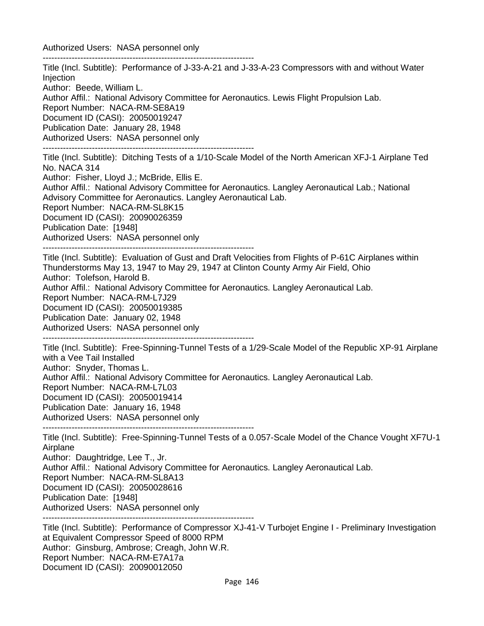Authorized Users: NASA personnel only

------------------------------------------------------------------------- Title (Incl. Subtitle): Performance of J-33-A-21 and J-33-A-23 Compressors with and without Water **Injection** Author: Beede, William L. Author Affil.: National Advisory Committee for Aeronautics. Lewis Flight Propulsion Lab. Report Number: NACA-RM-SE8A19 Document ID (CASI): 20050019247 Publication Date: January 28, 1948 Authorized Users: NASA personnel only ------------------------------------------------------------------------- Title (Incl. Subtitle): Ditching Tests of a 1/10-Scale Model of the North American XFJ-1 Airplane Ted No. NACA 314 Author: Fisher, Lloyd J.; McBride, Ellis E. Author Affil.: National Advisory Committee for Aeronautics. Langley Aeronautical Lab.; National Advisory Committee for Aeronautics. Langley Aeronautical Lab. Report Number: NACA-RM-SL8K15 Document ID (CASI): 20090026359 Publication Date: [1948] Authorized Users: NASA personnel only ------------------------------------------------------------------------- Title (Incl. Subtitle): Evaluation of Gust and Draft Velocities from Flights of P-61C Airplanes within Thunderstorms May 13, 1947 to May 29, 1947 at Clinton County Army Air Field, Ohio Author: Tolefson, Harold B. Author Affil.: National Advisory Committee for Aeronautics. Langley Aeronautical Lab. Report Number: NACA-RM-L7J29 Document ID (CASI): 20050019385 Publication Date: January 02, 1948 Authorized Users: NASA personnel only ------------------------------------------------------------------------- Title (Incl. Subtitle): Free-Spinning-Tunnel Tests of a 1/29-Scale Model of the Republic XP-91 Airplane with a Vee Tail Installed Author: Snyder, Thomas L. Author Affil.: National Advisory Committee for Aeronautics. Langley Aeronautical Lab. Report Number: NACA-RM-L7L03 Document ID (CASI): 20050019414 Publication Date: January 16, 1948 Authorized Users: NASA personnel only ------------------------------------------------------------------------- Title (Incl. Subtitle): Free-Spinning-Tunnel Tests of a 0.057-Scale Model of the Chance Vought XF7U-1 Airplane Author: Daughtridge, Lee T., Jr. Author Affil.: National Advisory Committee for Aeronautics. Langley Aeronautical Lab. Report Number: NACA-RM-SL8A13 Document ID (CASI): 20050028616 Publication Date: [1948] Authorized Users: NASA personnel only -------------------------------------------------------------------------

Title (Incl. Subtitle): Performance of Compressor XJ-41-V Turbojet Engine I - Preliminary Investigation at Equivalent Compressor Speed of 8000 RPM Author: Ginsburg, Ambrose; Creagh, John W.R. Report Number: NACA-RM-E7A17a Document ID (CASI): 20090012050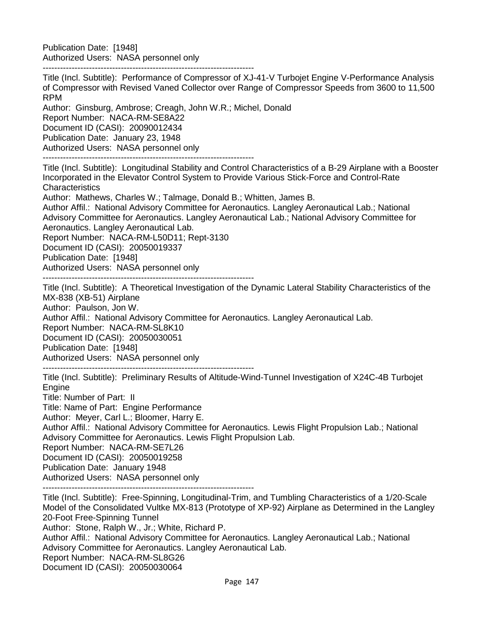Publication Date: [1948] Authorized Users: NASA personnel only

-------------------------------------------------------------------------

Title (Incl. Subtitle): Performance of Compressor of XJ-41-V Turbojet Engine V-Performance Analysis of Compressor with Revised Vaned Collector over Range of Compressor Speeds from 3600 to 11,500 RPM Author: Ginsburg, Ambrose; Creagh, John W.R.; Michel, Donald Report Number: NACA-RM-SE8A22 Document ID (CASI): 20090012434 Publication Date: January 23, 1948 Authorized Users: NASA personnel only ------------------------------------------------------------------------- Title (Incl. Subtitle): Longitudinal Stability and Control Characteristics of a B-29 Airplane with a Booster Incorporated in the Elevator Control System to Provide Various Stick-Force and Control-Rate **Characteristics** Author: Mathews, Charles W.; Talmage, Donald B.; Whitten, James B. Author Affil.: National Advisory Committee for Aeronautics. Langley Aeronautical Lab.; National Advisory Committee for Aeronautics. Langley Aeronautical Lab.; National Advisory Committee for Aeronautics. Langley Aeronautical Lab. Report Number: NACA-RM-L50D11; Rept-3130 Document ID (CASI): 20050019337 Publication Date: [1948] Authorized Users: NASA personnel only ------------------------------------------------------------------------- Title (Incl. Subtitle): A Theoretical Investigation of the Dynamic Lateral Stability Characteristics of the MX-838 (XB-51) Airplane Author: Paulson, Jon W. Author Affil.: National Advisory Committee for Aeronautics. Langley Aeronautical Lab. Report Number: NACA-RM-SL8K10 Document ID (CASI): 20050030051 Publication Date: [1948] Authorized Users: NASA personnel only ------------------------------------------------------------------------- Title (Incl. Subtitle): Preliminary Results of Altitude-Wind-Tunnel Investigation of X24C-4B Turbojet **Engine** Title: Number of Part: II Title: Name of Part: Engine Performance Author: Meyer, Carl L.; Bloomer, Harry E. Author Affil.: National Advisory Committee for Aeronautics. Lewis Flight Propulsion Lab.; National Advisory Committee for Aeronautics. Lewis Flight Propulsion Lab. Report Number: NACA-RM-SE7L26 Document ID (CASI): 20050019258 Publication Date: January 1948 Authorized Users: NASA personnel only ------------------------------------------------------------------------- Title (Incl. Subtitle): Free-Spinning, Longitudinal-Trim, and Tumbling Characteristics of a 1/20-Scale Model of the Consolidated Vultke MX-813 (Prototype of XP-92) Airplane as Determined in the Langley 20-Foot Free-Spinning Tunnel Author: Stone, Ralph W., Jr.; White, Richard P. Author Affil.: National Advisory Committee for Aeronautics. Langley Aeronautical Lab.; National Advisory Committee for Aeronautics. Langley Aeronautical Lab. Report Number: NACA-RM-SL8G26 Document ID (CASI): 20050030064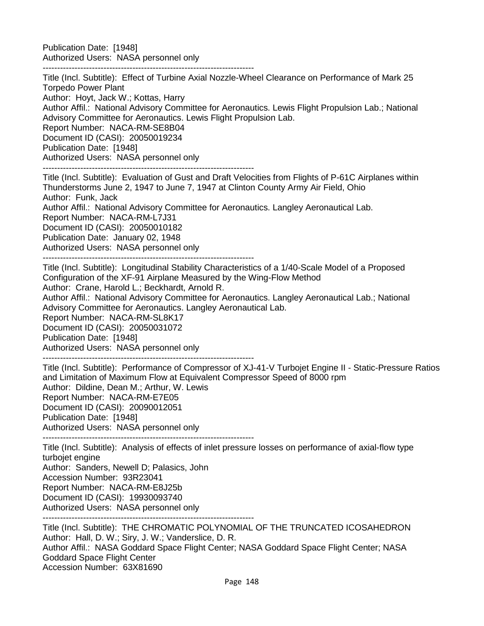Publication Date: [1948] Authorized Users: NASA personnel only

-------------------------------------------------------------------------

Title (Incl. Subtitle): Effect of Turbine Axial Nozzle-Wheel Clearance on Performance of Mark 25 Torpedo Power Plant Author: Hoyt, Jack W.; Kottas, Harry Author Affil.: National Advisory Committee for Aeronautics. Lewis Flight Propulsion Lab.; National Advisory Committee for Aeronautics. Lewis Flight Propulsion Lab. Report Number: NACA-RM-SE8B04 Document ID (CASI): 20050019234 Publication Date: [1948] Authorized Users: NASA personnel only -------------------------------------------------------------------------

Title (Incl. Subtitle): Evaluation of Gust and Draft Velocities from Flights of P-61C Airplanes within Thunderstorms June 2, 1947 to June 7, 1947 at Clinton County Army Air Field, Ohio Author: Funk, Jack Author Affil.: National Advisory Committee for Aeronautics. Langley Aeronautical Lab. Report Number: NACA-RM-L7J31 Document ID (CASI): 20050010182 Publication Date: January 02, 1948 Authorized Users: NASA personnel only -------------------------------------------------------------------------

Title (Incl. Subtitle): Longitudinal Stability Characteristics of a 1/40-Scale Model of a Proposed Configuration of the XF-91 Airplane Measured by the Wing-Flow Method Author: Crane, Harold L.; Beckhardt, Arnold R. Author Affil.: National Advisory Committee for Aeronautics. Langley Aeronautical Lab.; National Advisory Committee for Aeronautics. Langley Aeronautical Lab. Report Number: NACA-RM-SL8K17 Document ID (CASI): 20050031072 Publication Date: [1948] Authorized Users: NASA personnel only -------------------------------------------------------------------------

Title (Incl. Subtitle): Performance of Compressor of XJ-41-V Turbojet Engine II - Static-Pressure Ratios and Limitation of Maximum Flow at Equivalent Compressor Speed of 8000 rpm Author: Dildine, Dean M.; Arthur, W. Lewis Report Number: NACA-RM-E7E05 Document ID (CASI): 20090012051 Publication Date: [1948] Authorized Users: NASA personnel only -------------------------------------------------------------------------

Title (Incl. Subtitle): Analysis of effects of inlet pressure losses on performance of axial-flow type turbojet engine Author: Sanders, Newell D; Palasics, John Accession Number: 93R23041 Report Number: NACA-RM-E8J25b Document ID (CASI): 19930093740 Authorized Users: NASA personnel only

-------------------------------------------------------------------------

Title (Incl. Subtitle): THE CHROMATIC POLYNOMIAL OF THE TRUNCATED ICOSAHEDRON Author: Hall, D. W.; Siry, J. W.; Vanderslice, D. R. Author Affil.: NASA Goddard Space Flight Center; NASA Goddard Space Flight Center; NASA Goddard Space Flight Center Accession Number: 63X81690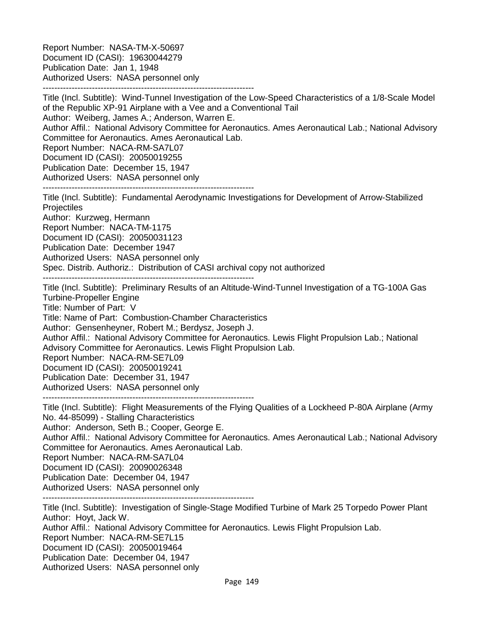Report Number: NASA-TM-X-50697 Document ID (CASI): 19630044279 Publication Date: Jan 1, 1948 Authorized Users: NASA personnel only -------------------------------------------------------------------------

Title (Incl. Subtitle): Wind-Tunnel Investigation of the Low-Speed Characteristics of a 1/8-Scale Model of the Republic XP-91 Airplane with a Vee and a Conventional Tail Author: Weiberg, James A.; Anderson, Warren E. Author Affil.: National Advisory Committee for Aeronautics. Ames Aeronautical Lab.; National Advisory Committee for Aeronautics. Ames Aeronautical Lab. Report Number: NACA-RM-SA7L07 Document ID (CASI): 20050019255 Publication Date: December 15, 1947 Authorized Users: NASA personnel only ------------------------------------------------------------------------- Title (Incl. Subtitle): Fundamental Aerodynamic Investigations for Development of Arrow-Stabilized **Projectiles** Author: Kurzweg, Hermann Report Number: NACA-TM-1175 Document ID (CASI): 20050031123 Publication Date: December 1947 Authorized Users: NASA personnel only Spec. Distrib. Authoriz.: Distribution of CASI archival copy not authorized ------------------------------------------------------------------------- Title (Incl. Subtitle): Preliminary Results of an Altitude-Wind-Tunnel Investigation of a TG-100A Gas Turbine-Propeller Engine Title: Number of Part: V Title: Name of Part: Combustion-Chamber Characteristics Author: Gensenheyner, Robert M.; Berdysz, Joseph J. Author Affil.: National Advisory Committee for Aeronautics. Lewis Flight Propulsion Lab.; National Advisory Committee for Aeronautics. Lewis Flight Propulsion Lab. Report Number: NACA-RM-SE7L09 Document ID (CASI): 20050019241 Publication Date: December 31, 1947 Authorized Users: NASA personnel only ------------------------------------------------------------------------- Title (Incl. Subtitle): Flight Measurements of the Flying Qualities of a Lockheed P-80A Airplane (Army No. 44-85099) - Stalling Characteristics Author: Anderson, Seth B.; Cooper, George E. Author Affil.: National Advisory Committee for Aeronautics. Ames Aeronautical Lab.; National Advisory Committee for Aeronautics. Ames Aeronautical Lab. Report Number: NACA-RM-SA7L04 Document ID (CASI): 20090026348 Publication Date: December 04, 1947 Authorized Users: NASA personnel only ------------------------------------------------------------------------- Title (Incl. Subtitle): Investigation of Single-Stage Modified Turbine of Mark 25 Torpedo Power Plant Author: Hoyt, Jack W. Author Affil.: National Advisory Committee for Aeronautics. Lewis Flight Propulsion Lab. Report Number: NACA-RM-SE7L15 Document ID (CASI): 20050019464 Publication Date: December 04, 1947 Authorized Users: NASA personnel only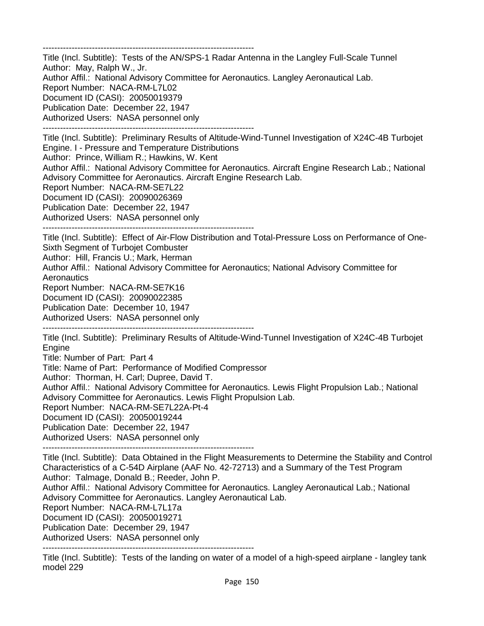------------------------------------------------------------------------- Title (Incl. Subtitle): Tests of the AN/SPS-1 Radar Antenna in the Langley Full-Scale Tunnel Author: May, Ralph W., Jr. Author Affil.: National Advisory Committee for Aeronautics. Langley Aeronautical Lab. Report Number: NACA-RM-L7L02 Document ID (CASI): 20050019379 Publication Date: December 22, 1947 Authorized Users: NASA personnel only ------------------------------------------------------------------------- Title (Incl. Subtitle): Preliminary Results of Altitude-Wind-Tunnel Investigation of X24C-4B Turbojet Engine. I - Pressure and Temperature Distributions Author: Prince, William R.; Hawkins, W. Kent Author Affil.: National Advisory Committee for Aeronautics. Aircraft Engine Research Lab.; National Advisory Committee for Aeronautics. Aircraft Engine Research Lab. Report Number: NACA-RM-SE7L22 Document ID (CASI): 20090026369 Publication Date: December 22, 1947 Authorized Users: NASA personnel only ------------------------------------------------------------------------- Title (Incl. Subtitle): Effect of Air-Flow Distribution and Total-Pressure Loss on Performance of One-Sixth Segment of Turbojet Combuster Author: Hill, Francis U.; Mark, Herman Author Affil.: National Advisory Committee for Aeronautics; National Advisory Committee for **Aeronautics** Report Number: NACA-RM-SE7K16 Document ID (CASI): 20090022385 Publication Date: December 10, 1947 Authorized Users: NASA personnel only ------------------------------------------------------------------------- Title (Incl. Subtitle): Preliminary Results of Altitude-Wind-Tunnel Investigation of X24C-4B Turbojet Engine Title: Number of Part: Part 4 Title: Name of Part: Performance of Modified Compressor Author: Thorman, H. Carl; Dupree, David T. Author Affil.: National Advisory Committee for Aeronautics. Lewis Flight Propulsion Lab.; National Advisory Committee for Aeronautics. Lewis Flight Propulsion Lab. Report Number: NACA-RM-SE7L22A-Pt-4 Document ID (CASI): 20050019244 Publication Date: December 22, 1947 Authorized Users: NASA personnel only ------------------------------------------------------------------------- Title (Incl. Subtitle): Data Obtained in the Flight Measurements to Determine the Stability and Control Characteristics of a C-54D Airplane (AAF No. 42-72713) and a Summary of the Test Program Author: Talmage, Donald B.; Reeder, John P.

Author Affil.: National Advisory Committee for Aeronautics. Langley Aeronautical Lab.; National Advisory Committee for Aeronautics. Langley Aeronautical Lab.

Report Number: NACA-RM-L7L17a

Document ID (CASI): 20050019271

Publication Date: December 29, 1947

Authorized Users: NASA personnel only

-------------------------------------------------------------------------

Title (Incl. Subtitle): Tests of the landing on water of a model of a high-speed airplane - langley tank model 229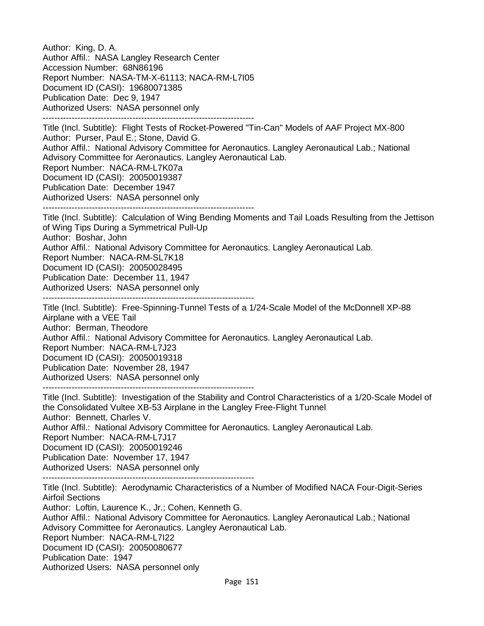Author: King, D. A. Author Affil.: NASA Langley Research Center Accession Number: 68N86196 Report Number: NASA-TM-X-61113; NACA-RM-L7I05 Document ID (CASI): 19680071385 Publication Date: Dec 9, 1947 Authorized Users: NASA personnel only ------------------------------------------------------------------------- Title (Incl. Subtitle): Flight Tests of Rocket-Powered "Tin-Can" Models of AAF Project MX-800 Author: Purser, Paul E.; Stone, David G. Author Affil.: National Advisory Committee for Aeronautics. Langley Aeronautical Lab.; National Advisory Committee for Aeronautics. Langley Aeronautical Lab. Report Number: NACA-RM-L7K07a Document ID (CASI): 20050019387 Publication Date: December 1947 Authorized Users: NASA personnel only ------------------------------------------------------------------------- Title (Incl. Subtitle): Calculation of Wing Bending Moments and Tail Loads Resulting from the Jettison of Wing Tips During a Symmetrical Pull-Up Author: Boshar, John Author Affil.: National Advisory Committee for Aeronautics. Langley Aeronautical Lab. Report Number: NACA-RM-SL7K18 Document ID (CASI): 20050028495 Publication Date: December 11, 1947 Authorized Users: NASA personnel only ------------------------------------------------------------------------- Title (Incl. Subtitle): Free-Spinning-Tunnel Tests of a 1/24-Scale Model of the McDonnell XP-88 Airplane with a VEE Tail Author: Berman, Theodore Author Affil.: National Advisory Committee for Aeronautics. Langley Aeronautical Lab. Report Number: NACA-RM-L7J23 Document ID (CASI): 20050019318 Publication Date: November 28, 1947 Authorized Users: NASA personnel only ------------------------------------------------------------------------- Title (Incl. Subtitle): Investigation of the Stability and Control Characteristics of a 1/20-Scale Model of the Consolidated Vultee XB-53 Airplane in the Langley Free-Flight Tunnel Author: Bennett, Charles V. Author Affil.: National Advisory Committee for Aeronautics. Langley Aeronautical Lab. Report Number: NACA-RM-L7J17 Document ID (CASI): 20050019246 Publication Date: November 17, 1947 Authorized Users: NASA personnel only ------------------------------------------------------------------------- Title (Incl. Subtitle): Aerodynamic Characteristics of a Number of Modified NACA Four-Digit-Series Airfoil Sections Author: Loftin, Laurence K., Jr.; Cohen, Kenneth G. Author Affil.: National Advisory Committee for Aeronautics. Langley Aeronautical Lab.; National Advisory Committee for Aeronautics. Langley Aeronautical Lab. Report Number: NACA-RM-L7I22 Document ID (CASI): 20050080677 Publication Date: 1947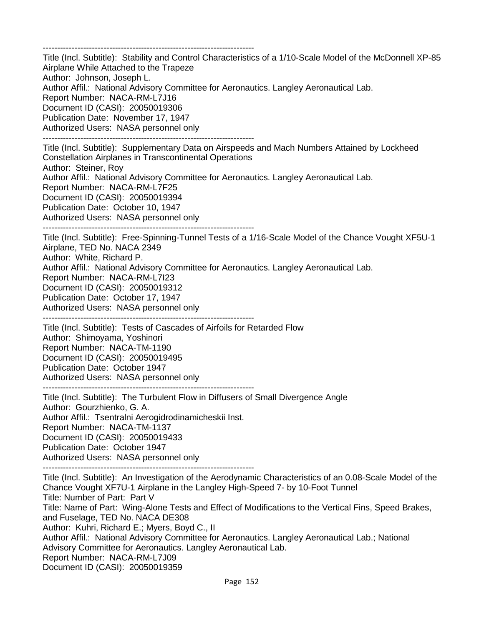------------------------------------------------------------------------- Title (Incl. Subtitle): Stability and Control Characteristics of a 1/10-Scale Model of the McDonnell XP-85 Airplane While Attached to the Trapeze Author: Johnson, Joseph L. Author Affil.: National Advisory Committee for Aeronautics. Langley Aeronautical Lab. Report Number: NACA-RM-L7J16 Document ID (CASI): 20050019306 Publication Date: November 17, 1947 Authorized Users: NASA personnel only ------------------------------------------------------------------------- Title (Incl. Subtitle): Supplementary Data on Airspeeds and Mach Numbers Attained by Lockheed Constellation Airplanes in Transcontinental Operations Author: Steiner, Roy Author Affil.: National Advisory Committee for Aeronautics. Langley Aeronautical Lab. Report Number: NACA-RM-L7F25 Document ID (CASI): 20050019394 Publication Date: October 10, 1947 Authorized Users: NASA personnel only ------------------------------------------------------------------------- Title (Incl. Subtitle): Free-Spinning-Tunnel Tests of a 1/16-Scale Model of the Chance Vought XF5U-1 Airplane, TED No. NACA 2349 Author: White, Richard P. Author Affil.: National Advisory Committee for Aeronautics. Langley Aeronautical Lab. Report Number: NACA-RM-L7I23 Document ID (CASI): 20050019312 Publication Date: October 17, 1947 Authorized Users: NASA personnel only ------------------------------------------------------------------------- Title (Incl. Subtitle): Tests of Cascades of Airfoils for Retarded Flow Author: Shimoyama, Yoshinori Report Number: NACA-TM-1190 Document ID (CASI): 20050019495 Publication Date: October 1947 Authorized Users: NASA personnel only ------------------------------------------------------------------------- Title (Incl. Subtitle): The Turbulent Flow in Diffusers of Small Divergence Angle Author: Gourzhienko, G. A. Author Affil.: Tsentralni Aerogidrodinamicheskii Inst. Report Number: NACA-TM-1137

Document ID (CASI): 20050019433 Publication Date: October 1947 Authorized Users: NASA personnel only

-------------------------------------------------------------------------

Title (Incl. Subtitle): An Investigation of the Aerodynamic Characteristics of an 0.08-Scale Model of the Chance Vought XF7U-1 Airplane in the Langley High-Speed 7- by 10-Foot Tunnel Title: Number of Part: Part V Title: Name of Part: Wing-Alone Tests and Effect of Modifications to the Vertical Fins, Speed Brakes, and Fuselage, TED No. NACA DE308 Author: Kuhri, Richard E.; Myers, Boyd C., II Author Affil.: National Advisory Committee for Aeronautics. Langley Aeronautical Lab.; National Advisory Committee for Aeronautics. Langley Aeronautical Lab. Report Number: NACA-RM-L7J09 Document ID (CASI): 20050019359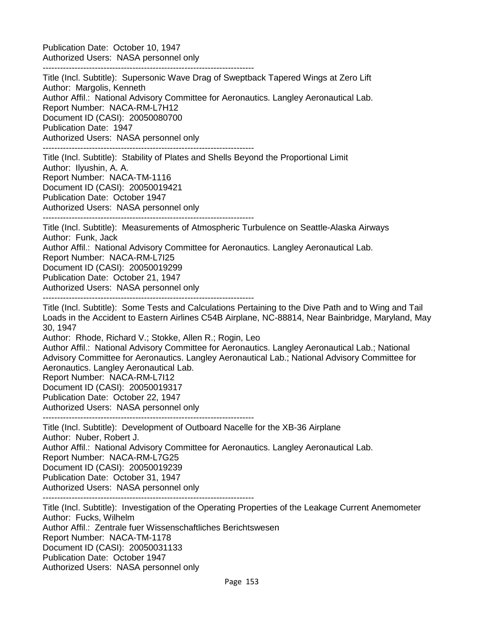Publication Date: October 10, 1947 Authorized Users: NASA personnel only

-------------------------------------------------------------------------

Title (Incl. Subtitle): Supersonic Wave Drag of Sweptback Tapered Wings at Zero Lift Author: Margolis, Kenneth Author Affil.: National Advisory Committee for Aeronautics. Langley Aeronautical Lab. Report Number: NACA-RM-L7H12 Document ID (CASI): 20050080700 Publication Date: 1947 Authorized Users: NASA personnel only ------------------------------------------------------------------------- Title (Incl. Subtitle): Stability of Plates and Shells Beyond the Proportional Limit Author: Ilyushin, A. A. Report Number: NACA-TM-1116

Document ID (CASI): 20050019421 Publication Date: October 1947 Authorized Users: NASA personnel only -------------------------------------------------------------------------

Title (Incl. Subtitle): Measurements of Atmospheric Turbulence on Seattle-Alaska Airways Author: Funk, Jack Author Affil.: National Advisory Committee for Aeronautics. Langley Aeronautical Lab.

Report Number: NACA-RM-L7I25 Document ID (CASI): 20050019299

Publication Date: October 21, 1947

Authorized Users: NASA personnel only

-------------------------------------------------------------------------

Title (Incl. Subtitle): Some Tests and Calculations Pertaining to the Dive Path and to Wing and Tail Loads in the Accident to Eastern Airlines C54B Airplane, NC-88814, Near Bainbridge, Maryland, May 30, 1947

Author: Rhode, Richard V.; Stokke, Allen R.; Rogin, Leo

Author Affil.: National Advisory Committee for Aeronautics. Langley Aeronautical Lab.; National Advisory Committee for Aeronautics. Langley Aeronautical Lab.; National Advisory Committee for Aeronautics. Langley Aeronautical Lab.

Report Number: NACA-RM-L7I12

Document ID (CASI): 20050019317

Publication Date: October 22, 1947

Authorized Users: NASA personnel only

-------------------------------------------------------------------------

Title (Incl. Subtitle): Development of Outboard Nacelle for the XB-36 Airplane Author: Nuber, Robert J. Author Affil.: National Advisory Committee for Aeronautics. Langley Aeronautical Lab. Report Number: NACA-RM-L7G25 Document ID (CASI): 20050019239 Publication Date: October 31, 1947 Authorized Users: NASA personnel only -------------------------------------------------------------------------

Title (Incl. Subtitle): Investigation of the Operating Properties of the Leakage Current Anemometer Author: Fucks, Wilhelm Author Affil.: Zentrale fuer Wissenschaftliches Berichtswesen Report Number: NACA-TM-1178 Document ID (CASI): 20050031133 Publication Date: October 1947 Authorized Users: NASA personnel only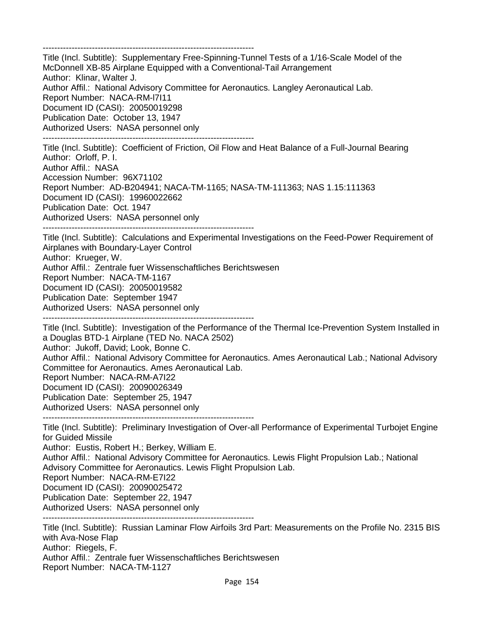-------------------------------------------------------------------------

Title (Incl. Subtitle): Supplementary Free-Spinning-Tunnel Tests of a 1/16-Scale Model of the McDonnell XB-85 Airplane Equipped with a Conventional-Tail Arrangement Author: Klinar, Walter J. Author Affil.: National Advisory Committee for Aeronautics. Langley Aeronautical Lab. Report Number: NACA-RM-l7I11 Document ID (CASI): 20050019298 Publication Date: October 13, 1947 Authorized Users: NASA personnel only -------------------------------------------------------------------------

Title (Incl. Subtitle): Coefficient of Friction, Oil Flow and Heat Balance of a Full-Journal Bearing Author: Orloff, P. I. Author Affil.: NASA Accession Number: 96X71102 Report Number: AD-B204941; NACA-TM-1165; NASA-TM-111363; NAS 1.15:111363 Document ID (CASI): 19960022662 Publication Date: Oct. 1947 Authorized Users: NASA personnel only

-------------------------------------------------------------------------

Title (Incl. Subtitle): Calculations and Experimental Investigations on the Feed-Power Requirement of Airplanes with Boundary-Layer Control Author: Krueger, W. Author Affil.: Zentrale fuer Wissenschaftliches Berichtswesen Report Number: NACA-TM-1167 Document ID (CASI): 20050019582 Publication Date: September 1947 Authorized Users: NASA personnel only

-------------------------------------------------------------------------

Title (Incl. Subtitle): Investigation of the Performance of the Thermal Ice-Prevention System Installed in a Douglas BTD-1 Airplane (TED No. NACA 2502)

Author: Jukoff, David; Look, Bonne C.

Author Affil.: National Advisory Committee for Aeronautics. Ames Aeronautical Lab.; National Advisory Committee for Aeronautics. Ames Aeronautical Lab.

Report Number: NACA-RM-A7I22

Document ID (CASI): 20090026349

Publication Date: September 25, 1947

Authorized Users: NASA personnel only

-------------------------------------------------------------------------

Title (Incl. Subtitle): Preliminary Investigation of Over-all Performance of Experimental Turbojet Engine for Guided Missile Author: Eustis, Robert H.; Berkey, William E.

Author Affil.: National Advisory Committee for Aeronautics. Lewis Flight Propulsion Lab.; National Advisory Committee for Aeronautics. Lewis Flight Propulsion Lab.

Report Number: NACA-RM-E7I22

Document ID (CASI): 20090025472

Publication Date: September 22, 1947

Authorized Users: NASA personnel only

Title (Incl. Subtitle): Russian Laminar Flow Airfoils 3rd Part: Measurements on the Profile No. 2315 BIS with Ava-Nose Flap Author: Riegels, F. Author Affil.: Zentrale fuer Wissenschaftliches Berichtswesen Report Number: NACA-TM-1127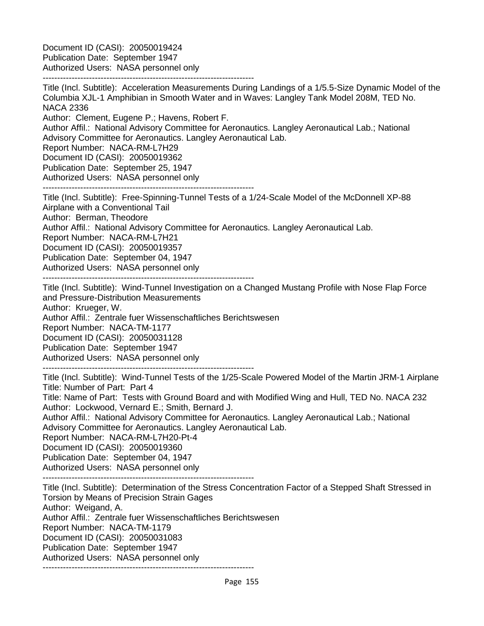Document ID (CASI): 20050019424 Publication Date: September 1947 Authorized Users: NASA personnel only

------------------------------------------------------------------------- Title (Incl. Subtitle): Acceleration Measurements During Landings of a 1/5.5-Size Dynamic Model of the Columbia XJL-1 Amphibian in Smooth Water and in Waves: Langley Tank Model 208M, TED No. NACA 2336

Author: Clement, Eugene P.; Havens, Robert F.

Author Affil.: National Advisory Committee for Aeronautics. Langley Aeronautical Lab.; National Advisory Committee for Aeronautics. Langley Aeronautical Lab.

Report Number: NACA-RM-L7H29

Document ID (CASI): 20050019362

Publication Date: September 25, 1947

Authorized Users: NASA personnel only

-------------------------------------------------------------------------

Title (Incl. Subtitle): Free-Spinning-Tunnel Tests of a 1/24-Scale Model of the McDonnell XP-88 Airplane with a Conventional Tail Author: Berman, Theodore

Author Affil.: National Advisory Committee for Aeronautics. Langley Aeronautical Lab.

Report Number: NACA-RM-L7H21

Document ID (CASI): 20050019357

Publication Date: September 04, 1947

Authorized Users: NASA personnel only

-------------------------------------------------------------------------

Title (Incl. Subtitle): Wind-Tunnel Investigation on a Changed Mustang Profile with Nose Flap Force and Pressure-Distribution Measurements Author: Krueger, W. Author Affil.: Zentrale fuer Wissenschaftliches Berichtswesen Report Number: NACA-TM-1177 Document ID (CASI): 20050031128 Publication Date: September 1947

Authorized Users: NASA personnel only -------------------------------------------------------------------------

Title (Incl. Subtitle): Wind-Tunnel Tests of the 1/25-Scale Powered Model of the Martin JRM-1 Airplane Title: Number of Part: Part 4

Title: Name of Part: Tests with Ground Board and with Modified Wing and Hull, TED No. NACA 232 Author: Lockwood, Vernard E.; Smith, Bernard J.

Author Affil.: National Advisory Committee for Aeronautics. Langley Aeronautical Lab.; National Advisory Committee for Aeronautics. Langley Aeronautical Lab.

Report Number: NACA-RM-L7H20-Pt-4

Document ID (CASI): 20050019360

Publication Date: September 04, 1947

Authorized Users: NASA personnel only

-------------------------------------------------------------------------

Title (Incl. Subtitle): Determination of the Stress Concentration Factor of a Stepped Shaft Stressed in Torsion by Means of Precision Strain Gages Author: Weigand, A. Author Affil.: Zentrale fuer Wissenschaftliches Berichtswesen Report Number: NACA-TM-1179 Document ID (CASI): 20050031083 Publication Date: September 1947 Authorized Users: NASA personnel only -------------------------------------------------------------------------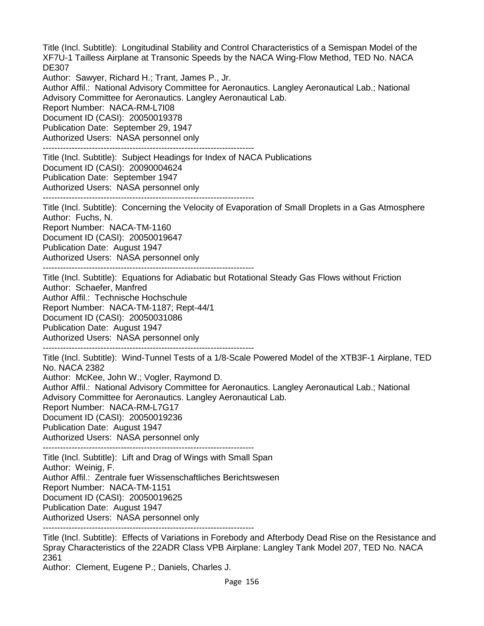Title (Incl. Subtitle): Longitudinal Stability and Control Characteristics of a Semispan Model of the XF7U-1 Tailless Airplane at Transonic Speeds by the NACA Wing-Flow Method, TED No. NACA DE307 Author: Sawyer, Richard H.; Trant, James P., Jr. Author Affil.: National Advisory Committee for Aeronautics. Langley Aeronautical Lab.; National Advisory Committee for Aeronautics. Langley Aeronautical Lab. Report Number: NACA-RM-L7I08 Document ID (CASI): 20050019378 Publication Date: September 29, 1947 Authorized Users: NASA personnel only ------------------------------------------------------------------------- Title (Incl. Subtitle): Subject Headings for Index of NACA Publications Document ID (CASI): 20090004624 Publication Date: September 1947 Authorized Users: NASA personnel only ------------------------------------------------------------------------- Title (Incl. Subtitle): Concerning the Velocity of Evaporation of Small Droplets in a Gas Atmosphere Author: Fuchs, N. Report Number: NACA-TM-1160 Document ID (CASI): 20050019647 Publication Date: August 1947 Authorized Users: NASA personnel only ------------------------------------------------------------------------- Title (Incl. Subtitle): Equations for Adiabatic but Rotational Steady Gas Flows without Friction Author: Schaefer, Manfred Author Affil.: Technische Hochschule Report Number: NACA-TM-1187; Rept-44/1 Document ID (CASI): 20050031086 Publication Date: August 1947 Authorized Users: NASA personnel only ------------------------------------------------------------------------- Title (Incl. Subtitle): Wind-Tunnel Tests of a 1/8-Scale Powered Model of the XTB3F-1 Airplane, TED No. NACA 2382 Author: McKee, John W.; Vogler, Raymond D. Author Affil.: National Advisory Committee for Aeronautics. Langley Aeronautical Lab.; National Advisory Committee for Aeronautics. Langley Aeronautical Lab. Report Number: NACA-RM-L7G17 Document ID (CASI): 20050019236 Publication Date: August 1947 Authorized Users: NASA personnel only ------------------------------------------------------------------------- Title (Incl. Subtitle): Lift and Drag of Wings with Small Span Author: Weinig, F. Author Affil.: Zentrale fuer Wissenschaftliches Berichtswesen Report Number: NACA-TM-1151 Document ID (CASI): 20050019625 Publication Date: August 1947 Authorized Users: NASA personnel only -------------------------------------------------------------------------

Title (Incl. Subtitle): Effects of Variations in Forebody and Afterbody Dead Rise on the Resistance and Spray Characteristics of the 22ADR Class VPB Airplane: Langley Tank Model 207, TED No. NACA 2361

Author: Clement, Eugene P.; Daniels, Charles J.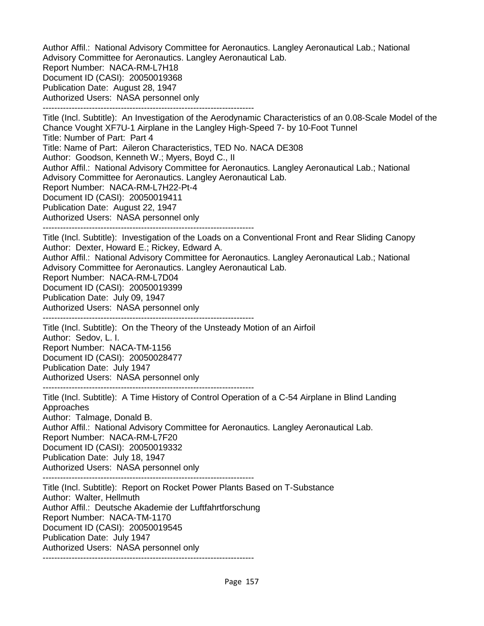Author Affil.: National Advisory Committee for Aeronautics. Langley Aeronautical Lab.; National Advisory Committee for Aeronautics. Langley Aeronautical Lab. Report Number: NACA-RM-L7H18 Document ID (CASI): 20050019368 Publication Date: August 28, 1947 Authorized Users: NASA personnel only -------------------------------------------------------------------------

Title (Incl. Subtitle): An Investigation of the Aerodynamic Characteristics of an 0.08-Scale Model of the Chance Vought XF7U-1 Airplane in the Langley High-Speed 7- by 10-Foot Tunnel Title: Number of Part: Part 4 Title: Name of Part: Aileron Characteristics, TED No. NACA DE308 Author: Goodson, Kenneth W.; Myers, Boyd C., II Author Affil.: National Advisory Committee for Aeronautics. Langley Aeronautical Lab.; National Advisory Committee for Aeronautics. Langley Aeronautical Lab. Report Number: NACA-RM-L7H22-Pt-4 Document ID (CASI): 20050019411 Publication Date: August 22, 1947 Authorized Users: NASA personnel only ------------------------------------------------------------------------- Title (Incl. Subtitle): Investigation of the Loads on a Conventional Front and Rear Sliding Canopy Author: Dexter, Howard E.; Rickey, Edward A. Author Affil.: National Advisory Committee for Aeronautics. Langley Aeronautical Lab.; National Advisory Committee for Aeronautics. Langley Aeronautical Lab. Report Number: NACA-RM-L7D04 Document ID (CASI): 20050019399 Publication Date: July 09, 1947 Authorized Users: NASA personnel only ------------------------------------------------------------------------- Title (Incl. Subtitle): On the Theory of the Unsteady Motion of an Airfoil Author: Sedov, L. I. Report Number: NACA-TM-1156 Document ID (CASI): 20050028477 Publication Date: July 1947 Authorized Users: NASA personnel only ------------------------------------------------------------------------- Title (Incl. Subtitle): A Time History of Control Operation of a C-54 Airplane in Blind Landing Approaches Author: Talmage, Donald B. Author Affil.: National Advisory Committee for Aeronautics. Langley Aeronautical Lab. Report Number: NACA-RM-L7F20 Document ID (CASI): 20050019332 Publication Date: July 18, 1947 Authorized Users: NASA personnel only ------------------------------------------------------------------------- Title (Incl. Subtitle): Report on Rocket Power Plants Based on T-Substance Author: Walter, Hellmuth Author Affil.: Deutsche Akademie der Luftfahrtforschung Report Number: NACA-TM-1170 Document ID (CASI): 20050019545 Publication Date: July 1947 Authorized Users: NASA personnel only -------------------------------------------------------------------------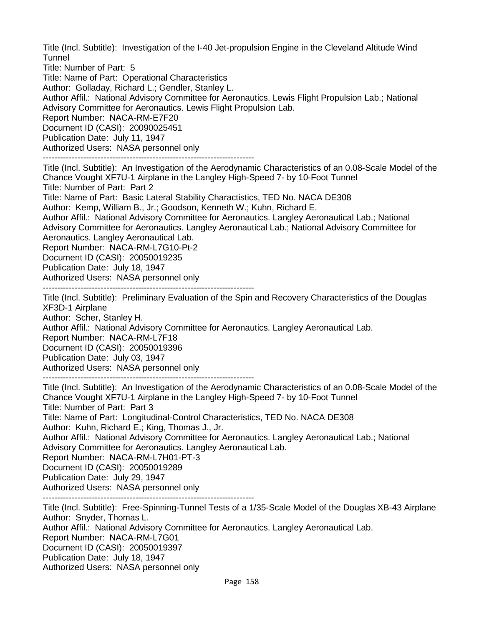Title (Incl. Subtitle): Investigation of the I-40 Jet-propulsion Engine in the Cleveland Altitude Wind **Tunnel** 

Title: Number of Part: 5

Title: Name of Part: Operational Characteristics

Author: Golladay, Richard L.; Gendler, Stanley L.

Author Affil.: National Advisory Committee for Aeronautics. Lewis Flight Propulsion Lab.; National Advisory Committee for Aeronautics. Lewis Flight Propulsion Lab.

Report Number: NACA-RM-E7F20

Document ID (CASI): 20090025451

Publication Date: July 11, 1947

Authorized Users: NASA personnel only

-------------------------------------------------------------------------

Title (Incl. Subtitle): An Investigation of the Aerodynamic Characteristics of an 0.08-Scale Model of the Chance Vought XF7U-1 Airplane in the Langley High-Speed 7- by 10-Foot Tunnel Title: Number of Part: Part 2

Title: Name of Part: Basic Lateral Stability Charactistics, TED No. NACA DE308 Author: Kemp, William B., Jr.; Goodson, Kenneth W.; Kuhn, Richard E.

Author Affil.: National Advisory Committee for Aeronautics. Langley Aeronautical Lab.; National Advisory Committee for Aeronautics. Langley Aeronautical Lab.; National Advisory Committee for Aeronautics. Langley Aeronautical Lab.

Report Number: NACA-RM-L7G10-Pt-2

Document ID (CASI): 20050019235

Publication Date: July 18, 1947

Authorized Users: NASA personnel only

-------------------------------------------------------------------------

Title (Incl. Subtitle): Preliminary Evaluation of the Spin and Recovery Characteristics of the Douglas XF3D-1 Airplane

Author: Scher, Stanley H.

Author Affil.: National Advisory Committee for Aeronautics. Langley Aeronautical Lab.

Report Number: NACA-RM-L7F18

Document ID (CASI): 20050019396

Publication Date: July 03, 1947

Authorized Users: NASA personnel only

-------------------------------------------------------------------------

Title (Incl. Subtitle): An Investigation of the Aerodynamic Characteristics of an 0.08-Scale Model of the Chance Vought XF7U-1 Airplane in the Langley High-Speed 7- by 10-Foot Tunnel Title: Number of Part: Part 3

Title: Name of Part: Longitudinal-Control Characteristics, TED No. NACA DE308

Author: Kuhn, Richard E.; King, Thomas J., Jr.

Author Affil.: National Advisory Committee for Aeronautics. Langley Aeronautical Lab.; National Advisory Committee for Aeronautics. Langley Aeronautical Lab.

Report Number: NACA-RM-L7H01-PT-3

Document ID (CASI): 20050019289

Publication Date: July 29, 1947

Authorized Users: NASA personnel only

-------------------------------------------------------------------------

Title (Incl. Subtitle): Free-Spinning-Tunnel Tests of a 1/35-Scale Model of the Douglas XB-43 Airplane Author: Snyder, Thomas L. Author Affil.: National Advisory Committee for Aeronautics. Langley Aeronautical Lab. Report Number: NACA-RM-L7G01 Document ID (CASI): 20050019397 Publication Date: July 18, 1947 Authorized Users: NASA personnel only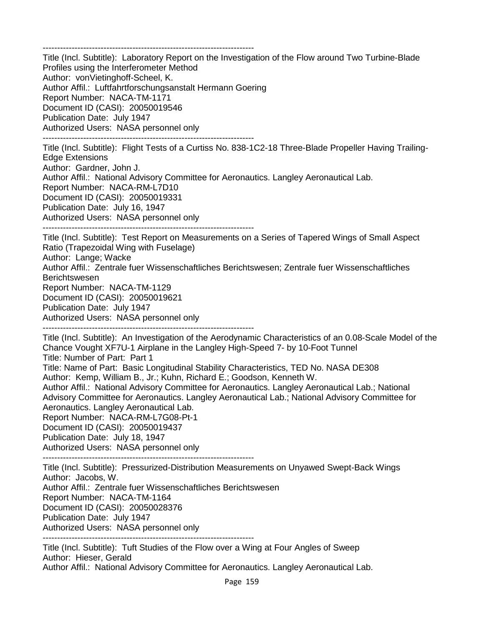-------------------------------------------------------------------------

Title (Incl. Subtitle): Laboratory Report on the Investigation of the Flow around Two Turbine-Blade Profiles using the Interferometer Method Author: vonVietinghoff-Scheel, K. Author Affil.: Luftfahrtforschungsanstalt Hermann Goering Report Number: NACA-TM-1171 Document ID (CASI): 20050019546 Publication Date: July 1947 Authorized Users: NASA personnel only -------------------------------------------------------------------------

Title (Incl. Subtitle): Flight Tests of a Curtiss No. 838-1C2-18 Three-Blade Propeller Having Trailing-Edge Extensions Author: Gardner, John J. Author Affil.: National Advisory Committee for Aeronautics. Langley Aeronautical Lab. Report Number: NACA-RM-L7D10 Document ID (CASI): 20050019331 Publication Date: July 16, 1947 Authorized Users: NASA personnel only

-------------------------------------------------------------------------

Title (Incl. Subtitle): Test Report on Measurements on a Series of Tapered Wings of Small Aspect Ratio (Trapezoidal Wing with Fuselage) Author: Lange; Wacke Author Affil.: Zentrale fuer Wissenschaftliches Berichtswesen; Zentrale fuer Wissenschaftliches Berichtswesen

Report Number: NACA-TM-1129 Document ID (CASI): 20050019621 Publication Date: July 1947 Authorized Users: NASA personnel only

-------------------------------------------------------------------------

Title (Incl. Subtitle): An Investigation of the Aerodynamic Characteristics of an 0.08-Scale Model of the Chance Vought XF7U-1 Airplane in the Langley High-Speed 7- by 10-Foot Tunnel Title: Number of Part: Part 1 Title: Name of Part: Basic Longitudinal Stability Characteristics, TED No. NASA DE308 Author: Kemp, William B., Jr.; Kuhn, Richard E.; Goodson, Kenneth W. Author Affil.: National Advisory Committee for Aeronautics. Langley Aeronautical Lab.; National Advisory Committee for Aeronautics. Langley Aeronautical Lab.; National Advisory Committee for Aeronautics. Langley Aeronautical Lab. Report Number: NACA-RM-L7G08-Pt-1 Document ID (CASI): 20050019437 Publication Date: July 18, 1947 Authorized Users: NASA personnel only

-------------------------------------------------------------------------

Title (Incl. Subtitle): Pressurized-Distribution Measurements on Unyawed Swept-Back Wings Author: Jacobs, W.

Author Affil.: Zentrale fuer Wissenschaftliches Berichtswesen

Report Number: NACA-TM-1164

Document ID (CASI): 20050028376

Publication Date: July 1947

Authorized Users: NASA personnel only

-------------------------------------------------------------------------

Title (Incl. Subtitle): Tuft Studies of the Flow over a Wing at Four Angles of Sweep Author: Hieser, Gerald

Author Affil.: National Advisory Committee for Aeronautics. Langley Aeronautical Lab.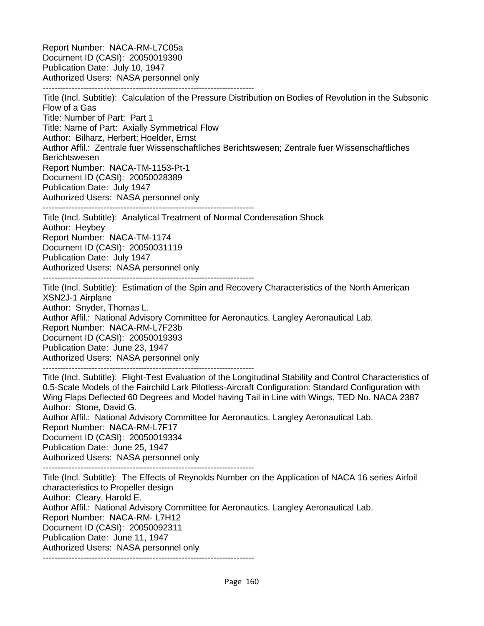Report Number: NACA-RM-L7C05a Document ID (CASI): 20050019390 Publication Date: July 10, 1947 Authorized Users: NASA personnel only -------------------------------------------------------------------------

-------------------------------------------------------------------------

Title (Incl. Subtitle): Calculation of the Pressure Distribution on Bodies of Revolution in the Subsonic Flow of a Gas Title: Number of Part: Part 1 Title: Name of Part: Axially Symmetrical Flow Author: Bilharz, Herbert; Hoelder, Ernst Author Affil.: Zentrale fuer Wissenschaftliches Berichtswesen; Zentrale fuer Wissenschaftliches Berichtswesen Report Number: NACA-TM-1153-Pt-1 Document ID (CASI): 20050028389 Publication Date: July 1947 Authorized Users: NASA personnel only

Title (Incl. Subtitle): Analytical Treatment of Normal Condensation Shock Author: Heybey Report Number: NACA-TM-1174 Document ID (CASI): 20050031119 Publication Date: July 1947 Authorized Users: NASA personnel only -------------------------------------------------------------------------

Title (Incl. Subtitle): Estimation of the Spin and Recovery Characteristics of the North American XSN2J-1 Airplane Author: Snyder, Thomas L. Author Affil.: National Advisory Committee for Aeronautics. Langley Aeronautical Lab. Report Number: NACA-RM-L7F23b Document ID (CASI): 20050019393 Publication Date: June 23, 1947 Authorized Users: NASA personnel only -------------------------------------------------------------------------

Title (Incl. Subtitle): Flight-Test Evaluation of the Longitudinal Stability and Control Characteristics of 0.5-Scale Models of the Fairchild Lark Pilotless-Aircraft Configuration: Standard Configuration with Wing Flaps Deflected 60 Degrees and Model having Tail in Line with Wings, TED No. NACA 2387 Author: Stone, David G. Author Affil.: National Advisory Committee for Aeronautics. Langley Aeronautical Lab. Report Number: NACA-RM-L7F17 Document ID (CASI): 20050019334

Publication Date: June 25, 1947

Authorized Users: NASA personnel only -------------------------------------------------------------------------

Title (Incl. Subtitle): The Effects of Reynolds Number on the Application of NACA 16 series Airfoil characteristics to Propeller design Author: Cleary, Harold E. Author Affil.: National Advisory Committee for Aeronautics. Langley Aeronautical Lab. Report Number: NACA-RM- L7H12 Document ID (CASI): 20050092311 Publication Date: June 11, 1947 Authorized Users: NASA personnel only -------------------------------------------------------------------------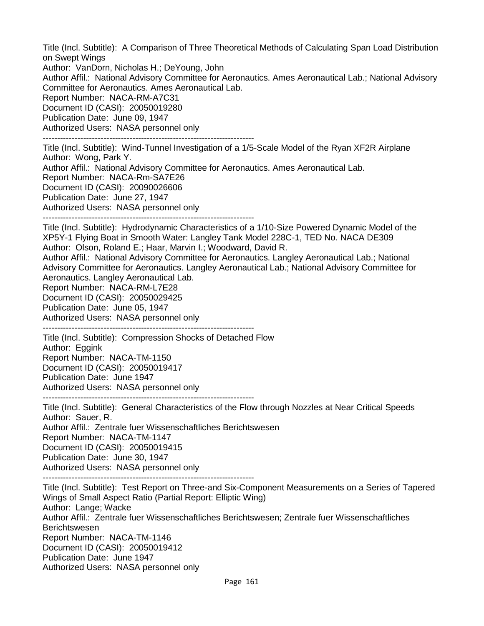Title (Incl. Subtitle): A Comparison of Three Theoretical Methods of Calculating Span Load Distribution on Swept Wings Author: VanDorn, Nicholas H.; DeYoung, John Author Affil.: National Advisory Committee for Aeronautics. Ames Aeronautical Lab.; National Advisory Committee for Aeronautics. Ames Aeronautical Lab. Report Number: NACA-RM-A7C31 Document ID (CASI): 20050019280 Publication Date: June 09, 1947 Authorized Users: NASA personnel only -------------------------------------------------------------------------

Title (Incl. Subtitle): Wind-Tunnel Investigation of a 1/5-Scale Model of the Ryan XF2R Airplane Author: Wong, Park Y. Author Affil.: National Advisory Committee for Aeronautics. Ames Aeronautical Lab. Report Number: NACA-Rm-SA7E26 Document ID (CASI): 20090026606 Publication Date: June 27, 1947 Authorized Users: NASA personnel only -------------------------------------------------------------------------

Title (Incl. Subtitle): Hydrodynamic Characteristics of a 1/10-Size Powered Dynamic Model of the XP5Y-1 Flying Boat in Smooth Water: Langley Tank Model 228C-1, TED No. NACA DE309 Author: Olson, Roland E.; Haar, Marvin I.; Woodward, David R.

Author Affil.: National Advisory Committee for Aeronautics. Langley Aeronautical Lab.; National Advisory Committee for Aeronautics. Langley Aeronautical Lab.; National Advisory Committee for Aeronautics. Langley Aeronautical Lab.

Report Number: NACA-RM-L7E28

Document ID (CASI): 20050029425

Publication Date: June 05, 1947

Authorized Users: NASA personnel only

-------------------------------------------------------------------------

Title (Incl. Subtitle): Compression Shocks of Detached Flow Author: Eggink Report Number: NACA-TM-1150 Document ID (CASI): 20050019417 Publication Date: June 1947 Authorized Users: NASA personnel only

-------------------------------------------------------------------------

Title (Incl. Subtitle): General Characteristics of the Flow through Nozzles at Near Critical Speeds Author: Sauer, R. Author Affil.: Zentrale fuer Wissenschaftliches Berichtswesen Report Number: NACA-TM-1147 Document ID (CASI): 20050019415 Publication Date: June 30, 1947 Authorized Users: NASA personnel only -------------------------------------------------------------------------

Title (Incl. Subtitle): Test Report on Three-and Six-Component Measurements on a Series of Tapered Wings of Small Aspect Ratio (Partial Report: Elliptic Wing) Author: Lange; Wacke Author Affil.: Zentrale fuer Wissenschaftliches Berichtswesen; Zentrale fuer Wissenschaftliches Berichtswesen Report Number: NACA-TM-1146 Document ID (CASI): 20050019412 Publication Date: June 1947 Authorized Users: NASA personnel only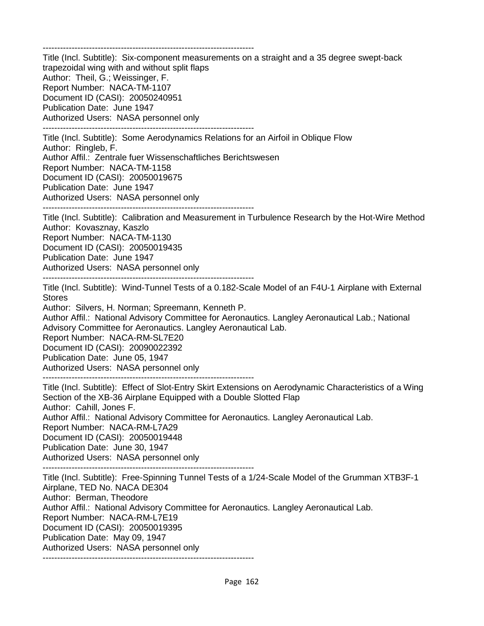-------------------------------------------------------------------------

Title (Incl. Subtitle): Six-component measurements on a straight and a 35 degree swept-back trapezoidal wing with and without split flaps Author: Theil, G.; Weissinger, F. Report Number: NACA-TM-1107 Document ID (CASI): 20050240951 Publication Date: June 1947 Authorized Users: NASA personnel only -------------------------------------------------------------------------

Title (Incl. Subtitle): Some Aerodynamics Relations for an Airfoil in Oblique Flow Author: Ringleb, F. Author Affil.: Zentrale fuer Wissenschaftliches Berichtswesen Report Number: NACA-TM-1158 Document ID (CASI): 20050019675 Publication Date: June 1947 Authorized Users: NASA personnel only

-------------------------------------------------------------------------

Title (Incl. Subtitle): Calibration and Measurement in Turbulence Research by the Hot-Wire Method Author: Kovasznay, Kaszlo Report Number: NACA-TM-1130 Document ID (CASI): 20050019435 Publication Date: June 1947 Authorized Users: NASA personnel only -------------------------------------------------------------------------

Title (Incl. Subtitle): Wind-Tunnel Tests of a 0.182-Scale Model of an F4U-1 Airplane with External Stores

Author: Silvers, H. Norman; Spreemann, Kenneth P.

Author Affil.: National Advisory Committee for Aeronautics. Langley Aeronautical Lab.; National Advisory Committee for Aeronautics. Langley Aeronautical Lab.

Report Number: NACA-RM-SL7E20

Document ID (CASI): 20090022392

Publication Date: June 05, 1947

Authorized Users: NASA personnel only -------------------------------------------------------------------------

Title (Incl. Subtitle): Effect of Slot-Entry Skirt Extensions on Aerodynamic Characteristics of a Wing Section of the XB-36 Airplane Equipped with a Double Slotted Flap Author: Cahill, Jones F. Author Affil.: National Advisory Committee for Aeronautics. Langley Aeronautical Lab. Report Number: NACA-RM-L7A29 Document ID (CASI): 20050019448 Publication Date: June 30, 1947 Authorized Users: NASA personnel only

-------------------------------------------------------------------------

Title (Incl. Subtitle): Free-Spinning Tunnel Tests of a 1/24-Scale Model of the Grumman XTB3F-1 Airplane, TED No. NACA DE304 Author: Berman, Theodore Author Affil.: National Advisory Committee for Aeronautics. Langley Aeronautical Lab. Report Number: NACA-RM-L7E19 Document ID (CASI): 20050019395 Publication Date: May 09, 1947 Authorized Users: NASA personnel only -------------------------------------------------------------------------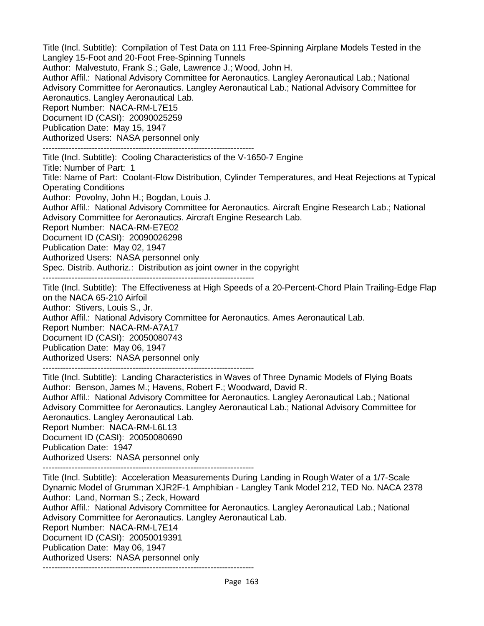Title (Incl. Subtitle): Compilation of Test Data on 111 Free-Spinning Airplane Models Tested in the Langley 15-Foot and 20-Foot Free-Spinning Tunnels Author: Malvestuto, Frank S.; Gale, Lawrence J.; Wood, John H. Author Affil.: National Advisory Committee for Aeronautics. Langley Aeronautical Lab.; National Advisory Committee for Aeronautics. Langley Aeronautical Lab.; National Advisory Committee for Aeronautics. Langley Aeronautical Lab. Report Number: NACA-RM-L7E15 Document ID (CASI): 20090025259 Publication Date: May 15, 1947 Authorized Users: NASA personnel only ------------------------------------------------------------------------- Title (Incl. Subtitle): Cooling Characteristics of the V-1650-7 Engine Title: Number of Part: 1 Title: Name of Part: Coolant-Flow Distribution, Cylinder Temperatures, and Heat Rejections at Typical Operating Conditions Author: Povolny, John H.; Bogdan, Louis J. Author Affil.: National Advisory Committee for Aeronautics. Aircraft Engine Research Lab.; National Advisory Committee for Aeronautics. Aircraft Engine Research Lab. Report Number: NACA-RM-E7E02 Document ID (CASI): 20090026298 Publication Date: May 02, 1947 Authorized Users: NASA personnel only Spec. Distrib. Authoriz.: Distribution as joint owner in the copyright ------------------------------------------------------------------------- Title (Incl. Subtitle): The Effectiveness at High Speeds of a 20-Percent-Chord Plain Trailing-Edge Flap on the NACA 65-210 Airfoil Author: Stivers, Louis S., Jr. Author Affil.: National Advisory Committee for Aeronautics. Ames Aeronautical Lab. Report Number: NACA-RM-A7A17 Document ID (CASI): 20050080743 Publication Date: May 06, 1947 Authorized Users: NASA personnel only ------------------------------------------------------------------------- Title (Incl. Subtitle): Landing Characteristics in Waves of Three Dynamic Models of Flying Boats Author: Benson, James M.; Havens, Robert F.; Woodward, David R. Author Affil.: National Advisory Committee for Aeronautics. Langley Aeronautical Lab.; National Advisory Committee for Aeronautics. Langley Aeronautical Lab.; National Advisory Committee for Aeronautics. Langley Aeronautical Lab. Report Number: NACA-RM-L6L13 Document ID (CASI): 20050080690 Publication Date: 1947 Authorized Users: NASA personnel only ------------------------------------------------------------------------- Title (Incl. Subtitle): Acceleration Measurements During Landing in Rough Water of a 1/7-Scale Dynamic Model of Grumman XJR2F-1 Amphibian - Langley Tank Model 212, TED No. NACA 2378 Author: Land, Norman S.; Zeck, Howard

Author Affil.: National Advisory Committee for Aeronautics. Langley Aeronautical Lab.; National Advisory Committee for Aeronautics. Langley Aeronautical Lab. Report Number: NACA-RM-L7E14 Document ID (CASI): 20050019391

Publication Date: May 06, 1947

Authorized Users: NASA personnel only

-------------------------------------------------------------------------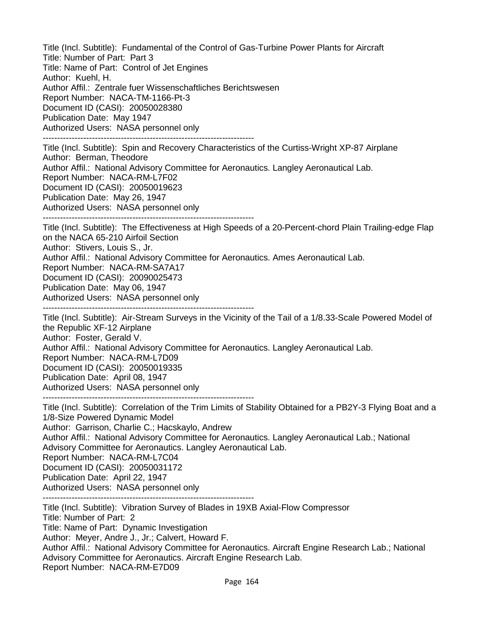Title (Incl. Subtitle): Fundamental of the Control of Gas-Turbine Power Plants for Aircraft Title: Number of Part: Part 3 Title: Name of Part: Control of Jet Engines Author: Kuehl, H. Author Affil.: Zentrale fuer Wissenschaftliches Berichtswesen Report Number: NACA-TM-1166-Pt-3 Document ID (CASI): 20050028380 Publication Date: May 1947 Authorized Users: NASA personnel only -------------------------------------------------------------------------

Title (Incl. Subtitle): Spin and Recovery Characteristics of the Curtiss-Wright XP-87 Airplane Author: Berman, Theodore Author Affil.: National Advisory Committee for Aeronautics. Langley Aeronautical Lab. Report Number: NACA-RM-L7F02 Document ID (CASI): 20050019623 Publication Date: May 26, 1947 Authorized Users: NASA personnel only -------------------------------------------------------------------------

Title (Incl. Subtitle): The Effectiveness at High Speeds of a 20-Percent-chord Plain Trailing-edge Flap on the NACA 65-210 Airfoil Section Author: Stivers, Louis S., Jr. Author Affil.: National Advisory Committee for Aeronautics. Ames Aeronautical Lab. Report Number: NACA-RM-SA7A17 Document ID (CASI): 20090025473 Publication Date: May 06, 1947 Authorized Users: NASA personnel only -------------------------------------------------------------------------

Title (Incl. Subtitle): Air-Stream Surveys in the Vicinity of the Tail of a 1/8.33-Scale Powered Model of the Republic XF-12 Airplane Author: Foster, Gerald V. Author Affil.: National Advisory Committee for Aeronautics. Langley Aeronautical Lab. Report Number: NACA-RM-L7D09 Document ID (CASI): 20050019335 Publication Date: April 08, 1947 Authorized Users: NASA personnel only

-------------------------------------------------------------------------

Title (Incl. Subtitle): Correlation of the Trim Limits of Stability Obtained for a PB2Y-3 Flying Boat and a 1/8-Size Powered Dynamic Model Author: Garrison, Charlie C.; Hacskaylo, Andrew Author Affil.: National Advisory Committee for Aeronautics. Langley Aeronautical Lab.; National Advisory Committee for Aeronautics. Langley Aeronautical Lab. Report Number: NACA-RM-L7C04 Document ID (CASI): 20050031172 Publication Date: April 22, 1947 Authorized Users: NASA personnel only -------------------------------------------------------------------------

Title (Incl. Subtitle): Vibration Survey of Blades in 19XB Axial-Flow Compressor Title: Number of Part: 2 Title: Name of Part: Dynamic Investigation Author: Meyer, Andre J., Jr.; Calvert, Howard F. Author Affil.: National Advisory Committee for Aeronautics. Aircraft Engine Research Lab.; National Advisory Committee for Aeronautics. Aircraft Engine Research Lab. Report Number: NACA-RM-E7D09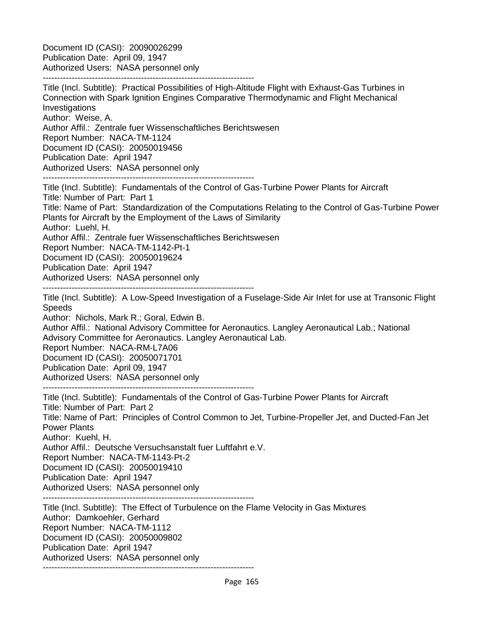Document ID (CASI): 20090026299 Publication Date: April 09, 1947 Authorized Users: NASA personnel only

-------------------------------------------------------------------------

Title (Incl. Subtitle): Practical Possibilities of High-Altitude Flight with Exhaust-Gas Turbines in Connection with Spark Ignition Engines Comparative Thermodynamic and Flight Mechanical Investigations Author: Weise, A. Author Affil.: Zentrale fuer Wissenschaftliches Berichtswesen Report Number: NACA-TM-1124 Document ID (CASI): 20050019456 Publication Date: April 1947 Authorized Users: NASA personnel only ------------------------------------------------------------------------- Title (Incl. Subtitle): Fundamentals of the Control of Gas-Turbine Power Plants for Aircraft Title: Number of Part: Part 1 Title: Name of Part: Standardization of the Computations Relating to the Control of Gas-Turbine Power Plants for Aircraft by the Employment of the Laws of Similarity Author: Luehl, H. Author Affil.: Zentrale fuer Wissenschaftliches Berichtswesen Report Number: NACA-TM-1142-Pt-1 Document ID (CASI): 20050019624 Publication Date: April 1947 Authorized Users: NASA personnel only ------------------------------------------------------------------------- Title (Incl. Subtitle): A Low-Speed Investigation of a Fuselage-Side Air Inlet for use at Transonic Flight **Speeds** Author: Nichols, Mark R.; Goral, Edwin B. Author Affil.: National Advisory Committee for Aeronautics. Langley Aeronautical Lab.; National Advisory Committee for Aeronautics. Langley Aeronautical Lab. Report Number: NACA-RM-L7A06 Document ID (CASI): 20050071701 Publication Date: April 09, 1947 Authorized Users: NASA personnel only ------------------------------------------------------------------------- Title (Incl. Subtitle): Fundamentals of the Control of Gas-Turbine Power Plants for Aircraft Title: Number of Part: Part 2 Title: Name of Part: Principles of Control Common to Jet, Turbine-Propeller Jet, and Ducted-Fan Jet Power Plants Author: Kuehl, H. Author Affil.: Deutsche Versuchsanstalt fuer Luftfahrt e.V. Report Number: NACA-TM-1143-Pt-2 Document ID (CASI): 20050019410 Publication Date: April 1947 Authorized Users: NASA personnel only ------------------------------------------------------------------------- Title (Incl. Subtitle): The Effect of Turbulence on the Flame Velocity in Gas Mixtures Author: Damkoehler, Gerhard Report Number: NACA-TM-1112 Document ID (CASI): 20050009802

Publication Date: April 1947

Authorized Users: NASA personnel only

-------------------------------------------------------------------------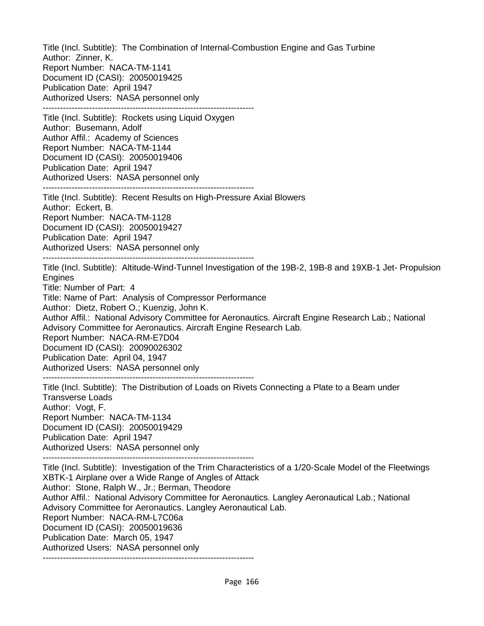Title (Incl. Subtitle): The Combination of Internal-Combustion Engine and Gas Turbine Author: Zinner, K. Report Number: NACA-TM-1141 Document ID (CASI): 20050019425 Publication Date: April 1947 Authorized Users: NASA personnel only ------------------------------------------------------------------------- Title (Incl. Subtitle): Rockets using Liquid Oxygen Author: Busemann, Adolf Author Affil.: Academy of Sciences Report Number: NACA-TM-1144 Document ID (CASI): 20050019406 Publication Date: April 1947 Authorized Users: NASA personnel only ------------------------------------------------------------------------- Title (Incl. Subtitle): Recent Results on High-Pressure Axial Blowers Author: Eckert, B. Report Number: NACA-TM-1128 Document ID (CASI): 20050019427 Publication Date: April 1947 Authorized Users: NASA personnel only ------------------------------------------------------------------------- Title (Incl. Subtitle): Altitude-Wind-Tunnel Investigation of the 19B-2, 19B-8 and 19XB-1 Jet- Propulsion **Engines** Title: Number of Part: 4 Title: Name of Part: Analysis of Compressor Performance Author: Dietz, Robert O.; Kuenzig, John K. Author Affil.: National Advisory Committee for Aeronautics. Aircraft Engine Research Lab.; National Advisory Committee for Aeronautics. Aircraft Engine Research Lab. Report Number: NACA-RM-E7D04 Document ID (CASI): 20090026302 Publication Date: April 04, 1947 Authorized Users: NASA personnel only ------------------------------------------------------------------------- Title (Incl. Subtitle): The Distribution of Loads on Rivets Connecting a Plate to a Beam under Transverse Loads Author: Vogt, F. Report Number: NACA-TM-1134 Document ID (CASI): 20050019429 Publication Date: April 1947 Authorized Users: NASA personnel only ------------------------------------------------------------------------- Title (Incl. Subtitle): Investigation of the Trim Characteristics of a 1/20-Scale Model of the Fleetwings XBTK-1 Airplane over a Wide Range of Angles of Attack Author: Stone, Ralph W., Jr.; Berman, Theodore Author Affil.: National Advisory Committee for Aeronautics. Langley Aeronautical Lab.; National Advisory Committee for Aeronautics. Langley Aeronautical Lab. Report Number: NACA-RM-L7C06a Document ID (CASI): 20050019636 Publication Date: March 05, 1947 Authorized Users: NASA personnel only -------------------------------------------------------------------------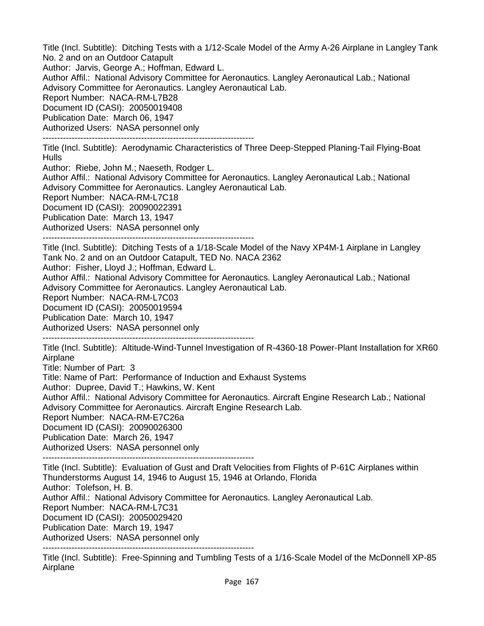Title (Incl. Subtitle): Ditching Tests with a 1/12-Scale Model of the Army A-26 Airplane in Langley Tank No. 2 and on an Outdoor Catapult Author: Jarvis, George A.; Hoffman, Edward L. Author Affil.: National Advisory Committee for Aeronautics. Langley Aeronautical Lab.; National Advisory Committee for Aeronautics. Langley Aeronautical Lab. Report Number: NACA-RM-L7B28 Document ID (CASI): 20050019408 Publication Date: March 06, 1947 Authorized Users: NASA personnel only -------------------------------------------------------------------------

Title (Incl. Subtitle): Aerodynamic Characteristics of Three Deep-Stepped Planing-Tail Flying-Boat **Hulls** 

Author: Riebe, John M.; Naeseth, Rodger L.

Author Affil.: National Advisory Committee for Aeronautics. Langley Aeronautical Lab.; National Advisory Committee for Aeronautics. Langley Aeronautical Lab.

Report Number: NACA-RM-L7C18

Document ID (CASI): 20090022391

Publication Date: March 13, 1947

Authorized Users: NASA personnel only

-------------------------------------------------------------------------

Title (Incl. Subtitle): Ditching Tests of a 1/18-Scale Model of the Navy XP4M-1 Airplane in Langley Tank No. 2 and on an Outdoor Catapult, TED No. NACA 2362 Author: Fisher, Lloyd J.; Hoffman, Edward L. Author Affil.: National Advisory Committee for Aeronautics. Langley Aeronautical Lab.; National

Advisory Committee for Aeronautics. Langley Aeronautical Lab.

Report Number: NACA-RM-L7C03

Document ID (CASI): 20050019594

Publication Date: March 10, 1947

Authorized Users: NASA personnel only -------------------------------------------------------------------------

Title (Incl. Subtitle): Altitude-Wind-Tunnel Investigation of R-4360-18 Power-Plant Installation for XR60 Airplane

Title: Number of Part: 3

Title: Name of Part: Performance of Induction and Exhaust Systems

Author: Dupree, David T.; Hawkins, W. Kent

Author Affil.: National Advisory Committee for Aeronautics. Aircraft Engine Research Lab.; National Advisory Committee for Aeronautics. Aircraft Engine Research Lab.

Report Number: NACA-RM-E7C26a

Document ID (CASI): 20090026300

Publication Date: March 26, 1947

Authorized Users: NASA personnel only

-------------------------------------------------------------------------

Title (Incl. Subtitle): Evaluation of Gust and Draft Velocities from Flights of P-61C Airplanes within Thunderstorms August 14, 1946 to August 15, 1946 at Orlando, Florida Author: Tolefson, H. B. Author Affil.: National Advisory Committee for Aeronautics. Langley Aeronautical Lab. Report Number: NACA-RM-L7C31 Document ID (CASI): 20050029420 Publication Date: March 19, 1947 Authorized Users: NASA personnel only

-------------------------------------------------------------------------

Title (Incl. Subtitle): Free-Spinning and Tumbling Tests of a 1/16-Scale Model of the McDonnell XP-85 Airplane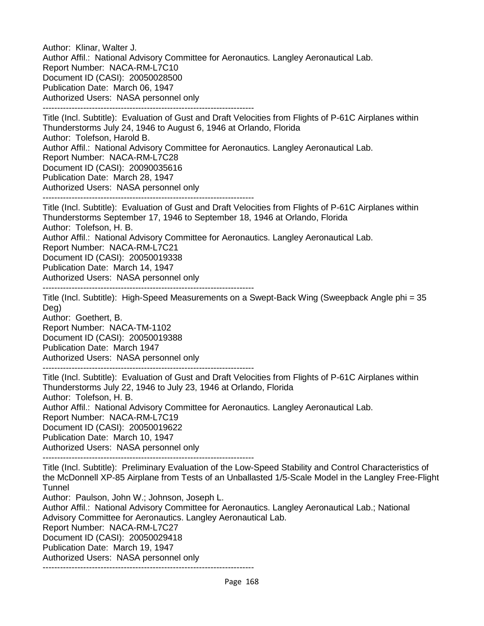Author: Klinar, Walter J. Author Affil.: National Advisory Committee for Aeronautics. Langley Aeronautical Lab. Report Number: NACA-RM-L7C10 Document ID (CASI): 20050028500 Publication Date: March 06, 1947 Authorized Users: NASA personnel only -------------------------------------------------------------------------

Title (Incl. Subtitle): Evaluation of Gust and Draft Velocities from Flights of P-61C Airplanes within Thunderstorms July 24, 1946 to August 6, 1946 at Orlando, Florida Author: Tolefson, Harold B. Author Affil.: National Advisory Committee for Aeronautics. Langley Aeronautical Lab. Report Number: NACA-RM-L7C28 Document ID (CASI): 20090035616 Publication Date: March 28, 1947 Authorized Users: NASA personnel only -------------------------------------------------------------------------

Title (Incl. Subtitle): Evaluation of Gust and Draft Velocities from Flights of P-61C Airplanes within Thunderstorms September 17, 1946 to September 18, 1946 at Orlando, Florida Author: Tolefson, H. B. Author Affil.: National Advisory Committee for Aeronautics. Langley Aeronautical Lab. Report Number: NACA-RM-L7C21 Document ID (CASI): 20050019338

Publication Date: March 14, 1947 Authorized Users: NASA personnel only

-------------------------------------------------------------------------

Title (Incl. Subtitle): High-Speed Measurements on a Swept-Back Wing (Sweepback Angle phi = 35 Deg)

Author: Goethert, B. Report Number: NACA-TM-1102 Document ID (CASI): 20050019388 Publication Date: March 1947 Authorized Users: NASA personnel only

-------------------------------------------------------------------------

Title (Incl. Subtitle): Evaluation of Gust and Draft Velocities from Flights of P-61C Airplanes within Thunderstorms July 22, 1946 to July 23, 1946 at Orlando, Florida Author: Tolefson, H. B. Author Affil.: National Advisory Committee for Aeronautics. Langley Aeronautical Lab. Report Number: NACA-RM-L7C19 Document ID (CASI): 20050019622 Publication Date: March 10, 1947 Authorized Users: NASA personnel only

-------------------------------------------------------------------------

Title (Incl. Subtitle): Preliminary Evaluation of the Low-Speed Stability and Control Characteristics of the McDonnell XP-85 Airplane from Tests of an Unballasted 1/5-Scale Model in the Langley Free-Flight **Tunnel** 

Author: Paulson, John W.; Johnson, Joseph L.

Author Affil.: National Advisory Committee for Aeronautics. Langley Aeronautical Lab.; National Advisory Committee for Aeronautics. Langley Aeronautical Lab. Report Number: NACA-RM-L7C27 Document ID (CASI): 20050029418 Publication Date: March 19, 1947 Authorized Users: NASA personnel only -------------------------------------------------------------------------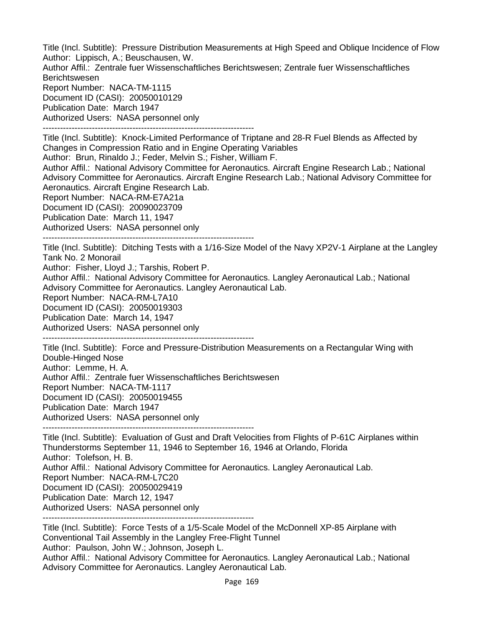Title (Incl. Subtitle): Pressure Distribution Measurements at High Speed and Oblique Incidence of Flow Author: Lippisch, A.; Beuschausen, W. Author Affil.: Zentrale fuer Wissenschaftliches Berichtswesen; Zentrale fuer Wissenschaftliches Berichtswesen Report Number: NACA-TM-1115 Document ID (CASI): 20050010129 Publication Date: March 1947 Authorized Users: NASA personnel only -------------------------------------------------------------------------

Title (Incl. Subtitle): Knock-Limited Performance of Triptane and 28-R Fuel Blends as Affected by Changes in Compression Ratio and in Engine Operating Variables

Author: Brun, Rinaldo J.; Feder, Melvin S.; Fisher, William F.

Author Affil.: National Advisory Committee for Aeronautics. Aircraft Engine Research Lab.; National Advisory Committee for Aeronautics. Aircraft Engine Research Lab.; National Advisory Committee for Aeronautics. Aircraft Engine Research Lab.

Report Number: NACA-RM-E7A21a

Document ID (CASI): 20090023709

Publication Date: March 11, 1947

Authorized Users: NASA personnel only

-------------------------------------------------------------------------

Title (Incl. Subtitle): Ditching Tests with a 1/16-Size Model of the Navy XP2V-1 Airplane at the Langley Tank No. 2 Monorail

Author: Fisher, Lloyd J.; Tarshis, Robert P.

Author Affil.: National Advisory Committee for Aeronautics. Langley Aeronautical Lab.; National Advisory Committee for Aeronautics. Langley Aeronautical Lab.

Report Number: NACA-RM-L7A10

Document ID (CASI): 20050019303

Publication Date: March 14, 1947

Authorized Users: NASA personnel only

-------------------------------------------------------------------------

Title (Incl. Subtitle): Force and Pressure-Distribution Measurements on a Rectangular Wing with Double-Hinged Nose Author: Lemme, H. A. Author Affil.: Zentrale fuer Wissenschaftliches Berichtswesen Report Number: NACA-TM-1117 Document ID (CASI): 20050019455 Publication Date: March 1947 Authorized Users: NASA personnel only -------------------------------------------------------------------------

Title (Incl. Subtitle): Evaluation of Gust and Draft Velocities from Flights of P-61C Airplanes within Thunderstorms September 11, 1946 to September 16, 1946 at Orlando, Florida Author: Tolefson, H. B. Author Affil.: National Advisory Committee for Aeronautics. Langley Aeronautical Lab. Report Number: NACA-RM-L7C20 Document ID (CASI): 20050029419 Publication Date: March 12, 1947 Authorized Users: NASA personnel only

-------------------------------------------------------------------------

Title (Incl. Subtitle): Force Tests of a 1/5-Scale Model of the McDonnell XP-85 Airplane with Conventional Tail Assembly in the Langley Free-Flight Tunnel Author: Paulson, John W.; Johnson, Joseph L. Author Affil.: National Advisory Committee for Aeronautics. Langley Aeronautical Lab.; National Advisory Committee for Aeronautics. Langley Aeronautical Lab.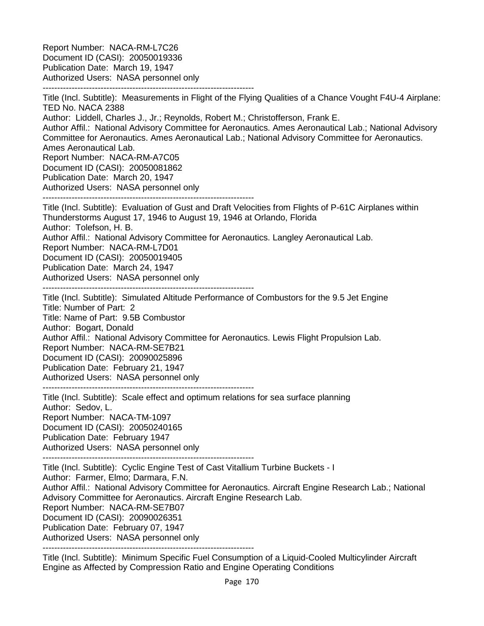Report Number: NACA-RM-L7C26 Document ID (CASI): 20050019336 Publication Date: March 19, 1947 Authorized Users: NASA personnel only -------------------------------------------------------------------------

Title (Incl. Subtitle): Measurements in Flight of the Flying Qualities of a Chance Vought F4U-4 Airplane: TED No. NACA 2388 Author: Liddell, Charles J., Jr.; Reynolds, Robert M.; Christofferson, Frank E. Author Affil.: National Advisory Committee for Aeronautics. Ames Aeronautical Lab.; National Advisory Committee for Aeronautics. Ames Aeronautical Lab.; National Advisory Committee for Aeronautics. Ames Aeronautical Lab. Report Number: NACA-RM-A7C05 Document ID (CASI): 20050081862 Publication Date: March 20, 1947 Authorized Users: NASA personnel only ------------------------------------------------------------------------- Title (Incl. Subtitle): Evaluation of Gust and Draft Velocities from Flights of P-61C Airplanes within Thunderstorms August 17, 1946 to August 19, 1946 at Orlando, Florida Author: Tolefson, H. B. Author Affil.: National Advisory Committee for Aeronautics. Langley Aeronautical Lab. Report Number: NACA-RM-L7D01 Document ID (CASI): 20050019405 Publication Date: March 24, 1947 Authorized Users: NASA personnel only ------------------------------------------------------------------------- Title (Incl. Subtitle): Simulated Altitude Performance of Combustors for the 9.5 Jet Engine Title: Number of Part: 2 Title: Name of Part: 9.5B Combustor Author: Bogart, Donald Author Affil.: National Advisory Committee for Aeronautics. Lewis Flight Propulsion Lab. Report Number: NACA-RM-SE7B21 Document ID (CASI): 20090025896 Publication Date: February 21, 1947 Authorized Users: NASA personnel only ------------------------------------------------------------------------- Title (Incl. Subtitle): Scale effect and optimum relations for sea surface planning Author: Sedov, L. Report Number: NACA-TM-1097 Document ID (CASI): 20050240165 Publication Date: February 1947

Authorized Users: NASA personnel only

-------------------------------------------------------------------------

Title (Incl. Subtitle): Cyclic Engine Test of Cast Vitallium Turbine Buckets - I Author: Farmer, Elmo; Darmara, F.N. Author Affil.: National Advisory Committee for Aeronautics. Aircraft Engine Research Lab.; National Advisory Committee for Aeronautics. Aircraft Engine Research Lab. Report Number: NACA-RM-SE7B07 Document ID (CASI): 20090026351 Publication Date: February 07, 1947 Authorized Users: NASA personnel only

-------------------------------------------------------------------------

Title (Incl. Subtitle): Minimum Specific Fuel Consumption of a Liquid-Cooled Multicylinder Aircraft Engine as Affected by Compression Ratio and Engine Operating Conditions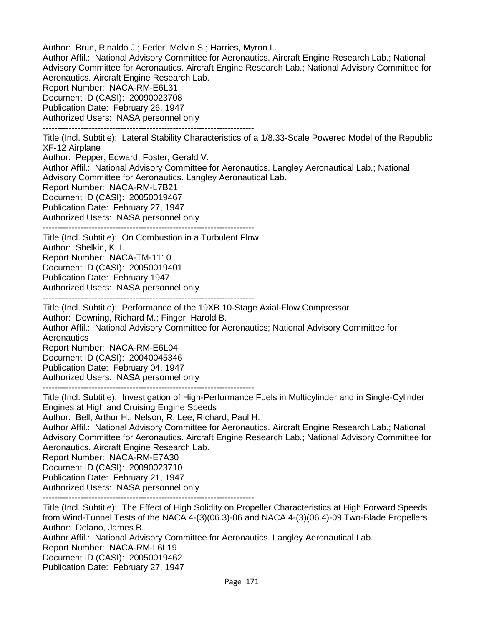Author: Brun, Rinaldo J.; Feder, Melvin S.; Harries, Myron L. Author Affil.: National Advisory Committee for Aeronautics. Aircraft Engine Research Lab.; National Advisory Committee for Aeronautics. Aircraft Engine Research Lab.; National Advisory Committee for Aeronautics. Aircraft Engine Research Lab. Report Number: NACA-RM-E6L31 Document ID (CASI): 20090023708 Publication Date: February 26, 1947 Authorized Users: NASA personnel only ------------------------------------------------------------------------- Title (Incl. Subtitle): Lateral Stability Characteristics of a 1/8.33-Scale Powered Model of the Republic XF-12 Airplane

Author: Pepper, Edward; Foster, Gerald V.

Author Affil.: National Advisory Committee for Aeronautics. Langley Aeronautical Lab.; National Advisory Committee for Aeronautics. Langley Aeronautical Lab.

Report Number: NACA-RM-L7B21

Document ID (CASI): 20050019467

Publication Date: February 27, 1947

Authorized Users: NASA personnel only

-------------------------------------------------------------------------

Title (Incl. Subtitle): On Combustion in a Turbulent Flow Author: Shelkin, K. I. Report Number: NACA-TM-1110 Document ID (CASI): 20050019401 Publication Date: February 1947 Authorized Users: NASA personnel only

-------------------------------------------------------------------------

Title (Incl. Subtitle): Performance of the 19XB 10-Stage Axial-Flow Compressor Author: Downing, Richard M.; Finger, Harold B. Author Affil.: National Advisory Committee for Aeronautics; National Advisory Committee for **Aeronautics** Report Number: NACA-RM-E6L04 Document ID (CASI): 20040045346 Publication Date: February 04, 1947 Authorized Users: NASA personnel only -------------------------------------------------------------------------

Title (Incl. Subtitle): Investigation of High-Performance Fuels in Multicylinder and in Single-Cylinder Engines at High and Cruising Engine Speeds

Author: Bell, Arthur H.; Nelson, R. Lee; Richard, Paul H.

Author Affil.: National Advisory Committee for Aeronautics. Aircraft Engine Research Lab.; National Advisory Committee for Aeronautics. Aircraft Engine Research Lab.; National Advisory Committee for Aeronautics. Aircraft Engine Research Lab.

Report Number: NACA-RM-E7A30

Document ID (CASI): 20090023710

Publication Date: February 21, 1947

Authorized Users: NASA personnel only

-------------------------------------------------------------------------

Title (Incl. Subtitle): The Effect of High Solidity on Propeller Characteristics at High Forward Speeds from Wind-Tunnel Tests of the NACA 4-(3)(06.3)-06 and NACA 4-(3)(06.4)-09 Two-Blade Propellers Author: Delano, James B. Author Affil.: National Advisory Committee for Aeronautics. Langley Aeronautical Lab. Report Number: NACA-RM-L6L19

Document ID (CASI): 20050019462 Publication Date: February 27, 1947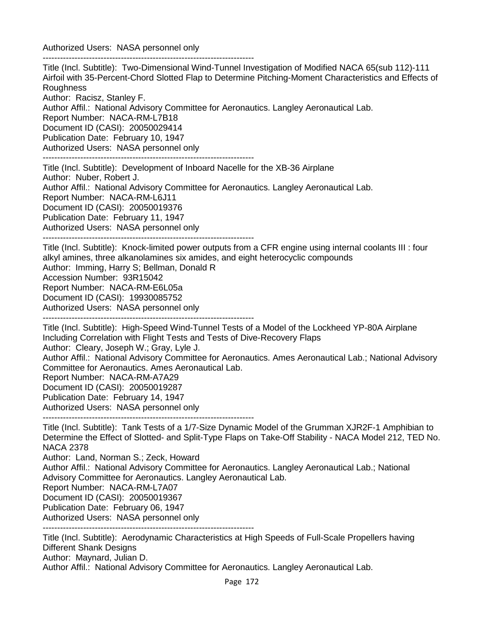Authorized Users: NASA personnel only -------------------------------------------------------------------------

Title (Incl. Subtitle): Two-Dimensional Wind-Tunnel Investigation of Modified NACA 65(sub 112)-111 Airfoil with 35-Percent-Chord Slotted Flap to Determine Pitching-Moment Characteristics and Effects of Roughness

Author: Racisz, Stanley F.

Author Affil.: National Advisory Committee for Aeronautics. Langley Aeronautical Lab.

Report Number: NACA-RM-L7B18

Document ID (CASI): 20050029414

Publication Date: February 10, 1947

Authorized Users: NASA personnel only

-------------------------------------------------------------------------

Title (Incl. Subtitle): Development of Inboard Nacelle for the XB-36 Airplane Author: Nuber, Robert J. Author Affil.: National Advisory Committee for Aeronautics. Langley Aeronautical Lab. Report Number: NACA-RM-L6J11 Document ID (CASI): 20050019376 Publication Date: February 11, 1947 Authorized Users: NASA personnel only

-------------------------------------------------------------------------

Title (Incl. Subtitle): Knock-limited power outputs from a CFR engine using internal coolants III : four alkyl amines, three alkanolamines six amides, and eight heterocyclic compounds Author: Imming, Harry S; Bellman, Donald R Accession Number: 93R15042 Report Number: NACA-RM-E6L05a Document ID (CASI): 19930085752 Authorized Users: NASA personnel only -------------------------------------------------------------------------

Title (Incl. Subtitle): High-Speed Wind-Tunnel Tests of a Model of the Lockheed YP-80A Airplane Including Correlation with Flight Tests and Tests of Dive-Recovery Flaps Author: Cleary, Joseph W.; Gray, Lyle J. Author Affil.: National Advisory Committee for Aeronautics. Ames Aeronautical Lab.; National Advisory Committee for Aeronautics. Ames Aeronautical Lab. Report Number: NACA-RM-A7A29

Document ID (CASI): 20050019287

Publication Date: February 14, 1947

Authorized Users: NASA personnel only

-------------------------------------------------------------------------

Title (Incl. Subtitle): Tank Tests of a 1/7-Size Dynamic Model of the Grumman XJR2F-1 Amphibian to Determine the Effect of Slotted- and Split-Type Flaps on Take-Off Stability - NACA Model 212, TED No. NACA 2378

Author: Land, Norman S.; Zeck, Howard

Author Affil.: National Advisory Committee for Aeronautics. Langley Aeronautical Lab.; National Advisory Committee for Aeronautics. Langley Aeronautical Lab.

Report Number: NACA-RM-L7A07

Document ID (CASI): 20050019367

Publication Date: February 06, 1947

Authorized Users: NASA personnel only

-------------------------------------------------------------------------

Title (Incl. Subtitle): Aerodynamic Characteristics at High Speeds of Full-Scale Propellers having Different Shank Designs

Author: Maynard, Julian D.

Author Affil.: National Advisory Committee for Aeronautics. Langley Aeronautical Lab.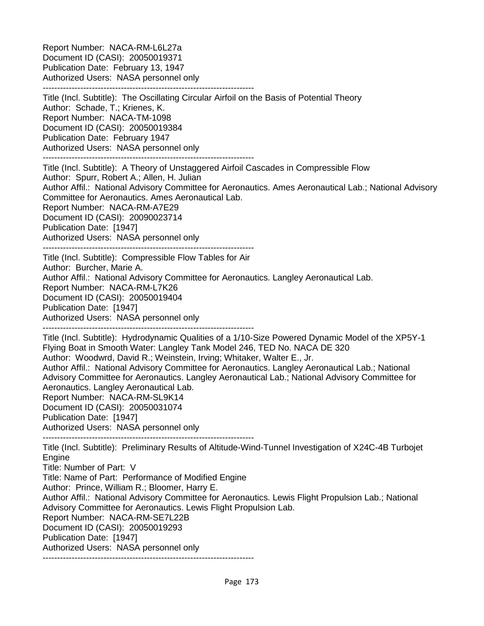Report Number: NACA-RM-L6L27a Document ID (CASI): 20050019371 Publication Date: February 13, 1947 Authorized Users: NASA personnel only -------------------------------------------------------------------------

Title (Incl. Subtitle): The Oscillating Circular Airfoil on the Basis of Potential Theory Author: Schade, T.; Krienes, K. Report Number: NACA-TM-1098 Document ID (CASI): 20050019384 Publication Date: February 1947 Authorized Users: NASA personnel only -------------------------------------------------------------------------

Title (Incl. Subtitle): A Theory of Unstaggered Airfoil Cascades in Compressible Flow

Author: Spurr, Robert A.; Allen, H. Julian Author Affil.: National Advisory Committee for Aeronautics. Ames Aeronautical Lab.; National Advisory Committee for Aeronautics. Ames Aeronautical Lab. Report Number: NACA-RM-A7E29 Document ID (CASI): 20090023714 Publication Date: [1947]

Authorized Users: NASA personnel only

------------------------------------------------------------------------- Title (Incl. Subtitle): Compressible Flow Tables for Air

Author: Burcher, Marie A.

Author Affil.: National Advisory Committee for Aeronautics. Langley Aeronautical Lab.

Report Number: NACA-RM-L7K26

Document ID (CASI): 20050019404

Publication Date: [1947]

Authorized Users: NASA personnel only

-------------------------------------------------------------------------

Title (Incl. Subtitle): Hydrodynamic Qualities of a 1/10-Size Powered Dynamic Model of the XP5Y-1 Flying Boat in Smooth Water: Langley Tank Model 246, TED No. NACA DE 320 Author: Woodwrd, David R.; Weinstein, Irving; Whitaker, Walter E., Jr.

Author Affil.: National Advisory Committee for Aeronautics. Langley Aeronautical Lab.; National Advisory Committee for Aeronautics. Langley Aeronautical Lab.; National Advisory Committee for Aeronautics. Langley Aeronautical Lab.

Report Number: NACA-RM-SL9K14 Document ID (CASI): 20050031074 Publication Date: [1947] Authorized Users: NASA personnel only

-------------------------------------------------------------------------

Title (Incl. Subtitle): Preliminary Results of Altitude-Wind-Tunnel Investigation of X24C-4B Turbojet **Engine** Title: Number of Part: V

Title: Name of Part: Performance of Modified Engine

Author: Prince, William R.; Bloomer, Harry E.

Author Affil.: National Advisory Committee for Aeronautics. Lewis Flight Propulsion Lab.; National Advisory Committee for Aeronautics. Lewis Flight Propulsion Lab.

Report Number: NACA-RM-SE7L22B

Document ID (CASI): 20050019293

Publication Date: [1947]

Authorized Users: NASA personnel only -------------------------------------------------------------------------

Page 173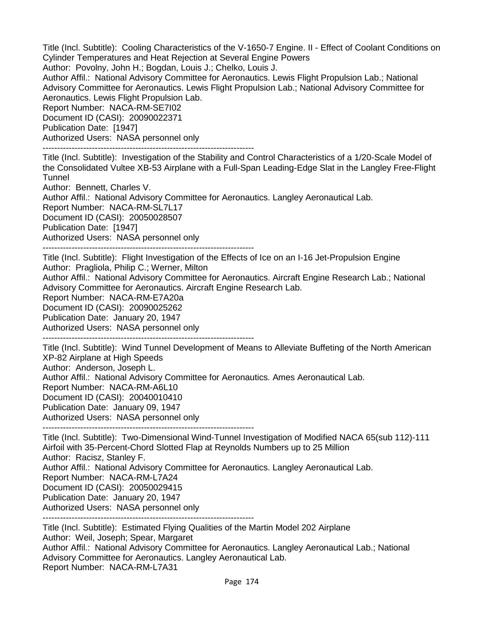Title (Incl. Subtitle): Cooling Characteristics of the V-1650-7 Engine. II - Effect of Coolant Conditions on Cylinder Temperatures and Heat Rejection at Several Engine Powers

Author: Povolny, John H.; Bogdan, Louis J.; Chelko, Louis J.

Author Affil.: National Advisory Committee for Aeronautics. Lewis Flight Propulsion Lab.; National Advisory Committee for Aeronautics. Lewis Flight Propulsion Lab.; National Advisory Committee for Aeronautics. Lewis Flight Propulsion Lab.

Report Number: NACA-RM-SE7I02 Document ID (CASI): 20090022371 Publication Date: [1947]

Authorized Users: NASA personnel only

-------------------------------------------------------------------------

Title (Incl. Subtitle): Investigation of the Stability and Control Characteristics of a 1/20-Scale Model of the Consolidated Vultee XB-53 Airplane with a Full-Span Leading-Edge Slat in the Langley Free-Flight **Tunnel** 

Author: Bennett, Charles V. Author Affil.: National Advisory Committee for Aeronautics. Langley Aeronautical Lab.

Report Number: NACA-RM-SL7L17

Document ID (CASI): 20050028507

Publication Date: [1947]

Authorized Users: NASA personnel only

-------------------------------------------------------------------------

Title (Incl. Subtitle): Flight Investigation of the Effects of Ice on an I-16 Jet-Propulsion Engine Author: Pragliola, Philip C.; Werner, Milton Author Affil.: National Advisory Committee for Aeronautics. Aircraft Engine Research Lab.; National

Advisory Committee for Aeronautics. Aircraft Engine Research Lab.

Report Number: NACA-RM-E7A20a

Document ID (CASI): 20090025262

Publication Date: January 20, 1947

Authorized Users: NASA personnel only

-------------------------------------------------------------------------

Title (Incl. Subtitle): Wind Tunnel Development of Means to Alleviate Buffeting of the North American XP-82 Airplane at High Speeds Author: Anderson, Joseph L. Author Affil.: National Advisory Committee for Aeronautics. Ames Aeronautical Lab. Report Number: NACA-RM-A6L10 Document ID (CASI): 20040010410 Publication Date: January 09, 1947 Authorized Users: NASA personnel only

-------------------------------------------------------------------------

Title (Incl. Subtitle): Two-Dimensional Wind-Tunnel Investigation of Modified NACA 65(sub 112)-111 Airfoil with 35-Percent-Chord Slotted Flap at Reynolds Numbers up to 25 Million Author: Racisz, Stanley F. Author Affil.: National Advisory Committee for Aeronautics. Langley Aeronautical Lab. Report Number: NACA-RM-L7A24 Document ID (CASI): 20050029415 Publication Date: January 20, 1947 Authorized Users: NASA personnel only -------------------------------------------------------------------------

Title (Incl. Subtitle): Estimated Flying Qualities of the Martin Model 202 Airplane Author: Weil, Joseph; Spear, Margaret Author Affil.: National Advisory Committee for Aeronautics. Langley Aeronautical Lab.; National Advisory Committee for Aeronautics. Langley Aeronautical Lab. Report Number: NACA-RM-L7A31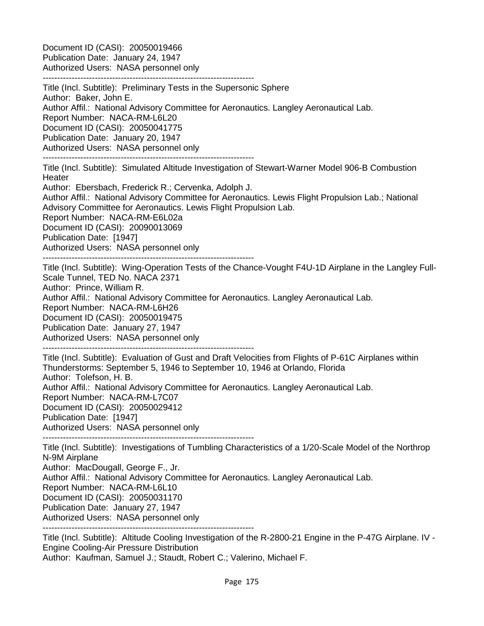Document ID (CASI): 20050019466 Publication Date: January 24, 1947 Authorized Users: NASA personnel only

------------------------------------------------------------------------- Title (Incl. Subtitle): Preliminary Tests in the Supersonic Sphere Author: Baker, John E. Author Affil.: National Advisory Committee for Aeronautics. Langley Aeronautical Lab. Report Number: NACA-RM-L6L20 Document ID (CASI): 20050041775 Publication Date: January 20, 1947 Authorized Users: NASA personnel only ------------------------------------------------------------------------- Title (Incl. Subtitle): Simulated Altitude Investigation of Stewart-Warner Model 906-B Combustion **Heater** Author: Ebersbach, Frederick R.; Cervenka, Adolph J. Author Affil.: National Advisory Committee for Aeronautics. Lewis Flight Propulsion Lab.; National Advisory Committee for Aeronautics. Lewis Flight Propulsion Lab. Report Number: NACA-RM-E6L02a Document ID (CASI): 20090013069 Publication Date: [1947] Authorized Users: NASA personnel only ------------------------------------------------------------------------- Title (Incl. Subtitle): Wing-Operation Tests of the Chance-Vought F4U-1D Airplane in the Langley Full-Scale Tunnel, TED No. NACA 2371 Author: Prince, William R. Author Affil.: National Advisory Committee for Aeronautics. Langley Aeronautical Lab. Report Number: NACA-RM-L6H26 Document ID (CASI): 20050019475 Publication Date: January 27, 1947 Authorized Users: NASA personnel only ------------------------------------------------------------------------- Title (Incl. Subtitle): Evaluation of Gust and Draft Velocities from Flights of P-61C Airplanes within Thunderstorms: September 5, 1946 to September 10, 1946 at Orlando, Florida Author: Tolefson, H. B. Author Affil.: National Advisory Committee for Aeronautics. Langley Aeronautical Lab. Report Number: NACA-RM-L7C07 Document ID (CASI): 20050029412 Publication Date: [1947] Authorized Users: NASA personnel only ------------------------------------------------------------------------- Title (Incl. Subtitle): Investigations of Tumbling Characteristics of a 1/20-Scale Model of the Northrop N-9M Airplane Author: MacDougall, George F., Jr. Author Affil.: National Advisory Committee for Aeronautics. Langley Aeronautical Lab. Report Number: NACA-RM-L6L10 Document ID (CASI): 20050031170 Publication Date: January 27, 1947

Authorized Users: NASA personnel only

-------------------------------------------------------------------------

Title (Incl. Subtitle): Altitude Cooling Investigation of the R-2800-21 Engine in the P-47G Airplane. IV - Engine Cooling-Air Pressure Distribution

Author: Kaufman, Samuel J.; Staudt, Robert C.; Valerino, Michael F.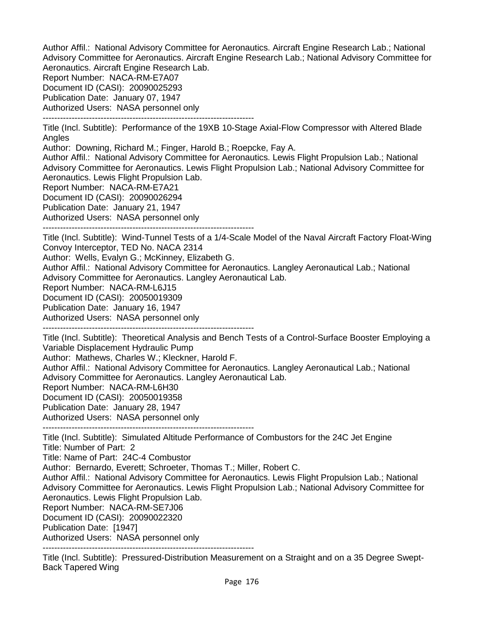Author Affil.: National Advisory Committee for Aeronautics. Aircraft Engine Research Lab.; National Advisory Committee for Aeronautics. Aircraft Engine Research Lab.; National Advisory Committee for Aeronautics. Aircraft Engine Research Lab.

Report Number: NACA-RM-E7A07

Document ID (CASI): 20090025293

Publication Date: January 07, 1947

Authorized Users: NASA personnel only -------------------------------------------------------------------------

Title (Incl. Subtitle): Performance of the 19XB 10-Stage Axial-Flow Compressor with Altered Blade Angles

Author: Downing, Richard M.; Finger, Harold B.; Roepcke, Fay A.

Author Affil.: National Advisory Committee for Aeronautics. Lewis Flight Propulsion Lab.; National Advisory Committee for Aeronautics. Lewis Flight Propulsion Lab.; National Advisory Committee for Aeronautics. Lewis Flight Propulsion Lab.

Report Number: NACA-RM-E7A21

Document ID (CASI): 20090026294

Publication Date: January 21, 1947

Authorized Users: NASA personnel only

-------------------------------------------------------------------------

Title (Incl. Subtitle): Wind-Tunnel Tests of a 1/4-Scale Model of the Naval Aircraft Factory Float-Wing Convoy Interceptor, TED No. NACA 2314

Author: Wells, Evalyn G.; McKinney, Elizabeth G.

Author Affil.: National Advisory Committee for Aeronautics. Langley Aeronautical Lab.; National Advisory Committee for Aeronautics. Langley Aeronautical Lab.

Report Number: NACA-RM-L6J15

Document ID (CASI): 20050019309

Publication Date: January 16, 1947

Authorized Users: NASA personnel only

-------------------------------------------------------------------------

Title (Incl. Subtitle): Theoretical Analysis and Bench Tests of a Control-Surface Booster Employing a Variable Displacement Hydraulic Pump

Author: Mathews, Charles W.; Kleckner, Harold F.

Author Affil.: National Advisory Committee for Aeronautics. Langley Aeronautical Lab.; National Advisory Committee for Aeronautics. Langley Aeronautical Lab.

Report Number: NACA-RM-L6H30

Document ID (CASI): 20050019358

Publication Date: January 28, 1947

Authorized Users: NASA personnel only

-------------------------------------------------------------------------

Title (Incl. Subtitle): Simulated Altitude Performance of Combustors for the 24C Jet Engine Title: Number of Part: 2

Title: Name of Part: 24C-4 Combustor

Author: Bernardo, Everett; Schroeter, Thomas T.; Miller, Robert C.

Author Affil.: National Advisory Committee for Aeronautics. Lewis Flight Propulsion Lab.; National Advisory Committee for Aeronautics. Lewis Flight Propulsion Lab.; National Advisory Committee for Aeronautics. Lewis Flight Propulsion Lab.

Report Number: NACA-RM-SE7J06

Document ID (CASI): 20090022320

Publication Date: [1947]

Authorized Users: NASA personnel only

-------------------------------------------------------------------------

Title (Incl. Subtitle): Pressured-Distribution Measurement on a Straight and on a 35 Degree Swept-Back Tapered Wing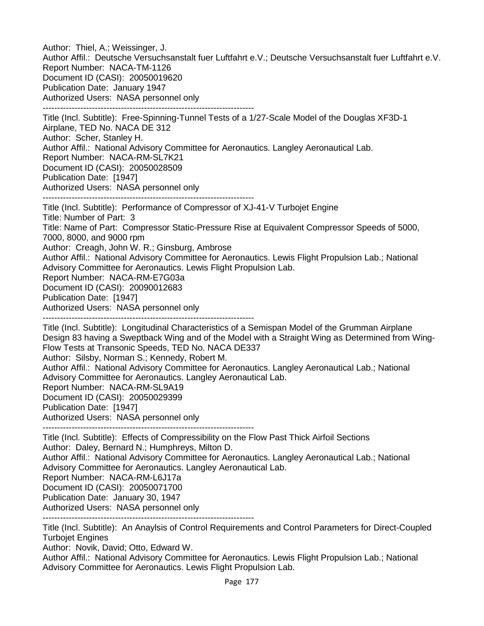Author: Thiel, A.; Weissinger, J. Author Affil.: Deutsche Versuchsanstalt fuer Luftfahrt e.V.; Deutsche Versuchsanstalt fuer Luftfahrt e.V. Report Number: NACA-TM-1126 Document ID (CASI): 20050019620 Publication Date: January 1947 Authorized Users: NASA personnel only ------------------------------------------------------------------------- Title (Incl. Subtitle): Free-Spinning-Tunnel Tests of a 1/27-Scale Model of the Douglas XF3D-1 Airplane, TED No. NACA DE 312 Author: Scher, Stanley H. Author Affil.: National Advisory Committee for Aeronautics. Langley Aeronautical Lab. Report Number: NACA-RM-SL7K21 Document ID (CASI): 20050028509 Publication Date: [1947] Authorized Users: NASA personnel only ------------------------------------------------------------------------- Title (Incl. Subtitle): Performance of Compressor of XJ-41-V Turbojet Engine Title: Number of Part: 3 Title: Name of Part: Compressor Static-Pressure Rise at Equivalent Compressor Speeds of 5000, 7000, 8000, and 9000 rpm Author: Creagh, John W. R.; Ginsburg, Ambrose Author Affil.: National Advisory Committee for Aeronautics. Lewis Flight Propulsion Lab.; National Advisory Committee for Aeronautics. Lewis Flight Propulsion Lab. Report Number: NACA-RM-E7G03a Document ID (CASI): 20090012683 Publication Date: [1947] Authorized Users: NASA personnel only ------------------------------------------------------------------------- Title (Incl. Subtitle): Longitudinal Characteristics of a Semispan Model of the Grumman Airplane Design 83 having a Sweptback Wing and of the Model with a Straight Wing as Determined from Wing-Flow Tests at Transonic Speeds, TED No. NACA DE337 Author: Silsby, Norman S.; Kennedy, Robert M. Author Affil.: National Advisory Committee for Aeronautics. Langley Aeronautical Lab.; National Advisory Committee for Aeronautics. Langley Aeronautical Lab. Report Number: NACA-RM-SL9A19 Document ID (CASI): 20050029399 Publication Date: [1947] Authorized Users: NASA personnel only ------------------------------------------------------------------------- Title (Incl. Subtitle): Effects of Compressibility on the Flow Past Thick Airfoil Sections Author: Daley, Bernard N.; Humphreys, Milton D. Author Affil.: National Advisory Committee for Aeronautics. Langley Aeronautical Lab.; National Advisory Committee for Aeronautics. Langley Aeronautical Lab. Report Number: NACA-RM-L6J17a Document ID (CASI): 20050071700 Publication Date: January 30, 1947 Authorized Users: NASA personnel only -------------------------------------------------------------------------

Title (Incl. Subtitle): An Anaylsis of Control Requirements and Control Parameters for Direct-Coupled Turbojet Engines

Author: Novik, David; Otto, Edward W.

Author Affil.: National Advisory Committee for Aeronautics. Lewis Flight Propulsion Lab.; National Advisory Committee for Aeronautics. Lewis Flight Propulsion Lab.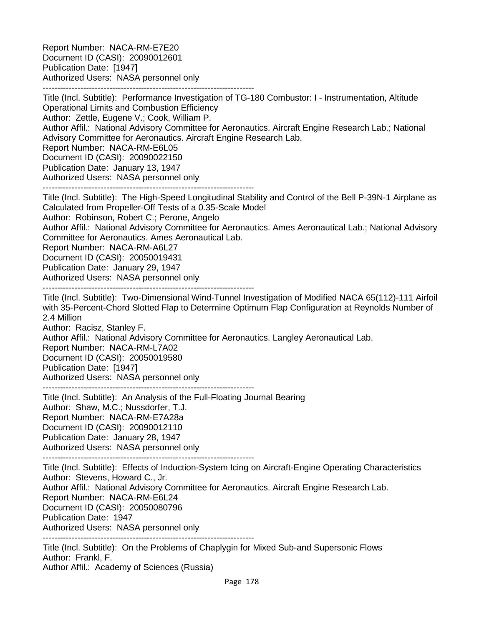Report Number: NACA-RM-E7E20 Document ID (CASI): 20090012601 Publication Date: [1947] Authorized Users: NASA personnel only -------------------------------------------------------------------------

Title (Incl. Subtitle): Performance Investigation of TG-180 Combustor: I - Instrumentation, Altitude Operational Limits and Combustion Efficiency Author: Zettle, Eugene V.; Cook, William P. Author Affil.: National Advisory Committee for Aeronautics. Aircraft Engine Research Lab.; National Advisory Committee for Aeronautics. Aircraft Engine Research Lab. Report Number: NACA-RM-E6L05 Document ID (CASI): 20090022150 Publication Date: January 13, 1947 Authorized Users: NASA personnel only -------------------------------------------------------------------------

Title (Incl. Subtitle): The High-Speed Longitudinal Stability and Control of the Bell P-39N-1 Airplane as Calculated from Propeller-Off Tests of a 0.35-Scale Model Author: Robinson, Robert C.; Perone, Angelo

Author Affil.: National Advisory Committee for Aeronautics. Ames Aeronautical Lab.; National Advisory Committee for Aeronautics. Ames Aeronautical Lab.

Report Number: NACA-RM-A6L27

Document ID (CASI): 20050019431

Publication Date: January 29, 1947

Authorized Users: NASA personnel only -------------------------------------------------------------------------

Title (Incl. Subtitle): Two-Dimensional Wind-Tunnel Investigation of Modified NACA 65(112)-111 Airfoil with 35-Percent-Chord Slotted Flap to Determine Optimum Flap Configuration at Reynolds Number of 2.4 Million

Author: Racisz, Stanley F. Author Affil.: National Advisory Committee for Aeronautics. Langley Aeronautical Lab. Report Number: NACA-RM-L7A02 Document ID (CASI): 20050019580 Publication Date: [1947] Authorized Users: NASA personnel only -------------------------------------------------------------------------

Title (Incl. Subtitle): An Analysis of the Full-Floating Journal Bearing Author: Shaw, M.C.; Nussdorfer, T.J. Report Number: NACA-RM-E7A28a Document ID (CASI): 20090012110 Publication Date: January 28, 1947 Authorized Users: NASA personnel only

-------------------------------------------------------------------------

Title (Incl. Subtitle): Effects of Induction-System Icing on Aircraft-Engine Operating Characteristics Author: Stevens, Howard C., Jr.

Author Affil.: National Advisory Committee for Aeronautics. Aircraft Engine Research Lab.

Report Number: NACA-RM-E6L24

Document ID (CASI): 20050080796

Publication Date: 1947

Authorized Users: NASA personnel only

-------------------------------------------------------------------------

Title (Incl. Subtitle): On the Problems of Chaplygin for Mixed Sub-and Supersonic Flows Author: Frankl, F. Author Affil.: Academy of Sciences (Russia)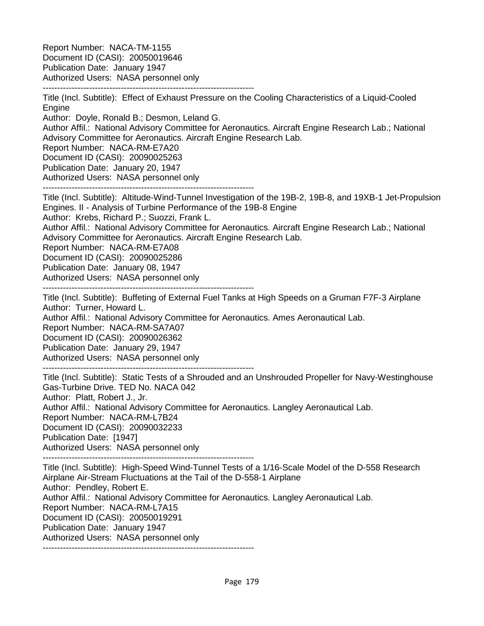Report Number: NACA-TM-1155 Document ID (CASI): 20050019646 Publication Date: January 1947 Authorized Users: NASA personnel only -------------------------------------------------------------------------

Title (Incl. Subtitle): Effect of Exhaust Pressure on the Cooling Characteristics of a Liquid-Cooled Engine Author: Doyle, Ronald B.; Desmon, Leland G. Author Affil.: National Advisory Committee for Aeronautics. Aircraft Engine Research Lab.; National Advisory Committee for Aeronautics. Aircraft Engine Research Lab. Report Number: NACA-RM-E7A20 Document ID (CASI): 20090025263 Publication Date: January 20, 1947 Authorized Users: NASA personnel only -------------------------------------------------------------------------

Title (Incl. Subtitle): Altitude-Wind-Tunnel Investigation of the 19B-2, 19B-8, and 19XB-1 Jet-Propulsion Engines. II - Analysis of Turbine Performance of the 19B-8 Engine Author: Krebs, Richard P.; Suozzi, Frank L. Author Affil.: National Advisory Committee for Aeronautics. Aircraft Engine Research Lab.; National Advisory Committee for Aeronautics. Aircraft Engine Research Lab. Report Number: NACA-RM-E7A08 Document ID (CASI): 20090025286 Publication Date: January 08, 1947 Authorized Users: NASA personnel only

-------------------------------------------------------------------------

Title (Incl. Subtitle): Buffeting of External Fuel Tanks at High Speeds on a Gruman F7F-3 Airplane Author: Turner, Howard L.

Author Affil.: National Advisory Committee for Aeronautics. Ames Aeronautical Lab.

Report Number: NACA-RM-SA7A07

Document ID (CASI): 20090026362

Publication Date: January 29, 1947

Authorized Users: NASA personnel only

-------------------------------------------------------------------------

Title (Incl. Subtitle): Static Tests of a Shrouded and an Unshrouded Propeller for Navy-Westinghouse Gas-Turbine Drive. TED No. NACA 042 Author: Platt, Robert J., Jr. Author Affil.: National Advisory Committee for Aeronautics. Langley Aeronautical Lab. Report Number: NACA-RM-L7B24 Document ID (CASI): 20090032233 Publication Date: [1947] Authorized Users: NASA personnel only -------------------------------------------------------------------------

Title (Incl. Subtitle): High-Speed Wind-Tunnel Tests of a 1/16-Scale Model of the D-558 Research Airplane Air-Stream Fluctuations at the Tail of the D-558-1 Airplane Author: Pendley, Robert E. Author Affil.: National Advisory Committee for Aeronautics. Langley Aeronautical Lab. Report Number: NACA-RM-L7A15 Document ID (CASI): 20050019291 Publication Date: January 1947 Authorized Users: NASA personnel only -------------------------------------------------------------------------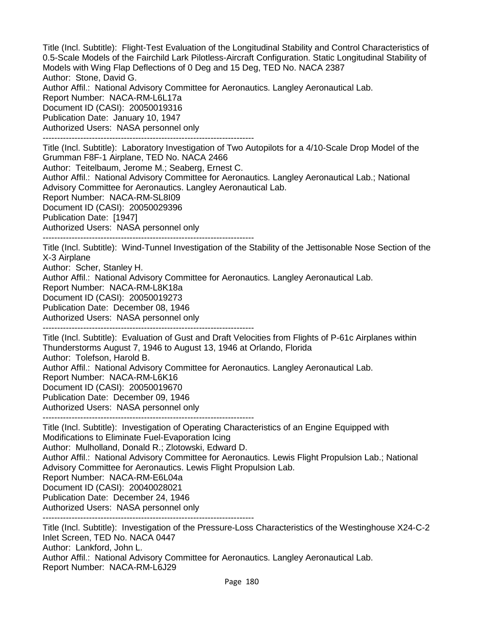Title (Incl. Subtitle): Flight-Test Evaluation of the Longitudinal Stability and Control Characteristics of 0.5-Scale Models of the Fairchild Lark Pilotless-Aircraft Configuration. Static Longitudinal Stability of Models with Wing Flap Deflections of 0 Deg and 15 Deg, TED No. NACA 2387 Author: Stone, David G. Author Affil.: National Advisory Committee for Aeronautics. Langley Aeronautical Lab. Report Number: NACA-RM-L6L17a Document ID (CASI): 20050019316 Publication Date: January 10, 1947 Authorized Users: NASA personnel only ------------------------------------------------------------------------- Title (Incl. Subtitle): Laboratory Investigation of Two Autopilots for a 4/10-Scale Drop Model of the Grumman F8F-1 Airplane, TED No. NACA 2466 Author: Teitelbaum, Jerome M.; Seaberg, Ernest C. Author Affil.: National Advisory Committee for Aeronautics. Langley Aeronautical Lab.; National Advisory Committee for Aeronautics. Langley Aeronautical Lab. Report Number: NACA-RM-SL8I09

Document ID (CASI): 20050029396

Publication Date: [1947]

Authorized Users: NASA personnel only

-------------------------------------------------------------------------

Title (Incl. Subtitle): Wind-Tunnel Investigation of the Stability of the Jettisonable Nose Section of the X-3 Airplane

Author: Scher, Stanley H.

Author Affil.: National Advisory Committee for Aeronautics. Langley Aeronautical Lab.

Report Number: NACA-RM-L8K18a

Document ID (CASI): 20050019273

Publication Date: December 08, 1946

Authorized Users: NASA personnel only

-------------------------------------------------------------------------

Title (Incl. Subtitle): Evaluation of Gust and Draft Velocities from Flights of P-61c Airplanes within Thunderstorms August 7, 1946 to August 13, 1946 at Orlando, Florida Author: Tolefson, Harold B. Author Affil.: National Advisory Committee for Aeronautics. Langley Aeronautical Lab. Report Number: NACA-RM-L6K16 Document ID (CASI): 20050019670 Publication Date: December 09, 1946 Authorized Users: NASA personnel only

-------------------------------------------------------------------------

Title (Incl. Subtitle): Investigation of Operating Characteristics of an Engine Equipped with Modifications to Eliminate Fuel-Evaporation Icing Author: Mulholland, Donald R.; Zlotowski, Edward D. Author Affil.: National Advisory Committee for Aeronautics. Lewis Flight Propulsion Lab.; National Advisory Committee for Aeronautics. Lewis Flight Propulsion Lab. Report Number: NACA-RM-E6L04a Document ID (CASI): 20040028021 Publication Date: December 24, 1946 Authorized Users: NASA personnel only

-------------------------------------------------------------------------

Title (Incl. Subtitle): Investigation of the Pressure-Loss Characteristics of the Westinghouse X24-C-2 Inlet Screen, TED No. NACA 0447 Author: Lankford, John L. Author Affil.: National Advisory Committee for Aeronautics. Langley Aeronautical Lab. Report Number: NACA-RM-L6J29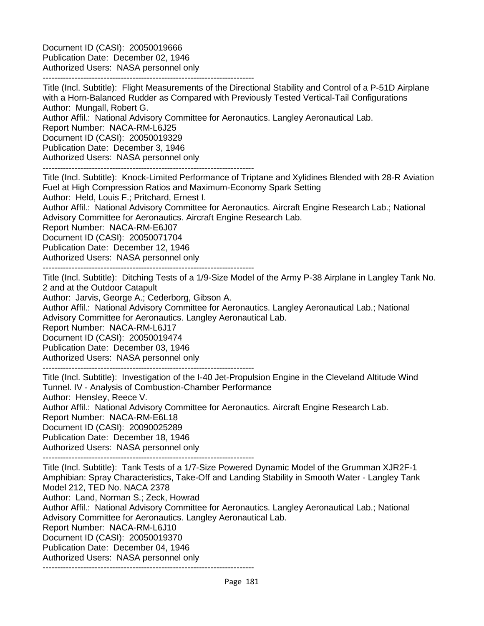Document ID (CASI): 20050019666 Publication Date: December 02, 1946 Authorized Users: NASA personnel only

-------------------------------------------------------------------------

Title (Incl. Subtitle): Flight Measurements of the Directional Stability and Control of a P-51D Airplane with a Horn-Balanced Rudder as Compared with Previously Tested Vertical-Tail Configurations Author: Mungall, Robert G. Author Affil.: National Advisory Committee for Aeronautics. Langley Aeronautical Lab. Report Number: NACA-RM-L6J25 Document ID (CASI): 20050019329 Publication Date: December 3, 1946 Authorized Users: NASA personnel only -------------------------------------------------------------------------

Title (Incl. Subtitle): Knock-Limited Performance of Triptane and Xylidines Blended with 28-R Aviation Fuel at High Compression Ratios and Maximum-Economy Spark Setting Author: Held, Louis F.; Pritchard, Ernest I. Author Affil.: National Advisory Committee for Aeronautics. Aircraft Engine Research Lab.; National Advisory Committee for Aeronautics. Aircraft Engine Research Lab. Report Number: NACA-RM-E6J07 Document ID (CASI): 20050071704 Publication Date: December 12, 1946 Authorized Users: NASA personnel only -------------------------------------------------------------------------

Title (Incl. Subtitle): Ditching Tests of a 1/9-Size Model of the Army P-38 Airplane in Langley Tank No. 2 and at the Outdoor Catapult

Author: Jarvis, George A.; Cederborg, Gibson A.

Author Affil.: National Advisory Committee for Aeronautics. Langley Aeronautical Lab.; National Advisory Committee for Aeronautics. Langley Aeronautical Lab.

Report Number: NACA-RM-L6J17

Document ID (CASI): 20050019474

Publication Date: December 03, 1946

Authorized Users: NASA personnel only

-------------------------------------------------------------------------

Title (Incl. Subtitle): Investigation of the I-40 Jet-Propulsion Engine in the Cleveland Altitude Wind Tunnel. IV - Analysis of Combustion-Chamber Performance Author: Hensley, Reece V. Author Affil.: National Advisory Committee for Aeronautics. Aircraft Engine Research Lab. Report Number: NACA-RM-E6L18 Document ID (CASI): 20090025289 Publication Date: December 18, 1946 Authorized Users: NASA personnel only

-------------------------------------------------------------------------

Title (Incl. Subtitle): Tank Tests of a 1/7-Size Powered Dynamic Model of the Grumman XJR2F-1 Amphibian: Spray Characteristics, Take-Off and Landing Stability in Smooth Water - Langley Tank Model 212, TED No. NACA 2378 Author: Land, Norman S.; Zeck, Howrad Author Affil.: National Advisory Committee for Aeronautics. Langley Aeronautical Lab.; National Advisory Committee for Aeronautics. Langley Aeronautical Lab. Report Number: NACA-RM-L6J10 Document ID (CASI): 20050019370 Publication Date: December 04, 1946 Authorized Users: NASA personnel only -------------------------------------------------------------------------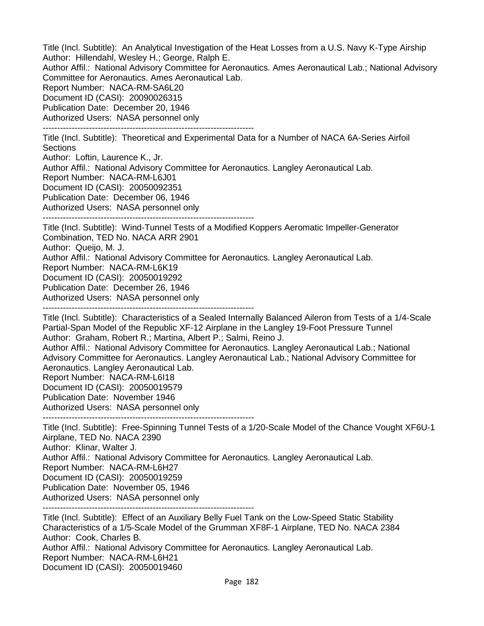Title (Incl. Subtitle): An Analytical Investigation of the Heat Losses from a U.S. Navy K-Type Airship Author: Hillendahl, Wesley H.; George, Ralph E. Author Affil.: National Advisory Committee for Aeronautics. Ames Aeronautical Lab.; National Advisory

Committee for Aeronautics. Ames Aeronautical Lab.

Report Number: NACA-RM-SA6L20

Document ID (CASI): 20090026315

Publication Date: December 20, 1946

Authorized Users: NASA personnel only

-------------------------------------------------------------------------

Title (Incl. Subtitle): Theoretical and Experimental Data for a Number of NACA 6A-Series Airfoil **Sections** 

Author: Loftin, Laurence K., Jr. Author Affil.: National Advisory Committee for Aeronautics. Langley Aeronautical Lab. Report Number: NACA-RM-L6J01 Document ID (CASI): 20050092351 Publication Date: December 06, 1946 Authorized Users: NASA personnel only -------------------------------------------------------------------------

Title (Incl. Subtitle): Wind-Tunnel Tests of a Modified Koppers Aeromatic Impeller-Generator Combination, TED No. NACA ARR 2901 Author: Queijo, M. J. Author Affil.: National Advisory Committee for Aeronautics. Langley Aeronautical Lab. Report Number: NACA-RM-L6K19 Document ID (CASI): 20050019292 Publication Date: December 26, 1946 Authorized Users: NASA personnel only -------------------------------------------------------------------------

Title (Incl. Subtitle): Characteristics of a Sealed Internally Balanced Aileron from Tests of a 1/4-Scale Partial-Span Model of the Republic XF-12 Airplane in the Langley 19-Foot Pressure Tunnel Author: Graham, Robert R.; Martina, Albert P.; Salmi, Reino J.

Author Affil.: National Advisory Committee for Aeronautics. Langley Aeronautical Lab.; National Advisory Committee for Aeronautics. Langley Aeronautical Lab.; National Advisory Committee for Aeronautics. Langley Aeronautical Lab.

Report Number: NACA-RM-L6I18

Document ID (CASI): 20050019579

Publication Date: November 1946

Authorized Users: NASA personnel only

-------------------------------------------------------------------------

Title (Incl. Subtitle): Free-Spinning Tunnel Tests of a 1/20-Scale Model of the Chance Vought XF6U-1 Airplane, TED No. NACA 2390 Author: Klinar, Walter J. Author Affil.: National Advisory Committee for Aeronautics. Langley Aeronautical Lab. Report Number: NACA-RM-L6H27 Document ID (CASI): 20050019259 Publication Date: November 05, 1946 Authorized Users: NASA personnel only -------------------------------------------------------------------------

Title (Incl. Subtitle): Effect of an Auxiliary Belly Fuel Tank on the Low-Speed Static Stability Characteristics of a 1/5-Scale Model of the Grumman XF8F-1 Airplane, TED No. NACA 2384 Author: Cook, Charles B. Author Affil.: National Advisory Committee for Aeronautics. Langley Aeronautical Lab. Report Number: NACA-RM-L6H21 Document ID (CASI): 20050019460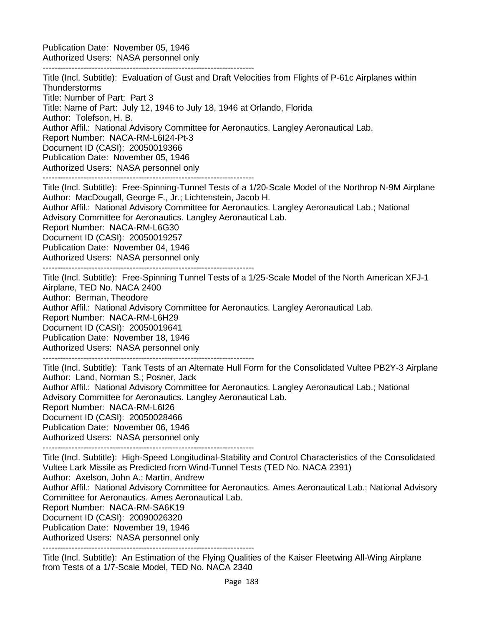Publication Date: November 05, 1946 Authorized Users: NASA personnel only

-------------------------------------------------------------------------

Title (Incl. Subtitle): Evaluation of Gust and Draft Velocities from Flights of P-61c Airplanes within **Thunderstorms** Title: Number of Part: Part 3 Title: Name of Part: July 12, 1946 to July 18, 1946 at Orlando, Florida Author: Tolefson, H. B. Author Affil.: National Advisory Committee for Aeronautics. Langley Aeronautical Lab. Report Number: NACA-RM-L6I24-Pt-3 Document ID (CASI): 20050019366 Publication Date: November 05, 1946 Authorized Users: NASA personnel only ------------------------------------------------------------------------- Title (Incl. Subtitle): Free-Spinning-Tunnel Tests of a 1/20-Scale Model of the Northrop N-9M Airplane

Author: MacDougall, George F., Jr.; Lichtenstein, Jacob H. Author Affil.: National Advisory Committee for Aeronautics. Langley Aeronautical Lab.; National Advisory Committee for Aeronautics. Langley Aeronautical Lab. Report Number: NACA-RM-L6G30 Document ID (CASI): 20050019257 Publication Date: November 04, 1946 Authorized Users: NASA personnel only

-------------------------------------------------------------------------

Title (Incl. Subtitle): Free-Spinning Tunnel Tests of a 1/25-Scale Model of the North American XFJ-1 Airplane, TED No. NACA 2400 Author: Berman, Theodore Author Affil.: National Advisory Committee for Aeronautics. Langley Aeronautical Lab. Report Number: NACA-RM-L6H29 Document ID (CASI): 20050019641 Publication Date: November 18, 1946 Authorized Users: NASA personnel only -------------------------------------------------------------------------

Title (Incl. Subtitle): Tank Tests of an Alternate Hull Form for the Consolidated Vultee PB2Y-3 Airplane Author: Land, Norman S.; Posner, Jack Author Affil.: National Advisory Committee for Aeronautics. Langley Aeronautical Lab.; National Advisory Committee for Aeronautics. Langley Aeronautical Lab. Report Number: NACA-RM-L6I26

Document ID (CASI): 20050028466

Publication Date: November 06, 1946

Authorized Users: NASA personnel only

-------------------------------------------------------------------------

Title (Incl. Subtitle): High-Speed Longitudinal-Stability and Control Characteristics of the Consolidated Vultee Lark Missile as Predicted from Wind-Tunnel Tests (TED No. NACA 2391) Author: Axelson, John A.; Martin, Andrew Author Affil.: National Advisory Committee for Aeronautics. Ames Aeronautical Lab.; National Advisory Committee for Aeronautics. Ames Aeronautical Lab. Report Number: NACA-RM-SA6K19 Document ID (CASI): 20090026320 Publication Date: November 19, 1946

Authorized Users: NASA personnel only

-------------------------------------------------------------------------

Title (Incl. Subtitle): An Estimation of the Flying Qualities of the Kaiser Fleetwing All-Wing Airplane from Tests of a 1/7-Scale Model, TED No. NACA 2340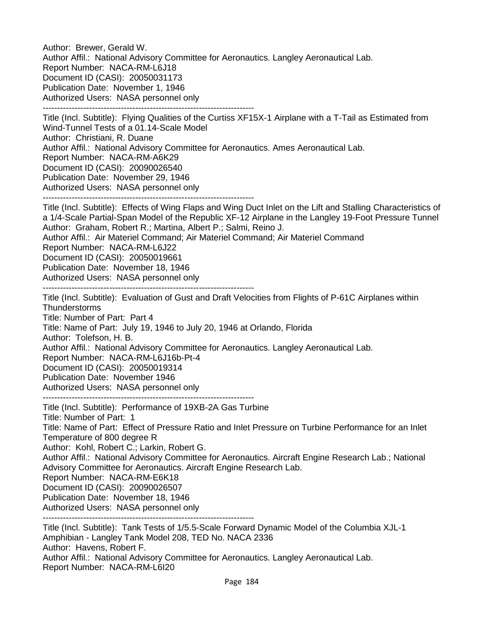Author: Brewer, Gerald W. Author Affil.: National Advisory Committee for Aeronautics. Langley Aeronautical Lab. Report Number: NACA-RM-L6J18 Document ID (CASI): 20050031173 Publication Date: November 1, 1946 Authorized Users: NASA personnel only -------------------------------------------------------------------------

Title (Incl. Subtitle): Flying Qualities of the Curtiss XF15X-1 Airplane with a T-Tail as Estimated from Wind-Tunnel Tests of a 01.14-Scale Model Author: Christiani, R. Duane Author Affil.: National Advisory Committee for Aeronautics. Ames Aeronautical Lab. Report Number: NACA-RM-A6K29 Document ID (CASI): 20090026540 Publication Date: November 29, 1946 Authorized Users: NASA personnel only

-------------------------------------------------------------------------

Title (Incl. Subtitle): Effects of Wing Flaps and Wing Duct Inlet on the Lift and Stalling Characteristics of a 1/4-Scale Partial-Span Model of the Republic XF-12 Airplane in the Langley 19-Foot Pressure Tunnel Author: Graham, Robert R.; Martina, Albert P.; Salmi, Reino J.

Author Affil.: Air Materiel Command; Air Materiel Command; Air Materiel Command

Report Number: NACA-RM-L6J22

Document ID (CASI): 20050019661

Publication Date: November 18, 1946

Authorized Users: NASA personnel only -------------------------------------------------------------------------

Title (Incl. Subtitle): Evaluation of Gust and Draft Velocities from Flights of P-61C Airplanes within **Thunderstorms** Title: Number of Part: Part 4 Title: Name of Part: July 19, 1946 to July 20, 1946 at Orlando, Florida Author: Tolefson, H. B. Author Affil.: National Advisory Committee for Aeronautics. Langley Aeronautical Lab. Report Number: NACA-RM-L6J16b-Pt-4 Document ID (CASI): 20050019314 Publication Date: November 1946

Authorized Users: NASA personnel only

-------------------------------------------------------------------------

Title (Incl. Subtitle): Performance of 19XB-2A Gas Turbine Title: Number of Part: 1 Title: Name of Part: Effect of Pressure Ratio and Inlet Pressure on Turbine Performance for an Inlet Temperature of 800 degree R Author: Kohl, Robert C.; Larkin, Robert G. Author Affil.: National Advisory Committee for Aeronautics. Aircraft Engine Research Lab.; National Advisory Committee for Aeronautics. Aircraft Engine Research Lab. Report Number: NACA-RM-E6K18 Document ID (CASI): 20090026507 Publication Date: November 18, 1946 Authorized Users: NASA personnel only -------------------------------------------------------------------------

Title (Incl. Subtitle): Tank Tests of 1/5.5-Scale Forward Dynamic Model of the Columbia XJL-1 Amphibian - Langley Tank Model 208, TED No. NACA 2336 Author: Havens, Robert F. Author Affil.: National Advisory Committee for Aeronautics. Langley Aeronautical Lab. Report Number: NACA-RM-L6I20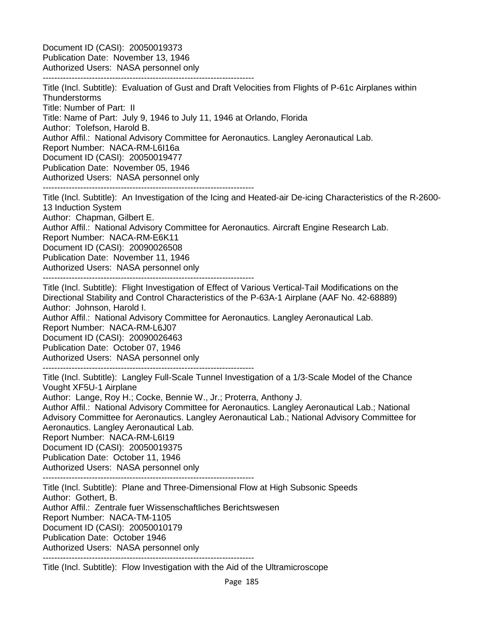Document ID (CASI): 20050019373 Publication Date: November 13, 1946 Authorized Users: NASA personnel only -------------------------------------------------------------------------

Title (Incl. Subtitle): Evaluation of Gust and Draft Velocities from Flights of P-61c Airplanes within **Thunderstorms** Title: Number of Part: II Title: Name of Part: July 9, 1946 to July 11, 1946 at Orlando, Florida Author: Tolefson, Harold B. Author Affil.: National Advisory Committee for Aeronautics. Langley Aeronautical Lab. Report Number: NACA-RM-L6I16a Document ID (CASI): 20050019477 Publication Date: November 05, 1946 Authorized Users: NASA personnel only ------------------------------------------------------------------------- Title (Incl. Subtitle): An Investigation of the Icing and Heated-air De-icing Characteristics of the R-2600- 13 Induction System Author: Chapman, Gilbert E. Author Affil.: National Advisory Committee for Aeronautics. Aircraft Engine Research Lab. Report Number: NACA-RM-E6K11 Document ID (CASI): 20090026508 Publication Date: November 11, 1946 Authorized Users: NASA personnel only ------------------------------------------------------------------------- Title (Incl. Subtitle): Flight Investigation of Effect of Various Vertical-Tail Modifications on the Directional Stability and Control Characteristics of the P-63A-1 Airplane (AAF No. 42-68889) Author: Johnson, Harold I. Author Affil.: National Advisory Committee for Aeronautics. Langley Aeronautical Lab. Report Number: NACA-RM-L6J07 Document ID (CASI): 20090026463 Publication Date: October 07, 1946 Authorized Users: NASA personnel only ------------------------------------------------------------------------- Title (Incl. Subtitle): Langley Full-Scale Tunnel Investigation of a 1/3-Scale Model of the Chance Vought XF5U-1 Airplane Author: Lange, Roy H.; Cocke, Bennie W., Jr.; Proterra, Anthony J. Author Affil.: National Advisory Committee for Aeronautics. Langley Aeronautical Lab.; National Advisory Committee for Aeronautics. Langley Aeronautical Lab.; National Advisory Committee for Aeronautics. Langley Aeronautical Lab. Report Number: NACA-RM-L6I19 Document ID (CASI): 20050019375 Publication Date: October 11, 1946 Authorized Users: NASA personnel only ------------------------------------------------------------------------- Title (Incl. Subtitle): Plane and Three-Dimensional Flow at High Subsonic Speeds Author: Gothert, B. Author Affil.: Zentrale fuer Wissenschaftliches Berichtswesen Report Number: NACA-TM-1105

Document ID (CASI): 20050010179

Publication Date: October 1946

Authorized Users: NASA personnel only -------------------------------------------------------------------------

Title (Incl. Subtitle): Flow Investigation with the Aid of the Ultramicroscope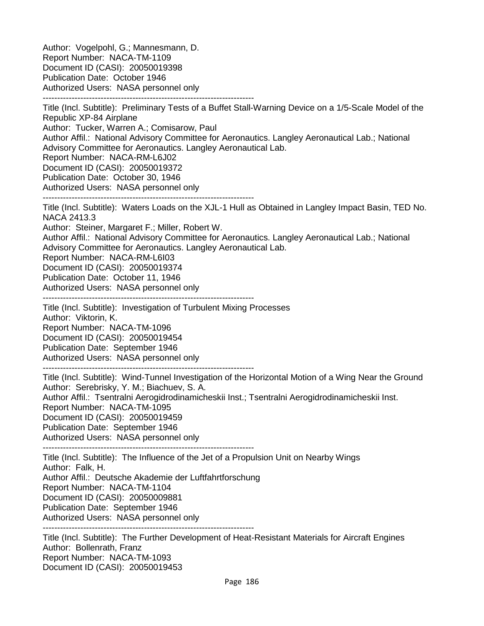Author: Vogelpohl, G.; Mannesmann, D. Report Number: NACA-TM-1109 Document ID (CASI): 20050019398 Publication Date: October 1946 Authorized Users: NASA personnel only -------------------------------------------------------------------------

Title (Incl. Subtitle): Preliminary Tests of a Buffet Stall-Warning Device on a 1/5-Scale Model of the Republic XP-84 Airplane Author: Tucker, Warren A.; Comisarow, Paul Author Affil.: National Advisory Committee for Aeronautics. Langley Aeronautical Lab.; National Advisory Committee for Aeronautics. Langley Aeronautical Lab. Report Number: NACA-RM-L6J02 Document ID (CASI): 20050019372 Publication Date: October 30, 1946 Authorized Users: NASA personnel only ------------------------------------------------------------------------- Title (Incl. Subtitle): Waters Loads on the XJL-1 Hull as Obtained in Langley Impact Basin, TED No. NACA 2413.3 Author: Steiner, Margaret F.; Miller, Robert W. Author Affil.: National Advisory Committee for Aeronautics. Langley Aeronautical Lab.; National Advisory Committee for Aeronautics. Langley Aeronautical Lab. Report Number: NACA-RM-L6I03 Document ID (CASI): 20050019374 Publication Date: October 11, 1946 Authorized Users: NASA personnel only ------------------------------------------------------------------------- Title (Incl. Subtitle): Investigation of Turbulent Mixing Processes Author: Viktorin, K. Report Number: NACA-TM-1096 Document ID (CASI): 20050019454 Publication Date: September 1946 Authorized Users: NASA personnel only ------------------------------------------------------------------------- Title (Incl. Subtitle): Wind-Tunnel Investigation of the Horizontal Motion of a Wing Near the Ground Author: Serebrisky, Y. M.; Biachuev, S. A. Author Affil.: Tsentralni Aerogidrodinamicheskii Inst.; Tsentralni Aerogidrodinamicheskii Inst. Report Number: NACA-TM-1095 Document ID (CASI): 20050019459 Publication Date: September 1946 Authorized Users: NASA personnel only ------------------------------------------------------------------------- Title (Incl. Subtitle): The Influence of the Jet of a Propulsion Unit on Nearby Wings Author: Falk, H. Author Affil.: Deutsche Akademie der Luftfahrtforschung Report Number: NACA-TM-1104 Document ID (CASI): 20050009881 Publication Date: September 1946 Authorized Users: NASA personnel only ------------------------------------------------------------------------- Title (Incl. Subtitle): The Further Development of Heat-Resistant Materials for Aircraft Engines Author: Bollenrath, Franz Report Number: NACA-TM-1093

Document ID (CASI): 20050019453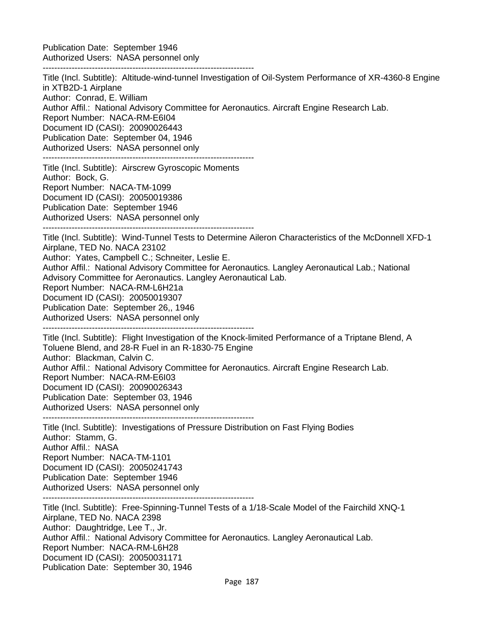Publication Date: September 1946 Authorized Users: NASA personnel only

-------------------------------------------------------------------------

Title (Incl. Subtitle): Altitude-wind-tunnel Investigation of Oil-System Performance of XR-4360-8 Engine in XTB2D-1 Airplane Author: Conrad, E. William Author Affil.: National Advisory Committee for Aeronautics. Aircraft Engine Research Lab. Report Number: NACA-RM-E6I04 Document ID (CASI): 20090026443 Publication Date: September 04, 1946 Authorized Users: NASA personnel only ------------------------------------------------------------------------- Title (Incl. Subtitle): Airscrew Gyroscopic Moments Author: Bock, G. Report Number: NACA-TM-1099 Document ID (CASI): 20050019386 Publication Date: September 1946 Authorized Users: NASA personnel only ------------------------------------------------------------------------- Title (Incl. Subtitle): Wind-Tunnel Tests to Determine Aileron Characteristics of the McDonnell XFD-1 Airplane, TED No. NACA 23102 Author: Yates, Campbell C.; Schneiter, Leslie E. Author Affil.: National Advisory Committee for Aeronautics. Langley Aeronautical Lab.; National Advisory Committee for Aeronautics. Langley Aeronautical Lab. Report Number: NACA-RM-L6H21a Document ID (CASI): 20050019307 Publication Date: September 26,, 1946 Authorized Users: NASA personnel only ------------------------------------------------------------------------- Title (Incl. Subtitle): Flight Investigation of the Knock-limited Performance of a Triptane Blend, A Toluene Blend, and 28-R Fuel in an R-1830-75 Engine Author: Blackman, Calvin C. Author Affil.: National Advisory Committee for Aeronautics. Aircraft Engine Research Lab. Report Number: NACA-RM-E6I03 Document ID (CASI): 20090026343 Publication Date: September 03, 1946 Authorized Users: NASA personnel only ------------------------------------------------------------------------- Title (Incl. Subtitle): Investigations of Pressure Distribution on Fast Flying Bodies Author: Stamm, G. Author Affil.: NASA Report Number: NACA-TM-1101 Document ID (CASI): 20050241743 Publication Date: September 1946 Authorized Users: NASA personnel only ------------------------------------------------------------------------- Title (Incl. Subtitle): Free-Spinning-Tunnel Tests of a 1/18-Scale Model of the Fairchild XNQ-1 Airplane, TED No. NACA 2398 Author: Daughtridge, Lee T., Jr. Author Affil.: National Advisory Committee for Aeronautics. Langley Aeronautical Lab. Report Number: NACA-RM-L6H28 Document ID (CASI): 20050031171 Publication Date: September 30, 1946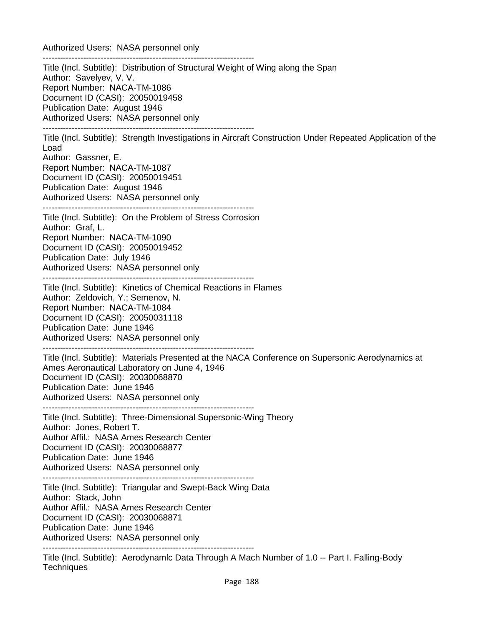Authorized Users: NASA personnel only

**Techniques** 

------------------------------------------------------------------------- Title (Incl. Subtitle): Distribution of Structural Weight of Wing along the Span Author: Savelyev, V. V. Report Number: NACA-TM-1086 Document ID (CASI): 20050019458 Publication Date: August 1946 Authorized Users: NASA personnel only ------------------------------------------------------------------------- Title (Incl. Subtitle): Strength Investigations in Aircraft Construction Under Repeated Application of the Load Author: Gassner, E. Report Number: NACA-TM-1087 Document ID (CASI): 20050019451 Publication Date: August 1946 Authorized Users: NASA personnel only ------------------------------------------------------------------------- Title (Incl. Subtitle): On the Problem of Stress Corrosion Author: Graf, L. Report Number: NACA-TM-1090 Document ID (CASI): 20050019452 Publication Date: July 1946 Authorized Users: NASA personnel only ------------------------------------------------------------------------- Title (Incl. Subtitle): Kinetics of Chemical Reactions in Flames Author: Zeldovich, Y.; Semenov, N. Report Number: NACA-TM-1084 Document ID (CASI): 20050031118 Publication Date: June 1946 Authorized Users: NASA personnel only ------------------------------------------------------------------------- Title (Incl. Subtitle): Materials Presented at the NACA Conference on Supersonic Aerodynamics at Ames Aeronautical Laboratory on June 4, 1946 Document ID (CASI): 20030068870 Publication Date: June 1946 Authorized Users: NASA personnel only ------------------------------------------------------------------------- Title (Incl. Subtitle): Three-Dimensional Supersonic-Wing Theory Author: Jones, Robert T. Author Affil.: NASA Ames Research Center Document ID (CASI): 20030068877 Publication Date: June 1946 Authorized Users: NASA personnel only ------------------------------------------------------------------------- Title (Incl. Subtitle): Triangular and Swept-Back Wing Data Author: Stack, John Author Affil.: NASA Ames Research Center Document ID (CASI): 20030068871 Publication Date: June 1946 Authorized Users: NASA personnel only ------------------------------------------------------------------------- Title (Incl. Subtitle): Aerodynamlc Data Through A Mach Number of 1.0 -- Part I. Falling-Body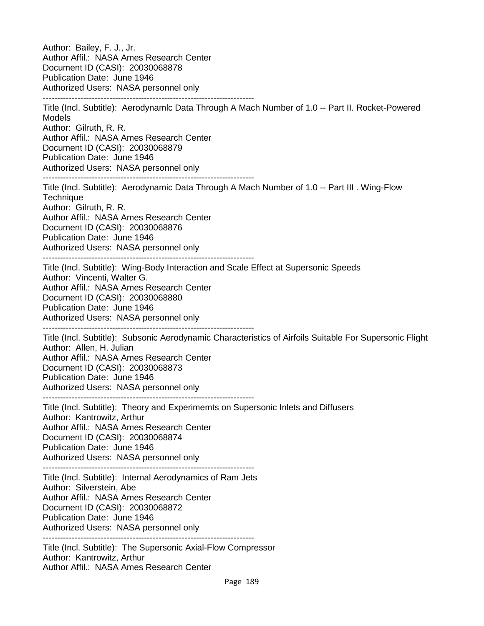Author: Bailey, F. J., Jr. Author Affil.: NASA Ames Research Center Document ID (CASI): 20030068878 Publication Date: June 1946 Authorized Users: NASA personnel only ------------------------------------------------------------------------- Title (Incl. Subtitle): Aerodynamlc Data Through A Mach Number of 1.0 -- Part II. Rocket-Powered Models Author: Gilruth, R. R. Author Affil.: NASA Ames Research Center Document ID (CASI): 20030068879 Publication Date: June 1946 Authorized Users: NASA personnel only ------------------------------------------------------------------------- Title (Incl. Subtitle): Aerodynamic Data Through A Mach Number of 1.0 -- Part III . Wing-Flow **Technique** Author: Gilruth, R. R. Author Affil.: NASA Ames Research Center Document ID (CASI): 20030068876 Publication Date: June 1946 Authorized Users: NASA personnel only ------------------------------------------------------------------------- Title (Incl. Subtitle): Wing-Body Interaction and Scale Effect at Supersonic Speeds Author: Vincenti, Walter G. Author Affil.: NASA Ames Research Center Document ID (CASI): 20030068880 Publication Date: June 1946 Authorized Users: NASA personnel only ------------------------------------------------------------------------- Title (Incl. Subtitle): Subsonic Aerodynamic Characteristics of Airfoils Suitable For Supersonic Flight Author: Allen, H. Julian Author Affil.: NASA Ames Research Center Document ID (CASI): 20030068873 Publication Date: June 1946 Authorized Users: NASA personnel only ------------------------------------------------------------------------- Title (Incl. Subtitle): Theory and Experimemts on Supersonic Inlets and Diffusers Author: Kantrowitz, Arthur Author Affil.: NASA Ames Research Center Document ID (CASI): 20030068874 Publication Date: June 1946 Authorized Users: NASA personnel only ------------------------------------------------------------------------- Title (Incl. Subtitle): Internal Aerodynamics of Ram Jets Author: Silverstein, Abe Author Affil.: NASA Ames Research Center Document ID (CASI): 20030068872 Publication Date: June 1946 Authorized Users: NASA personnel only ------------------------------------------------------------------------- Title (Incl. Subtitle): The Supersonic Axial-Flow Compressor Author: Kantrowitz, Arthur Author Affil.: NASA Ames Research Center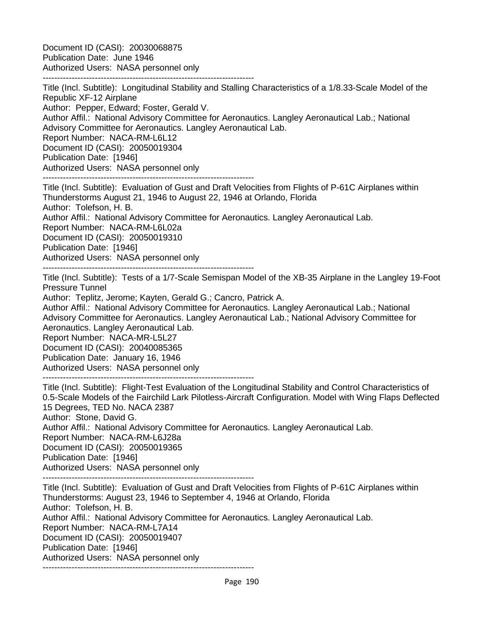Document ID (CASI): 20030068875 Publication Date: June 1946 Authorized Users: NASA personnel only

------------------------------------------------------------------------- Title (Incl. Subtitle): Longitudinal Stability and Stalling Characteristics of a 1/8.33-Scale Model of the Republic XF-12 Airplane Author: Pepper, Edward; Foster, Gerald V. Author Affil.: National Advisory Committee for Aeronautics. Langley Aeronautical Lab.; National Advisory Committee for Aeronautics. Langley Aeronautical Lab. Report Number: NACA-RM-L6L12 Document ID (CASI): 20050019304 Publication Date: [1946] Authorized Users: NASA personnel only -------------------------------------------------------------------------

Title (Incl. Subtitle): Evaluation of Gust and Draft Velocities from Flights of P-61C Airplanes within Thunderstorms August 21, 1946 to August 22, 1946 at Orlando, Florida Author: Tolefson, H. B. Author Affil.: National Advisory Committee for Aeronautics. Langley Aeronautical Lab. Report Number: NACA-RM-L6L02a Document ID (CASI): 20050019310 Publication Date: [1946] Authorized Users: NASA personnel only -------------------------------------------------------------------------

Title (Incl. Subtitle): Tests of a 1/7-Scale Semispan Model of the XB-35 Airplane in the Langley 19-Foot Pressure Tunnel

Author: Teplitz, Jerome; Kayten, Gerald G.; Cancro, Patrick A.

Author Affil.: National Advisory Committee for Aeronautics. Langley Aeronautical Lab.; National Advisory Committee for Aeronautics. Langley Aeronautical Lab.; National Advisory Committee for Aeronautics. Langley Aeronautical Lab.

Report Number: NACA-MR-L5L27 Document ID (CASI): 20040085365

Publication Date: January 16, 1946

Authorized Users: NASA personnel only

-------------------------------------------------------------------------

Title (Incl. Subtitle): Flight-Test Evaluation of the Longitudinal Stability and Control Characteristics of 0.5-Scale Models of the Fairchild Lark Pilotless-Aircraft Configuration. Model with Wing Flaps Deflected 15 Degrees, TED No. NACA 2387 Author: Stone, David G. Author Affil.: National Advisory Committee for Aeronautics. Langley Aeronautical Lab. Report Number: NACA-RM-L6J28a Document ID (CASI): 20050019365 Publication Date: [1946] Authorized Users: NASA personnel only

-------------------------------------------------------------------------

Title (Incl. Subtitle): Evaluation of Gust and Draft Velocities from Flights of P-61C Airplanes within Thunderstorms: August 23, 1946 to September 4, 1946 at Orlando, Florida Author: Tolefson, H. B. Author Affil.: National Advisory Committee for Aeronautics. Langley Aeronautical Lab. Report Number: NACA-RM-L7A14 Document ID (CASI): 20050019407 Publication Date: [1946] Authorized Users: NASA personnel only -------------------------------------------------------------------------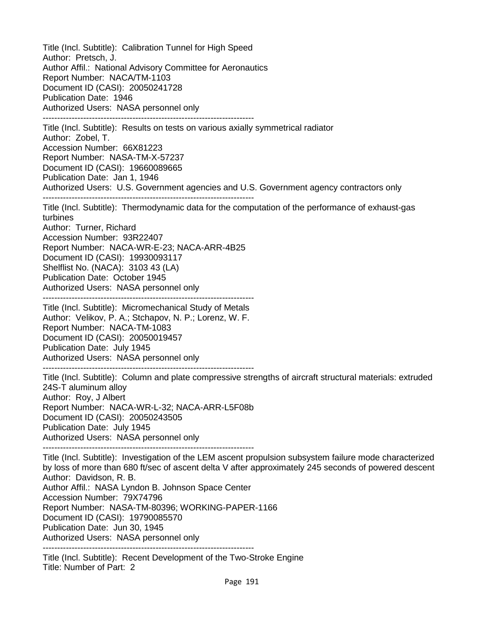Title (Incl. Subtitle): Calibration Tunnel for High Speed Author: Pretsch, J. Author Affil.: National Advisory Committee for Aeronautics Report Number: NACA/TM-1103 Document ID (CASI): 20050241728 Publication Date: 1946 Authorized Users: NASA personnel only ------------------------------------------------------------------------- Title (Incl. Subtitle): Results on tests on various axially symmetrical radiator Author: Zobel, T. Accession Number: 66X81223 Report Number: NASA-TM-X-57237 Document ID (CASI): 19660089665 Publication Date: Jan 1, 1946 Authorized Users: U.S. Government agencies and U.S. Government agency contractors only ------------------------------------------------------------------------- Title (Incl. Subtitle): Thermodynamic data for the computation of the performance of exhaust-gas turbines Author: Turner, Richard Accession Number: 93R22407 Report Number: NACA-WR-E-23; NACA-ARR-4B25 Document ID (CASI): 19930093117 Shelflist No. (NACA): 3103 43 (LA) Publication Date: October 1945 Authorized Users: NASA personnel only ------------------------------------------------------------------------- Title (Incl. Subtitle): Micromechanical Study of Metals Author: Velikov, P. A.; Stchapov, N. P.; Lorenz, W. F. Report Number: NACA-TM-1083 Document ID (CASI): 20050019457 Publication Date: July 1945 Authorized Users: NASA personnel only ------------------------------------------------------------------------- Title (Incl. Subtitle): Column and plate compressive strengths of aircraft structural materials: extruded 24S-T aluminum alloy Author: Roy, J Albert Report Number: NACA-WR-L-32; NACA-ARR-L5F08b Document ID (CASI): 20050243505 Publication Date: July 1945 Authorized Users: NASA personnel only ------------------------------------------------------------------------- Title (Incl. Subtitle): Investigation of the LEM ascent propulsion subsystem failure mode characterized by loss of more than 680 ft/sec of ascent delta V after approximately 245 seconds of powered descent Author: Davidson, R. B. Author Affil.: NASA Lyndon B. Johnson Space Center Accession Number: 79X74796 Report Number: NASA-TM-80396; WORKING-PAPER-1166 Document ID (CASI): 19790085570 Publication Date: Jun 30, 1945 Authorized Users: NASA personnel only -------------------------------------------------------------------------

Title (Incl. Subtitle): Recent Development of the Two-Stroke Engine Title: Number of Part: 2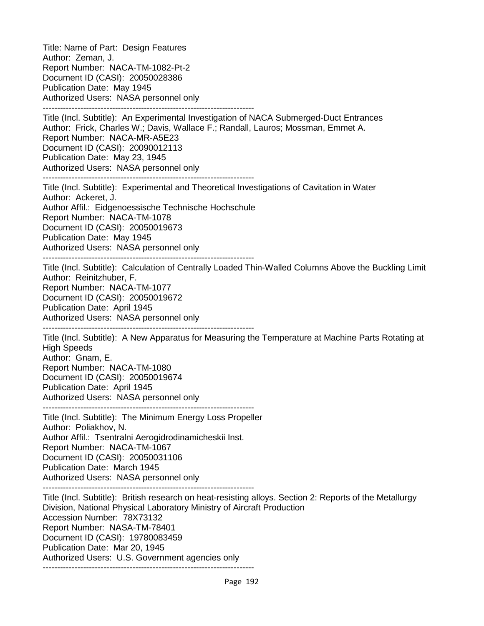Title: Name of Part: Design Features Author: Zeman, J. Report Number: NACA-TM-1082-Pt-2 Document ID (CASI): 20050028386 Publication Date: May 1945 Authorized Users: NASA personnel only ------------------------------------------------------------------------- Title (Incl. Subtitle): An Experimental Investigation of NACA Submerged-Duct Entrances Author: Frick, Charles W.; Davis, Wallace F.; Randall, Lauros; Mossman, Emmet A. Report Number: NACA-MR-A5E23 Document ID (CASI): 20090012113 Publication Date: May 23, 1945 Authorized Users: NASA personnel only ------------------------------------------------------------------------- Title (Incl. Subtitle): Experimental and Theoretical Investigations of Cavitation in Water Author: Ackeret, J. Author Affil.: Eidgenoessische Technische Hochschule Report Number: NACA-TM-1078 Document ID (CASI): 20050019673 Publication Date: May 1945 Authorized Users: NASA personnel only ------------------------------------------------------------------------- Title (Incl. Subtitle): Calculation of Centrally Loaded Thin-Walled Columns Above the Buckling Limit Author: Reinitzhuber, F. Report Number: NACA-TM-1077 Document ID (CASI): 20050019672 Publication Date: April 1945 Authorized Users: NASA personnel only ------------------------------------------------------------------------- Title (Incl. Subtitle): A New Apparatus for Measuring the Temperature at Machine Parts Rotating at High Speeds Author: Gnam, E. Report Number: NACA-TM-1080 Document ID (CASI): 20050019674 Publication Date: April 1945 Authorized Users: NASA personnel only ------------------------------------------------------------------------- Title (Incl. Subtitle): The Minimum Energy Loss Propeller Author: Poliakhov, N. Author Affil.: Tsentralni Aerogidrodinamicheskii Inst. Report Number: NACA-TM-1067 Document ID (CASI): 20050031106 Publication Date: March 1945 Authorized Users: NASA personnel only ------------------------------------------------------------------------- Title (Incl. Subtitle): British research on heat-resisting alloys. Section 2: Reports of the Metallurgy Division, National Physical Laboratory Ministry of Aircraft Production Accession Number: 78X73132 Report Number: NASA-TM-78401 Document ID (CASI): 19780083459 Publication Date: Mar 20, 1945 Authorized Users: U.S. Government agencies only -------------------------------------------------------------------------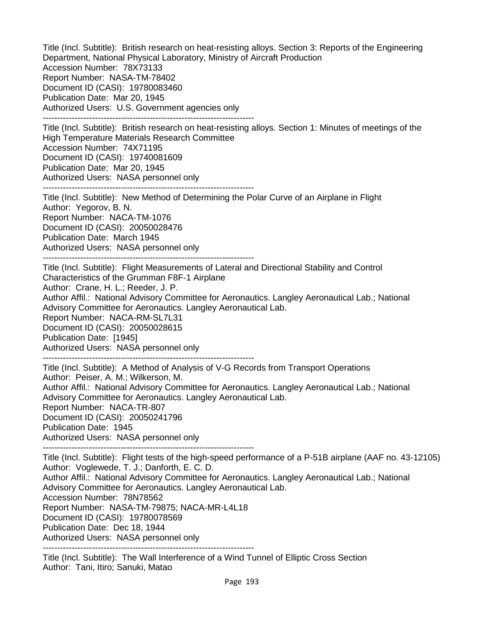Title (Incl. Subtitle): British research on heat-resisting alloys. Section 3: Reports of the Engineering Department, National Physical Laboratory, Ministry of Aircraft Production Accession Number: 78X73133 Report Number: NASA-TM-78402 Document ID (CASI): 19780083460 Publication Date: Mar 20, 1945 Authorized Users: U.S. Government agencies only ------------------------------------------------------------------------- Title (Incl. Subtitle): British research on heat-resisting alloys. Section 1: Minutes of meetings of the High Temperature Materials Research Committee Accession Number: 74X71195 Document ID (CASI): 19740081609 Publication Date: Mar 20, 1945 Authorized Users: NASA personnel only ------------------------------------------------------------------------- Title (Incl. Subtitle): New Method of Determining the Polar Curve of an Airplane in Flight Author: Yegorov, B. N. Report Number: NACA-TM-1076 Document ID (CASI): 20050028476 Publication Date: March 1945 Authorized Users: NASA personnel only ------------------------------------------------------------------------- Title (Incl. Subtitle): Flight Measurements of Lateral and Directional Stability and Control Characteristics of the Grumman F8F-1 Airplane Author: Crane, H. L.; Reeder, J. P. Author Affil.: National Advisory Committee for Aeronautics. Langley Aeronautical Lab.; National Advisory Committee for Aeronautics. Langley Aeronautical Lab. Report Number: NACA-RM-SL7L31 Document ID (CASI): 20050028615 Publication Date: [1945] Authorized Users: NASA personnel only ------------------------------------------------------------------------- Title (Incl. Subtitle): A Method of Analysis of V-G Records from Transport Operations Author: Peiser, A. M.; Wilkerson, M. Author Affil.: National Advisory Committee for Aeronautics. Langley Aeronautical Lab.; National Advisory Committee for Aeronautics. Langley Aeronautical Lab. Report Number: NACA-TR-807 Document ID (CASI): 20050241796 Publication Date: 1945 Authorized Users: NASA personnel only ------------------------------------------------------------------------- Title (Incl. Subtitle): Flight tests of the high-speed performance of a P-51B airplane (AAF no. 43-12105) Author: Voglewede, T. J.; Danforth, E. C. D. Author Affil.: National Advisory Committee for Aeronautics. Langley Aeronautical Lab.; National Advisory Committee for Aeronautics. Langley Aeronautical Lab. Accession Number: 78N78562 Report Number: NASA-TM-79875; NACA-MR-L4L18 Document ID (CASI): 19780078569 Publication Date: Dec 18, 1944 Authorized Users: NASA personnel only ------------------------------------------------------------------------- Title (Incl. Subtitle): The Wall Interference of a Wind Tunnel of Elliptic Cross Section Author: Tani, Itiro; Sanuki, Matao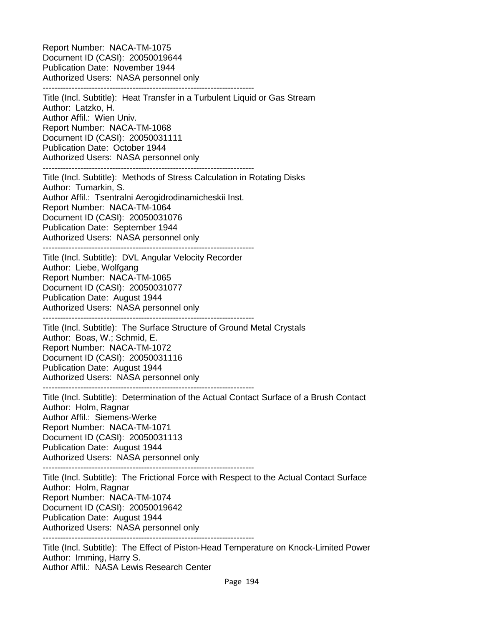Report Number: NACA-TM-1075 Document ID (CASI): 20050019644 Publication Date: November 1944 Authorized Users: NASA personnel only -------------------------------------------------------------------------

Title (Incl. Subtitle): Heat Transfer in a Turbulent Liquid or Gas Stream Author: Latzko, H. Author Affil.: Wien Univ. Report Number: NACA-TM-1068 Document ID (CASI): 20050031111 Publication Date: October 1944 Authorized Users: NASA personnel only -------------------------------------------------------------------------

Title (Incl. Subtitle): Methods of Stress Calculation in Rotating Disks Author: Tumarkin, S. Author Affil.: Tsentralni Aerogidrodinamicheskii Inst. Report Number: NACA-TM-1064 Document ID (CASI): 20050031076 Publication Date: September 1944 Authorized Users: NASA personnel only

------------------------------------------------------------------------- Title (Incl. Subtitle): DVL Angular Velocity Recorder Author: Liebe, Wolfgang Report Number: NACA-TM-1065 Document ID (CASI): 20050031077 Publication Date: August 1944 Authorized Users: NASA personnel only -------------------------------------------------------------------------

Title (Incl. Subtitle): The Surface Structure of Ground Metal Crystals Author: Boas, W.; Schmid, E. Report Number: NACA-TM-1072 Document ID (CASI): 20050031116 Publication Date: August 1944 Authorized Users: NASA personnel only -------------------------------------------------------------------------

Title (Incl. Subtitle): Determination of the Actual Contact Surface of a Brush Contact Author: Holm, Ragnar Author Affil.: Siemens-Werke Report Number: NACA-TM-1071 Document ID (CASI): 20050031113 Publication Date: August 1944 Authorized Users: NASA personnel only -------------------------------------------------------------------------

Title (Incl. Subtitle): The Frictional Force with Respect to the Actual Contact Surface Author: Holm, Ragnar Report Number: NACA-TM-1074 Document ID (CASI): 20050019642 Publication Date: August 1944 Authorized Users: NASA personnel only

-------------------------------------------------------------------------

Title (Incl. Subtitle): The Effect of Piston-Head Temperature on Knock-Limited Power Author: Imming, Harry S. Author Affil.: NASA Lewis Research Center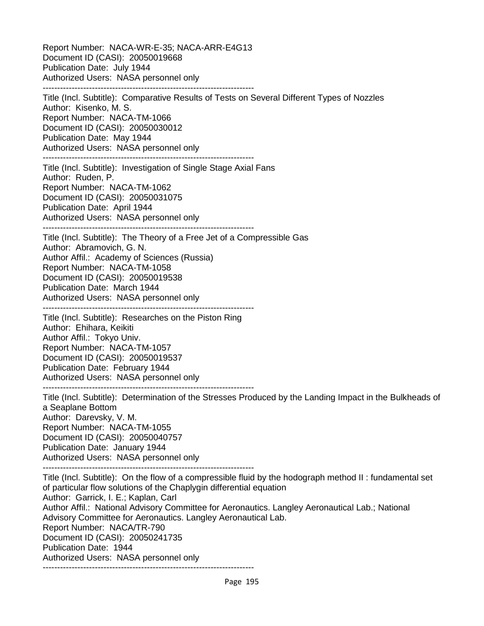Report Number: NACA-WR-E-35; NACA-ARR-E4G13 Document ID (CASI): 20050019668 Publication Date: July 1944 Authorized Users: NASA personnel only ------------------------------------------------------------------------- Title (Incl. Subtitle): Comparative Results of Tests on Several Different Types of Nozzles Author: Kisenko, M. S. Report Number: NACA-TM-1066 Document ID (CASI): 20050030012 Publication Date: May 1944 Authorized Users: NASA personnel only ------------------------------------------------------------------------- Title (Incl. Subtitle): Investigation of Single Stage Axial Fans Author: Ruden, P. Report Number: NACA-TM-1062 Document ID (CASI): 20050031075 Publication Date: April 1944 Authorized Users: NASA personnel only ------------------------------------------------------------------------- Title (Incl. Subtitle): The Theory of a Free Jet of a Compressible Gas Author: Abramovich, G. N. Author Affil.: Academy of Sciences (Russia) Report Number: NACA-TM-1058 Document ID (CASI): 20050019538 Publication Date: March 1944 Authorized Users: NASA personnel only ------------------------------------------------------------------------- Title (Incl. Subtitle): Researches on the Piston Ring Author: Ehihara, Keikiti Author Affil.: Tokyo Univ. Report Number: NACA-TM-1057 Document ID (CASI): 20050019537 Publication Date: February 1944 Authorized Users: NASA personnel only ------------------------------------------------------------------------- Title (Incl. Subtitle): Determination of the Stresses Produced by the Landing Impact in the Bulkheads of a Seaplane Bottom Author: Darevsky, V. M. Report Number: NACA-TM-1055 Document ID (CASI): 20050040757 Publication Date: January 1944 Authorized Users: NASA personnel only ------------------------------------------------------------------------- Title (Incl. Subtitle): On the flow of a compressible fluid by the hodograph method II : fundamental set of particular flow solutions of the Chaplygin differential equation Author: Garrick, I. E.; Kaplan, Carl Author Affil.: National Advisory Committee for Aeronautics. Langley Aeronautical Lab.; National Advisory Committee for Aeronautics. Langley Aeronautical Lab. Report Number: NACA/TR-790 Document ID (CASI): 20050241735 Publication Date: 1944 Authorized Users: NASA personnel only

Page 195

-------------------------------------------------------------------------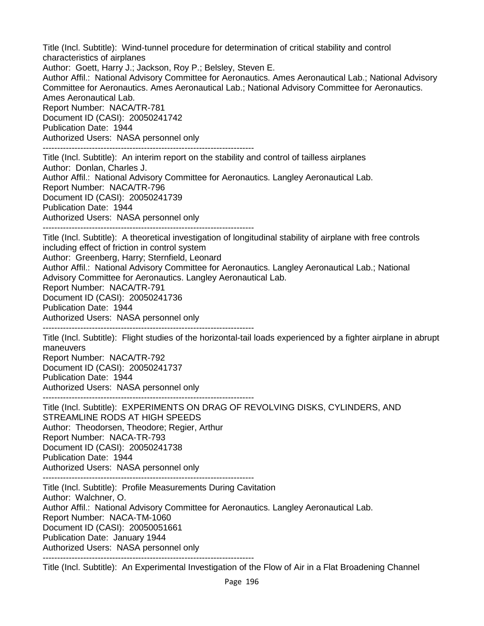Title (Incl. Subtitle): Wind-tunnel procedure for determination of critical stability and control characteristics of airplanes Author: Goett, Harry J.; Jackson, Roy P.; Belsley, Steven E. Author Affil.: National Advisory Committee for Aeronautics. Ames Aeronautical Lab.; National Advisory Committee for Aeronautics. Ames Aeronautical Lab.; National Advisory Committee for Aeronautics. Ames Aeronautical Lab. Report Number: NACA/TR-781 Document ID (CASI): 20050241742 Publication Date: 1944 Authorized Users: NASA personnel only ------------------------------------------------------------------------- Title (Incl. Subtitle): An interim report on the stability and control of tailless airplanes Author: Donlan, Charles J. Author Affil.: National Advisory Committee for Aeronautics. Langley Aeronautical Lab. Report Number: NACA/TR-796 Document ID (CASI): 20050241739 Publication Date: 1944 Authorized Users: NASA personnel only ------------------------------------------------------------------------- Title (Incl. Subtitle): A theoretical investigation of longitudinal stability of airplane with free controls including effect of friction in control system Author: Greenberg, Harry; Sternfield, Leonard Author Affil.: National Advisory Committee for Aeronautics. Langley Aeronautical Lab.; National Advisory Committee for Aeronautics. Langley Aeronautical Lab. Report Number: NACA/TR-791 Document ID (CASI): 20050241736 Publication Date: 1944 Authorized Users: NASA personnel only ------------------------------------------------------------------------- Title (Incl. Subtitle): Flight studies of the horizontal-tail loads experienced by a fighter airplane in abrupt maneuvers Report Number: NACA/TR-792 Document ID (CASI): 20050241737 Publication Date: 1944 Authorized Users: NASA personnel only ------------------------------------------------------------------------- Title (Incl. Subtitle): EXPERIMENTS ON DRAG OF REVOLVING DISKS, CYLINDERS, AND STREAMLINE RODS AT HIGH SPEEDS Author: Theodorsen, Theodore; Regier, Arthur Report Number: NACA-TR-793 Document ID (CASI): 20050241738 Publication Date: 1944 Authorized Users: NASA personnel only ------------------------------------------------------------------------- Title (Incl. Subtitle): Profile Measurements During Cavitation Author: Walchner, O. Author Affil.: National Advisory Committee for Aeronautics. Langley Aeronautical Lab. Report Number: NACA-TM-1060 Document ID (CASI): 20050051661 Publication Date: January 1944 Authorized Users: NASA personnel only ------------------------------------------------------------------------- Title (Incl. Subtitle): An Experimental Investigation of the Flow of Air in a Flat Broadening Channel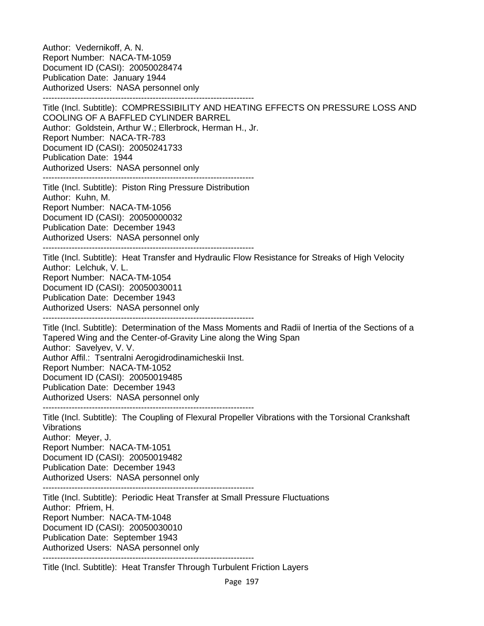Author: Vedernikoff, A. N. Report Number: NACA-TM-1059 Document ID (CASI): 20050028474 Publication Date: January 1944 Authorized Users: NASA personnel only -------------------------------------------------------------------------

Title (Incl. Subtitle): COMPRESSIBILITY AND HEATING EFFECTS ON PRESSURE LOSS AND COOLING OF A BAFFLED CYLINDER BARREL Author: Goldstein, Arthur W.; Ellerbrock, Herman H., Jr. Report Number: NACA-TR-783 Document ID (CASI): 20050241733 Publication Date: 1944 Authorized Users: NASA personnel only

-------------------------------------------------------------------------

Title (Incl. Subtitle): Piston Ring Pressure Distribution Author: Kuhn, M. Report Number: NACA-TM-1056 Document ID (CASI): 20050000032 Publication Date: December 1943 Authorized Users: NASA personnel only

-------------------------------------------------------------------------

Title (Incl. Subtitle): Heat Transfer and Hydraulic Flow Resistance for Streaks of High Velocity Author: Lelchuk, V. L. Report Number: NACA-TM-1054 Document ID (CASI): 20050030011 Publication Date: December 1943 Authorized Users: NASA personnel only -------------------------------------------------------------------------

Title (Incl. Subtitle): Determination of the Mass Moments and Radii of Inertia of the Sections of a Tapered Wing and the Center-of-Gravity Line along the Wing Span Author: Savelyev, V. V. Author Affil.: Tsentralni Aerogidrodinamicheskii Inst. Report Number: NACA-TM-1052 Document ID (CASI): 20050019485 Publication Date: December 1943 Authorized Users: NASA personnel only -------------------------------------------------------------------------

Title (Incl. Subtitle): The Coupling of Flexural Propeller Vibrations with the Torsional Crankshaft **Vibrations** Author: Meyer, J. Report Number: NACA-TM-1051 Document ID (CASI): 20050019482 Publication Date: December 1943

Authorized Users: NASA personnel only

-------------------------------------------------------------------------

Title (Incl. Subtitle): Periodic Heat Transfer at Small Pressure Fluctuations Author: Pfriem, H. Report Number: NACA-TM-1048 Document ID (CASI): 20050030010 Publication Date: September 1943 Authorized Users: NASA personnel only -------------------------------------------------------------------------

Title (Incl. Subtitle): Heat Transfer Through Turbulent Friction Layers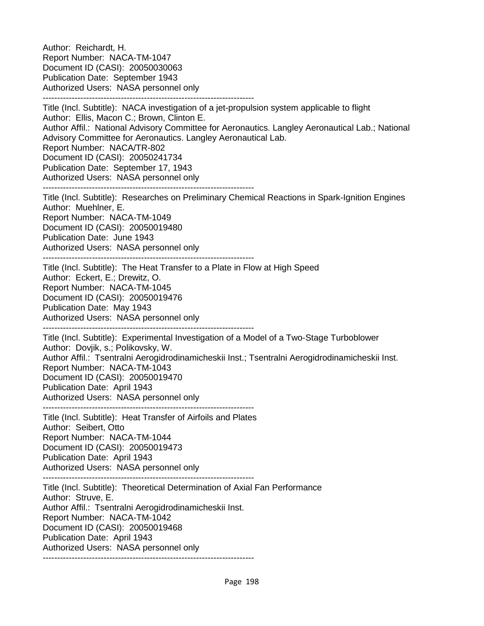Author: Reichardt, H. Report Number: NACA-TM-1047 Document ID (CASI): 20050030063 Publication Date: September 1943 Authorized Users: NASA personnel only ------------------------------------------------------------------------- Title (Incl. Subtitle): NACA investigation of a jet-propulsion system applicable to flight Author: Ellis, Macon C.; Brown, Clinton E. Author Affil.: National Advisory Committee for Aeronautics. Langley Aeronautical Lab.; National Advisory Committee for Aeronautics. Langley Aeronautical Lab. Report Number: NACA/TR-802 Document ID (CASI): 20050241734 Publication Date: September 17, 1943 Authorized Users: NASA personnel only ------------------------------------------------------------------------- Title (Incl. Subtitle): Researches on Preliminary Chemical Reactions in Spark-Ignition Engines Author: Muehlner, E. Report Number: NACA-TM-1049 Document ID (CASI): 20050019480 Publication Date: June 1943 Authorized Users: NASA personnel only ------------------------------------------------------------------------- Title (Incl. Subtitle): The Heat Transfer to a Plate in Flow at High Speed Author: Eckert, E.; Drewitz, O. Report Number: NACA-TM-1045 Document ID (CASI): 20050019476 Publication Date: May 1943 Authorized Users: NASA personnel only ------------------------------------------------------------------------- Title (Incl. Subtitle): Experimental Investigation of a Model of a Two-Stage Turboblower Author: Dovjik, s.; Polikovsky, W. Author Affil.: Tsentralni Aerogidrodinamicheskii Inst.; Tsentralni Aerogidrodinamicheskii Inst. Report Number: NACA-TM-1043 Document ID (CASI): 20050019470 Publication Date: April 1943 Authorized Users: NASA personnel only ------------------------------------------------------------------------- Title (Incl. Subtitle): Heat Transfer of Airfoils and Plates Author: Seibert, Otto Report Number: NACA-TM-1044 Document ID (CASI): 20050019473 Publication Date: April 1943 Authorized Users: NASA personnel only ------------------------------------------------------------------------- Title (Incl. Subtitle): Theoretical Determination of Axial Fan Performance Author: Struve, E. Author Affil.: Tsentralni Aerogidrodinamicheskii Inst. Report Number: NACA-TM-1042 Document ID (CASI): 20050019468 Publication Date: April 1943 Authorized Users: NASA personnel only -------------------------------------------------------------------------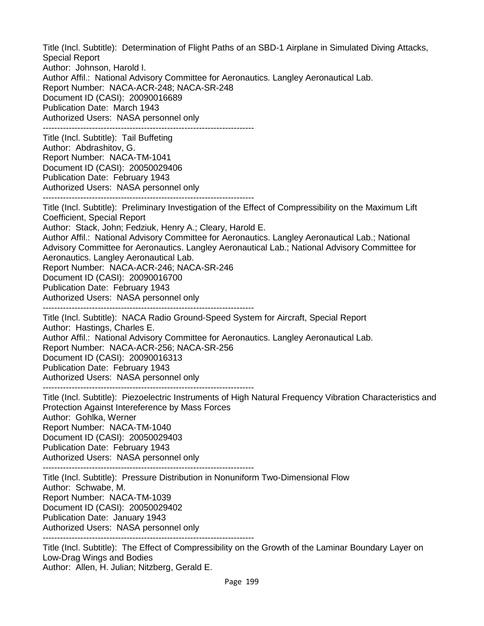Title (Incl. Subtitle): Determination of Flight Paths of an SBD-1 Airplane in Simulated Diving Attacks, Special Report Author: Johnson, Harold I. Author Affil.: National Advisory Committee for Aeronautics. Langley Aeronautical Lab. Report Number: NACA-ACR-248; NACA-SR-248 Document ID (CASI): 20090016689 Publication Date: March 1943 Authorized Users: NASA personnel only ------------------------------------------------------------------------- Title (Incl. Subtitle): Tail Buffeting Author: Abdrashitov, G. Report Number: NACA-TM-1041 Document ID (CASI): 20050029406 Publication Date: February 1943 Authorized Users: NASA personnel only ------------------------------------------------------------------------- Title (Incl. Subtitle): Preliminary Investigation of the Effect of Compressibility on the Maximum Lift Coefficient, Special Report Author: Stack, John; Fedziuk, Henry A.; Cleary, Harold E. Author Affil.: National Advisory Committee for Aeronautics. Langley Aeronautical Lab.; National Advisory Committee for Aeronautics. Langley Aeronautical Lab.; National Advisory Committee for Aeronautics. Langley Aeronautical Lab. Report Number: NACA-ACR-246; NACA-SR-246 Document ID (CASI): 20090016700 Publication Date: February 1943 Authorized Users: NASA personnel only ------------------------------------------------------------------------- Title (Incl. Subtitle): NACA Radio Ground-Speed System for Aircraft, Special Report Author: Hastings, Charles E. Author Affil.: National Advisory Committee for Aeronautics. Langley Aeronautical Lab. Report Number: NACA-ACR-256; NACA-SR-256 Document ID (CASI): 20090016313 Publication Date: February 1943 Authorized Users: NASA personnel only ------------------------------------------------------------------------- Title (Incl. Subtitle): Piezoelectric Instruments of High Natural Frequency Vibration Characteristics and Protection Against Intereference by Mass Forces Author: Gohlka, Werner Report Number: NACA-TM-1040 Document ID (CASI): 20050029403 Publication Date: February 1943 Authorized Users: NASA personnel only ------------------------------------------------------------------------- Title (Incl. Subtitle): Pressure Distribution in Nonuniform Two-Dimensional Flow Author: Schwabe, M. Report Number: NACA-TM-1039 Document ID (CASI): 20050029402 Publication Date: January 1943 Authorized Users: NASA personnel only ------------------------------------------------------------------------- Title (Incl. Subtitle): The Effect of Compressibility on the Growth of the Laminar Boundary Layer on Low-Drag Wings and Bodies Author: Allen, H. Julian; Nitzberg, Gerald E.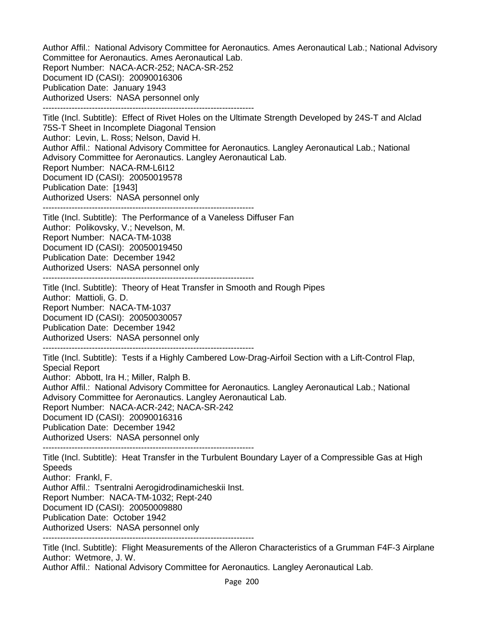Author Affil.: National Advisory Committee for Aeronautics. Ames Aeronautical Lab.; National Advisory Committee for Aeronautics. Ames Aeronautical Lab. Report Number: NACA-ACR-252; NACA-SR-252 Document ID (CASI): 20090016306 Publication Date: January 1943 Authorized Users: NASA personnel only ------------------------------------------------------------------------- Title (Incl. Subtitle): Effect of Rivet Holes on the Ultimate Strength Developed by 24S-T and Alclad

75S-T Sheet in Incomplete Diagonal Tension Author: Levin, L. Ross; Nelson, David H. Author Affil.: National Advisory Committee for Aeronautics. Langley Aeronautical Lab.; National Advisory Committee for Aeronautics. Langley Aeronautical Lab. Report Number: NACA-RM-L6I12 Document ID (CASI): 20050019578 Publication Date: [1943] Authorized Users: NASA personnel only -------------------------------------------------------------------------

Title (Incl. Subtitle): The Performance of a Vaneless Diffuser Fan Author: Polikovsky, V.; Nevelson, M. Report Number: NACA-TM-1038 Document ID (CASI): 20050019450 Publication Date: December 1942 Authorized Users: NASA personnel only

-------------------------------------------------------------------------

Title (Incl. Subtitle): Theory of Heat Transfer in Smooth and Rough Pipes Author: Mattioli, G. D. Report Number: NACA-TM-1037 Document ID (CASI): 20050030057 Publication Date: December 1942 Authorized Users: NASA personnel only -------------------------------------------------------------------------

Title (Incl. Subtitle): Tests if a Highly Cambered Low-Drag-Airfoil Section with a Lift-Control Flap, Special Report Author: Abbott, Ira H.; Miller, Ralph B. Author Affil.: National Advisory Committee for Aeronautics. Langley Aeronautical Lab.; National Advisory Committee for Aeronautics. Langley Aeronautical Lab.

Report Number: NACA-ACR-242; NACA-SR-242

Document ID (CASI): 20090016316

Publication Date: December 1942

Authorized Users: NASA personnel only

-------------------------------------------------------------------------

Title (Incl. Subtitle): Heat Transfer in the Turbulent Boundary Layer of a Compressible Gas at High Speeds

Author: Frankl, F.

Author Affil.: Tsentralni Aerogidrodinamicheskii Inst.

Report Number: NACA-TM-1032; Rept-240

Document ID (CASI): 20050009880

Publication Date: October 1942

Authorized Users: NASA personnel only

-------------------------------------------------------------------------

Title (Incl. Subtitle): Flight Measurements of the Alleron Characteristics of a Grumman F4F-3 Airplane Author: Wetmore, J. W.

Author Affil.: National Advisory Committee for Aeronautics. Langley Aeronautical Lab.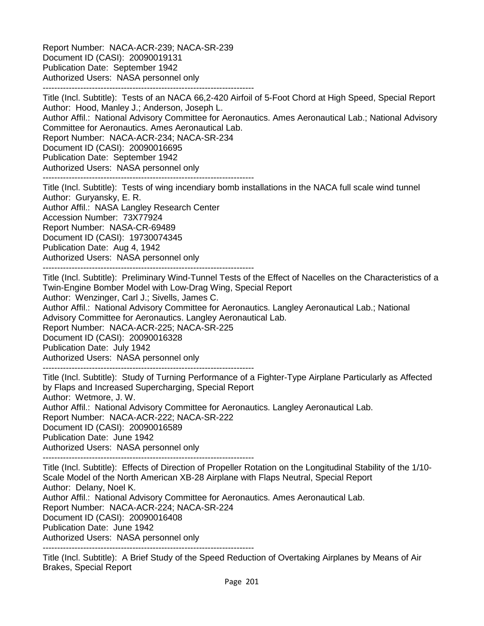Report Number: NACA-ACR-239; NACA-SR-239 Document ID (CASI): 20090019131 Publication Date: September 1942 Authorized Users: NASA personnel only -------------------------------------------------------------------------

Title (Incl. Subtitle): Tests of an NACA 66,2-420 Airfoil of 5-Foot Chord at High Speed, Special Report Author: Hood, Manley J.; Anderson, Joseph L. Author Affil.: National Advisory Committee for Aeronautics. Ames Aeronautical Lab.; National Advisory Committee for Aeronautics. Ames Aeronautical Lab. Report Number: NACA-ACR-234; NACA-SR-234 Document ID (CASI): 20090016695 Publication Date: September 1942 Authorized Users: NASA personnel only -------------------------------------------------------------------------

Title (Incl. Subtitle): Tests of wing incendiary bomb installations in the NACA full scale wind tunnel Author: Guryansky, E. R. Author Affil.: NASA Langley Research Center Accession Number: 73X77924 Report Number: NASA-CR-69489 Document ID (CASI): 19730074345 Publication Date: Aug 4, 1942 Authorized Users: NASA personnel only -------------------------------------------------------------------------

Title (Incl. Subtitle): Preliminary Wind-Tunnel Tests of the Effect of Nacelles on the Characteristics of a Twin-Engine Bomber Model with Low-Drag Wing, Special Report Author: Wenzinger, Carl J.; Sivells, James C. Author Affil.: National Advisory Committee for Aeronautics. Langley Aeronautical Lab.; National Advisory Committee for Aeronautics. Langley Aeronautical Lab. Report Number: NACA-ACR-225; NACA-SR-225 Document ID (CASI): 20090016328 Publication Date: July 1942 Authorized Users: NASA personnel only

-------------------------------------------------------------------------

Title (Incl. Subtitle): Study of Turning Performance of a Fighter-Type Airplane Particularly as Affected by Flaps and Increased Supercharging, Special Report Author: Wetmore, J. W. Author Affil.: National Advisory Committee for Aeronautics. Langley Aeronautical Lab. Report Number: NACA-ACR-222; NACA-SR-222 Document ID (CASI): 20090016589 Publication Date: June 1942 Authorized Users: NASA personnel only -------------------------------------------------------------------------

Title (Incl. Subtitle): Effects of Direction of Propeller Rotation on the Longitudinal Stability of the 1/10- Scale Model of the North American XB-28 Airplane with Flaps Neutral, Special Report Author: Delany, Noel K. Author Affil.: National Advisory Committee for Aeronautics. Ames Aeronautical Lab. Report Number: NACA-ACR-224; NACA-SR-224 Document ID (CASI): 20090016408 Publication Date: June 1942 Authorized Users: NASA personnel only -------------------------------------------------------------------------

Title (Incl. Subtitle): A Brief Study of the Speed Reduction of Overtaking Airplanes by Means of Air Brakes, Special Report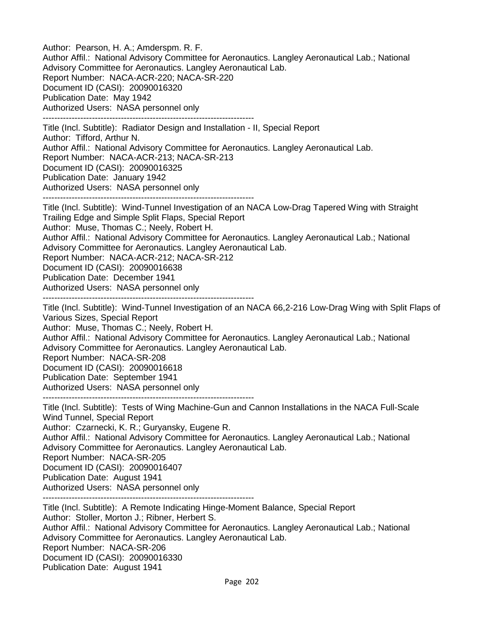Author: Pearson, H. A.; Amderspm. R. F. Author Affil.: National Advisory Committee for Aeronautics. Langley Aeronautical Lab.; National Advisory Committee for Aeronautics. Langley Aeronautical Lab. Report Number: NACA-ACR-220; NACA-SR-220 Document ID (CASI): 20090016320 Publication Date: May 1942 Authorized Users: NASA personnel only ------------------------------------------------------------------------- Title (Incl. Subtitle): Radiator Design and Installation - II, Special Report Author: Tifford, Arthur N.

Author Affil.: National Advisory Committee for Aeronautics. Langley Aeronautical Lab. Report Number: NACA-ACR-213; NACA-SR-213 Document ID (CASI): 20090016325 Publication Date: January 1942 Authorized Users: NASA personnel only

-------------------------------------------------------------------------

Title (Incl. Subtitle): Wind-Tunnel Investigation of an NACA Low-Drag Tapered Wing with Straight Trailing Edge and Simple Split Flaps, Special Report Author: Muse, Thomas C.; Neely, Robert H.

Author Affil.: National Advisory Committee for Aeronautics. Langley Aeronautical Lab.; National Advisory Committee for Aeronautics. Langley Aeronautical Lab.

Report Number: NACA-ACR-212; NACA-SR-212

Document ID (CASI): 20090016638

Publication Date: December 1941

Authorized Users: NASA personnel only

-------------------------------------------------------------------------

Title (Incl. Subtitle): Wind-Tunnel Investigation of an NACA 66,2-216 Low-Drag Wing with Split Flaps of Various Sizes, Special Report

Author: Muse, Thomas C.; Neely, Robert H.

Author Affil.: National Advisory Committee for Aeronautics. Langley Aeronautical Lab.; National Advisory Committee for Aeronautics. Langley Aeronautical Lab.

Report Number: NACA-SR-208

Document ID (CASI): 20090016618

Publication Date: September 1941

Authorized Users: NASA personnel only

-------------------------------------------------------------------------

Title (Incl. Subtitle): Tests of Wing Machine-Gun and Cannon Installations in the NACA Full-Scale Wind Tunnel, Special Report

Author: Czarnecki, K. R.; Guryansky, Eugene R.

Author Affil.: National Advisory Committee for Aeronautics. Langley Aeronautical Lab.; National Advisory Committee for Aeronautics. Langley Aeronautical Lab.

Report Number: NACA-SR-205

Document ID (CASI): 20090016407

Publication Date: August 1941

Authorized Users: NASA personnel only

-------------------------------------------------------------------------

Title (Incl. Subtitle): A Remote Indicating Hinge-Moment Balance, Special Report Author: Stoller, Morton J.; Ribner, Herbert S. Author Affil.: National Advisory Committee for Aeronautics. Langley Aeronautical Lab.; National Advisory Committee for Aeronautics. Langley Aeronautical Lab. Report Number: NACA-SR-206 Document ID (CASI): 20090016330 Publication Date: August 1941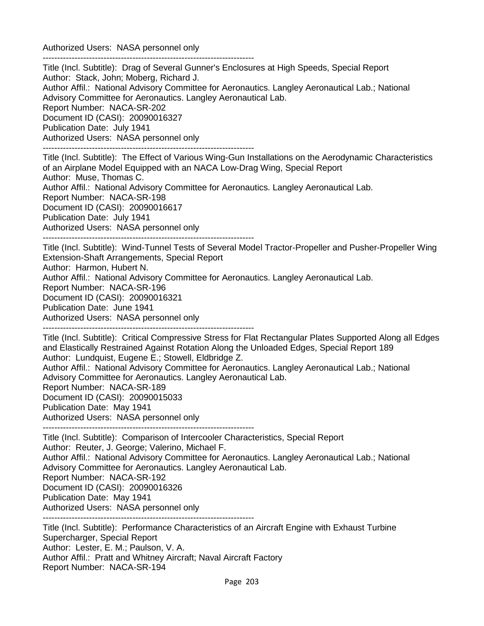Authorized Users: NASA personnel only

------------------------------------------------------------------------- Title (Incl. Subtitle): Drag of Several Gunner's Enclosures at High Speeds, Special Report Author: Stack, John; Moberg, Richard J. Author Affil.: National Advisory Committee for Aeronautics. Langley Aeronautical Lab.; National Advisory Committee for Aeronautics. Langley Aeronautical Lab. Report Number: NACA-SR-202 Document ID (CASI): 20090016327 Publication Date: July 1941 Authorized Users: NASA personnel only ------------------------------------------------------------------------- Title (Incl. Subtitle): The Effect of Various Wing-Gun Installations on the Aerodynamic Characteristics of an Airplane Model Equipped with an NACA Low-Drag Wing, Special Report Author: Muse, Thomas C. Author Affil.: National Advisory Committee for Aeronautics. Langley Aeronautical Lab. Report Number: NACA-SR-198 Document ID (CASI): 20090016617 Publication Date: July 1941 Authorized Users: NASA personnel only ------------------------------------------------------------------------- Title (Incl. Subtitle): Wind-Tunnel Tests of Several Model Tractor-Propeller and Pusher-Propeller Wing Extension-Shaft Arrangements, Special Report Author: Harmon, Hubert N. Author Affil.: National Advisory Committee for Aeronautics. Langley Aeronautical Lab. Report Number: NACA-SR-196 Document ID (CASI): 20090016321 Publication Date: June 1941 Authorized Users: NASA personnel only ------------------------------------------------------------------------- Title (Incl. Subtitle): Critical Compressive Stress for Flat Rectangular Plates Supported Along all Edges and Elastically Restrained Against Rotation Along the Unloaded Edges, Special Report 189 Author: Lundquist, Eugene E.; Stowell, Eldbridge Z. Author Affil.: National Advisory Committee for Aeronautics. Langley Aeronautical Lab.; National Advisory Committee for Aeronautics. Langley Aeronautical Lab. Report Number: NACA-SR-189 Document ID (CASI): 20090015033 Publication Date: May 1941 Authorized Users: NASA personnel only ------------------------------------------------------------------------- Title (Incl. Subtitle): Comparison of Intercooler Characteristics, Special Report Author: Reuter, J. George; Valerino, Michael F. Author Affil.: National Advisory Committee for Aeronautics. Langley Aeronautical Lab.; National Advisory Committee for Aeronautics. Langley Aeronautical Lab.

Report Number: NACA-SR-192

Document ID (CASI): 20090016326

Publication Date: May 1941

Authorized Users: NASA personnel only

-------------------------------------------------------------------------

Title (Incl. Subtitle): Performance Characteristics of an Aircraft Engine with Exhaust Turbine Supercharger, Special Report Author: Lester, E. M.; Paulson, V. A. Author Affil.: Pratt and Whitney Aircraft; Naval Aircraft Factory Report Number: NACA-SR-194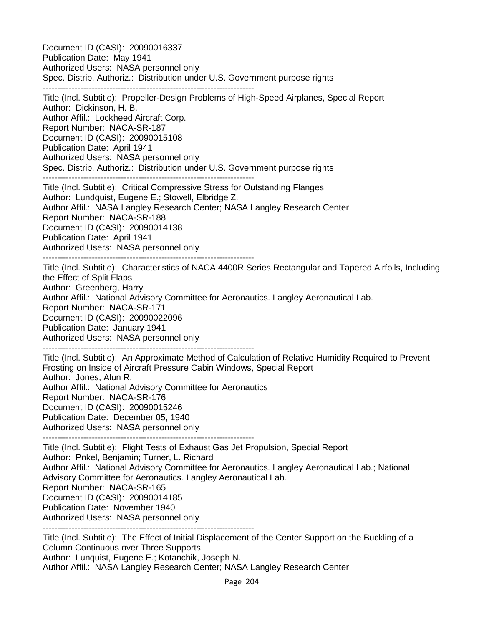Document ID (CASI): 20090016337 Publication Date: May 1941 Authorized Users: NASA personnel only Spec. Distrib. Authoriz.: Distribution under U.S. Government purpose rights ------------------------------------------------------------------------- Title (Incl. Subtitle): Propeller-Design Problems of High-Speed Airplanes, Special Report Author: Dickinson, H. B. Author Affil.: Lockheed Aircraft Corp. Report Number: NACA-SR-187 Document ID (CASI): 20090015108 Publication Date: April 1941 Authorized Users: NASA personnel only Spec. Distrib. Authoriz.: Distribution under U.S. Government purpose rights ------------------------------------------------------------------------- Title (Incl. Subtitle): Critical Compressive Stress for Outstanding Flanges Author: Lundquist, Eugene E.; Stowell, Elbridge Z. Author Affil.: NASA Langley Research Center; NASA Langley Research Center Report Number: NACA-SR-188 Document ID (CASI): 20090014138 Publication Date: April 1941 Authorized Users: NASA personnel only ------------------------------------------------------------------------- Title (Incl. Subtitle): Characteristics of NACA 4400R Series Rectangular and Tapered Airfoils, Including the Effect of Split Flaps Author: Greenberg, Harry Author Affil.: National Advisory Committee for Aeronautics. Langley Aeronautical Lab. Report Number: NACA-SR-171 Document ID (CASI): 20090022096 Publication Date: January 1941 Authorized Users: NASA personnel only ------------------------------------------------------------------------- Title (Incl. Subtitle): An Approximate Method of Calculation of Relative Humidity Required to Prevent Frosting on Inside of Aircraft Pressure Cabin Windows, Special Report Author: Jones, Alun R. Author Affil.: National Advisory Committee for Aeronautics Report Number: NACA-SR-176 Document ID (CASI): 20090015246 Publication Date: December 05, 1940 Authorized Users: NASA personnel only ------------------------------------------------------------------------- Title (Incl. Subtitle): Flight Tests of Exhaust Gas Jet Propulsion, Special Report Author: Pnkel, Benjamin; Turner, L. Richard Author Affil.: National Advisory Committee for Aeronautics. Langley Aeronautical Lab.; National Advisory Committee for Aeronautics. Langley Aeronautical Lab. Report Number: NACA-SR-165 Document ID (CASI): 20090014185 Publication Date: November 1940 Authorized Users: NASA personnel only ------------------------------------------------------------------------- Title (Incl. Subtitle): The Effect of Initial Displacement of the Center Support on the Buckling of a Column Continuous over Three Supports

Author: Lunquist, Eugene E.; Kotanchik, Joseph N.

Author Affil.: NASA Langley Research Center; NASA Langley Research Center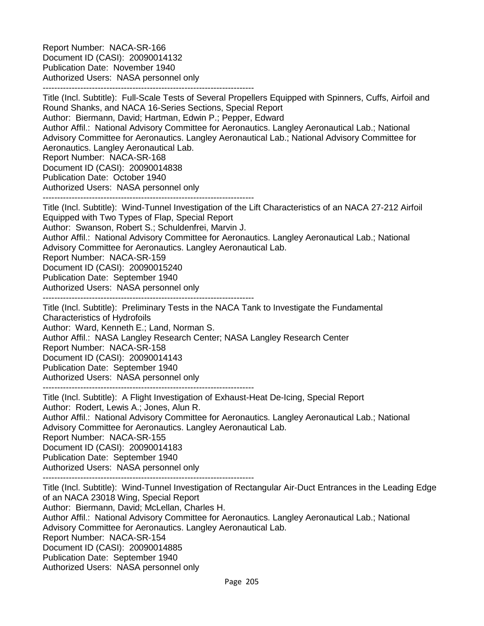Report Number: NACA-SR-166 Document ID (CASI): 20090014132 Publication Date: November 1940 Authorized Users: NASA personnel only -------------------------------------------------------------------------

Title (Incl. Subtitle): Full-Scale Tests of Several Propellers Equipped with Spinners, Cuffs, Airfoil and Round Shanks, and NACA 16-Series Sections, Special Report Author: Biermann, David; Hartman, Edwin P.; Pepper, Edward Author Affil.: National Advisory Committee for Aeronautics. Langley Aeronautical Lab.; National Advisory Committee for Aeronautics. Langley Aeronautical Lab.; National Advisory Committee for Aeronautics. Langley Aeronautical Lab. Report Number: NACA-SR-168 Document ID (CASI): 20090014838 Publication Date: October 1940 Authorized Users: NASA personnel only ------------------------------------------------------------------------- Title (Incl. Subtitle): Wind-Tunnel Investigation of the Lift Characteristics of an NACA 27-212 Airfoil Equipped with Two Types of Flap, Special Report Author: Swanson, Robert S.; Schuldenfrei, Marvin J. Author Affil.: National Advisory Committee for Aeronautics. Langley Aeronautical Lab.; National Advisory Committee for Aeronautics. Langley Aeronautical Lab. Report Number: NACA-SR-159 Document ID (CASI): 20090015240 Publication Date: September 1940 Authorized Users: NASA personnel only ------------------------------------------------------------------------- Title (Incl. Subtitle): Preliminary Tests in the NACA Tank to Investigate the Fundamental

Characteristics of Hydrofoils Author: Ward, Kenneth E.; Land, Norman S. Author Affil.: NASA Langley Research Center; NASA Langley Research Center Report Number: NACA-SR-158 Document ID (CASI): 20090014143 Publication Date: September 1940 Authorized Users: NASA personnel only -------------------------------------------------------------------------

Title (Incl. Subtitle): A Flight Investigation of Exhaust-Heat De-Icing, Special Report Author: Rodert, Lewis A.; Jones, Alun R. Author Affil.: National Advisory Committee for Aeronautics. Langley Aeronautical Lab.; National Advisory Committee for Aeronautics. Langley Aeronautical Lab. Report Number: NACA-SR-155 Document ID (CASI): 20090014183 Publication Date: September 1940 Authorized Users: NASA personnel only -------------------------------------------------------------------------

Title (Incl. Subtitle): Wind-Tunnel Investigation of Rectangular Air-Duct Entrances in the Leading Edge of an NACA 23018 Wing, Special Report Author: Biermann, David; McLellan, Charles H. Author Affil.: National Advisory Committee for Aeronautics. Langley Aeronautical Lab.; National Advisory Committee for Aeronautics. Langley Aeronautical Lab. Report Number: NACA-SR-154 Document ID (CASI): 20090014885 Publication Date: September 1940 Authorized Users: NASA personnel only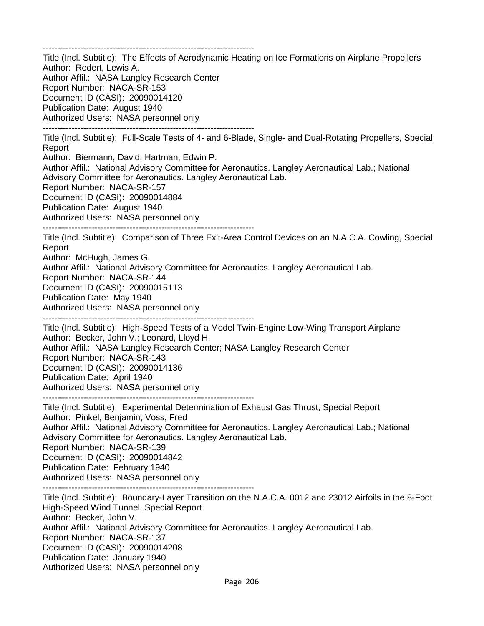-------------------------------------------------------------------------

Title (Incl. Subtitle): The Effects of Aerodynamic Heating on Ice Formations on Airplane Propellers Author: Rodert, Lewis A. Author Affil.: NASA Langley Research Center Report Number: NACA-SR-153 Document ID (CASI): 20090014120 Publication Date: August 1940 Authorized Users: NASA personnel only -------------------------------------------------------------------------

Title (Incl. Subtitle): Full-Scale Tests of 4- and 6-Blade, Single- and Dual-Rotating Propellers, Special Report

Author: Biermann, David; Hartman, Edwin P.

Author Affil.: National Advisory Committee for Aeronautics. Langley Aeronautical Lab.; National Advisory Committee for Aeronautics. Langley Aeronautical Lab.

Report Number: NACA-SR-157

Document ID (CASI): 20090014884 Publication Date: August 1940 Authorized Users: NASA personnel only

-------------------------------------------------------------------------

Title (Incl. Subtitle): Comparison of Three Exit-Area Control Devices on an N.A.C.A. Cowling, Special Report

Author: McHugh, James G.

Author Affil.: National Advisory Committee for Aeronautics. Langley Aeronautical Lab.

Report Number: NACA-SR-144

Document ID (CASI): 20090015113

Publication Date: May 1940

Authorized Users: NASA personnel only

-------------------------------------------------------------------------

Title (Incl. Subtitle): High-Speed Tests of a Model Twin-Engine Low-Wing Transport Airplane Author: Becker, John V.; Leonard, Lloyd H. Author Affil.: NASA Langley Research Center; NASA Langley Research Center Report Number: NACA-SR-143 Document ID (CASI): 20090014136 Publication Date: April 1940 Authorized Users: NASA personnel only

-------------------------------------------------------------------------

Title (Incl. Subtitle): Experimental Determination of Exhaust Gas Thrust, Special Report Author: Pinkel, Benjamin; Voss, Fred Author Affil.: National Advisory Committee for Aeronautics. Langley Aeronautical Lab.; National Advisory Committee for Aeronautics. Langley Aeronautical Lab. Report Number: NACA-SR-139 Document ID (CASI): 20090014842 Publication Date: February 1940 Authorized Users: NASA personnel only -------------------------------------------------------------------------

Title (Incl. Subtitle): Boundary-Layer Transition on the N.A.C.A. 0012 and 23012 Airfoils in the 8-Foot High-Speed Wind Tunnel, Special Report Author: Becker, John V. Author Affil.: National Advisory Committee for Aeronautics. Langley Aeronautical Lab. Report Number: NACA-SR-137 Document ID (CASI): 20090014208 Publication Date: January 1940 Authorized Users: NASA personnel only